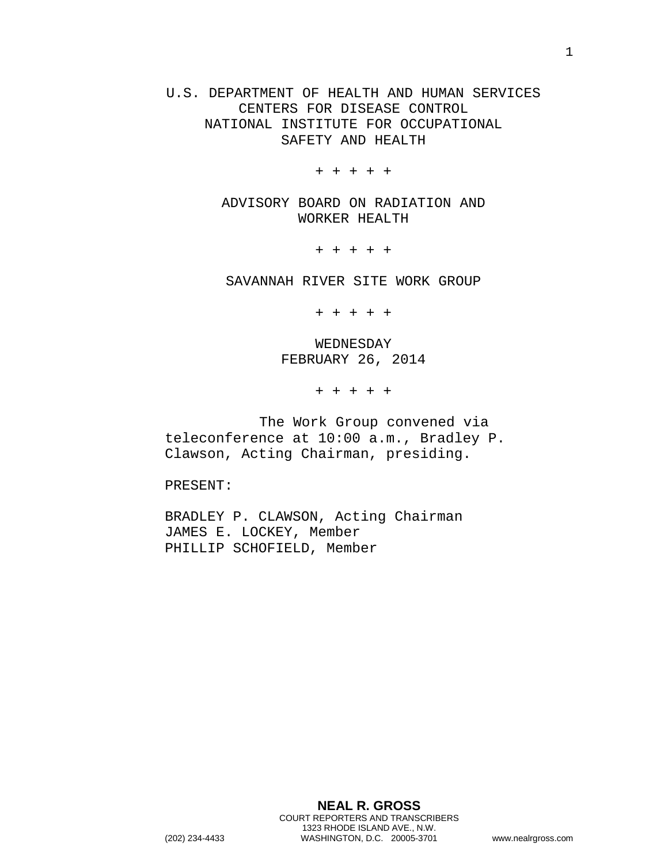U.S. DEPARTMENT OF HEALTH AND HUMAN SERVICES CENTERS FOR DISEASE CONTROL NATIONAL INSTITUTE FOR OCCUPATIONAL SAFETY AND HEALTH

+ + + + +

ADVISORY BOARD ON RADIATION AND WORKER HEALTH

+ + + + +

SAVANNAH RIVER SITE WORK GROUP

+ + + + +

WEDNESDAY FEBRUARY 26, 2014

+ + + + +

The Work Group convened via teleconference at 10:00 a.m., Bradley P. Clawson, Acting Chairman, presiding.

PRESENT:

BRADLEY P. CLAWSON, Acting Chairman JAMES E. LOCKEY, Member PHILLIP SCHOFIELD, Member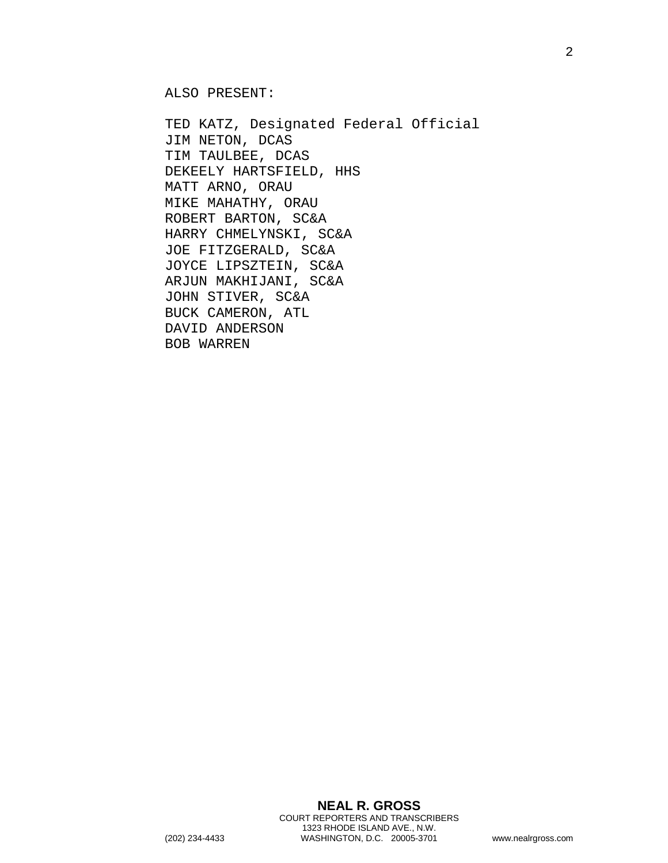ALSO PRESENT:

TED KATZ, Designated Federal Official JIM NETON, DCAS TIM TAULBEE, DCAS DEKEELY HARTSFIELD, HHS MATT ARNO, ORAU MIKE MAHATHY, ORAU ROBERT BARTON, SC&A HARRY CHMELYNSKI, SC&A JOE FITZGERALD, SC&A JOYCE LIPSZTEIN, SC&A ARJUN MAKHIJANI, SC&A JOHN STIVER, SC&A BUCK CAMERON, ATL DAVID ANDERSON BOB WARREN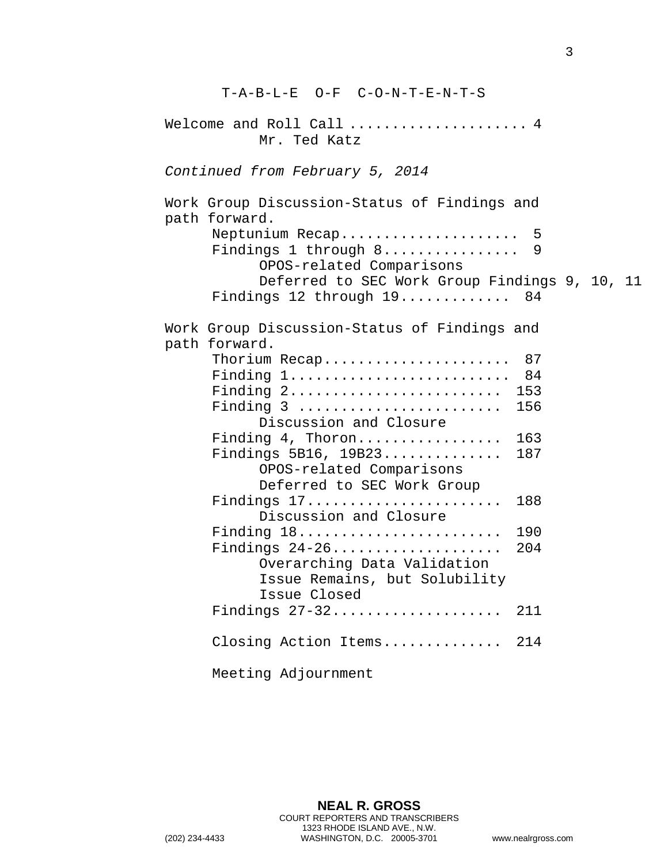| T-A-B-L-E O-F C-O-N-T-E-N-T-S                                              |  |
|----------------------------------------------------------------------------|--|
| Welcome and Roll Call  4<br>Mr. Ted Katz                                   |  |
| Continued from February 5, 2014                                            |  |
| Work Group Discussion-Status of Findings and<br>path forward.              |  |
| Neptunium Recap 5<br>Findings 1 through 8 9<br>OPOS-related Comparisons    |  |
| Deferred to SEC Work Group Findings 9, 10, 11<br>Findings 12 through 19 84 |  |
| Work Group Discussion-Status of Findings and<br>path forward.              |  |
| Thorium Recap 87                                                           |  |
| Finding 1 84                                                               |  |
| Finding 2 153                                                              |  |
| Finding 3  156                                                             |  |
| Discussion and Closure                                                     |  |
| Finding 4, Thoron<br>163                                                   |  |
| Findings $5B16$ , $19B23$<br>187                                           |  |
| OPOS-related Comparisons                                                   |  |
| Deferred to SEC Work Group                                                 |  |
| Findings 17<br>188<br>Discussion and Closure                               |  |
| Finding 18<br>190                                                          |  |
| 204                                                                        |  |
| Overarching Data Validation                                                |  |
| Issue Remains, but Solubility<br>Issue Closed                              |  |
| Findings 27-32<br>211                                                      |  |
| Closing Action Items<br>214                                                |  |
| Meeting Adjournment                                                        |  |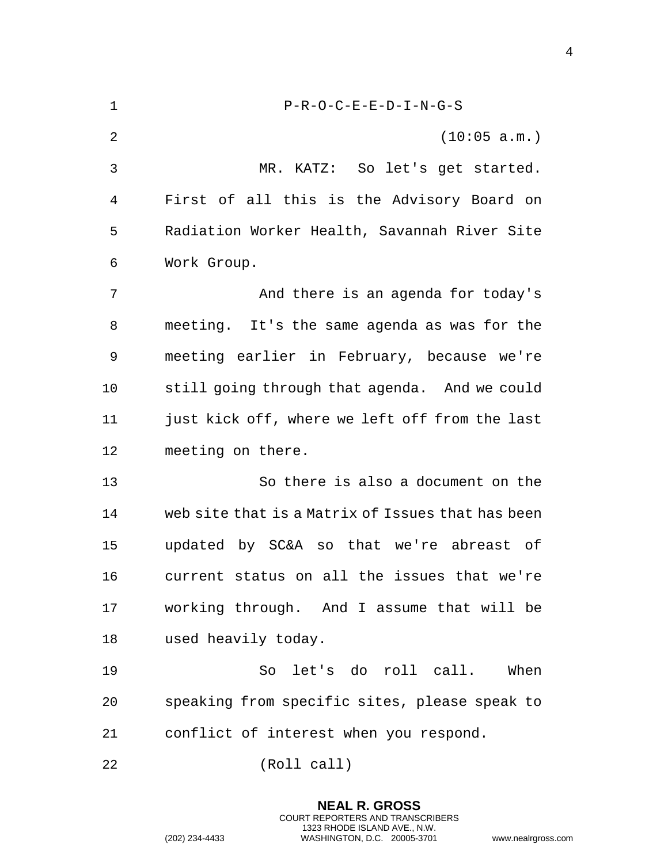| $\mathbf 1$ | $P-R-O-C-E-E-D-I-N-G-S$                           |
|-------------|---------------------------------------------------|
| 2           | (10:05 a.m.)                                      |
| 3           | MR. KATZ: So let's get started.                   |
| 4           | First of all this is the Advisory Board on        |
| 5           | Radiation Worker Health, Savannah River Site      |
| 6           | Work Group.                                       |
| 7           | And there is an agenda for today's                |
| 8           | meeting. It's the same agenda as was for the      |
| 9           | meeting earlier in February, because we're        |
| 10          | still going through that agenda. And we could     |
| 11          | just kick off, where we left off from the last    |
| 12          | meeting on there.                                 |
| 13          | So there is also a document on the                |
| 14          | web site that is a Matrix of Issues that has been |
| 15          | updated by SC&A so that we're abreast of          |
| 16          | current status on all the issues that we're       |
| 17          | working through. And I assume that will be        |
| 18          | used heavily today.                               |
| 19          | So let's do roll call. When                       |
| 20          | speaking from specific sites, please speak to     |
| 21          | conflict of interest when you respond.            |
| 22          | (Roll call)                                       |

**NEAL R. GROSS** COURT REPORTERS AND TRANSCRIBERS 1323 RHODE ISLAND AVE., N.W.

(202) 234-4433 WASHINGTON, D.C. 20005-3701 www.nealrgross.com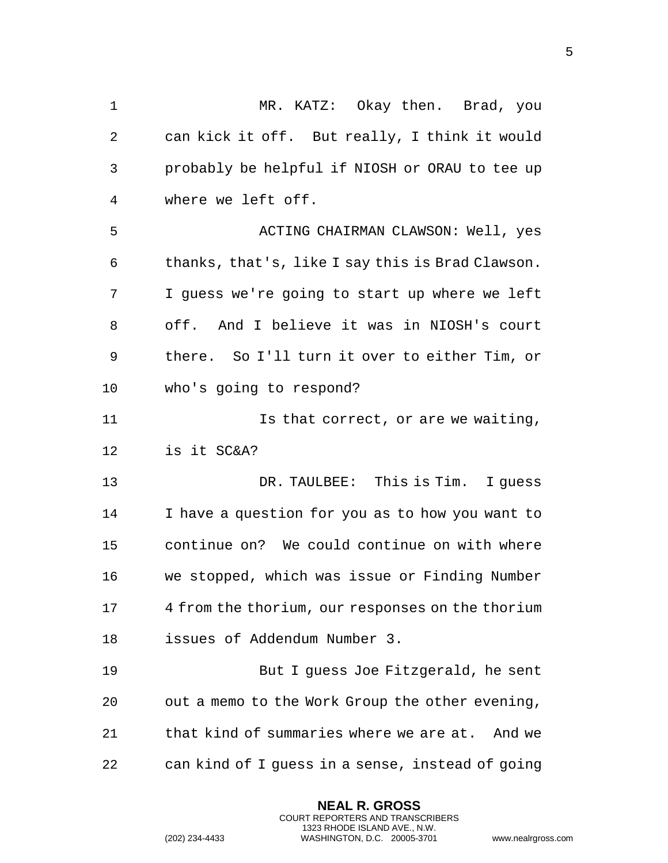MR. KATZ: Okay then. Brad, you can kick it off. But really, I think it would probably be helpful if NIOSH or ORAU to tee up where we left off. ACTING CHAIRMAN CLAWSON: Well, yes thanks, that's, like I say this is Brad Clawson. I guess we're going to start up where we left off. And I believe it was in NIOSH's court there. So I'll turn it over to either Tim, or who's going to respond? **Is that correct, or are we waiting,**  is it SC&A? DR. TAULBEE: This is Tim. I guess I have a question for you as to how you want to continue on? We could continue on with where we stopped, which was issue or Finding Number 4 from the thorium, our responses on the thorium issues of Addendum Number 3. But I guess Joe Fitzgerald, he sent out a memo to the Work Group the other evening, that kind of summaries where we are at. And we can kind of I guess in a sense, instead of going

> **NEAL R. GROSS** COURT REPORTERS AND TRANSCRIBERS 1323 RHODE ISLAND AVE., N.W.

(202) 234-4433 WASHINGTON, D.C. 20005-3701 www.nealrgross.com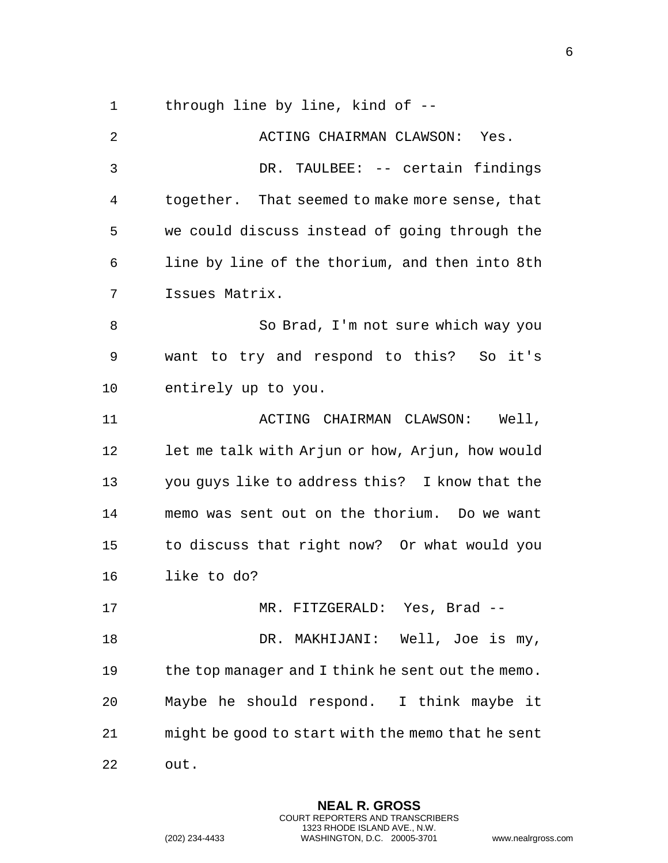through line by line, kind of --

| 2  | ACTING CHAIRMAN CLAWSON: Yes.                     |
|----|---------------------------------------------------|
| 3  | DR. TAULBEE: -- certain findings                  |
| 4  | together. That seemed to make more sense, that    |
| 5  | we could discuss instead of going through the     |
| 6  | line by line of the thorium, and then into 8th    |
| 7  | Issues Matrix.                                    |
| 8  | So Brad, I'm not sure which way you               |
| 9  | want to try and respond to this? So it's          |
| 10 | entirely up to you.                               |
| 11 | ACTING CHAIRMAN CLAWSON: Well,                    |
| 12 | let me talk with Arjun or how, Arjun, how would   |
| 13 | you guys like to address this? I know that the    |
| 14 | memo was sent out on the thorium. Do we want      |
| 15 | to discuss that right now? Or what would you      |
| 16 | like to do?                                       |
| 17 | MR. FITZGERALD: Yes, Brad --                      |
| 18 | DR. MAKHIJANI: Well, Joe is my,                   |
| 19 | the top manager and I think he sent out the memo. |
| 20 | Maybe he should respond. I think maybe it         |
| 21 | might be good to start with the memo that he sent |
| 22 | out.                                              |

**NEAL R. GROSS** COURT REPORTERS AND TRANSCRIBERS 1323 RHODE ISLAND AVE., N.W.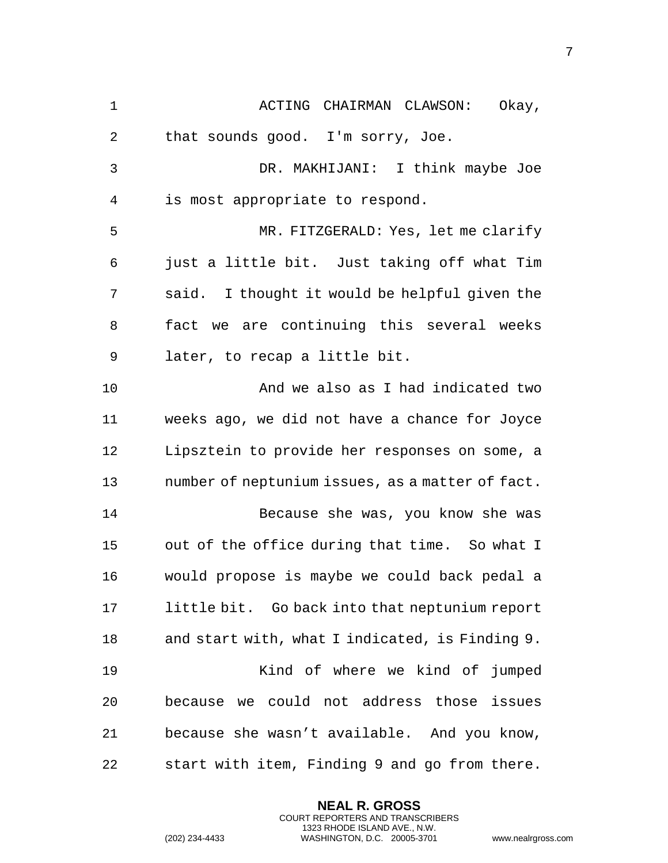1 ACTING CHAIRMAN CLAWSON: Okay, that sounds good. I'm sorry, Joe. DR. MAKHIJANI: I think maybe Joe is most appropriate to respond. MR. FITZGERALD: Yes, let me clarify just a little bit. Just taking off what Tim said. I thought it would be helpful given the fact we are continuing this several weeks later, to recap a little bit. And we also as I had indicated two weeks ago, we did not have a chance for Joyce Lipsztein to provide her responses on some, a number of neptunium issues, as a matter of fact. Because she was, you know she was out of the office during that time. So what I would propose is maybe we could back pedal a little bit. Go back into that neptunium report and start with, what I indicated, is Finding 9. Kind of where we kind of jumped because we could not address those issues because she wasn't available. And you know, start with item, Finding 9 and go from there.

> **NEAL R. GROSS** COURT REPORTERS AND TRANSCRIBERS 1323 RHODE ISLAND AVE., N.W.

(202) 234-4433 WASHINGTON, D.C. 20005-3701 www.nealrgross.com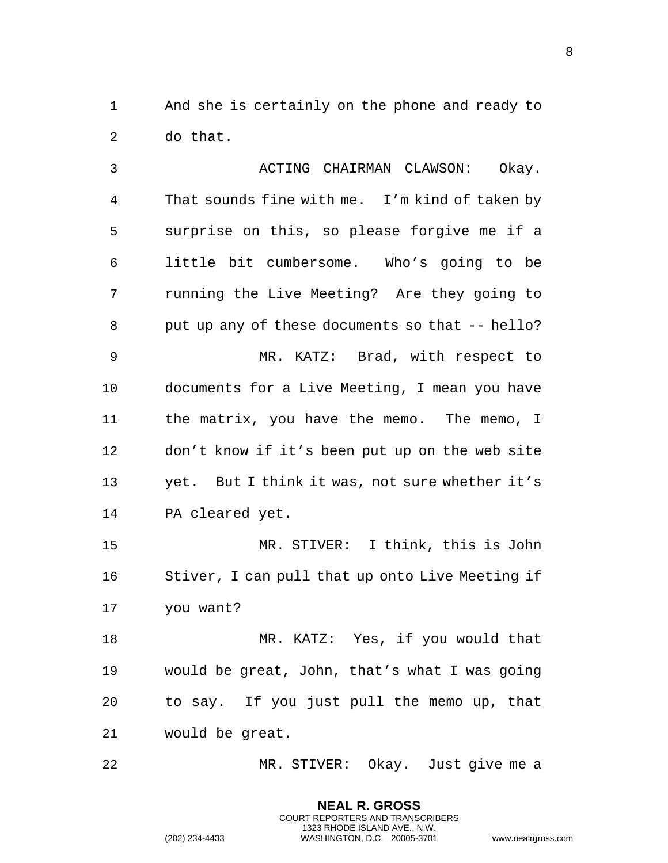And she is certainly on the phone and ready to do that.

3 ACTING CHAIRMAN CLAWSON: Okay. That sounds fine with me. I'm kind of taken by surprise on this, so please forgive me if a little bit cumbersome. Who's going to be running the Live Meeting? Are they going to put up any of these documents so that -- hello? MR. KATZ: Brad, with respect to documents for a Live Meeting, I mean you have the matrix, you have the memo. The memo, I don't know if it's been put up on the web site yet. But I think it was, not sure whether it's PA cleared yet. MR. STIVER: I think, this is John Stiver, I can pull that up onto Live Meeting if you want?

 MR. KATZ: Yes, if you would that would be great, John, that's what I was going to say. If you just pull the memo up, that would be great.

MR. STIVER: Okay. Just give me a

**NEAL R. GROSS** COURT REPORTERS AND TRANSCRIBERS 1323 RHODE ISLAND AVE., N.W.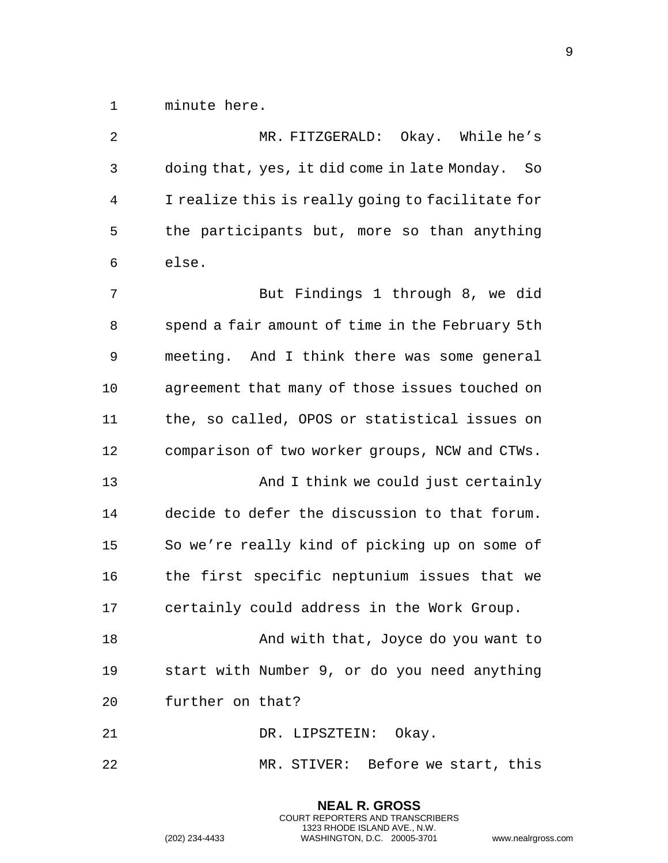minute here.

| 2  | MR. FITZGERALD: Okay. While he's                   |
|----|----------------------------------------------------|
| 3  | doing that, yes, it did come in late Monday.<br>So |
| 4  | I realize this is really going to facilitate for   |
| 5  | the participants but, more so than anything        |
| 6  | else.                                              |
| 7  | But Findings 1 through 8, we did                   |
| 8  | spend a fair amount of time in the February 5th    |
| 9  | meeting. And I think there was some general        |
| 10 | agreement that many of those issues touched on     |
| 11 | the, so called, OPOS or statistical issues on      |
| 12 | comparison of two worker groups, NCW and CTWs.     |
| 13 | And I think we could just certainly                |
| 14 | decide to defer the discussion to that forum.      |
| 15 | So we're really kind of picking up on some of      |
| 16 | the first specific neptunium issues that we        |
| 17 | certainly could address in the Work Group.         |
| 18 | And with that, Joyce do you want to                |
| 19 | start with Number 9, or do you need anything       |
| 20 | further on that?                                   |
| 21 | DR. LIPSZTEIN: Okay.                               |
| 22 | MR. STIVER: Before we start, this                  |

**NEAL R. GROSS** COURT REPORTERS AND TRANSCRIBERS 1323 RHODE ISLAND AVE., N.W.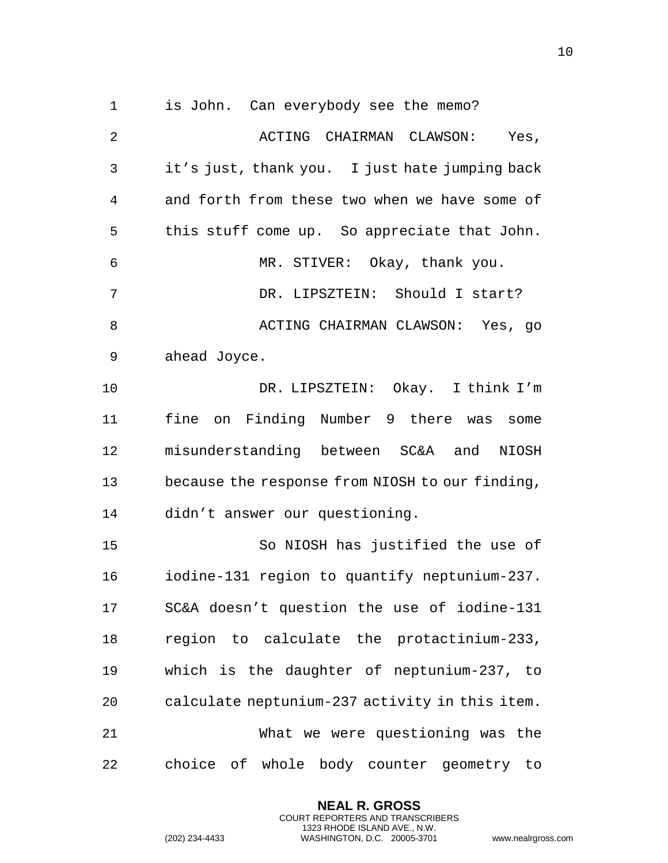is John. Can everybody see the memo? 2 ACTING CHAIRMAN CLAWSON: Yes, it's just, thank you. I just hate jumping back and forth from these two when we have some of this stuff come up. So appreciate that John. MR. STIVER: Okay, thank you. DR. LIPSZTEIN: Should I start? ACTING CHAIRMAN CLAWSON: Yes, go ahead Joyce. DR. LIPSZTEIN: Okay. I think I'm fine on Finding Number 9 there was some misunderstanding between SC&A and NIOSH because the response from NIOSH to our finding, didn't answer our questioning. So NIOSH has justified the use of iodine-131 region to quantify neptunium-237. SC&A doesn't question the use of iodine-131 region to calculate the protactinium-233,

 which is the daughter of neptunium-237, to calculate neptunium-237 activity in this item. What we were questioning was the

choice of whole body counter geometry to

**NEAL R. GROSS** COURT REPORTERS AND TRANSCRIBERS 1323 RHODE ISLAND AVE., N.W.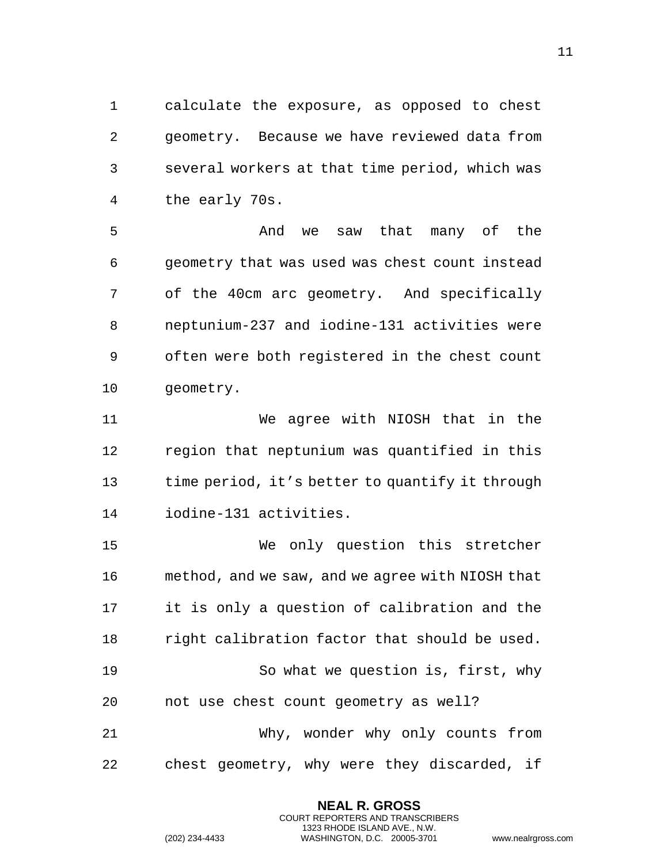calculate the exposure, as opposed to chest geometry. Because we have reviewed data from several workers at that time period, which was the early 70s.

 And we saw that many of the geometry that was used was chest count instead of the 40cm arc geometry. And specifically neptunium-237 and iodine-131 activities were often were both registered in the chest count geometry.

 We agree with NIOSH that in the region that neptunium was quantified in this time period, it's better to quantify it through iodine-131 activities.

 We only question this stretcher method, and we saw, and we agree with NIOSH that it is only a question of calibration and the right calibration factor that should be used. So what we question is, first, why not use chest count geometry as well? Why, wonder why only counts from chest geometry, why were they discarded, if

> **NEAL R. GROSS** COURT REPORTERS AND TRANSCRIBERS 1323 RHODE ISLAND AVE., N.W.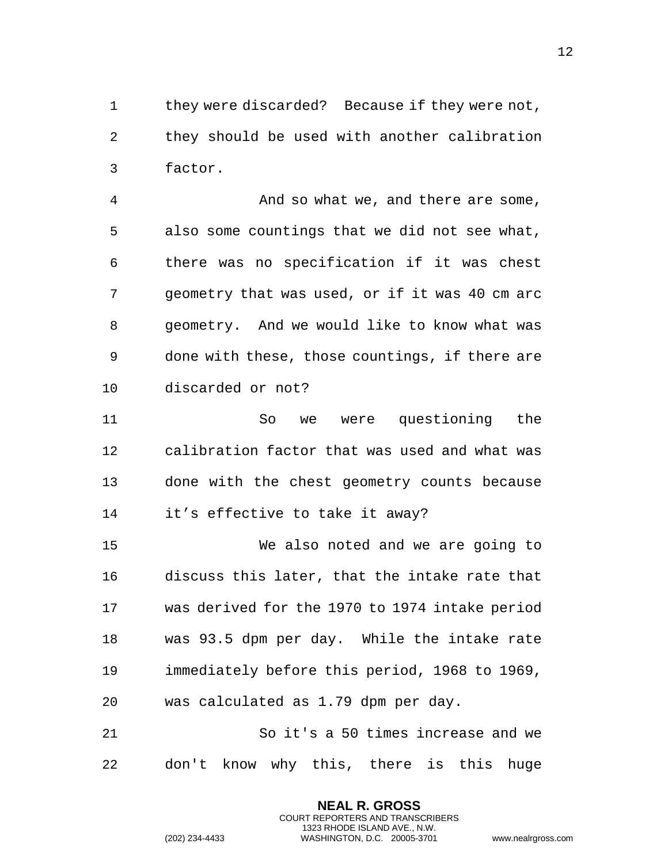they were discarded? Because if they were not, they should be used with another calibration factor.

 And so what we, and there are some, also some countings that we did not see what, there was no specification if it was chest geometry that was used, or if it was 40 cm arc geometry. And we would like to know what was done with these, those countings, if there are discarded or not?

 So we were questioning the calibration factor that was used and what was done with the chest geometry counts because it's effective to take it away?

 We also noted and we are going to discuss this later, that the intake rate that was derived for the 1970 to 1974 intake period was 93.5 dpm per day. While the intake rate immediately before this period, 1968 to 1969, was calculated as 1.79 dpm per day.

 So it's a 50 times increase and we don't know why this, there is this huge

> **NEAL R. GROSS** COURT REPORTERS AND TRANSCRIBERS 1323 RHODE ISLAND AVE., N.W.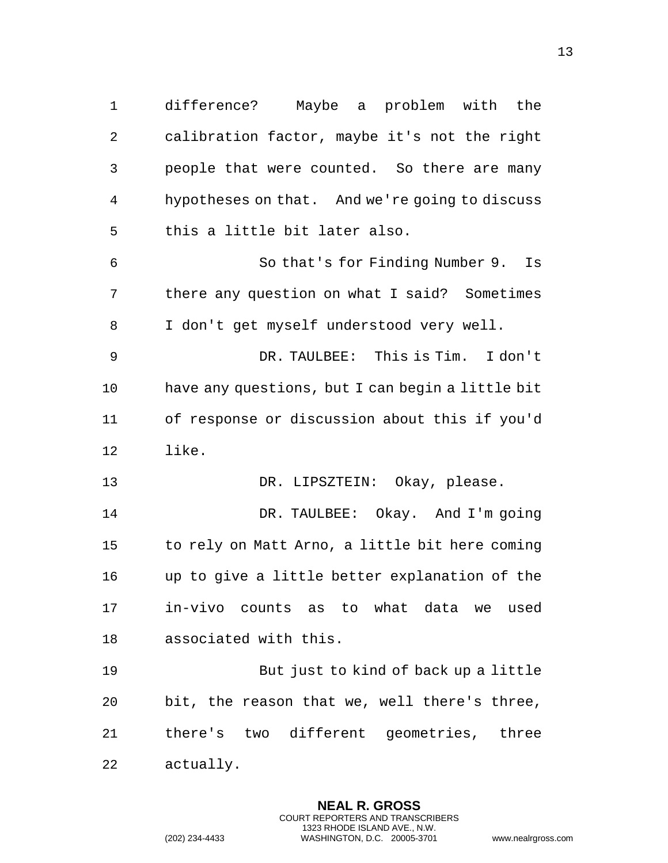difference? Maybe a problem with the calibration factor, maybe it's not the right people that were counted. So there are many hypotheses on that. And we're going to discuss this a little bit later also. So that's for Finding Number 9. Is there any question on what I said? Sometimes I don't get myself understood very well. DR. TAULBEE: This is Tim. I don't have any questions, but I can begin a little bit of response or discussion about this if you'd like. DR. LIPSZTEIN: Okay, please. DR. TAULBEE: Okay. And I'm going to rely on Matt Arno, a little bit here coming up to give a little better explanation of the in-vivo counts as to what data we used associated with this. But just to kind of back up a little bit, the reason that we, well there's three, there's two different geometries, three actually.

> **NEAL R. GROSS** COURT REPORTERS AND TRANSCRIBERS 1323 RHODE ISLAND AVE., N.W.

(202) 234-4433 WASHINGTON, D.C. 20005-3701 www.nealrgross.com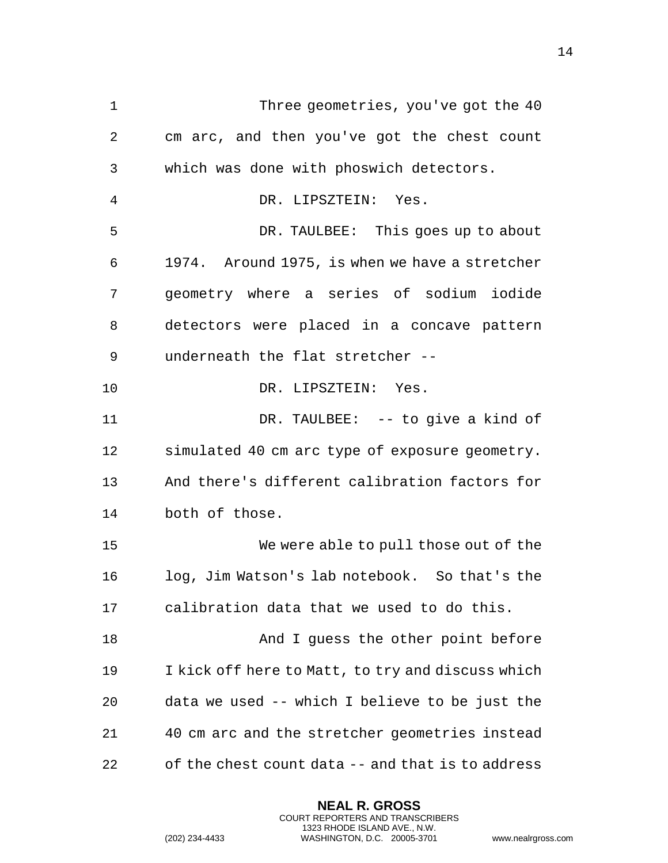1 Three geometries, you've got the 40 cm arc, and then you've got the chest count which was done with phoswich detectors. DR. LIPSZTEIN: Yes. DR. TAULBEE: This goes up to about 1974. Around 1975, is when we have a stretcher geometry where a series of sodium iodide detectors were placed in a concave pattern underneath the flat stretcher -- DR. LIPSZTEIN: Yes. DR. TAULBEE: -- to give a kind of simulated 40 cm arc type of exposure geometry. And there's different calibration factors for both of those. We were able to pull those out of the log, Jim Watson's lab notebook. So that's the calibration data that we used to do this. 18 And I guess the other point before I kick off here to Matt, to try and discuss which data we used -- which I believe to be just the 40 cm arc and the stretcher geometries instead of the chest count data -- and that is to address

> **NEAL R. GROSS** COURT REPORTERS AND TRANSCRIBERS 1323 RHODE ISLAND AVE., N.W.

(202) 234-4433 WASHINGTON, D.C. 20005-3701 www.nealrgross.com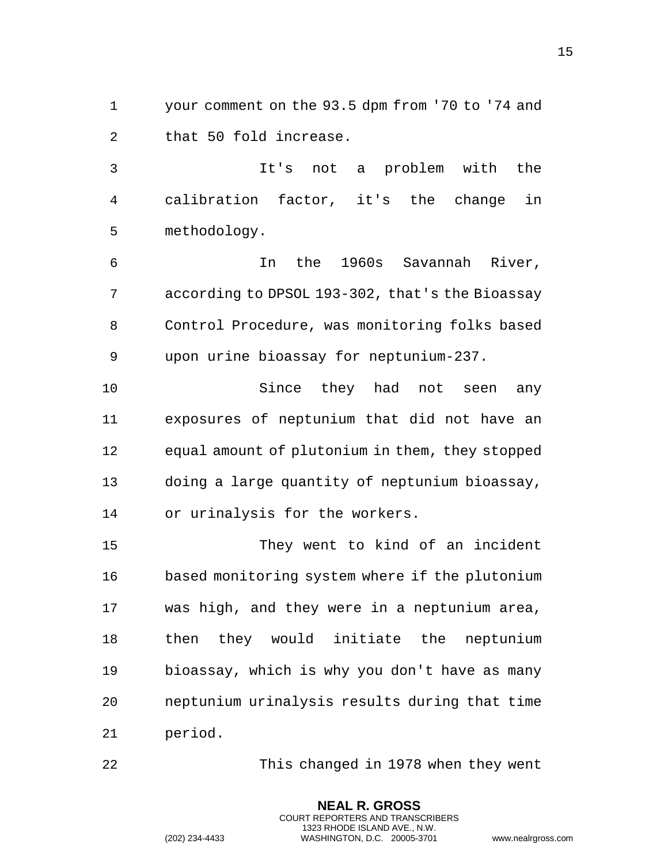your comment on the 93.5 dpm from '70 to '74 and that 50 fold increase.

 It's not a problem with the calibration factor, it's the change in methodology.

 In the 1960s Savannah River, according to DPSOL 193-302, that's the Bioassay Control Procedure, was monitoring folks based upon urine bioassay for neptunium-237.

 Since they had not seen any exposures of neptunium that did not have an equal amount of plutonium in them, they stopped doing a large quantity of neptunium bioassay, or urinalysis for the workers.

 They went to kind of an incident based monitoring system where if the plutonium was high, and they were in a neptunium area, then they would initiate the neptunium bioassay, which is why you don't have as many neptunium urinalysis results during that time period.

This changed in 1978 when they went

**NEAL R. GROSS** COURT REPORTERS AND TRANSCRIBERS 1323 RHODE ISLAND AVE., N.W.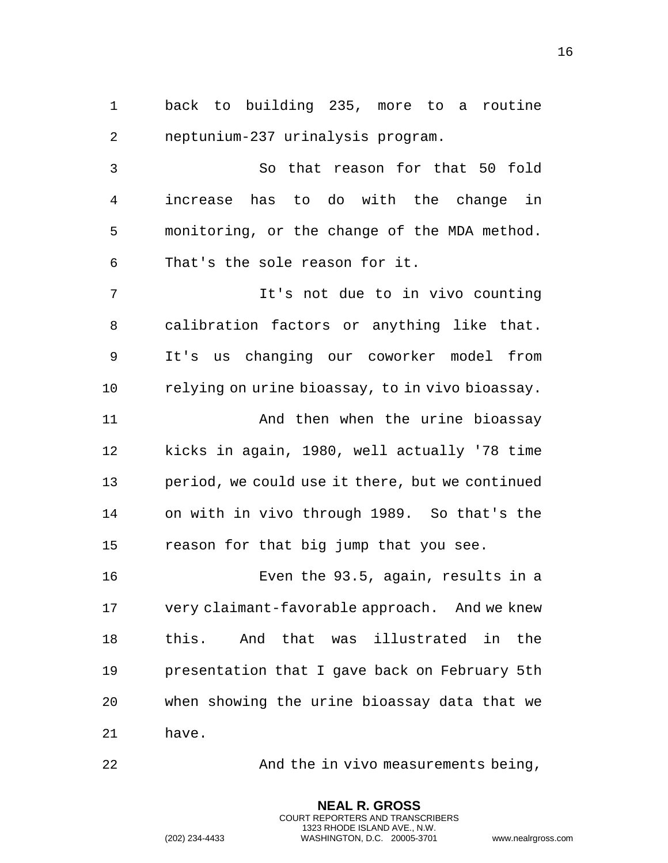back to building 235, more to a routine neptunium-237 urinalysis program.

 So that reason for that 50 fold increase has to do with the change in monitoring, or the change of the MDA method. That's the sole reason for it.

 It's not due to in vivo counting calibration factors or anything like that. It's us changing our coworker model from relying on urine bioassay, to in vivo bioassay.

 And then when the urine bioassay kicks in again, 1980, well actually '78 time period, we could use it there, but we continued on with in vivo through 1989. So that's the reason for that big jump that you see.

 Even the 93.5, again, results in a very claimant-favorable approach. And we knew this. And that was illustrated in the presentation that I gave back on February 5th when showing the urine bioassay data that we have.

And the in vivo measurements being,

**NEAL R. GROSS** COURT REPORTERS AND TRANSCRIBERS 1323 RHODE ISLAND AVE., N.W.

(202) 234-4433 WASHINGTON, D.C. 20005-3701 www.nealrgross.com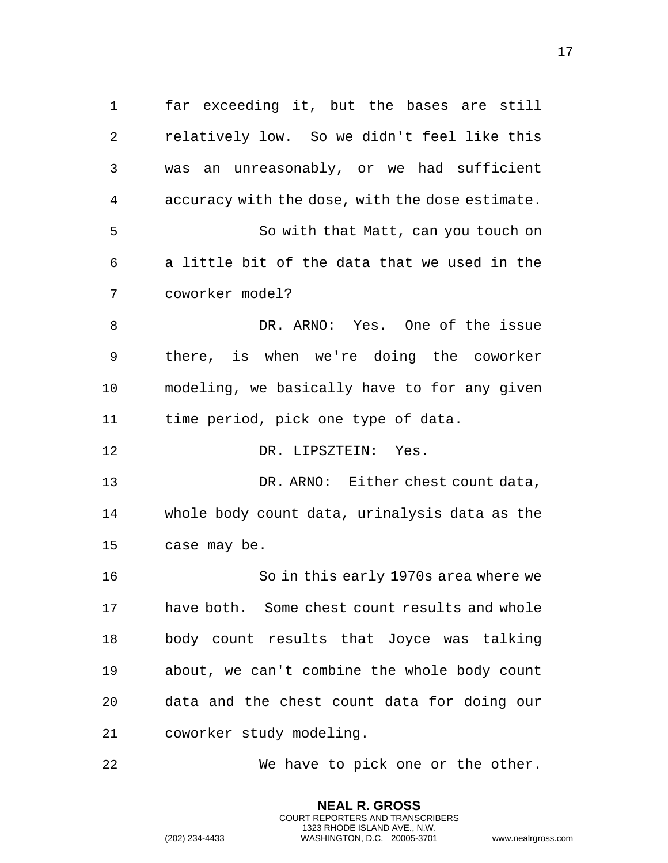far exceeding it, but the bases are still relatively low. So we didn't feel like this was an unreasonably, or we had sufficient accuracy with the dose, with the dose estimate. So with that Matt, can you touch on a little bit of the data that we used in the coworker model? DR. ARNO: Yes. One of the issue there, is when we're doing the coworker modeling, we basically have to for any given time period, pick one type of data. DR. LIPSZTEIN: Yes. DR. ARNO: Either chest count data, whole body count data, urinalysis data as the case may be. So in this early 1970s area where we have both. Some chest count results and whole body count results that Joyce was talking about, we can't combine the whole body count data and the chest count data for doing our coworker study modeling. We have to pick one or the other.

> **NEAL R. GROSS** COURT REPORTERS AND TRANSCRIBERS 1323 RHODE ISLAND AVE., N.W.

(202) 234-4433 WASHINGTON, D.C. 20005-3701 www.nealrgross.com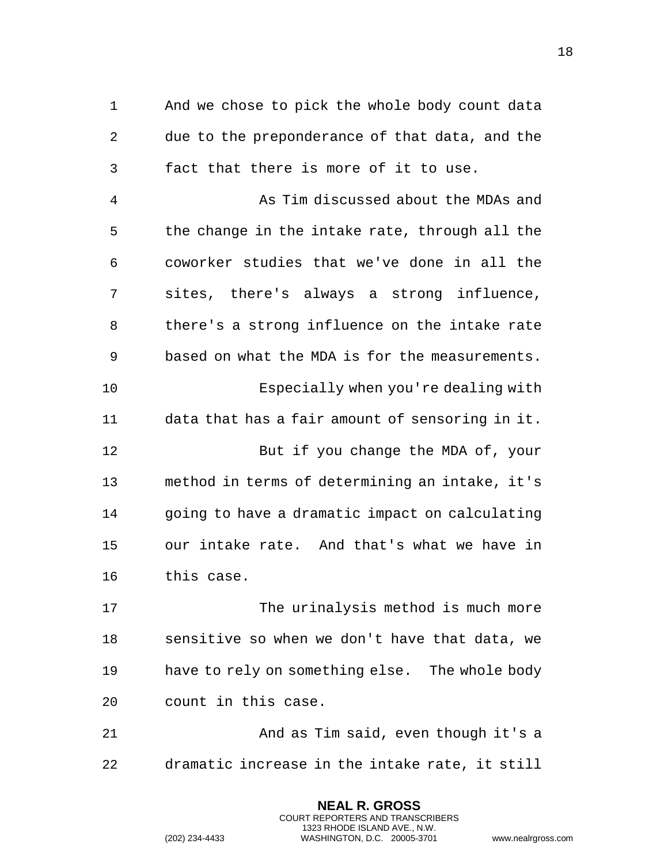And we chose to pick the whole body count data due to the preponderance of that data, and the fact that there is more of it to use.

 As Tim discussed about the MDAs and the change in the intake rate, through all the coworker studies that we've done in all the sites, there's always a strong influence, there's a strong influence on the intake rate based on what the MDA is for the measurements. Especially when you're dealing with data that has a fair amount of sensoring in it. But if you change the MDA of, your method in terms of determining an intake, it's going to have a dramatic impact on calculating our intake rate. And that's what we have in this case.

 The urinalysis method is much more sensitive so when we don't have that data, we have to rely on something else. The whole body count in this case.

 And as Tim said, even though it's a dramatic increase in the intake rate, it still

> **NEAL R. GROSS** COURT REPORTERS AND TRANSCRIBERS 1323 RHODE ISLAND AVE., N.W.

```
(202) 234-4433 WASHINGTON, D.C. 20005-3701 www.nealrgross.com
```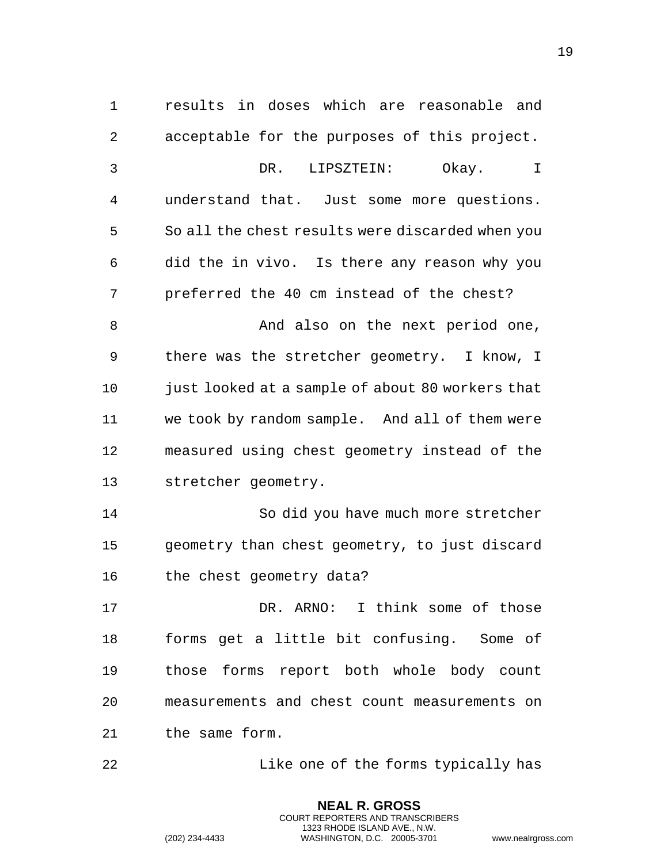results in doses which are reasonable and acceptable for the purposes of this project. DR. LIPSZTEIN: Okay. I understand that. Just some more questions. So all the chest results were discarded when you did the in vivo. Is there any reason why you preferred the 40 cm instead of the chest? 8 And also on the next period one, there was the stretcher geometry. I know, I just looked at a sample of about 80 workers that we took by random sample. And all of them were measured using chest geometry instead of the stretcher geometry. So did you have much more stretcher geometry than chest geometry, to just discard the chest geometry data? DR. ARNO: I think some of those forms get a little bit confusing. Some of those forms report both whole body count measurements and chest count measurements on the same form. Like one of the forms typically has

> **NEAL R. GROSS** COURT REPORTERS AND TRANSCRIBERS 1323 RHODE ISLAND AVE., N.W.

(202) 234-4433 WASHINGTON, D.C. 20005-3701 www.nealrgross.com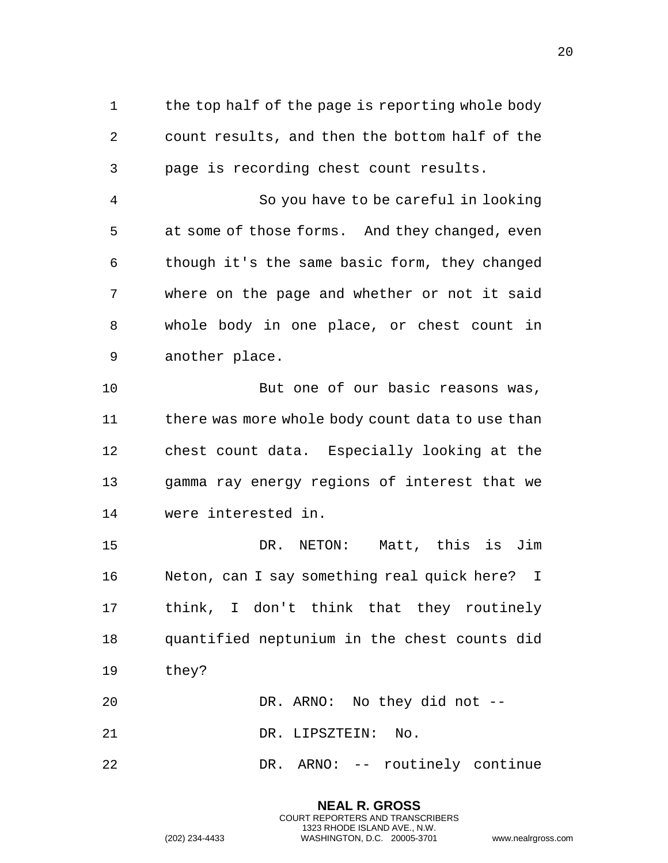1 the top half of the page is reporting whole body count results, and then the bottom half of the page is recording chest count results.

 So you have to be careful in looking at some of those forms. And they changed, even though it's the same basic form, they changed where on the page and whether or not it said whole body in one place, or chest count in another place.

10 But one of our basic reasons was, 11 there was more whole body count data to use than chest count data. Especially looking at the gamma ray energy regions of interest that we were interested in.

 DR. NETON: Matt, this is Jim Neton, can I say something real quick here? I think, I don't think that they routinely quantified neptunium in the chest counts did they?

DR. ARNO: No they did not --

DR. LIPSZTEIN: No.

DR. ARNO: -- routinely continue

**NEAL R. GROSS** COURT REPORTERS AND TRANSCRIBERS 1323 RHODE ISLAND AVE., N.W.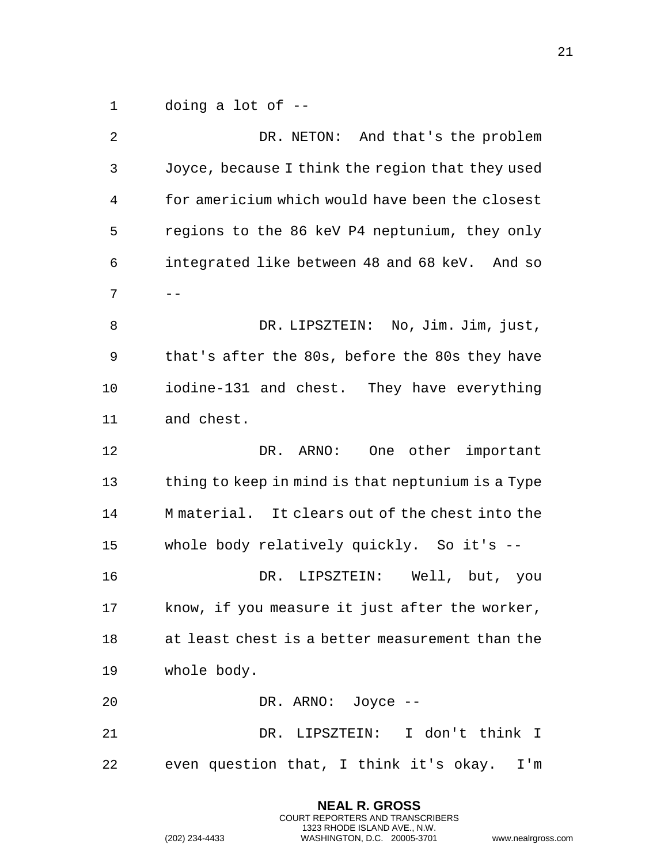doing a lot of --

 DR. NETON: And that's the problem Joyce, because I think the region that they used for americium which would have been the closest regions to the 86 keV P4 neptunium, they only integrated like between 48 and 68 keV. And so  $7 \quad - -$  DR. LIPSZTEIN: No, Jim. Jim, just, that's after the 80s, before the 80s they have iodine-131 and chest. They have everything and chest. DR. ARNO: One other important 13 thing to keep in mind is that neptunium is a Type M material. It clears out of the chest into the whole body relatively quickly. So it's -- DR. LIPSZTEIN: Well, but, you know, if you measure it just after the worker, at least chest is a better measurement than the whole body. DR. ARNO: Joyce -- DR. LIPSZTEIN: I don't think I even question that, I think it's okay. I'm

> **NEAL R. GROSS** COURT REPORTERS AND TRANSCRIBERS 1323 RHODE ISLAND AVE., N.W.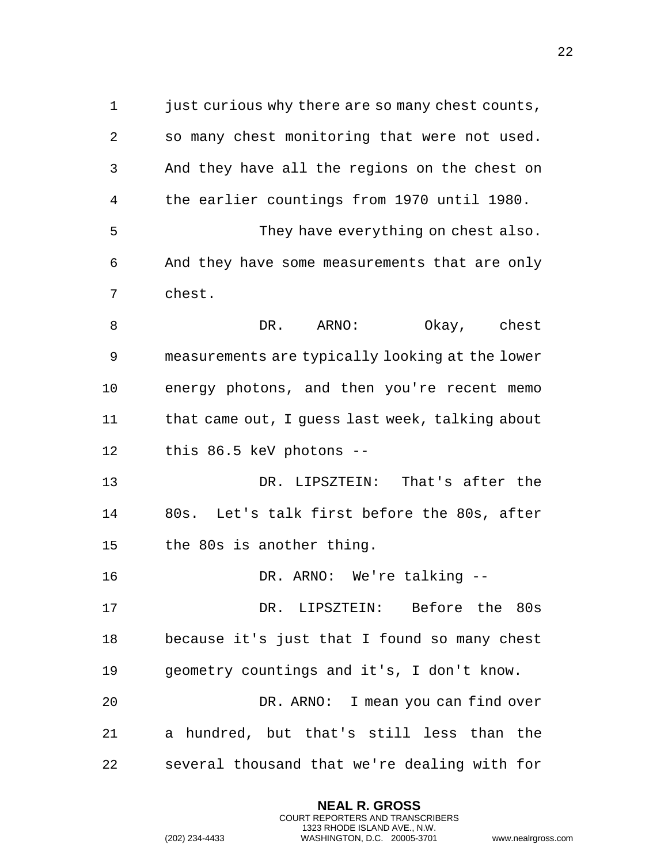just curious why there are so many chest counts, so many chest monitoring that were not used. And they have all the regions on the chest on the earlier countings from 1970 until 1980. They have everything on chest also. And they have some measurements that are only chest. 8 DR. ARNO: Okay, chest measurements are typically looking at the lower energy photons, and then you're recent memo that came out, I guess last week, talking about this 86.5 keV photons -- DR. LIPSZTEIN: That's after the 80s. Let's talk first before the 80s, after the 80s is another thing. DR. ARNO: We're talking -- DR. LIPSZTEIN: Before the 80s because it's just that I found so many chest geometry countings and it's, I don't know. DR. ARNO: I mean you can find over a hundred, but that's still less than the several thousand that we're dealing with for

> **NEAL R. GROSS** COURT REPORTERS AND TRANSCRIBERS 1323 RHODE ISLAND AVE., N.W.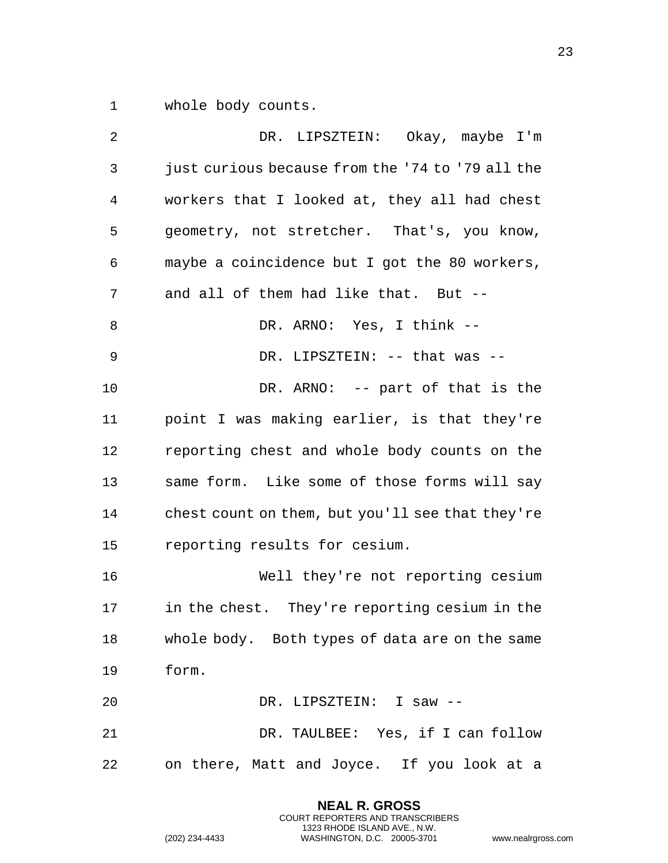whole body counts.

| 2  | DR. LIPSZTEIN: Okay, maybe I'm                   |
|----|--------------------------------------------------|
| 3  | just curious because from the '74 to '79 all the |
| 4  | workers that I looked at, they all had chest     |
| 5  | geometry, not stretcher. That's, you know,       |
| 6  | maybe a coincidence but I got the 80 workers,    |
| 7  | and all of them had like that. But --            |
| 8  | DR. ARNO: Yes, I think --                        |
| 9  | DR. LIPSZTEIN: -- that was --                    |
| 10 | DR. ARNO: $-$ part of that is the                |
| 11 | point I was making earlier, is that they're      |
| 12 | reporting chest and whole body counts on the     |
| 13 | same form. Like some of those forms will say     |
| 14 | chest count on them, but you'll see that they're |
| 15 | reporting results for cesium.                    |
| 16 | Well they're not reporting cesium                |
| 17 | in the chest. They're reporting cesium in the    |
| 18 | whole body. Both types of data are on the same   |
| 19 | form.                                            |
| 20 | DR. LIPSZTEIN: I saw --                          |
| 21 | DR. TAULBEE: Yes, if I can follow                |
| 22 | on there, Matt and Joyce. If you look at a       |

**NEAL R. GROSS** COURT REPORTERS AND TRANSCRIBERS 1323 RHODE ISLAND AVE., N.W.

(202) 234-4433 WASHINGTON, D.C. 20005-3701 www.nealrgross.com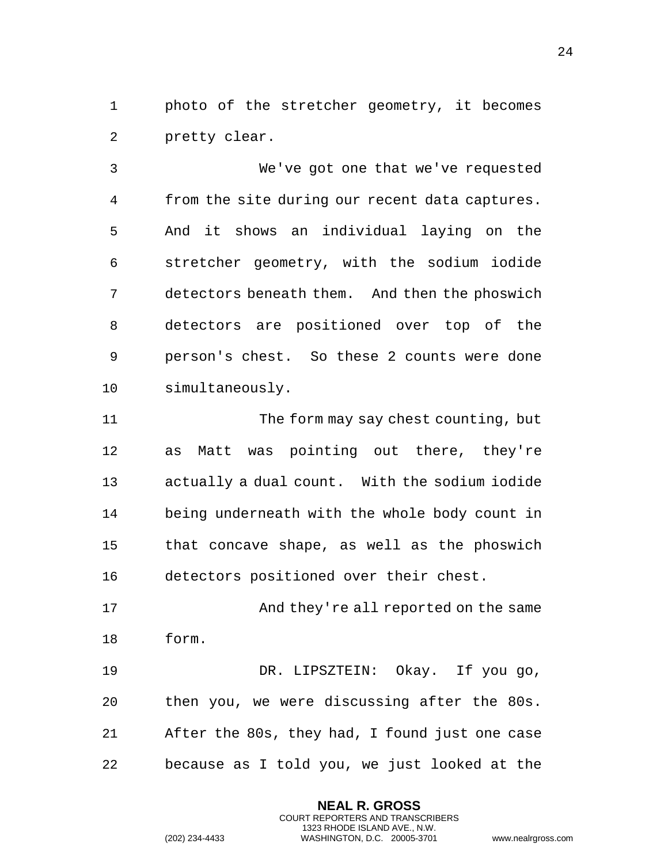photo of the stretcher geometry, it becomes pretty clear.

 We've got one that we've requested from the site during our recent data captures. And it shows an individual laying on the stretcher geometry, with the sodium iodide detectors beneath them. And then the phoswich detectors are positioned over top of the person's chest. So these 2 counts were done simultaneously.

 The form may say chest counting, but as Matt was pointing out there, they're actually a dual count. With the sodium iodide being underneath with the whole body count in that concave shape, as well as the phoswich detectors positioned over their chest.

17 And they're all reported on the same form.

 DR. LIPSZTEIN: Okay. If you go, then you, we were discussing after the 80s. After the 80s, they had, I found just one case because as I told you, we just looked at the

> **NEAL R. GROSS** COURT REPORTERS AND TRANSCRIBERS 1323 RHODE ISLAND AVE., N.W.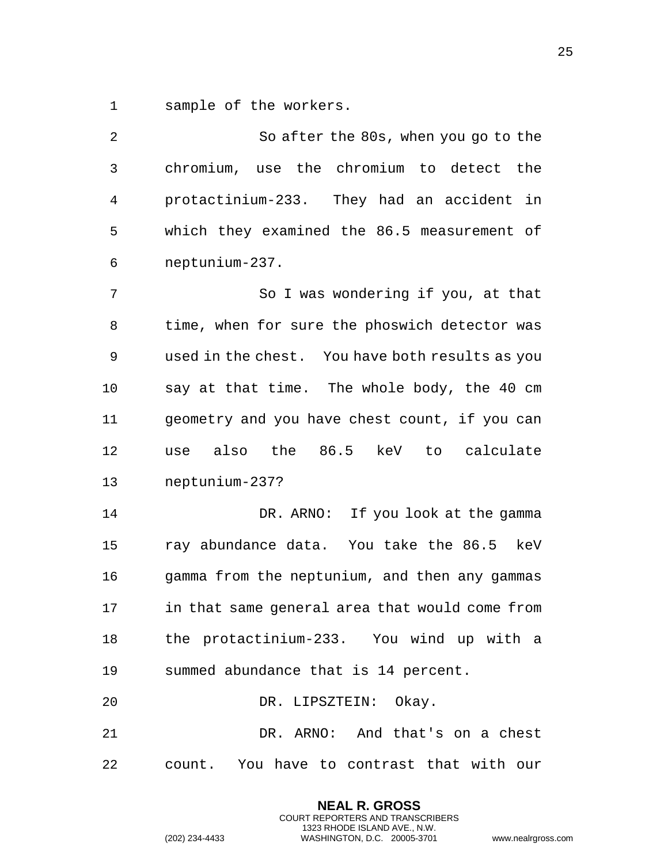sample of the workers.

| 2  | So after the 80s, when you go to the            |
|----|-------------------------------------------------|
| 3  | chromium, use the chromium to detect the        |
| 4  | protactinium-233. They had an accident<br>in    |
| 5  | which they examined the 86.5 measurement of     |
| 6  | neptunium-237.                                  |
| 7  | So I was wondering if you, at that              |
| 8  | time, when for sure the phoswich detector was   |
| 9  | used in the chest. You have both results as you |
| 10 | say at that time. The whole body, the 40 cm     |
| 11 | geometry and you have chest count, if you can   |
| 12 | use also the 86.5 keV<br>to calculate           |
| 13 | neptunium-237?                                  |
| 14 | DR. ARNO: If you look at the gamma              |
| 15 | ray abundance data. You take the 86.5 keV       |
| 16 | gamma from the neptunium, and then any gammas   |
| 17 | in that same general area that would come from  |
| 18 | the protactinium-233. You wind up with a        |
| 19 | summed abundance that is 14 percent.            |
| 20 | DR. LIPSZTEIN: Okay.                            |
| 21 | DR. ARNO: And that's on a chest                 |
| 22 | count. You have to contrast that with our       |

**NEAL R. GROSS** COURT REPORTERS AND TRANSCRIBERS 1323 RHODE ISLAND AVE., N.W.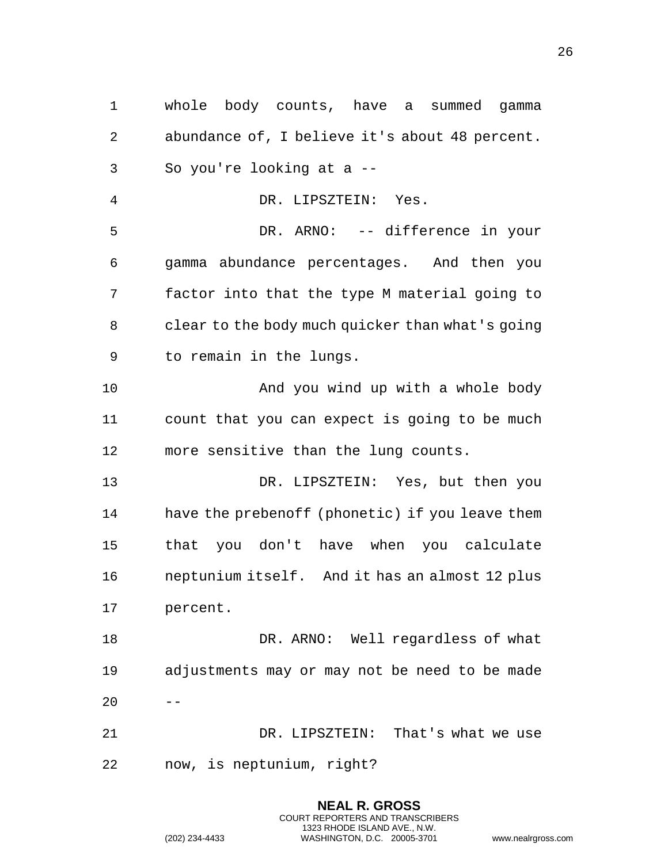whole body counts, have a summed gamma abundance of, I believe it's about 48 percent. So you're looking at a -- DR. LIPSZTEIN: Yes. DR. ARNO: -- difference in your gamma abundance percentages. And then you factor into that the type M material going to clear to the body much quicker than what's going to remain in the lungs. And you wind up with a whole body count that you can expect is going to be much more sensitive than the lung counts. DR. LIPSZTEIN: Yes, but then you have the prebenoff (phonetic) if you leave them that you don't have when you calculate neptunium itself. And it has an almost 12 plus percent. DR. ARNO: Well regardless of what adjustments may or may not be need to be made DR. LIPSZTEIN: That's what we use now, is neptunium, right?

> **NEAL R. GROSS** COURT REPORTERS AND TRANSCRIBERS 1323 RHODE ISLAND AVE., N.W.

(202) 234-4433 WASHINGTON, D.C. 20005-3701 www.nealrgross.com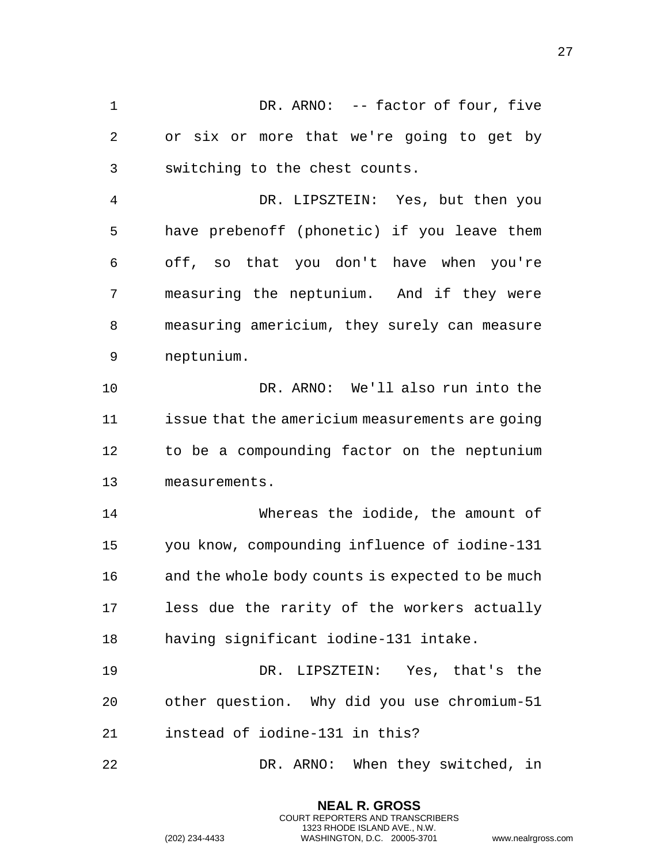DR. ARNO: -- factor of four, five or six or more that we're going to get by switching to the chest counts. DR. LIPSZTEIN: Yes, but then you have prebenoff (phonetic) if you leave them off, so that you don't have when you're measuring the neptunium. And if they were measuring americium, they surely can measure

neptunium.

 DR. ARNO: We'll also run into the issue that the americium measurements are going to be a compounding factor on the neptunium measurements.

 Whereas the iodide, the amount of you know, compounding influence of iodine-131 and the whole body counts is expected to be much less due the rarity of the workers actually having significant iodine-131 intake.

 DR. LIPSZTEIN: Yes, that's the other question. Why did you use chromium-51 instead of iodine-131 in this?

DR. ARNO: When they switched, in

**NEAL R. GROSS** COURT REPORTERS AND TRANSCRIBERS 1323 RHODE ISLAND AVE., N.W.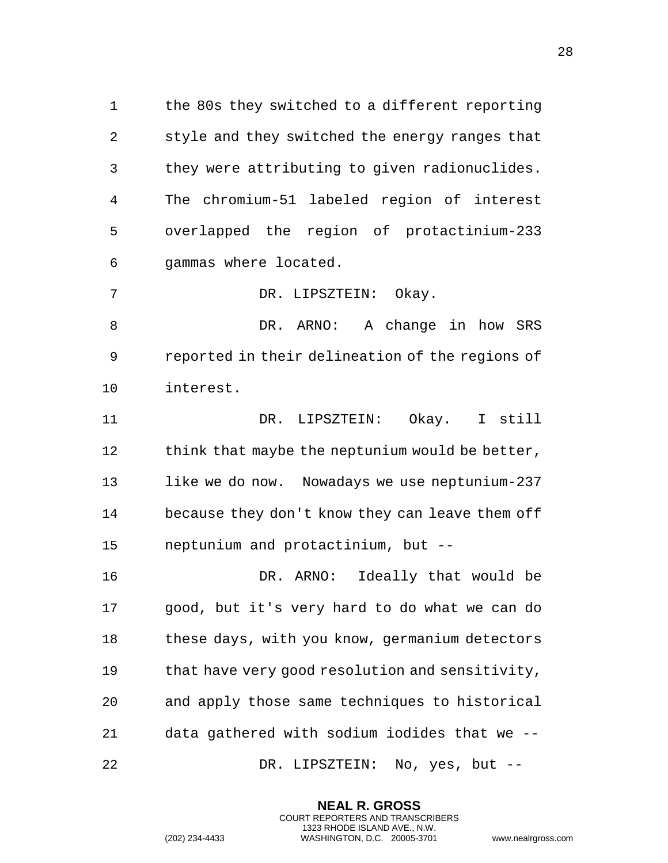the 80s they switched to a different reporting style and they switched the energy ranges that they were attributing to given radionuclides. The chromium-51 labeled region of interest overlapped the region of protactinium-233 gammas where located.

DR. LIPSZTEIN: Okay.

 DR. ARNO: A change in how SRS reported in their delineation of the regions of interest.

 DR. LIPSZTEIN: Okay. I still 12 think that maybe the neptunium would be better, like we do now. Nowadays we use neptunium-237 because they don't know they can leave them off neptunium and protactinium, but --

 DR. ARNO: Ideally that would be good, but it's very hard to do what we can do these days, with you know, germanium detectors that have very good resolution and sensitivity, and apply those same techniques to historical data gathered with sodium iodides that we -- DR. LIPSZTEIN: No, yes, but --

> **NEAL R. GROSS** COURT REPORTERS AND TRANSCRIBERS 1323 RHODE ISLAND AVE., N.W.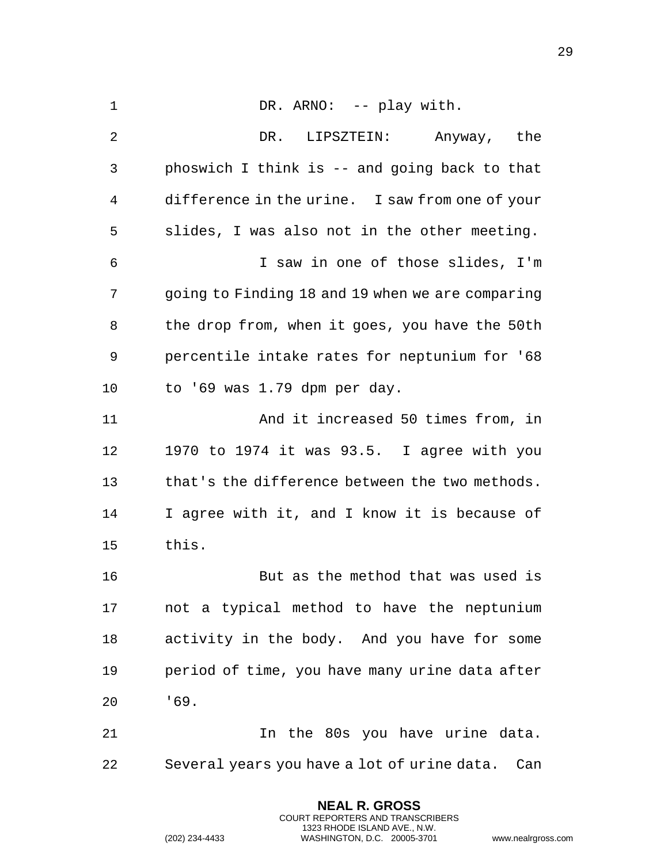| $\mathbf 1$ | DR. ARNO: -- play with.                          |
|-------------|--------------------------------------------------|
| 2           | DR. LIPSZTEIN: Anyway, the                       |
| 3           | phoswich I think is -- and going back to that    |
| 4           | difference in the urine. I saw from one of your  |
| 5           | slides, I was also not in the other meeting.     |
| 6           | I saw in one of those slides, I'm                |
| 7           | going to Finding 18 and 19 when we are comparing |
| 8           | the drop from, when it goes, you have the 50th   |
| 9           | percentile intake rates for neptunium for '68    |
| 10          | to '69 was 1.79 dpm per day.                     |
| 11          | And it increased 50 times from, in               |
| 12          | 1970 to 1974 it was 93.5. I agree with you       |
| 13          | that's the difference between the two methods.   |
| 14          | I agree with it, and I know it is because of     |
| 15          | this.                                            |
| 16          | But as the method that was used is               |
| 17          | not a typical method to have the neptunium       |
| 18          | activity in the body. And you have for some      |
| 19          | period of time, you have many urine data after   |
| 20          | 169.                                             |
| 21          | In the 80s you have urine data.                  |
| 22          | Several years you have a lot of urine data. Can  |

**NEAL R. GROSS** COURT REPORTERS AND TRANSCRIBERS 1323 RHODE ISLAND AVE., N.W.

(202) 234-4433 WASHINGTON, D.C. 20005-3701 www.nealrgross.com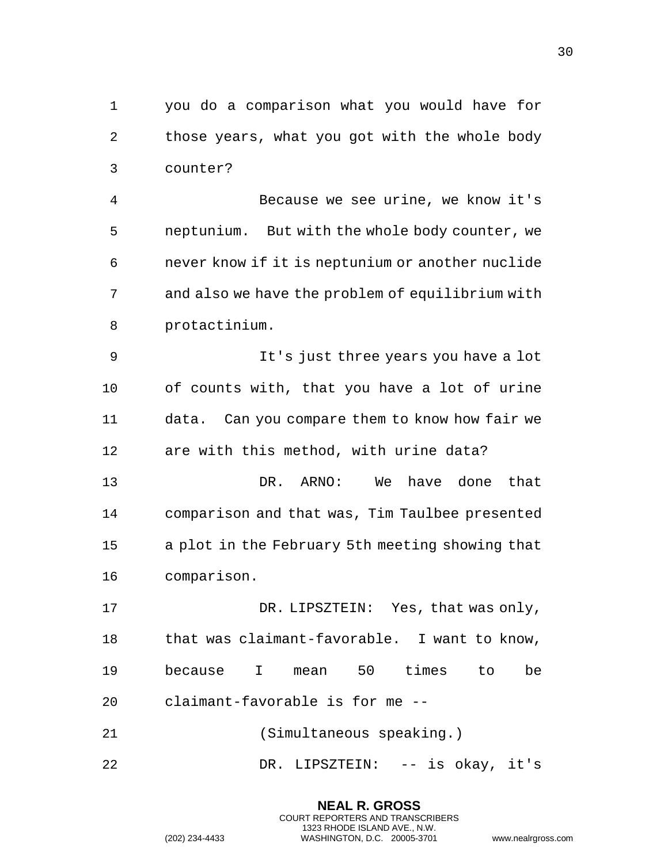you do a comparison what you would have for those years, what you got with the whole body counter?

 Because we see urine, we know it's neptunium. But with the whole body counter, we never know if it is neptunium or another nuclide and also we have the problem of equilibrium with protactinium.

 It's just three years you have a lot of counts with, that you have a lot of urine data. Can you compare them to know how fair we are with this method, with urine data?

 DR. ARNO: We have done that comparison and that was, Tim Taulbee presented a plot in the February 5th meeting showing that comparison.

 DR. LIPSZTEIN: Yes, that was only, that was claimant-favorable. I want to know, because I mean 50 times to be claimant-favorable is for me --

(Simultaneous speaking.)

DR. LIPSZTEIN: -- is okay, it's

**NEAL R. GROSS** COURT REPORTERS AND TRANSCRIBERS 1323 RHODE ISLAND AVE., N.W.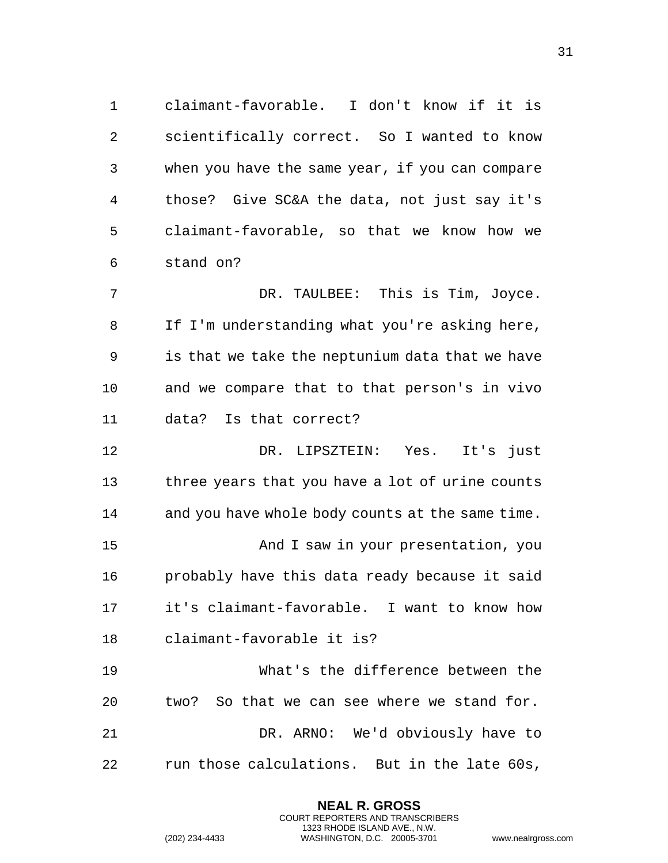claimant-favorable. I don't know if it is scientifically correct. So I wanted to know when you have the same year, if you can compare those? Give SC&A the data, not just say it's claimant-favorable, so that we know how we stand on?

 DR. TAULBEE: This is Tim, Joyce. If I'm understanding what you're asking here, is that we take the neptunium data that we have and we compare that to that person's in vivo data? Is that correct?

 DR. LIPSZTEIN: Yes. It's just three years that you have a lot of urine counts and you have whole body counts at the same time. And I saw in your presentation, you probably have this data ready because it said it's claimant-favorable. I want to know how claimant-favorable it is?

 What's the difference between the two? So that we can see where we stand for. DR. ARNO: We'd obviously have to run those calculations. But in the late 60s,

> **NEAL R. GROSS** COURT REPORTERS AND TRANSCRIBERS 1323 RHODE ISLAND AVE., N.W.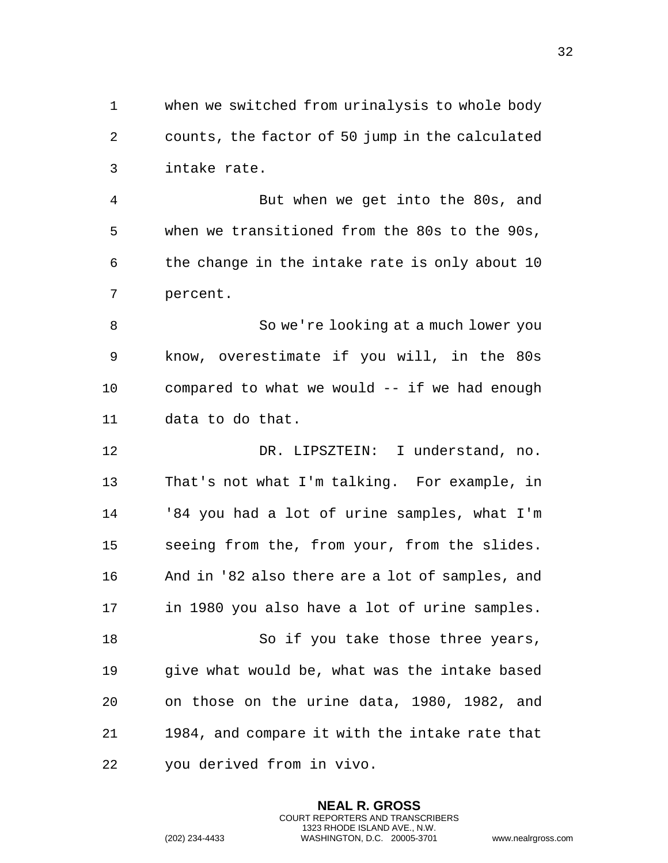when we switched from urinalysis to whole body counts, the factor of 50 jump in the calculated intake rate.

 But when we get into the 80s, and when we transitioned from the 80s to the 90s, the change in the intake rate is only about 10 percent.

 So we're looking at a much lower you know, overestimate if you will, in the 80s compared to what we would -- if we had enough data to do that.

 DR. LIPSZTEIN: I understand, no. That's not what I'm talking. For example, in '84 you had a lot of urine samples, what I'm seeing from the, from your, from the slides. And in '82 also there are a lot of samples, and in 1980 you also have a lot of urine samples. So if you take those three years, give what would be, what was the intake based on those on the urine data, 1980, 1982, and 1984, and compare it with the intake rate that you derived from in vivo.

> **NEAL R. GROSS** COURT REPORTERS AND TRANSCRIBERS 1323 RHODE ISLAND AVE., N.W.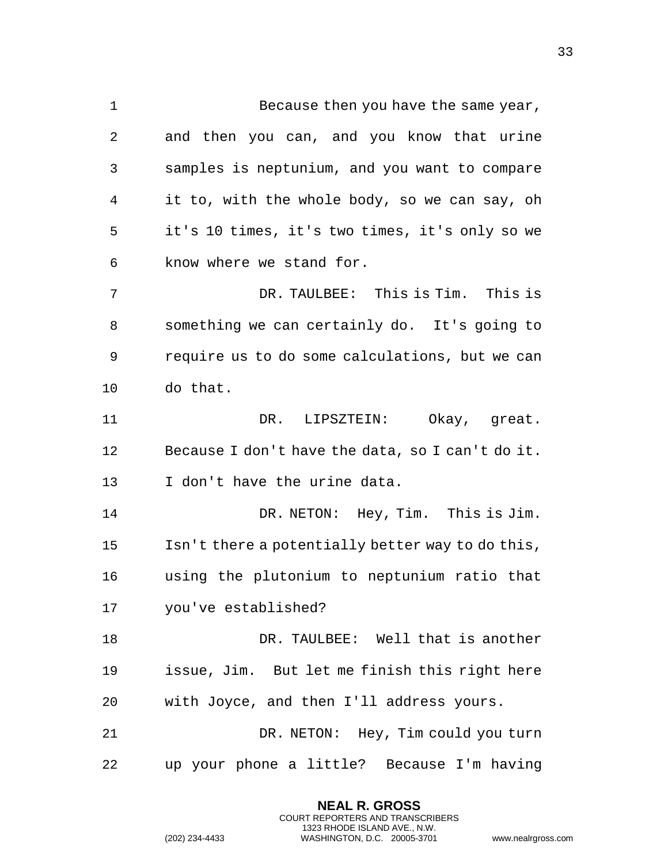1 Because then you have the same year, and then you can, and you know that urine samples is neptunium, and you want to compare it to, with the whole body, so we can say, oh it's 10 times, it's two times, it's only so we know where we stand for. DR. TAULBEE: This is Tim. This is something we can certainly do. It's going to require us to do some calculations, but we can do that. DR. LIPSZTEIN: Okay, great. Because I don't have the data, so I can't do it. I don't have the urine data. DR. NETON: Hey, Tim. This is Jim. Isn't there a potentially better way to do this, using the plutonium to neptunium ratio that you've established? DR. TAULBEE: Well that is another issue, Jim. But let me finish this right here with Joyce, and then I'll address yours. DR. NETON: Hey, Tim could you turn up your phone a little? Because I'm having

> **NEAL R. GROSS** COURT REPORTERS AND TRANSCRIBERS 1323 RHODE ISLAND AVE., N.W.

(202) 234-4433 WASHINGTON, D.C. 20005-3701 www.nealrgross.com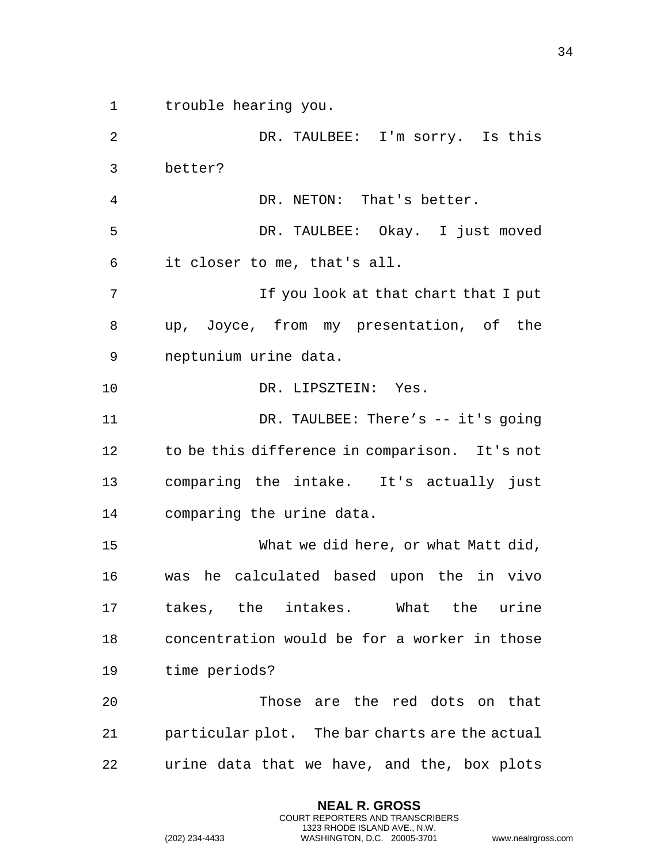trouble hearing you.

 DR. TAULBEE: I'm sorry. Is this better? DR. NETON: That's better. DR. TAULBEE: Okay. I just moved it closer to me, that's all. If you look at that chart that I put up, Joyce, from my presentation, of the neptunium urine data. DR. LIPSZTEIN: Yes. DR. TAULBEE: There's -- it's going to be this difference in comparison. It's not comparing the intake. It's actually just comparing the urine data. What we did here, or what Matt did, was he calculated based upon the in vivo takes, the intakes. What the urine concentration would be for a worker in those time periods? Those are the red dots on that particular plot. The bar charts are the actual urine data that we have, and the, box plots

> **NEAL R. GROSS** COURT REPORTERS AND TRANSCRIBERS 1323 RHODE ISLAND AVE., N.W.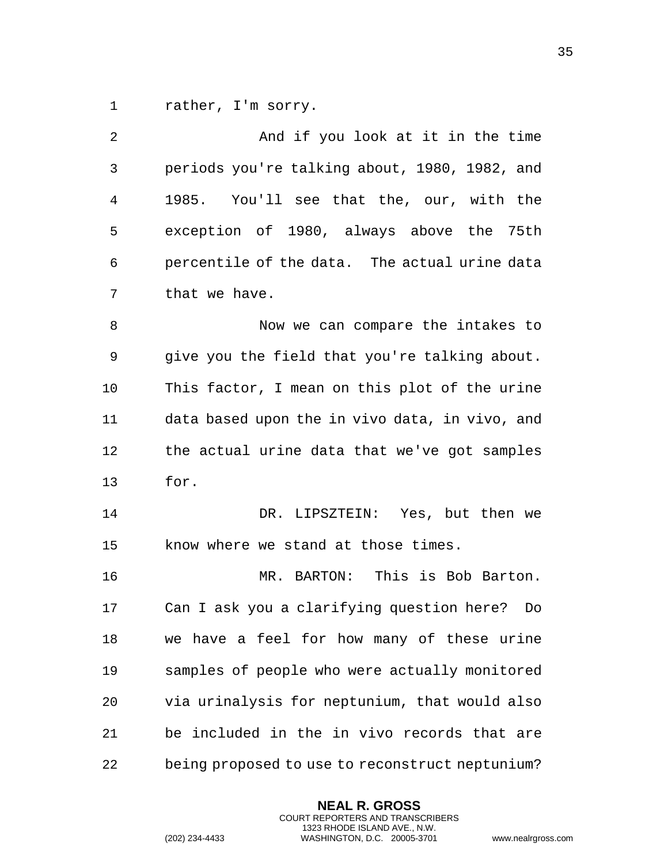1 rather, I'm sorry.

| 2              | And if you look at it in the time               |
|----------------|-------------------------------------------------|
| 3              | periods you're talking about, 1980, 1982, and   |
| $\overline{4}$ | 1985. You'll see that the, our, with the        |
| 5              | exception of 1980, always above the 75th        |
| 6              | percentile of the data. The actual urine data   |
| 7              | that we have.                                   |
| 8              | Now we can compare the intakes to               |
| 9              | give you the field that you're talking about.   |
| 10             | This factor, I mean on this plot of the urine   |
| 11             | data based upon the in vivo data, in vivo, and  |
| 12             | the actual urine data that we've got samples    |
| 13             | for.                                            |
| 14             | DR. LIPSZTEIN: Yes, but then we                 |
| 15             | know where we stand at those times.             |
| 16             | MR. BARTON: This is Bob Barton.                 |
| 17             | Can I ask you a clarifying question here? Do    |
| 18             | we have a feel for how many of these urine      |
| 19             | samples of people who were actually monitored   |
| 20             | via urinalysis for neptunium, that would also   |
| 21             | be included in the in vivo records that are     |
| 22             | being proposed to use to reconstruct neptunium? |

**NEAL R. GROSS** COURT REPORTERS AND TRANSCRIBERS 1323 RHODE ISLAND AVE., N.W.

(202) 234-4433 WASHINGTON, D.C. 20005-3701 www.nealrgross.com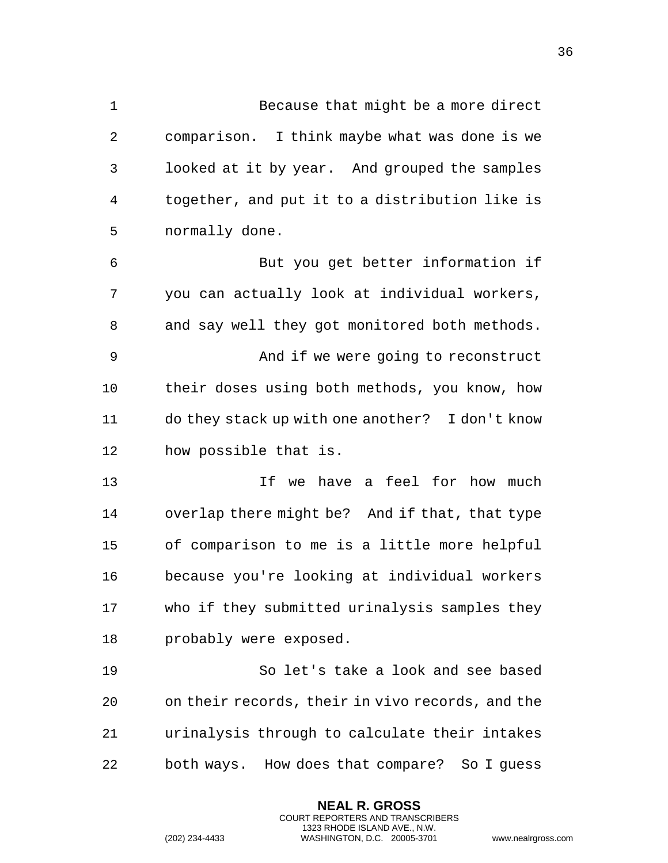| 1              | Because that might be a more direct              |
|----------------|--------------------------------------------------|
| $\overline{2}$ | comparison. I think maybe what was done is we    |
| 3              | looked at it by year. And grouped the samples    |
| 4              | together, and put it to a distribution like is   |
| 5              | normally done.                                   |
| 6              | But you get better information if                |
| 7              | you can actually look at individual workers,     |
| 8              | and say well they got monitored both methods.    |
| 9              | And if we were going to reconstruct              |
| 10             | their doses using both methods, you know, how    |
| 11             | do they stack up with one another? I don't know  |
| 12             | how possible that is.                            |
| 13             | If we have a feel for how much                   |
| 14             | overlap there might be? And if that, that type   |
| 15             | of comparison to me is a little more helpful     |
| 16             | because you're looking at individual workers     |
| 17             | who if they submitted urinalysis samples they    |
| 18             | probably were exposed.                           |
| 19             | So let's take a look and see based               |
| 20             | on their records, their in vivo records, and the |
| 21             | urinalysis through to calculate their intakes    |
| 22             | both ways. How does that compare? So I guess     |

**NEAL R. GROSS** COURT REPORTERS AND TRANSCRIBERS 1323 RHODE ISLAND AVE., N.W.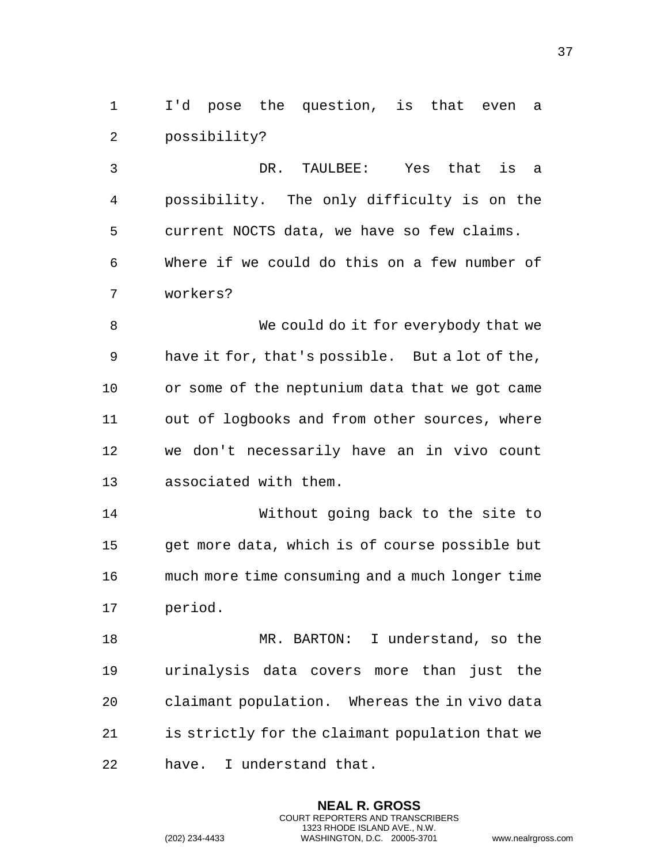I'd pose the question, is that even a possibility?

 DR. TAULBEE: Yes that is a possibility. The only difficulty is on the current NOCTS data, we have so few claims. Where if we could do this on a few number of workers?

 We could do it for everybody that we have it for, that's possible. But a lot of the, or some of the neptunium data that we got came out of logbooks and from other sources, where we don't necessarily have an in vivo count associated with them.

 Without going back to the site to get more data, which is of course possible but much more time consuming and a much longer time period.

 MR. BARTON: I understand, so the urinalysis data covers more than just the claimant population. Whereas the in vivo data is strictly for the claimant population that we have. I understand that.

> **NEAL R. GROSS** COURT REPORTERS AND TRANSCRIBERS 1323 RHODE ISLAND AVE., N.W.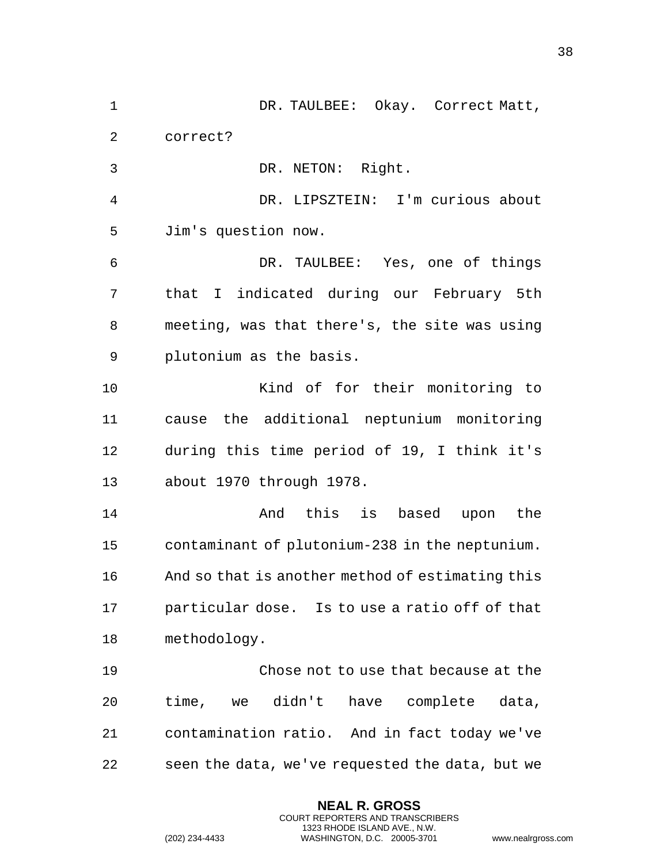1 DR. TAULBEE: Okay. Correct Matt, correct? DR. NETON: Right. DR. LIPSZTEIN: I'm curious about Jim's question now. DR. TAULBEE: Yes, one of things that I indicated during our February 5th meeting, was that there's, the site was using plutonium as the basis. Kind of for their monitoring to cause the additional neptunium monitoring during this time period of 19, I think it's about 1970 through 1978. And this is based upon the contaminant of plutonium-238 in the neptunium. And so that is another method of estimating this particular dose. Is to use a ratio off of that methodology. Chose not to use that because at the time, we didn't have complete data, contamination ratio. And in fact today we've seen the data, we've requested the data, but we

> **NEAL R. GROSS** COURT REPORTERS AND TRANSCRIBERS 1323 RHODE ISLAND AVE., N.W.

(202) 234-4433 WASHINGTON, D.C. 20005-3701 www.nealrgross.com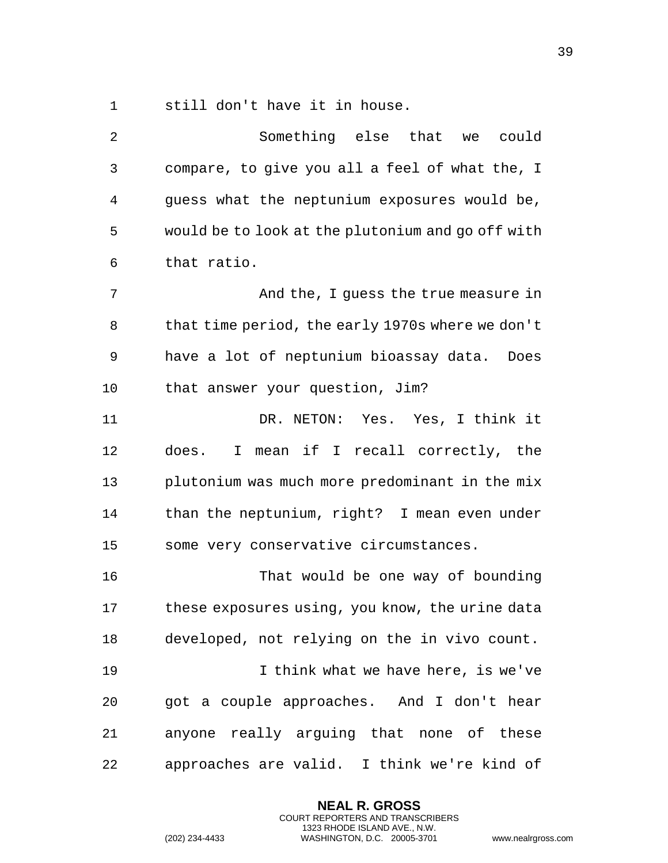still don't have it in house.

| 2  | Something else that we<br>could                   |
|----|---------------------------------------------------|
| 3  | compare, to give you all a feel of what the, I    |
| 4  | guess what the neptunium exposures would be,      |
| 5  | would be to look at the plutonium and go off with |
| 6  | that ratio.                                       |
| 7  | And the, I guess the true measure in              |
| 8  | that time period, the early 1970s where we don't  |
| 9  | have a lot of neptunium bioassay data.<br>Does    |
| 10 | that answer your question, Jim?                   |
| 11 | DR. NETON: Yes. Yes, I think it                   |
| 12 | does. I mean if I recall correctly, the           |
| 13 | plutonium was much more predominant in the mix    |
| 14 | than the neptunium, right? I mean even under      |
| 15 | some very conservative circumstances.             |
| 16 | That would be one way of bounding                 |
| 17 | these exposures using, you know, the urine data   |
| 18 | developed, not relying on the in vivo count.      |
| 19 | I think what we have here, is we've               |
| 20 | got a couple approaches. And I don't hear         |
| 21 | anyone really arguing that none of these          |
| 22 | approaches are valid. I think we're kind of       |

**NEAL R. GROSS** COURT REPORTERS AND TRANSCRIBERS 1323 RHODE ISLAND AVE., N.W.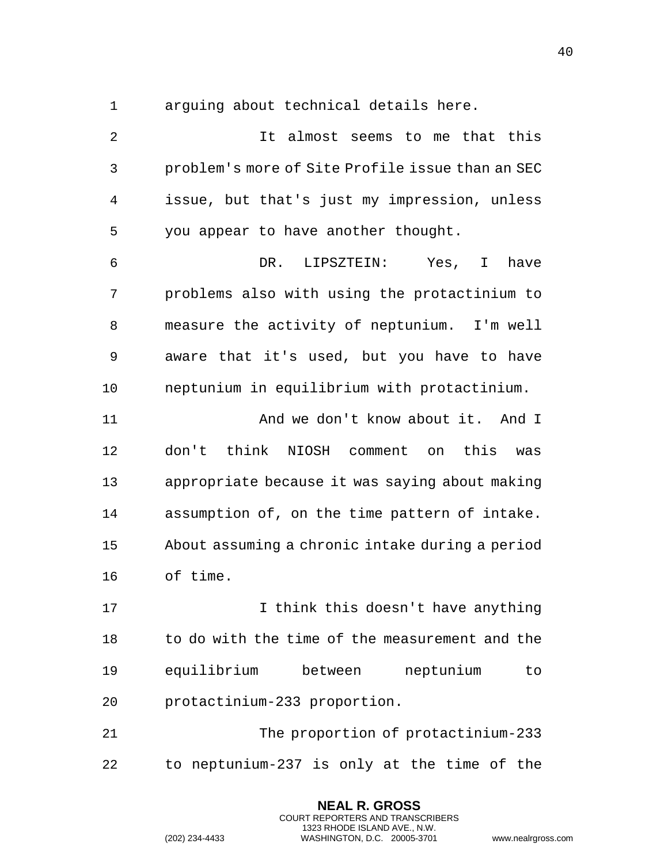arguing about technical details here.

 It almost seems to me that this problem's more of Site Profile issue than an SEC issue, but that's just my impression, unless you appear to have another thought. DR. LIPSZTEIN: Yes, I have problems also with using the protactinium to measure the activity of neptunium. I'm well aware that it's used, but you have to have neptunium in equilibrium with protactinium. **And we don't know about it. And I**  don't think NIOSH comment on this was appropriate because it was saying about making assumption of, on the time pattern of intake. About assuming a chronic intake during a period of time. I think this doesn't have anything to do with the time of the measurement and the equilibrium between neptunium to protactinium-233 proportion. The proportion of protactinium-233 to neptunium-237 is only at the time of the

> **NEAL R. GROSS** COURT REPORTERS AND TRANSCRIBERS 1323 RHODE ISLAND AVE., N.W.

(202) 234-4433 WASHINGTON, D.C. 20005-3701 www.nealrgross.com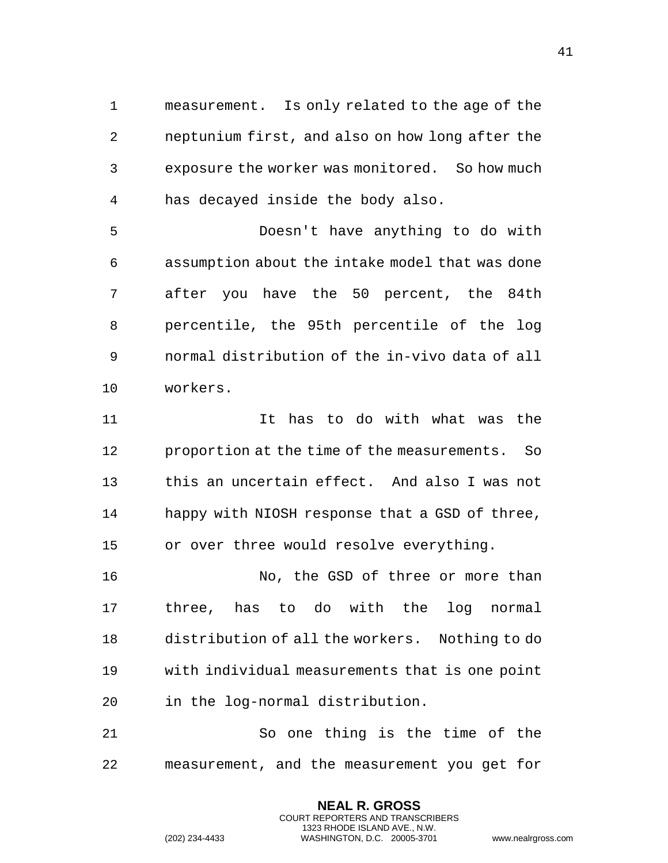measurement. Is only related to the age of the neptunium first, and also on how long after the exposure the worker was monitored. So how much has decayed inside the body also.

 Doesn't have anything to do with assumption about the intake model that was done after you have the 50 percent, the 84th percentile, the 95th percentile of the log normal distribution of the in-vivo data of all workers.

11 11 It has to do with what was the proportion at the time of the measurements. So this an uncertain effect. And also I was not happy with NIOSH response that a GSD of three, or over three would resolve everything.

16 No, the GSD of three or more than three, has to do with the log normal distribution of all the workers. Nothing to do with individual measurements that is one point in the log-normal distribution.

 So one thing is the time of the measurement, and the measurement you get for

> **NEAL R. GROSS** COURT REPORTERS AND TRANSCRIBERS 1323 RHODE ISLAND AVE., N.W.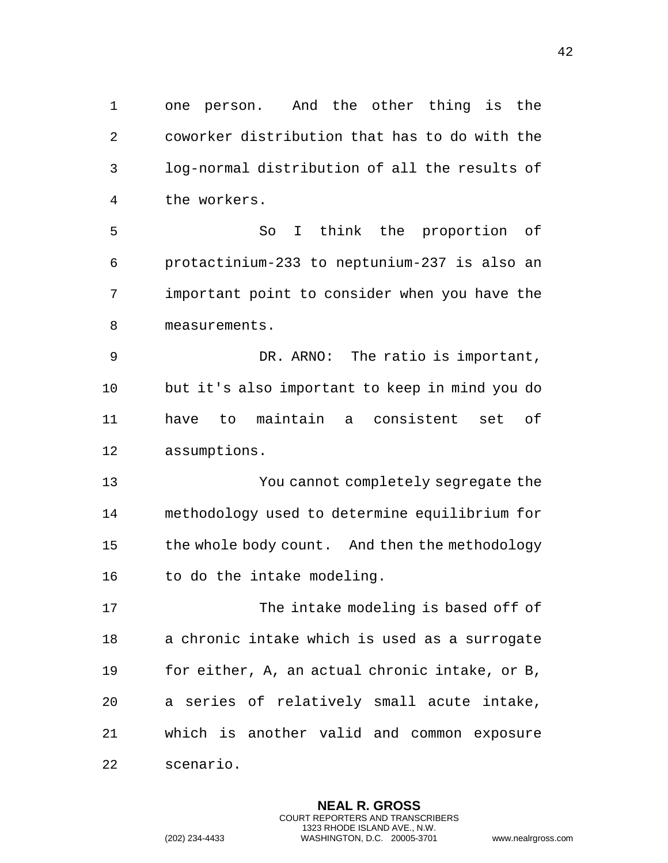one person. And the other thing is the coworker distribution that has to do with the log-normal distribution of all the results of the workers.

 So I think the proportion of protactinium-233 to neptunium-237 is also an important point to consider when you have the measurements.

 DR. ARNO: The ratio is important, but it's also important to keep in mind you do have to maintain a consistent set of assumptions.

 You cannot completely segregate the methodology used to determine equilibrium for the whole body count. And then the methodology 16 to do the intake modeling.

 The intake modeling is based off of a chronic intake which is used as a surrogate for either, A, an actual chronic intake, or B, a series of relatively small acute intake, which is another valid and common exposure scenario.

> **NEAL R. GROSS** COURT REPORTERS AND TRANSCRIBERS 1323 RHODE ISLAND AVE., N.W.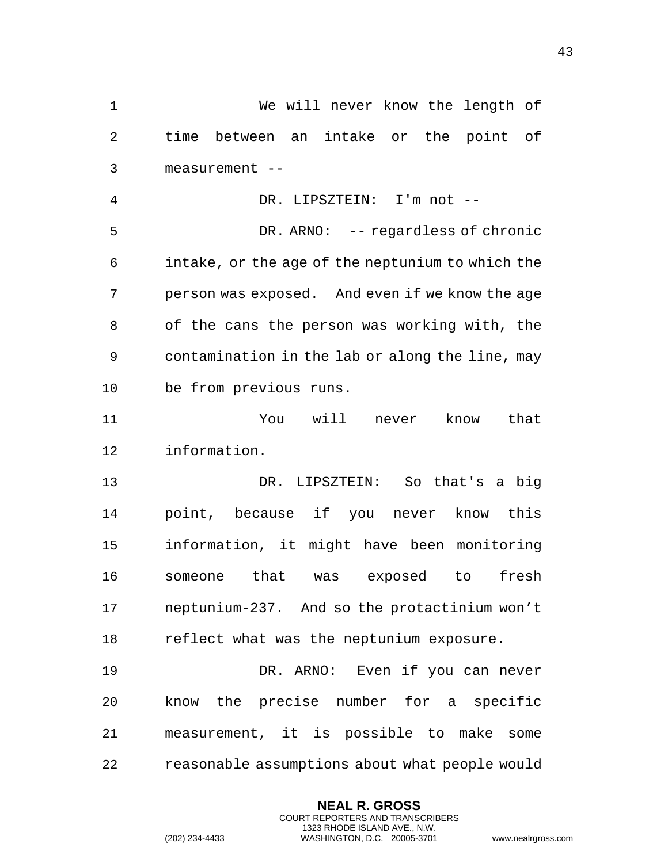We will never know the length of time between an intake or the point of measurement -- DR. LIPSZTEIN: I'm not -- DR. ARNO: -- regardless of chronic intake, or the age of the neptunium to which the person was exposed. And even if we know the age of the cans the person was working with, the contamination in the lab or along the line, may be from previous runs. You will never know that information. DR. LIPSZTEIN: So that's a big point, because if you never know this information, it might have been monitoring someone that was exposed to fresh neptunium-237. And so the protactinium won't reflect what was the neptunium exposure. DR. ARNO: Even if you can never know the precise number for a specific measurement, it is possible to make some reasonable assumptions about what people would

> **NEAL R. GROSS** COURT REPORTERS AND TRANSCRIBERS 1323 RHODE ISLAND AVE., N.W.

```
(202) 234-4433 WASHINGTON, D.C. 20005-3701 www.nealrgross.com
```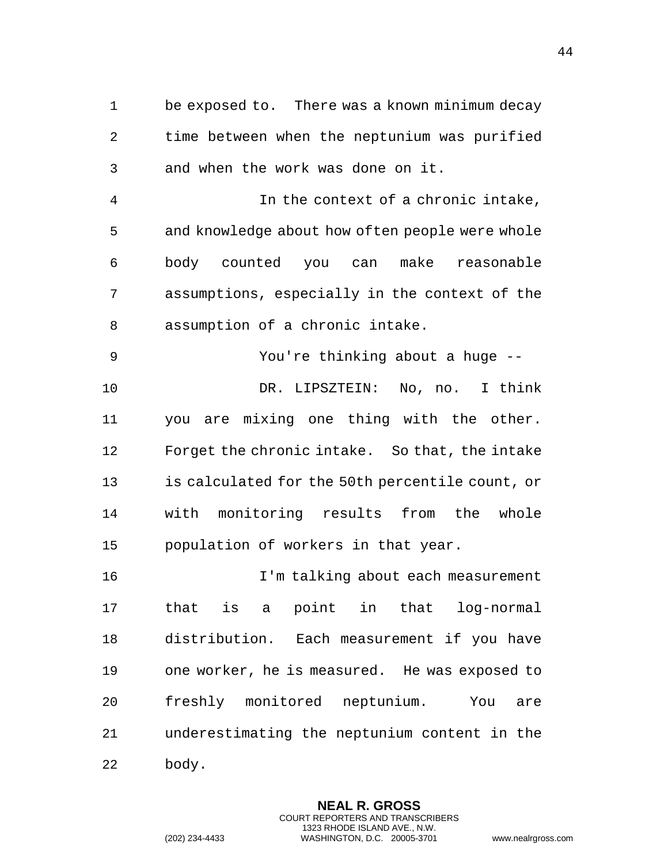be exposed to. There was a known minimum decay time between when the neptunium was purified and when the work was done on it.

 In the context of a chronic intake, and knowledge about how often people were whole body counted you can make reasonable assumptions, especially in the context of the assumption of a chronic intake.

 You're thinking about a huge -- DR. LIPSZTEIN: No, no. I think you are mixing one thing with the other. Forget the chronic intake. So that, the intake is calculated for the 50th percentile count, or with monitoring results from the whole population of workers in that year.

 I'm talking about each measurement that is a point in that log-normal distribution. Each measurement if you have one worker, he is measured. He was exposed to freshly monitored neptunium. You are underestimating the neptunium content in the body.

> **NEAL R. GROSS** COURT REPORTERS AND TRANSCRIBERS 1323 RHODE ISLAND AVE., N.W.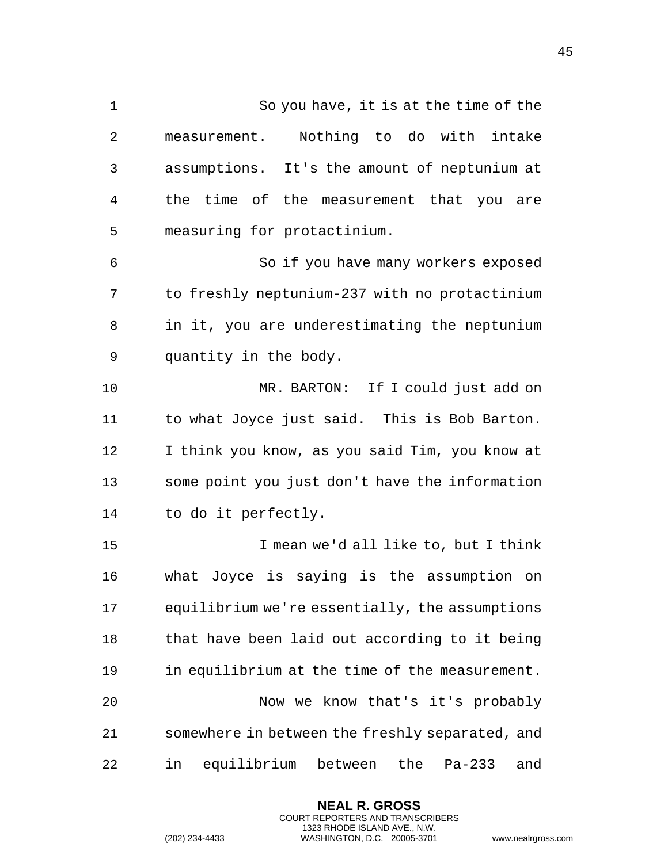So you have, it is at the time of the measurement. Nothing to do with intake assumptions. It's the amount of neptunium at the time of the measurement that you are measuring for protactinium. So if you have many workers exposed to freshly neptunium-237 with no protactinium in it, you are underestimating the neptunium quantity in the body. MR. BARTON: If I could just add on to what Joyce just said. This is Bob Barton. I think you know, as you said Tim, you know at some point you just don't have the information to do it perfectly. I mean we'd all like to, but I think what Joyce is saying is the assumption on equilibrium we're essentially, the assumptions 18 that have been laid out according to it being in equilibrium at the time of the measurement. Now we know that's it's probably somewhere in between the freshly separated, and in equilibrium between the Pa-233 and

> **NEAL R. GROSS** COURT REPORTERS AND TRANSCRIBERS 1323 RHODE ISLAND AVE., N.W.

(202) 234-4433 WASHINGTON, D.C. 20005-3701 www.nealrgross.com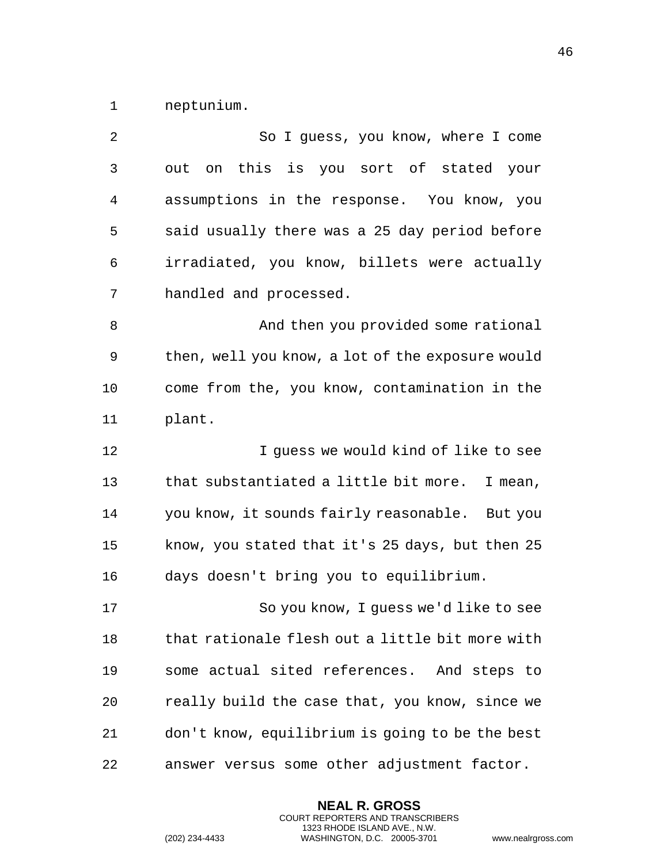neptunium.

| 2  | So I guess, you know, where I come               |
|----|--------------------------------------------------|
| 3  | out on this is you sort of stated your           |
| 4  | assumptions in the response. You know, you       |
| 5  | said usually there was a 25 day period before    |
| 6  | irradiated, you know, billets were actually      |
| 7  | handled and processed.                           |
| 8  | And then you provided some rational              |
| 9  | then, well you know, a lot of the exposure would |
| 10 | come from the, you know, contamination in the    |
| 11 | plant.                                           |
| 12 | I guess we would kind of like to see             |
| 13 | that substantiated a little bit more.<br>I mean, |
| 14 | you know, it sounds fairly reasonable. But you   |
| 15 | know, you stated that it's 25 days, but then 25  |
| 16 | days doesn't bring you to equilibrium.           |
| 17 | So you know, I guess we'd like to see            |
| 18 | that rationale flesh out a little bit more with  |
| 19 | some actual sited references. And steps to       |
| 20 | really build the case that, you know, since we   |
| 21 | don't know, equilibrium is going to be the best  |
| 22 | answer versus some other adjustment factor.      |

**NEAL R. GROSS** COURT REPORTERS AND TRANSCRIBERS 1323 RHODE ISLAND AVE., N.W.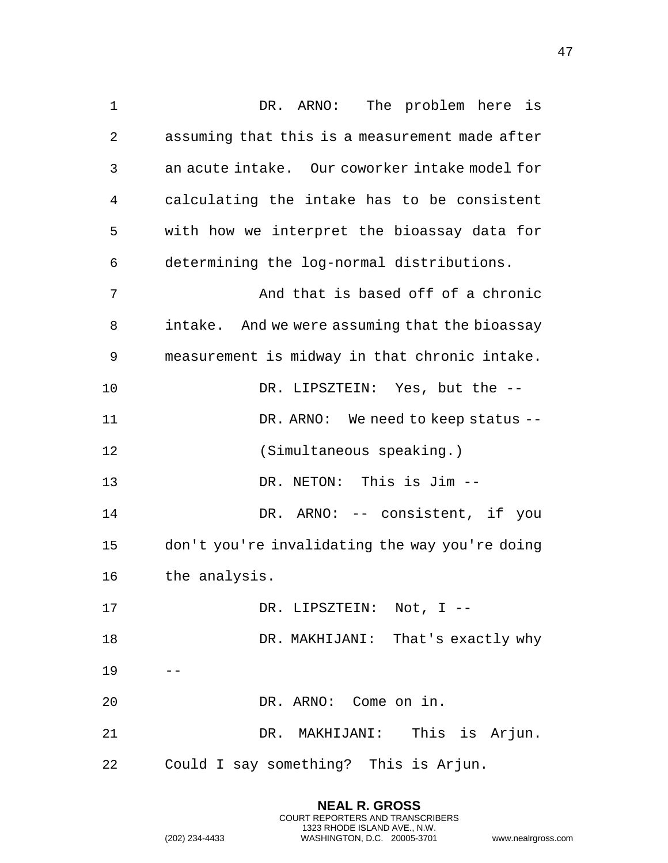DR. ARNO: The problem here is assuming that this is a measurement made after an acute intake. Our coworker intake model for calculating the intake has to be consistent with how we interpret the bioassay data for determining the log-normal distributions. And that is based off of a chronic intake. And we were assuming that the bioassay measurement is midway in that chronic intake. DR. LIPSZTEIN: Yes, but the -- 11 DR. ARNO: We need to keep status -- (Simultaneous speaking.) DR. NETON: This is Jim -- DR. ARNO: -- consistent, if you don't you're invalidating the way you're doing the analysis. 17 DR. LIPSZTEIN: Not, I -- DR. MAKHIJANI: That's exactly why DR. ARNO: Come on in. DR. MAKHIJANI: This is Arjun. Could I say something? This is Arjun.

> **NEAL R. GROSS** COURT REPORTERS AND TRANSCRIBERS 1323 RHODE ISLAND AVE., N.W.

(202) 234-4433 WASHINGTON, D.C. 20005-3701 www.nealrgross.com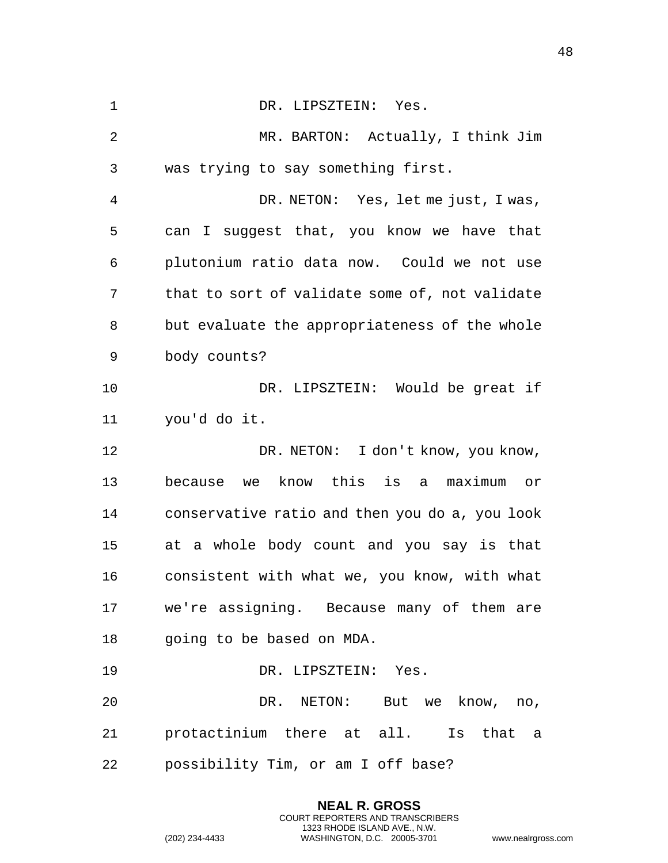1 DR. LIPSZTEIN: Yes. MR. BARTON: Actually, I think Jim was trying to say something first. DR. NETON: Yes, let me just, I was, can I suggest that, you know we have that plutonium ratio data now. Could we not use that to sort of validate some of, not validate but evaluate the appropriateness of the whole body counts? DR. LIPSZTEIN: Would be great if you'd do it. DR. NETON: I don't know, you know, because we know this is a maximum or conservative ratio and then you do a, you look at a whole body count and you say is that consistent with what we, you know, with what we're assigning. Because many of them are going to be based on MDA. 19 DR. LIPSZTEIN: Yes. DR. NETON: But we know, no, protactinium there at all. Is that a possibility Tim, or am I off base?

> **NEAL R. GROSS** COURT REPORTERS AND TRANSCRIBERS 1323 RHODE ISLAND AVE., N.W.

(202) 234-4433 WASHINGTON, D.C. 20005-3701 www.nealrgross.com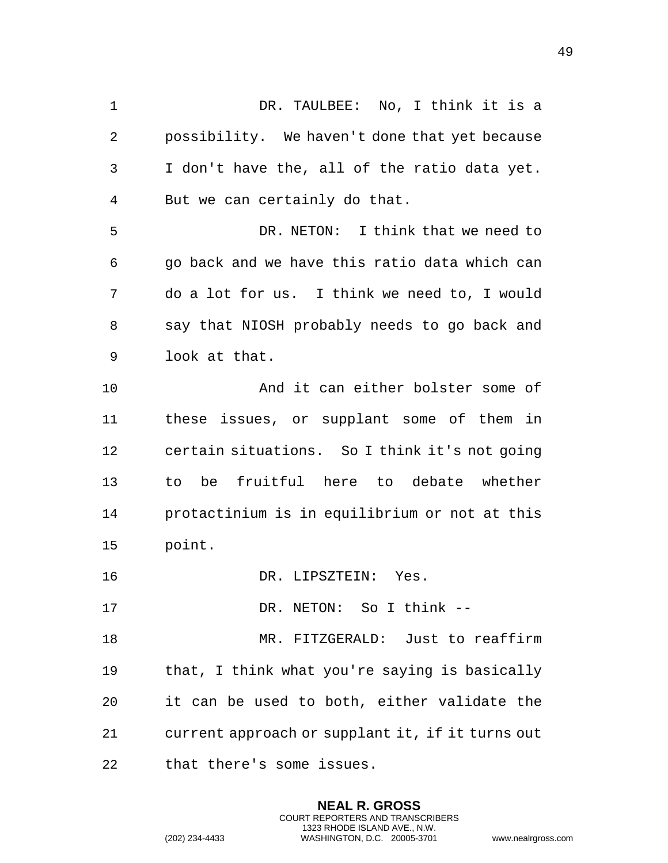DR. TAULBEE: No, I think it is a possibility. We haven't done that yet because I don't have the, all of the ratio data yet. But we can certainly do that. DR. NETON: I think that we need to go back and we have this ratio data which can do a lot for us. I think we need to, I would say that NIOSH probably needs to go back and look at that. And it can either bolster some of these issues, or supplant some of them in certain situations. So I think it's not going to be fruitful here to debate whether protactinium is in equilibrium or not at this point. DR. LIPSZTEIN: Yes. DR. NETON: So I think -- MR. FITZGERALD: Just to reaffirm that, I think what you're saying is basically

current approach or supplant it, if it turns out

it can be used to both, either validate the

**NEAL R. GROSS** COURT REPORTERS AND TRANSCRIBERS 1323 RHODE ISLAND AVE., N.W.

that there's some issues.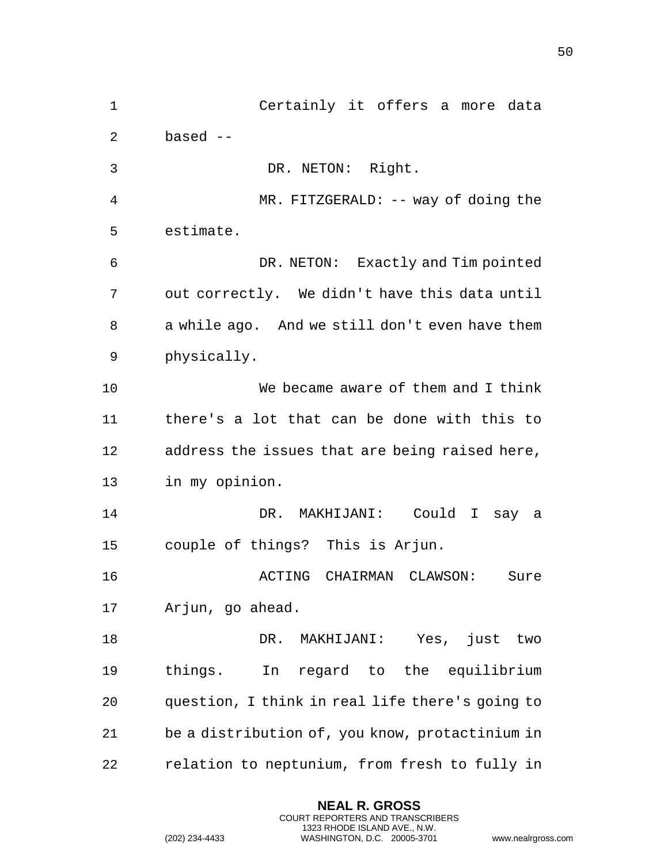Certainly it offers a more data based -- DR. NETON: Right. MR. FITZGERALD: -- way of doing the estimate. DR. NETON: Exactly and Tim pointed out correctly. We didn't have this data until a while ago. And we still don't even have them physically. We became aware of them and I think there's a lot that can be done with this to address the issues that are being raised here, in my opinion. DR. MAKHIJANI: Could I say a couple of things? This is Arjun. ACTING CHAIRMAN CLAWSON: Sure Arjun, go ahead. DR. MAKHIJANI: Yes, just two things. In regard to the equilibrium question, I think in real life there's going to be a distribution of, you know, protactinium in relation to neptunium, from fresh to fully in

> **NEAL R. GROSS** COURT REPORTERS AND TRANSCRIBERS 1323 RHODE ISLAND AVE., N.W.

```
(202) 234-4433 WASHINGTON, D.C. 20005-3701 www.nealrgross.com
```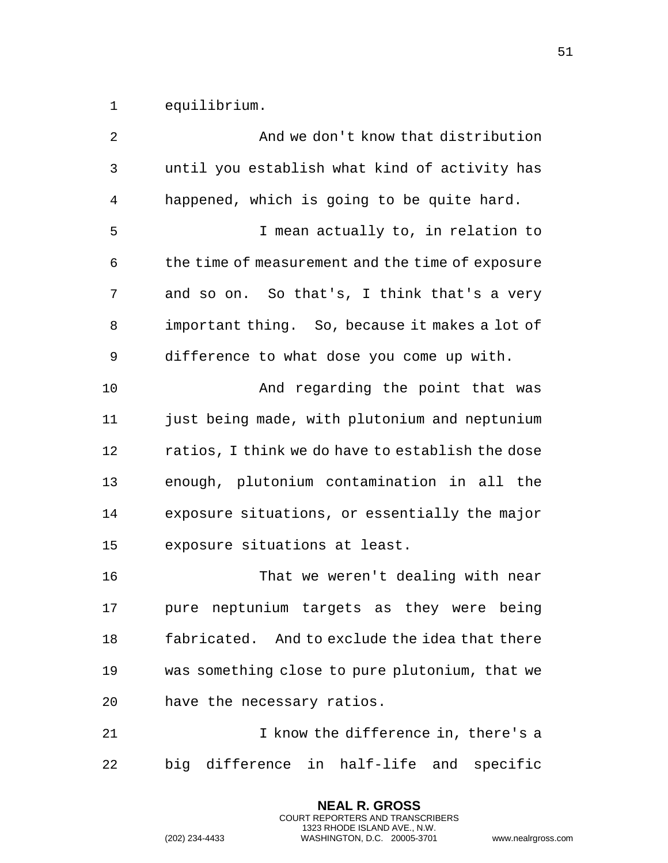equilibrium.

| 2  | And we don't know that distribution              |
|----|--------------------------------------------------|
| 3  | until you establish what kind of activity has    |
| 4  | happened, which is going to be quite hard.       |
| 5  | I mean actually to, in relation to               |
| 6  | the time of measurement and the time of exposure |
| 7  | and so on. So that's, I think that's a very      |
| 8  | important thing. So, because it makes a lot of   |
| 9  | difference to what dose you come up with.        |
| 10 | And regarding the point that was                 |
| 11 | just being made, with plutonium and neptunium    |
| 12 | ratios, I think we do have to establish the dose |
| 13 | enough, plutonium contamination in all the       |
| 14 | exposure situations, or essentially the major    |
| 15 | exposure situations at least.                    |
| 16 | That we weren't dealing with near                |
| 17 | neptunium targets as they were being<br>pure     |
| 18 | fabricated. And to exclude the idea that there   |
| 19 | was something close to pure plutonium, that we   |
| 20 | have the necessary ratios.                       |
| 21 | I know the difference in, there's a              |
| 22 | big difference in half-life and<br>specific      |

**NEAL R. GROSS** COURT REPORTERS AND TRANSCRIBERS 1323 RHODE ISLAND AVE., N.W.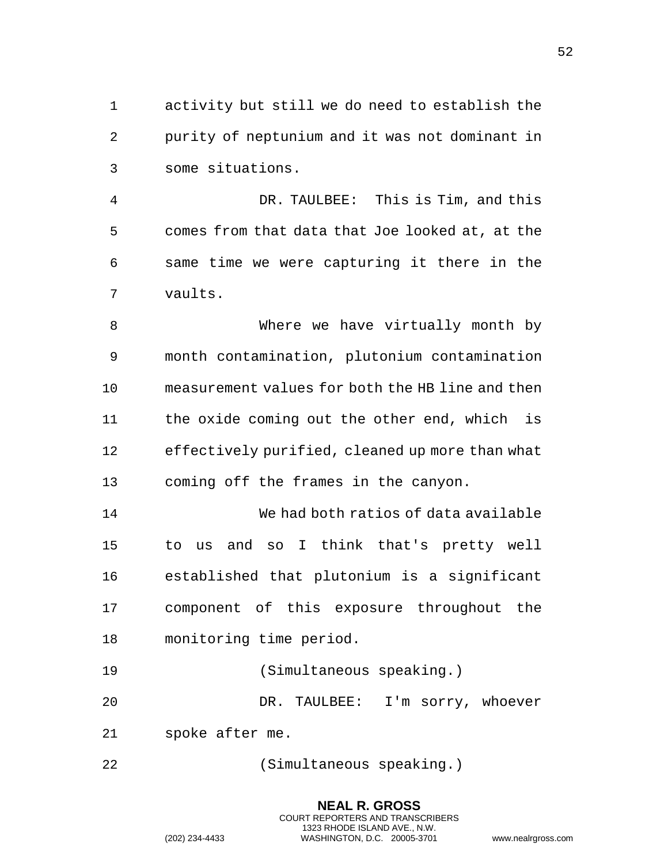activity but still we do need to establish the purity of neptunium and it was not dominant in some situations.

 DR. TAULBEE: This is Tim, and this comes from that data that Joe looked at, at the same time we were capturing it there in the vaults.

 Where we have virtually month by month contamination, plutonium contamination measurement values for both the HB line and then the oxide coming out the other end, which is effectively purified, cleaned up more than what coming off the frames in the canyon.

 We had both ratios of data available to us and so I think that's pretty well established that plutonium is a significant component of this exposure throughout the monitoring time period.

(Simultaneous speaking.)

DR. TAULBEE: I'm sorry, whoever

- spoke after me.
- (Simultaneous speaking.)

**NEAL R. GROSS** COURT REPORTERS AND TRANSCRIBERS 1323 RHODE ISLAND AVE., N.W. (202) 234-4433 WASHINGTON, D.C. 20005-3701 www.nealrgross.com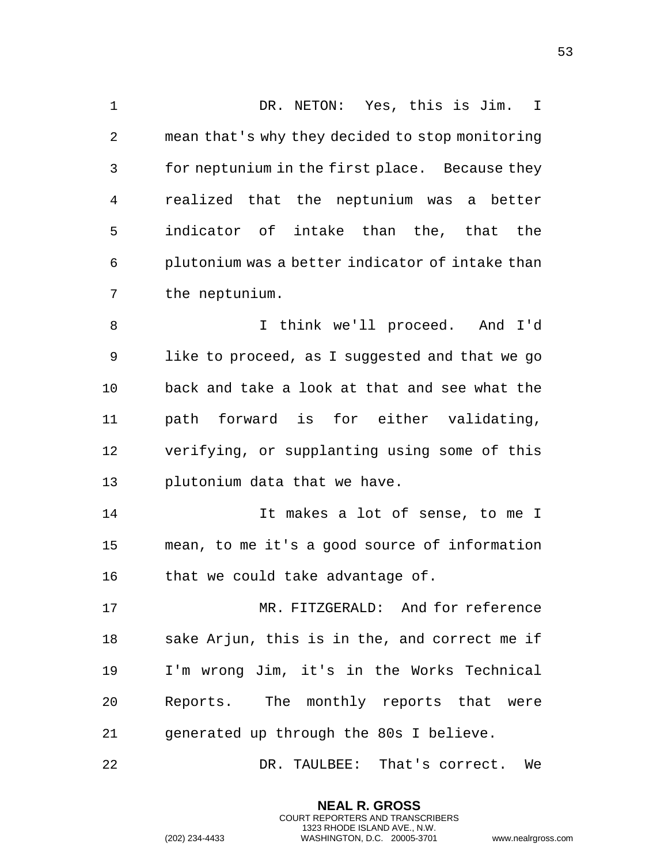DR. NETON: Yes, this is Jim. I mean that's why they decided to stop monitoring for neptunium in the first place. Because they realized that the neptunium was a better indicator of intake than the, that the plutonium was a better indicator of intake than the neptunium. I think we'll proceed. And I'd like to proceed, as I suggested and that we go back and take a look at that and see what the path forward is for either validating, verifying, or supplanting using some of this plutonium data that we have. It makes a lot of sense, to me I mean, to me it's a good source of information 16 that we could take advantage of. MR. FITZGERALD: And for reference sake Arjun, this is in the, and correct me if I'm wrong Jim, it's in the Works Technical Reports. The monthly reports that were generated up through the 80s I believe. DR. TAULBEE: That's correct. We

> **NEAL R. GROSS** COURT REPORTERS AND TRANSCRIBERS 1323 RHODE ISLAND AVE., N.W.

(202) 234-4433 WASHINGTON, D.C. 20005-3701 www.nealrgross.com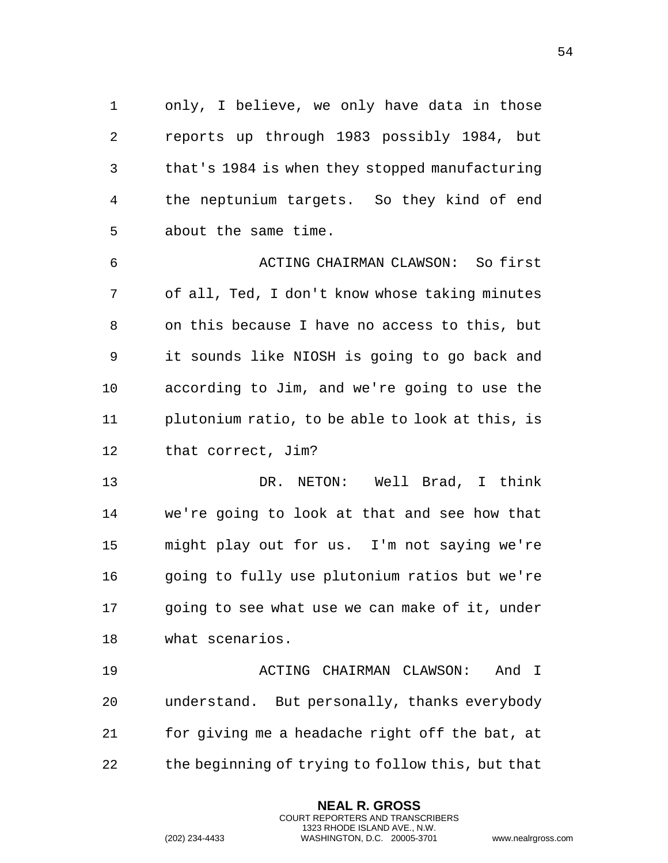only, I believe, we only have data in those reports up through 1983 possibly 1984, but that's 1984 is when they stopped manufacturing the neptunium targets. So they kind of end about the same time.

 ACTING CHAIRMAN CLAWSON: So first of all, Ted, I don't know whose taking minutes on this because I have no access to this, but it sounds like NIOSH is going to go back and according to Jim, and we're going to use the plutonium ratio, to be able to look at this, is that correct, Jim?

 DR. NETON: Well Brad, I think we're going to look at that and see how that might play out for us. I'm not saying we're going to fully use plutonium ratios but we're going to see what use we can make of it, under what scenarios.

 ACTING CHAIRMAN CLAWSON: And I understand. But personally, thanks everybody for giving me a headache right off the bat, at the beginning of trying to follow this, but that

> **NEAL R. GROSS** COURT REPORTERS AND TRANSCRIBERS 1323 RHODE ISLAND AVE., N.W.

```
(202) 234-4433 WASHINGTON, D.C. 20005-3701 www.nealrgross.com
```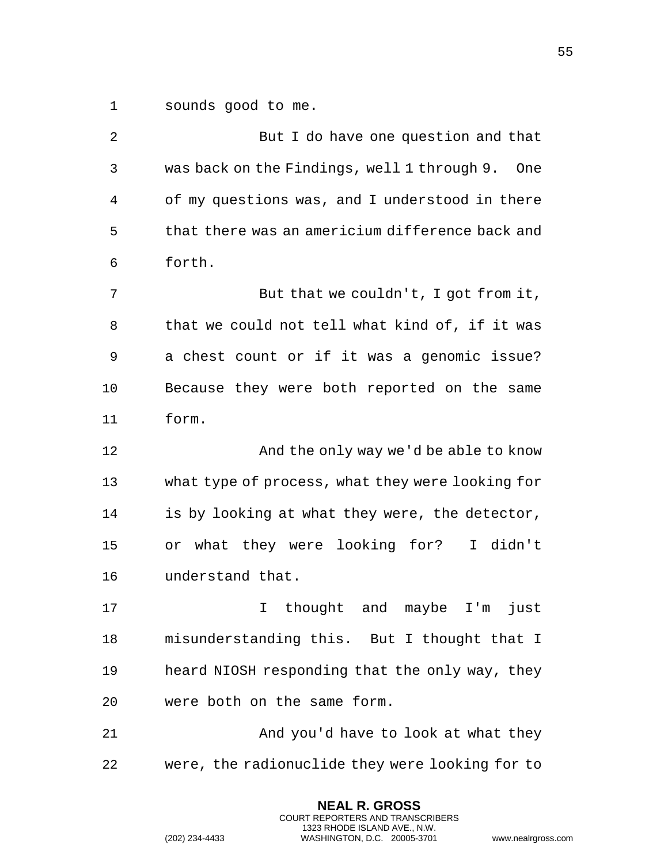sounds good to me.

| 2  | But I do have one question and that                |
|----|----------------------------------------------------|
| 3  | was back on the Findings, well 1 through 9.<br>One |
| 4  | of my questions was, and I understood in there     |
| 5  | that there was an americium difference back and    |
| 6  | forth.                                             |
| 7  | But that we couldn't, I got from it,               |
| 8  | that we could not tell what kind of, if it was     |
| 9  | a chest count or if it was a genomic issue?        |
| 10 | Because they were both reported on the same        |
| 11 | form.                                              |
| 12 | And the only way we'd be able to know              |
| 13 | what type of process, what they were looking for   |
| 14 | is by looking at what they were, the detector,     |
| 15 | or what they were looking for?<br>I didn't         |
| 16 | understand that.                                   |
| 17 | thought and maybe I'm<br>just<br>I                 |
| 18 | misunderstanding this. But I thought that I        |
| 19 | heard NIOSH responding that the only way, they     |
| 20 | were both on the same form.                        |
| 21 | And you'd have to look at what they                |
| 22 | were, the radionuclide they were looking for to    |
|    |                                                    |

**NEAL R. GROSS** COURT REPORTERS AND TRANSCRIBERS 1323 RHODE ISLAND AVE., N.W.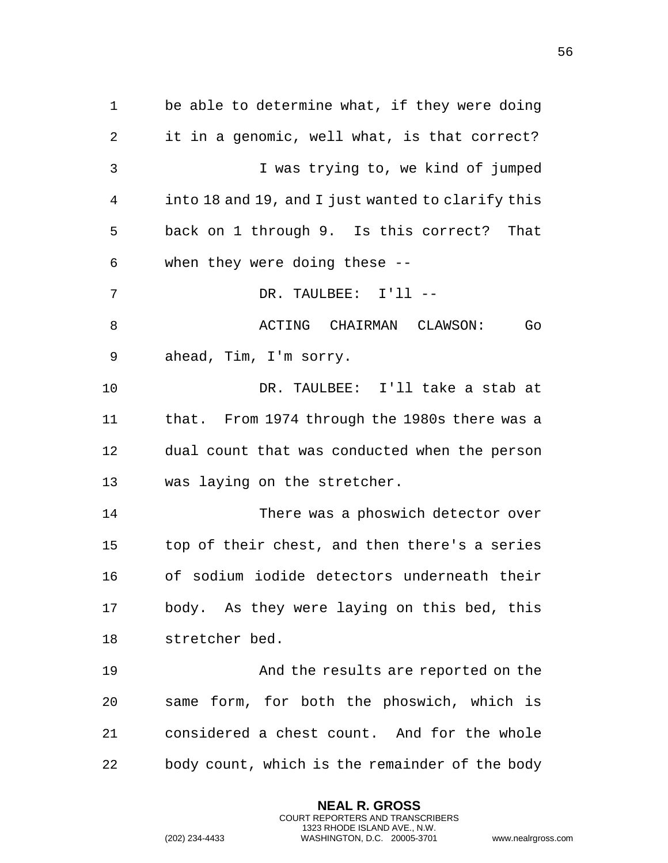be able to determine what, if they were doing it in a genomic, well what, is that correct? I was trying to, we kind of jumped into 18 and 19, and I just wanted to clarify this back on 1 through 9. Is this correct? That when they were doing these -- DR. TAULBEE: I'll -- ACTING CHAIRMAN CLAWSON: Go ahead, Tim, I'm sorry. DR. TAULBEE: I'll take a stab at that. From 1974 through the 1980s there was a dual count that was conducted when the person was laying on the stretcher. There was a phoswich detector over top of their chest, and then there's a series of sodium iodide detectors underneath their body. As they were laying on this bed, this stretcher bed. And the results are reported on the same form, for both the phoswich, which is considered a chest count. And for the whole body count, which is the remainder of the body

> **NEAL R. GROSS** COURT REPORTERS AND TRANSCRIBERS 1323 RHODE ISLAND AVE., N.W.

(202) 234-4433 WASHINGTON, D.C. 20005-3701 www.nealrgross.com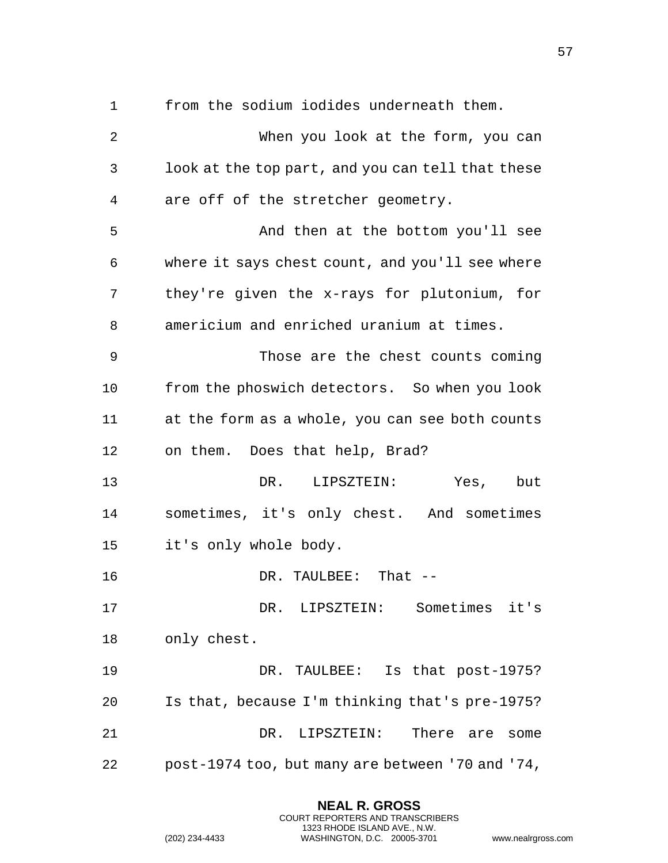from the sodium iodides underneath them.

 When you look at the form, you can look at the top part, and you can tell that these are off of the stretcher geometry. And then at the bottom you'll see where it says chest count, and you'll see where they're given the x-rays for plutonium, for americium and enriched uranium at times. Those are the chest counts coming from the phoswich detectors. So when you look at the form as a whole, you can see both counts on them. Does that help, Brad? DR. LIPSZTEIN: Yes, but sometimes, it's only chest. And sometimes it's only whole body. 16 DR. TAULBEE: That -- DR. LIPSZTEIN: Sometimes it's only chest. DR. TAULBEE: Is that post-1975? Is that, because I'm thinking that's pre-1975? DR. LIPSZTEIN: There are some post-1974 too, but many are between '70 and '74,

> **NEAL R. GROSS** COURT REPORTERS AND TRANSCRIBERS 1323 RHODE ISLAND AVE., N.W.

(202) 234-4433 WASHINGTON, D.C. 20005-3701 www.nealrgross.com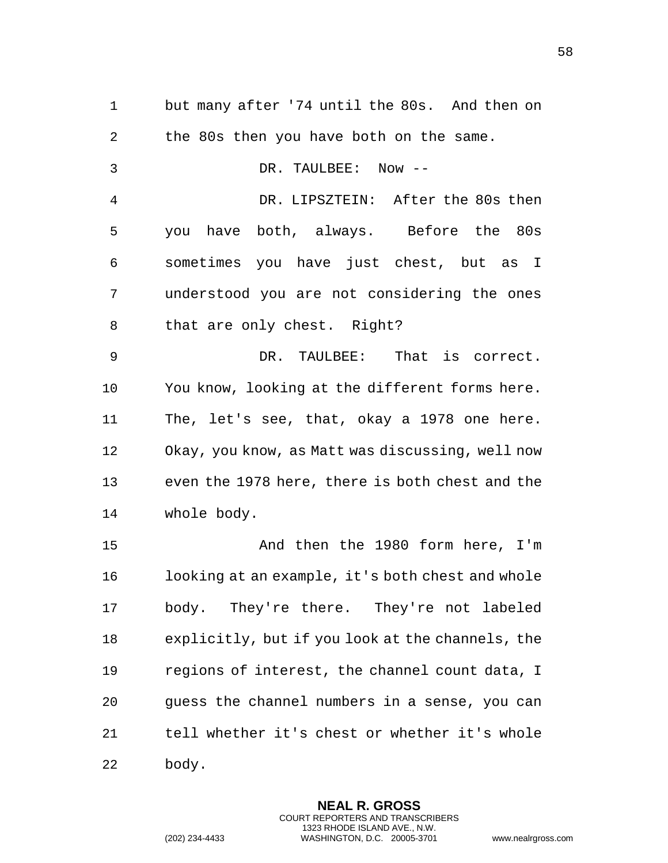but many after '74 until the 80s. And then on the 80s then you have both on the same. DR. TAULBEE: Now -- DR. LIPSZTEIN: After the 80s then you have both, always. Before the 80s sometimes you have just chest, but as I understood you are not considering the ones that are only chest. Right? DR. TAULBEE: That is correct. You know, looking at the different forms here. The, let's see, that, okay a 1978 one here. Okay, you know, as Matt was discussing, well now even the 1978 here, there is both chest and the whole body. And then the 1980 form here, I'm looking at an example, it's both chest and whole body. They're there. They're not labeled explicitly, but if you look at the channels, the regions of interest, the channel count data, I guess the channel numbers in a sense, you can tell whether it's chest or whether it's whole

body.

**NEAL R. GROSS** COURT REPORTERS AND TRANSCRIBERS 1323 RHODE ISLAND AVE., N.W. (202) 234-4433 WASHINGTON, D.C. 20005-3701 www.nealrgross.com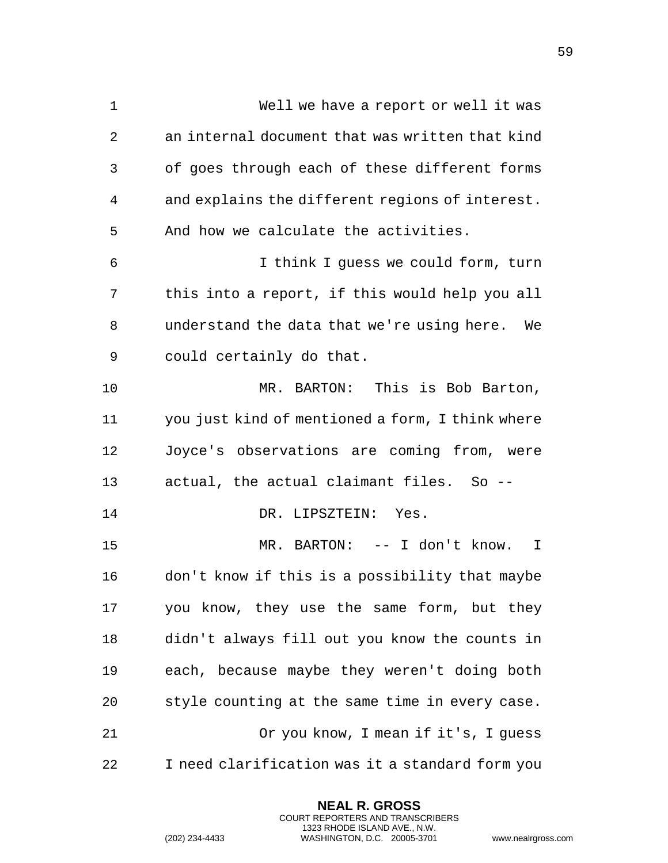| 1  | Well we have a report or well it was             |
|----|--------------------------------------------------|
| 2  | an internal document that was written that kind  |
| 3  | of goes through each of these different forms    |
| 4  | and explains the different regions of interest.  |
| 5  | And how we calculate the activities.             |
| 6  | I think I guess we could form, turn              |
| 7  | this into a report, if this would help you all   |
| 8  | understand the data that we're using here.<br>We |
| 9  | could certainly do that.                         |
| 10 | MR. BARTON: This is Bob Barton,                  |
| 11 | you just kind of mentioned a form, I think where |
| 12 | Joyce's observations are coming from, were       |
| 13 | actual, the actual claimant files. So --         |
| 14 | DR. LIPSZTEIN: Yes.                              |
| 15 | MR. BARTON: -- I don't know.<br>I                |
| 16 | don't know if this is a possibility that maybe   |
| 17 | you know, they use the same form, but they       |
| 18 | didn't always fill out you know the counts in    |
| 19 | each, because maybe they weren't doing both      |
| 20 | style counting at the same time in every case.   |
| 21 | Or you know, I mean if it's, I guess             |
| 22 | I need clarification was it a standard form you  |

**NEAL R. GROSS** COURT REPORTERS AND TRANSCRIBERS 1323 RHODE ISLAND AVE., N.W.

(202) 234-4433 WASHINGTON, D.C. 20005-3701 www.nealrgross.com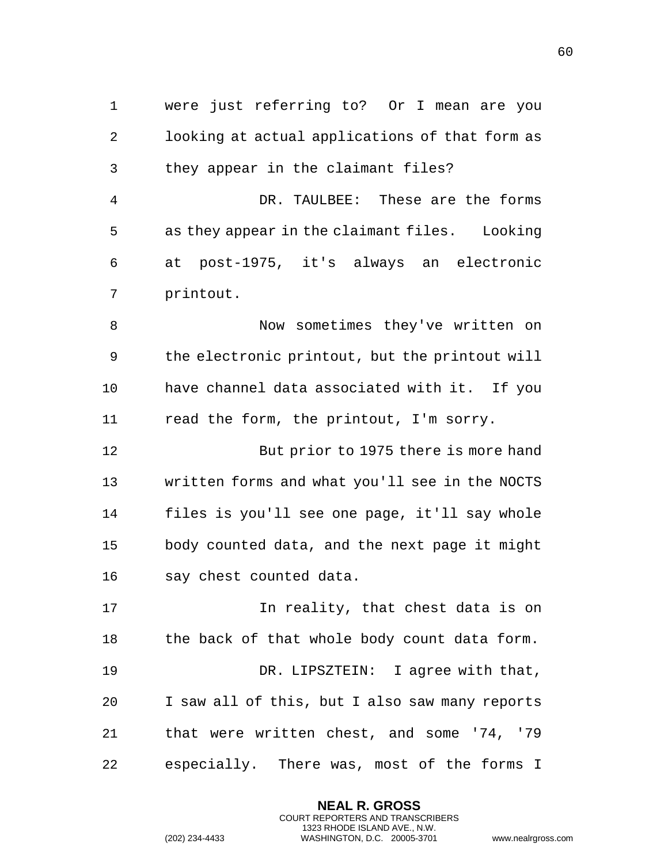were just referring to? Or I mean are you looking at actual applications of that form as they appear in the claimant files?

 DR. TAULBEE: These are the forms as they appear in the claimant files. Looking at post-1975, it's always an electronic printout.

 Now sometimes they've written on the electronic printout, but the printout will have channel data associated with it. If you read the form, the printout, I'm sorry.

 But prior to 1975 there is more hand written forms and what you'll see in the NOCTS files is you'll see one page, it'll say whole body counted data, and the next page it might say chest counted data.

**In reality, that chest data is on** 18 the back of that whole body count data form. 19 DR. LIPSZTEIN: I agree with that, I saw all of this, but I also saw many reports that were written chest, and some '74, '79 especially. There was, most of the forms I

> **NEAL R. GROSS** COURT REPORTERS AND TRANSCRIBERS 1323 RHODE ISLAND AVE., N.W.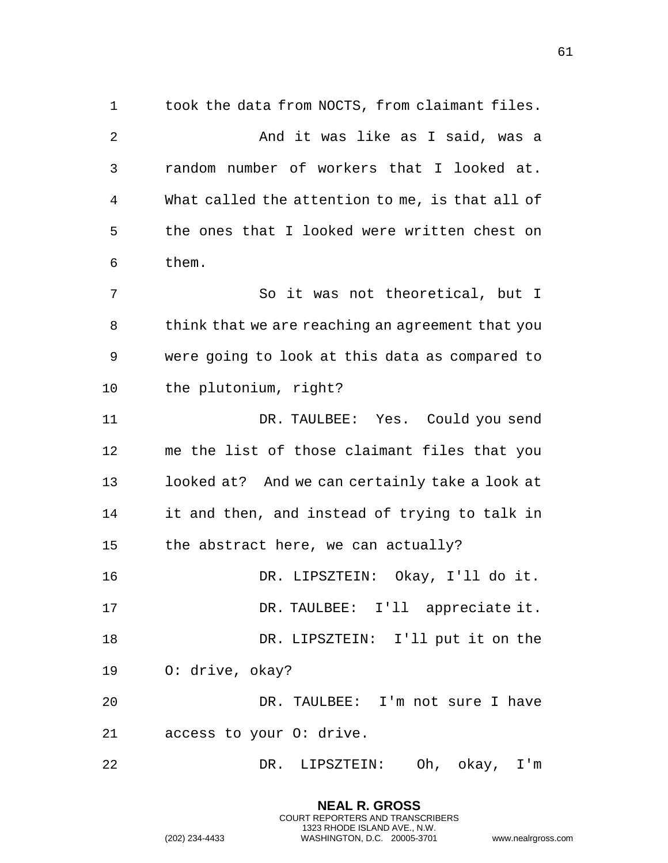took the data from NOCTS, from claimant files. 2 And it was like as I said, was a random number of workers that I looked at. What called the attention to me, is that all of the ones that I looked were written chest on them. So it was not theoretical, but I think that we are reaching an agreement that you were going to look at this data as compared to the plutonium, right? DR. TAULBEE: Yes. Could you send me the list of those claimant files that you looked at? And we can certainly take a look at it and then, and instead of trying to talk in the abstract here, we can actually? DR. LIPSZTEIN: Okay, I'll do it. DR. TAULBEE: I'll appreciate it. DR. LIPSZTEIN: I'll put it on the O: drive, okay? DR. TAULBEE: I'm not sure I have access to your O: drive. DR. LIPSZTEIN: Oh, okay, I'm

> **NEAL R. GROSS** COURT REPORTERS AND TRANSCRIBERS 1323 RHODE ISLAND AVE., N.W.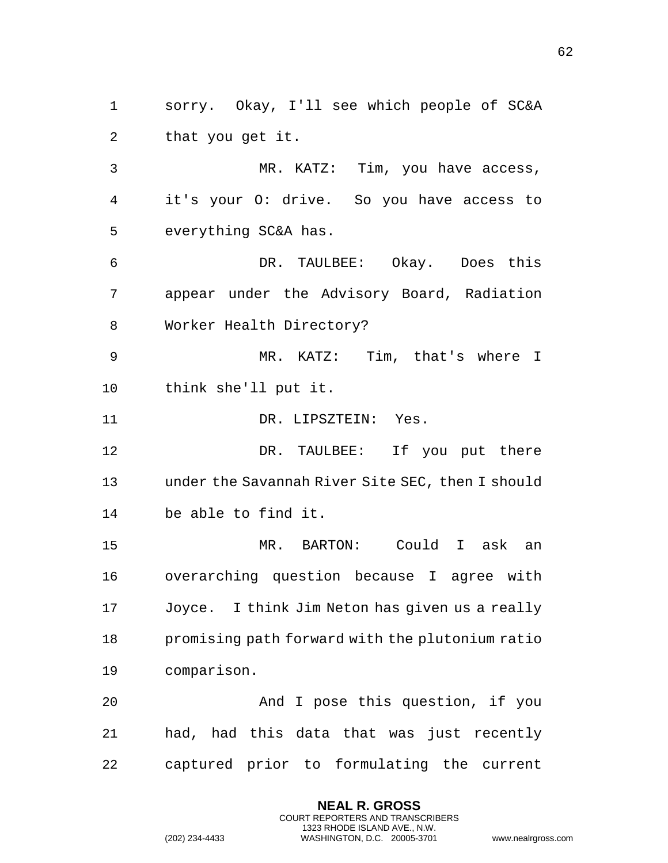sorry. Okay, I'll see which people of SC&A that you get it.

 MR. KATZ: Tim, you have access, it's your O: drive. So you have access to everything SC&A has.

 DR. TAULBEE: Okay. Does this appear under the Advisory Board, Radiation Worker Health Directory?

 MR. KATZ: Tim, that's where I think she'll put it.

11 DR. LIPSZTEIN: Yes.

 DR. TAULBEE: If you put there under the Savannah River Site SEC, then I should be able to find it.

 MR. BARTON: Could I ask an overarching question because I agree with Joyce. I think Jim Neton has given us a really promising path forward with the plutonium ratio comparison.

 And I pose this question, if you had, had this data that was just recently captured prior to formulating the current

> **NEAL R. GROSS** COURT REPORTERS AND TRANSCRIBERS 1323 RHODE ISLAND AVE., N.W.

```
(202) 234-4433 WASHINGTON, D.C. 20005-3701 www.nealrgross.com
```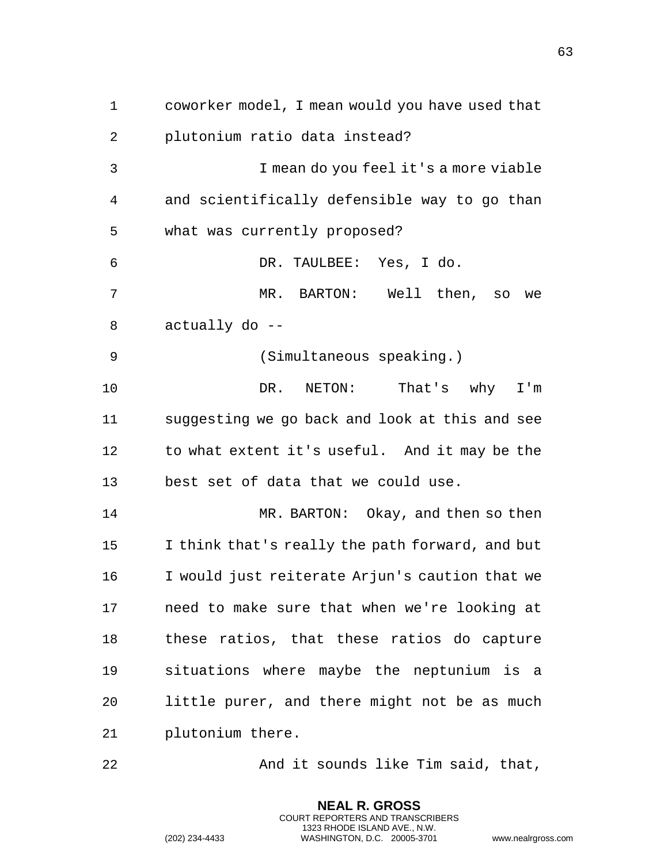coworker model, I mean would you have used that plutonium ratio data instead? I mean do you feel it's a more viable and scientifically defensible way to go than what was currently proposed? DR. TAULBEE: Yes, I do. MR. BARTON: Well then, so we actually do -- (Simultaneous speaking.) DR. NETON: That's why I'm suggesting we go back and look at this and see to what extent it's useful. And it may be the best set of data that we could use. MR. BARTON: Okay, and then so then I think that's really the path forward, and but I would just reiterate Arjun's caution that we need to make sure that when we're looking at these ratios, that these ratios do capture situations where maybe the neptunium is a little purer, and there might not be as much plutonium there. And it sounds like Tim said, that,

> **NEAL R. GROSS** COURT REPORTERS AND TRANSCRIBERS 1323 RHODE ISLAND AVE., N.W.

(202) 234-4433 WASHINGTON, D.C. 20005-3701 www.nealrgross.com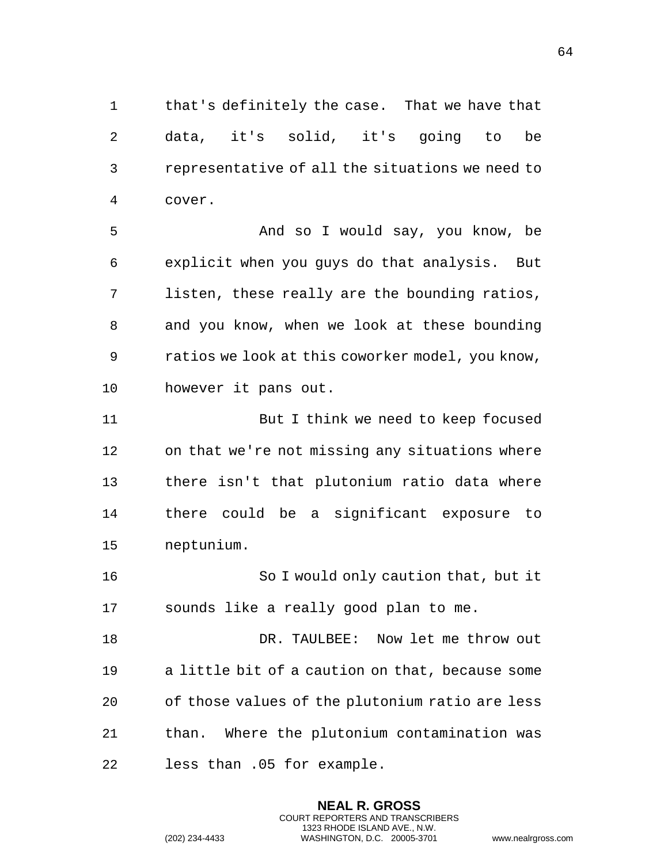that's definitely the case. That we have that data, it's solid, it's going to be representative of all the situations we need to cover.

 And so I would say, you know, be explicit when you guys do that analysis. But listen, these really are the bounding ratios, and you know, when we look at these bounding ratios we look at this coworker model, you know, however it pans out.

 But I think we need to keep focused on that we're not missing any situations where there isn't that plutonium ratio data where there could be a significant exposure to neptunium.

 So I would only caution that, but it sounds like a really good plan to me.

 DR. TAULBEE: Now let me throw out a little bit of a caution on that, because some of those values of the plutonium ratio are less than. Where the plutonium contamination was less than .05 for example.

> **NEAL R. GROSS** COURT REPORTERS AND TRANSCRIBERS 1323 RHODE ISLAND AVE., N.W.

```
(202) 234-4433 WASHINGTON, D.C. 20005-3701 www.nealrgross.com
```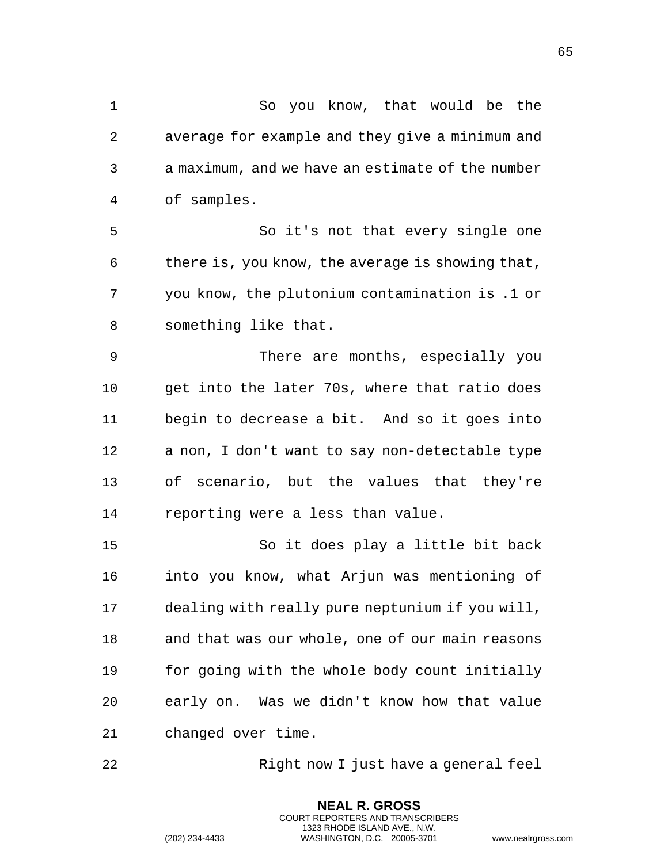So you know, that would be the average for example and they give a minimum and a maximum, and we have an estimate of the number of samples. So it's not that every single one there is, you know, the average is showing that, you know, the plutonium contamination is .1 or something like that. There are months, especially you get into the later 70s, where that ratio does begin to decrease a bit. And so it goes into a non, I don't want to say non-detectable type of scenario, but the values that they're reporting were a less than value. So it does play a little bit back into you know, what Arjun was mentioning of dealing with really pure neptunium if you will, and that was our whole, one of our main reasons for going with the whole body count initially early on. Was we didn't know how that value changed over time.

Right now I just have a general feel

**NEAL R. GROSS** COURT REPORTERS AND TRANSCRIBERS 1323 RHODE ISLAND AVE., N.W.

(202) 234-4433 WASHINGTON, D.C. 20005-3701 www.nealrgross.com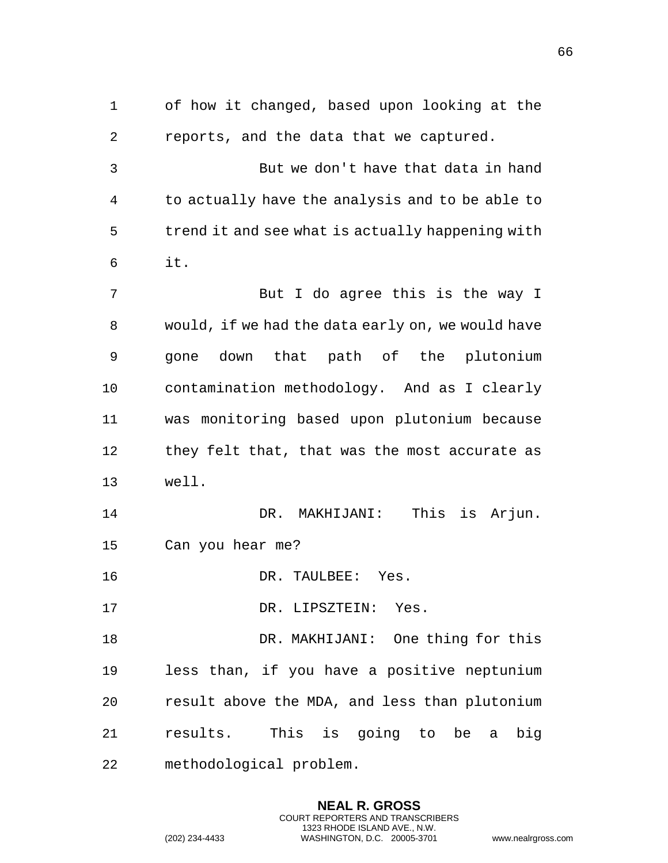of how it changed, based upon looking at the reports, and the data that we captured. But we don't have that data in hand to actually have the analysis and to be able to trend it and see what is actually happening with it. But I do agree this is the way I would, if we had the data early on, we would have gone down that path of the plutonium contamination methodology. And as I clearly was monitoring based upon plutonium because they felt that, that was the most accurate as well. DR. MAKHIJANI: This is Arjun. Can you hear me? 16 DR. TAULBEE: Yes. DR. LIPSZTEIN: Yes. DR. MAKHIJANI: One thing for this less than, if you have a positive neptunium result above the MDA, and less than plutonium results. This is going to be a big methodological problem.

> **NEAL R. GROSS** COURT REPORTERS AND TRANSCRIBERS 1323 RHODE ISLAND AVE., N.W.

```
(202) 234-4433 WASHINGTON, D.C. 20005-3701 www.nealrgross.com
```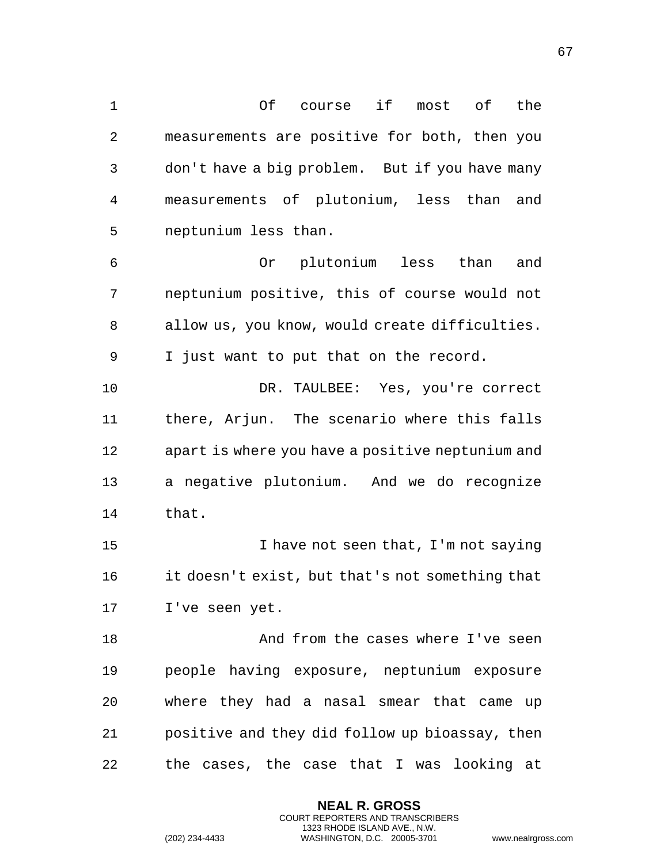Of course if most of the measurements are positive for both, then you don't have a big problem. But if you have many measurements of plutonium, less than and neptunium less than. Or plutonium less than and neptunium positive, this of course would not allow us, you know, would create difficulties. I just want to put that on the record. DR. TAULBEE: Yes, you're correct there, Arjun. The scenario where this falls apart is where you have a positive neptunium and a negative plutonium. And we do recognize that. 15 15 I have not seen that, I'm not saying

 it doesn't exist, but that's not something that I've seen yet.

 And from the cases where I've seen people having exposure, neptunium exposure where they had a nasal smear that came up positive and they did follow up bioassay, then the cases, the case that I was looking at

> **NEAL R. GROSS** COURT REPORTERS AND TRANSCRIBERS 1323 RHODE ISLAND AVE., N.W.

```
(202) 234-4433 WASHINGTON, D.C. 20005-3701 www.nealrgross.com
```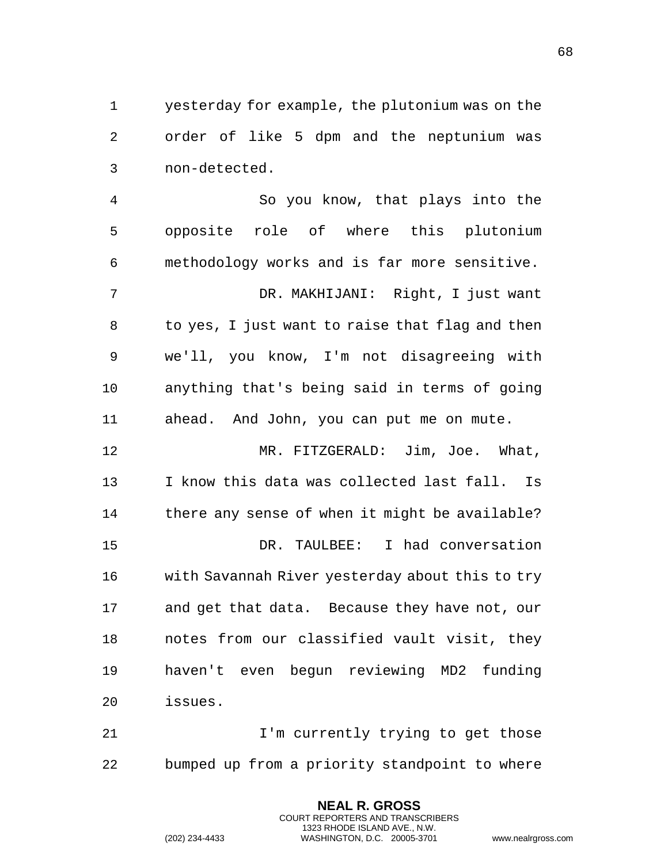yesterday for example, the plutonium was on the order of like 5 dpm and the neptunium was non-detected.

 So you know, that plays into the opposite role of where this plutonium methodology works and is far more sensitive. DR. MAKHIJANI: Right, I just want to yes, I just want to raise that flag and then we'll, you know, I'm not disagreeing with anything that's being said in terms of going ahead. And John, you can put me on mute. MR. FITZGERALD: Jim, Joe. What, I know this data was collected last fall. Is 14 there any sense of when it might be available? DR. TAULBEE: I had conversation with Savannah River yesterday about this to try and get that data. Because they have not, our notes from our classified vault visit, they haven't even begun reviewing MD2 funding issues.

**I'm currently trying to get those** bumped up from a priority standpoint to where

> **NEAL R. GROSS** COURT REPORTERS AND TRANSCRIBERS 1323 RHODE ISLAND AVE., N.W.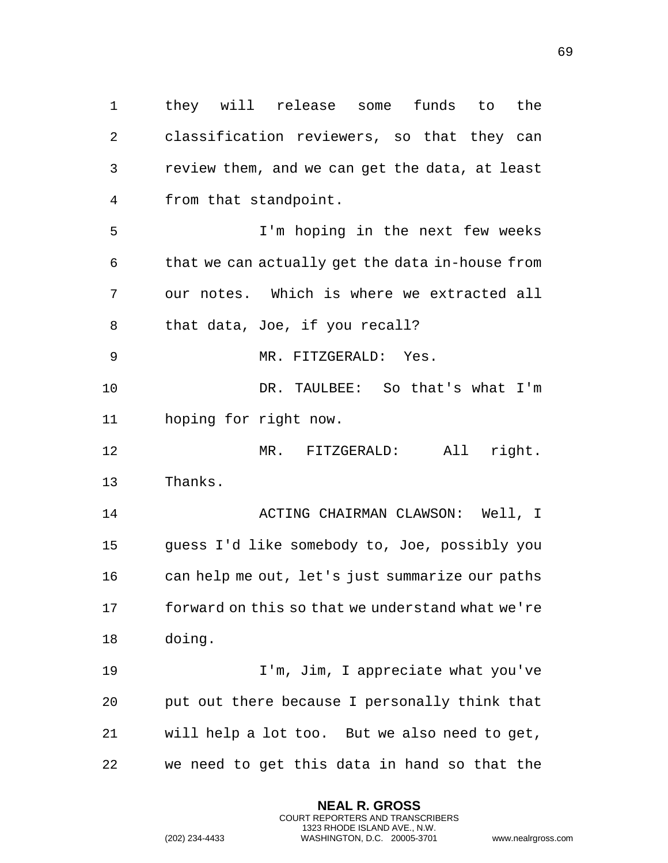they will release some funds to the classification reviewers, so that they can review them, and we can get the data, at least from that standpoint. I'm hoping in the next few weeks that we can actually get the data in-house from our notes. Which is where we extracted all that data, Joe, if you recall? MR. FITZGERALD: Yes. DR. TAULBEE: So that's what I'm hoping for right now. MR. FITZGERALD: All right. Thanks. ACTING CHAIRMAN CLAWSON: Well, I guess I'd like somebody to, Joe, possibly you can help me out, let's just summarize our paths forward on this so that we understand what we're doing. I'm, Jim, I appreciate what you've put out there because I personally think that will help a lot too. But we also need to get, we need to get this data in hand so that the

> **NEAL R. GROSS** COURT REPORTERS AND TRANSCRIBERS 1323 RHODE ISLAND AVE., N.W.

(202) 234-4433 WASHINGTON, D.C. 20005-3701 www.nealrgross.com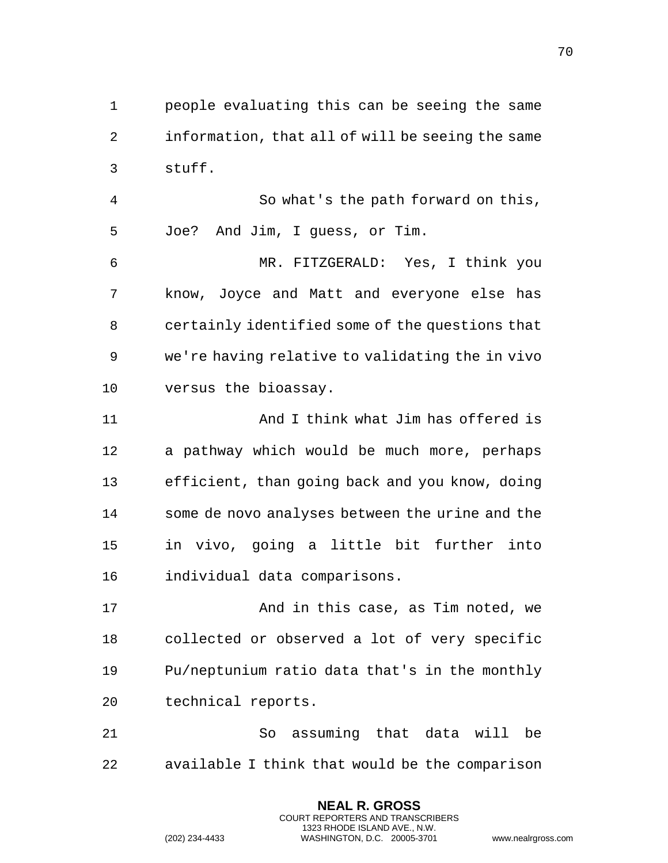people evaluating this can be seeing the same information, that all of will be seeing the same stuff.

 So what's the path forward on this, Joe? And Jim, I guess, or Tim.

 MR. FITZGERALD: Yes, I think you know, Joyce and Matt and everyone else has certainly identified some of the questions that we're having relative to validating the in vivo versus the bioassay.

 And I think what Jim has offered is a pathway which would be much more, perhaps efficient, than going back and you know, doing some de novo analyses between the urine and the in vivo, going a little bit further into individual data comparisons.

 And in this case, as Tim noted, we collected or observed a lot of very specific Pu/neptunium ratio data that's in the monthly technical reports.

 So assuming that data will be available I think that would be the comparison

> **NEAL R. GROSS** COURT REPORTERS AND TRANSCRIBERS 1323 RHODE ISLAND AVE., N.W.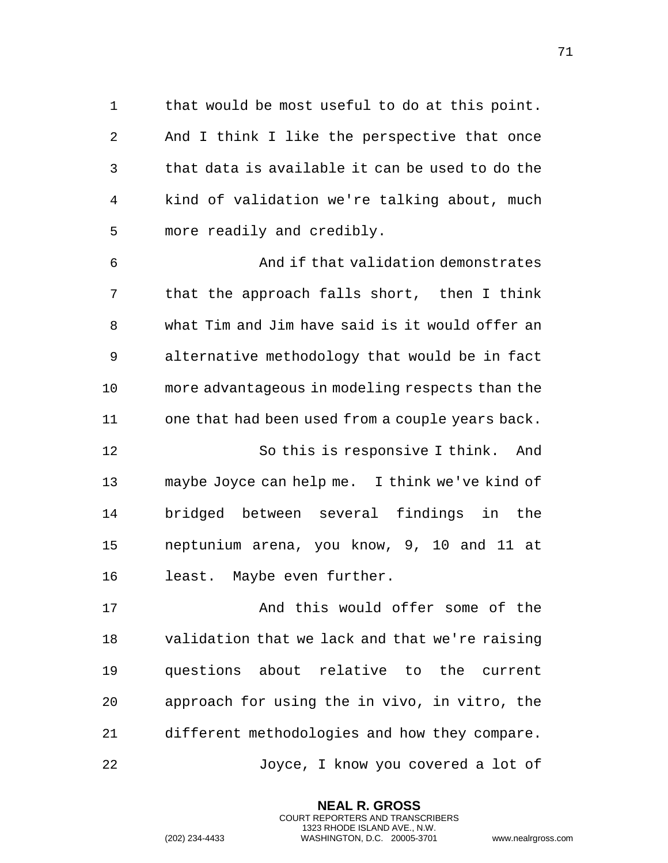that would be most useful to do at this point. And I think I like the perspective that once that data is available it can be used to do the kind of validation we're talking about, much more readily and credibly.

 And if that validation demonstrates that the approach falls short, then I think what Tim and Jim have said is it would offer an alternative methodology that would be in fact more advantageous in modeling respects than the one that had been used from a couple years back. So this is responsive I think. And maybe Joyce can help me. I think we've kind of bridged between several findings in the neptunium arena, you know, 9, 10 and 11 at least. Maybe even further.

 And this would offer some of the validation that we lack and that we're raising questions about relative to the current approach for using the in vivo, in vitro, the different methodologies and how they compare. Joyce, I know you covered a lot of

> **NEAL R. GROSS** COURT REPORTERS AND TRANSCRIBERS 1323 RHODE ISLAND AVE., N.W.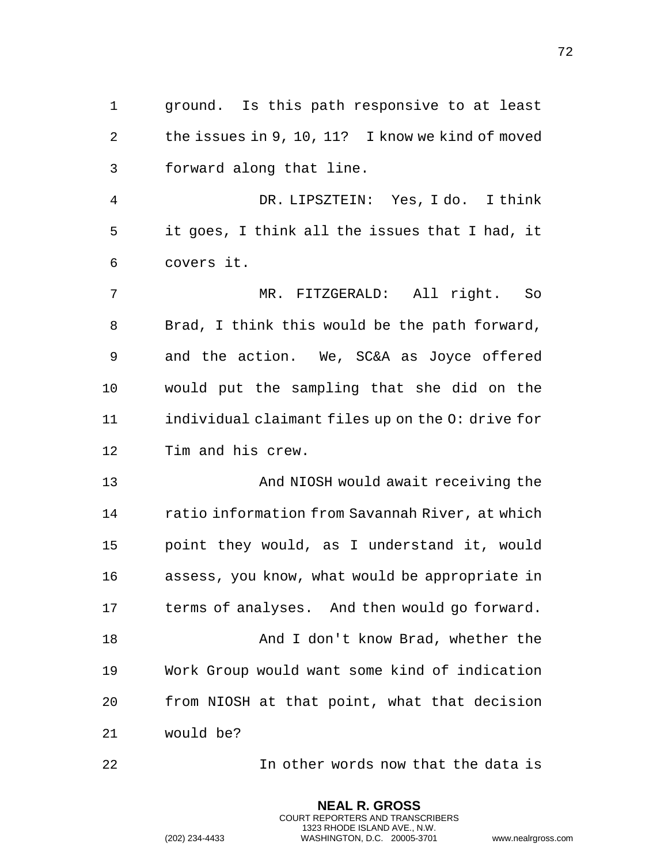ground. Is this path responsive to at least the issues in 9, 10, 11? I know we kind of moved forward along that line.

 DR. LIPSZTEIN: Yes, I do. I think it goes, I think all the issues that I had, it covers it.

 MR. FITZGERALD: All right. So Brad, I think this would be the path forward, and the action. We, SC&A as Joyce offered would put the sampling that she did on the individual claimant files up on the O: drive for Tim and his crew.

 And NIOSH would await receiving the ratio information from Savannah River, at which point they would, as I understand it, would assess, you know, what would be appropriate in terms of analyses. And then would go forward. And I don't know Brad, whether the Work Group would want some kind of indication from NIOSH at that point, what that decision would be?

In other words now that the data is

**NEAL R. GROSS** COURT REPORTERS AND TRANSCRIBERS 1323 RHODE ISLAND AVE., N.W.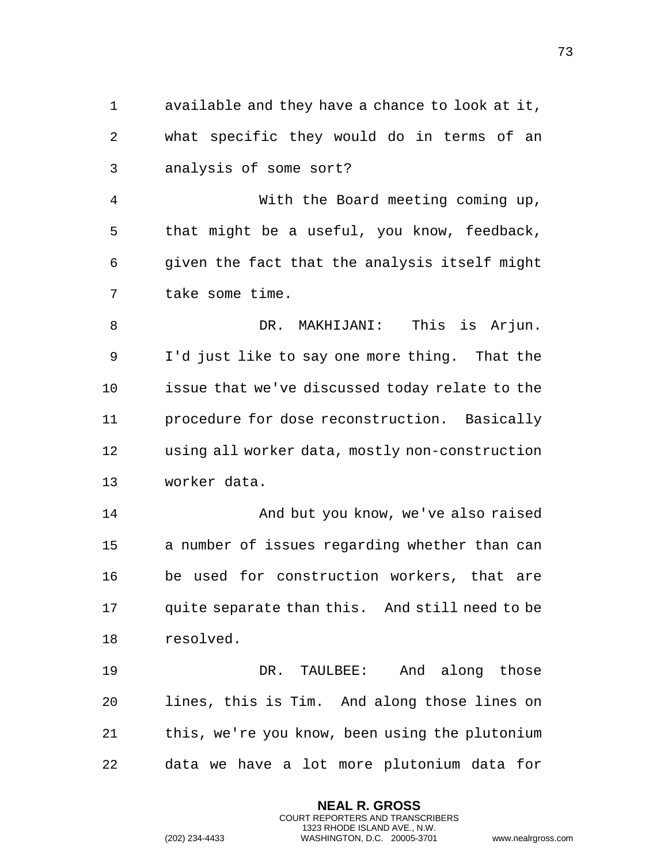available and they have a chance to look at it, what specific they would do in terms of an analysis of some sort? With the Board meeting coming up, that might be a useful, you know, feedback, given the fact that the analysis itself might take some time. 8 DR. MAKHIJANI: This is Arjun. I'd just like to say one more thing. That the issue that we've discussed today relate to the procedure for dose reconstruction. Basically using all worker data, mostly non-construction worker data. And but you know, we've also raised a number of issues regarding whether than can be used for construction workers, that are quite separate than this. And still need to be resolved. DR. TAULBEE: And along those lines, this is Tim. And along those lines on this, we're you know, been using the plutonium data we have a lot more plutonium data for

> **NEAL R. GROSS** COURT REPORTERS AND TRANSCRIBERS 1323 RHODE ISLAND AVE., N.W.

(202) 234-4433 WASHINGTON, D.C. 20005-3701 www.nealrgross.com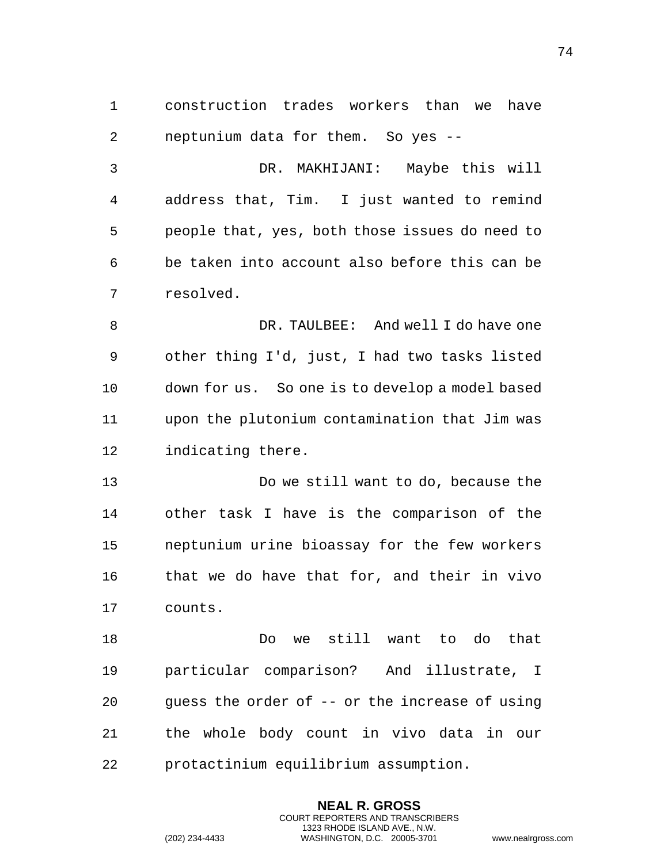construction trades workers than we have neptunium data for them. So yes --

 DR. MAKHIJANI: Maybe this will address that, Tim. I just wanted to remind people that, yes, both those issues do need to be taken into account also before this can be resolved.

 DR. TAULBEE: And well I do have one other thing I'd, just, I had two tasks listed down for us. So one is to develop a model based upon the plutonium contamination that Jim was indicating there.

 Do we still want to do, because the other task I have is the comparison of the neptunium urine bioassay for the few workers that we do have that for, and their in vivo counts.

 Do we still want to do that particular comparison? And illustrate, I guess the order of -- or the increase of using the whole body count in vivo data in our protactinium equilibrium assumption.

> **NEAL R. GROSS** COURT REPORTERS AND TRANSCRIBERS 1323 RHODE ISLAND AVE., N.W.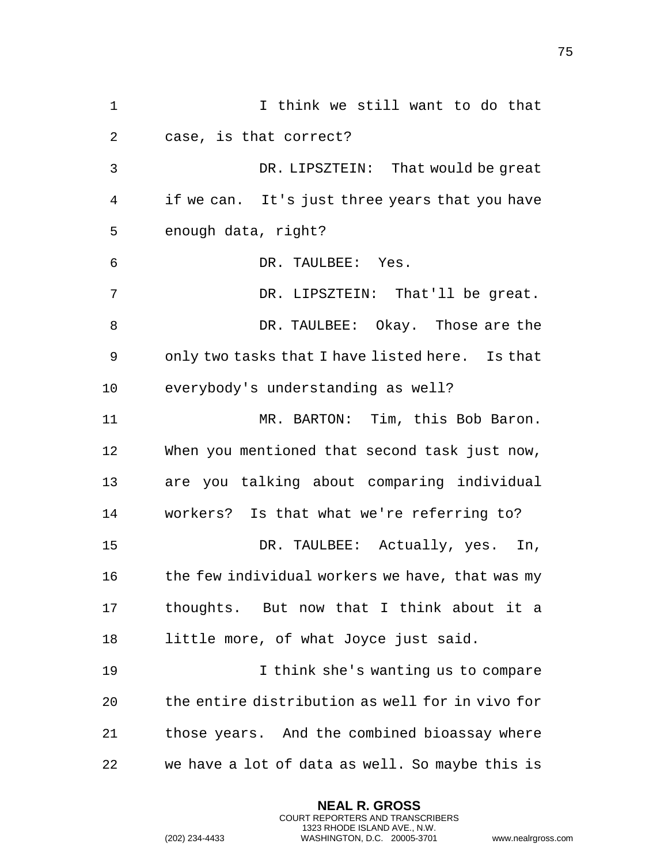I think we still want to do that case, is that correct? DR. LIPSZTEIN: That would be great if we can. It's just three years that you have enough data, right? DR. TAULBEE: Yes. DR. LIPSZTEIN: That'll be great. DR. TAULBEE: Okay. Those are the only two tasks that I have listed here. Is that everybody's understanding as well? 11 MR. BARTON: Tim, this Bob Baron. When you mentioned that second task just now, are you talking about comparing individual workers? Is that what we're referring to? DR. TAULBEE: Actually, yes. In, 16 the few individual workers we have, that was my thoughts. But now that I think about it a little more, of what Joyce just said. I think she's wanting us to compare the entire distribution as well for in vivo for those years. And the combined bioassay where we have a lot of data as well. So maybe this is

> **NEAL R. GROSS** COURT REPORTERS AND TRANSCRIBERS 1323 RHODE ISLAND AVE., N.W.

(202) 234-4433 WASHINGTON, D.C. 20005-3701 www.nealrgross.com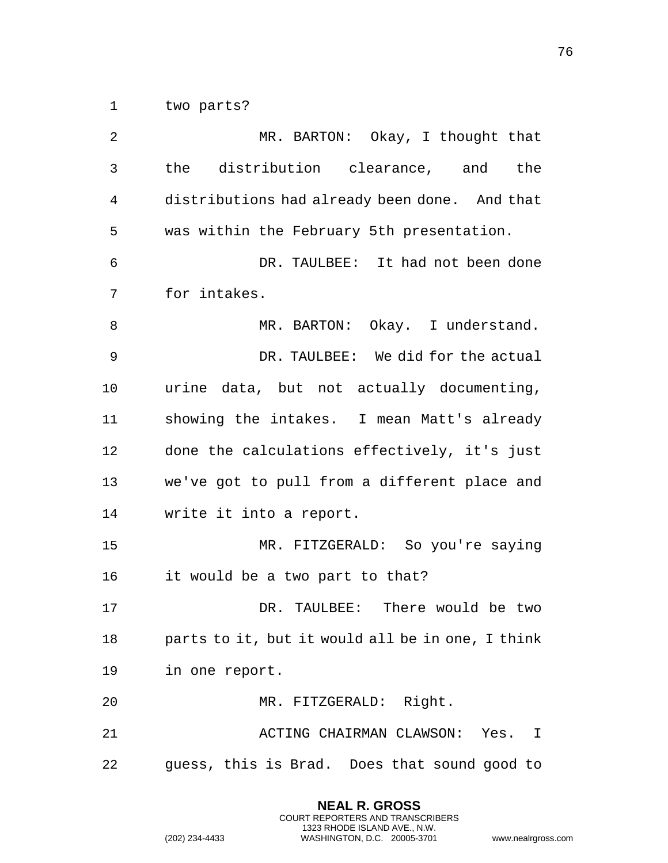two parts?

 MR. BARTON: Okay, I thought that the distribution clearance, and the distributions had already been done. And that was within the February 5th presentation. DR. TAULBEE: It had not been done for intakes. 8 MR. BARTON: Okay. I understand. DR. TAULBEE: We did for the actual urine data, but not actually documenting, showing the intakes. I mean Matt's already done the calculations effectively, it's just we've got to pull from a different place and write it into a report. MR. FITZGERALD: So you're saying it would be a two part to that? DR. TAULBEE: There would be two parts to it, but it would all be in one, I think in one report. MR. FITZGERALD: Right. ACTING CHAIRMAN CLAWSON: Yes. I guess, this is Brad. Does that sound good to

> **NEAL R. GROSS** COURT REPORTERS AND TRANSCRIBERS 1323 RHODE ISLAND AVE., N.W.

(202) 234-4433 WASHINGTON, D.C. 20005-3701 www.nealrgross.com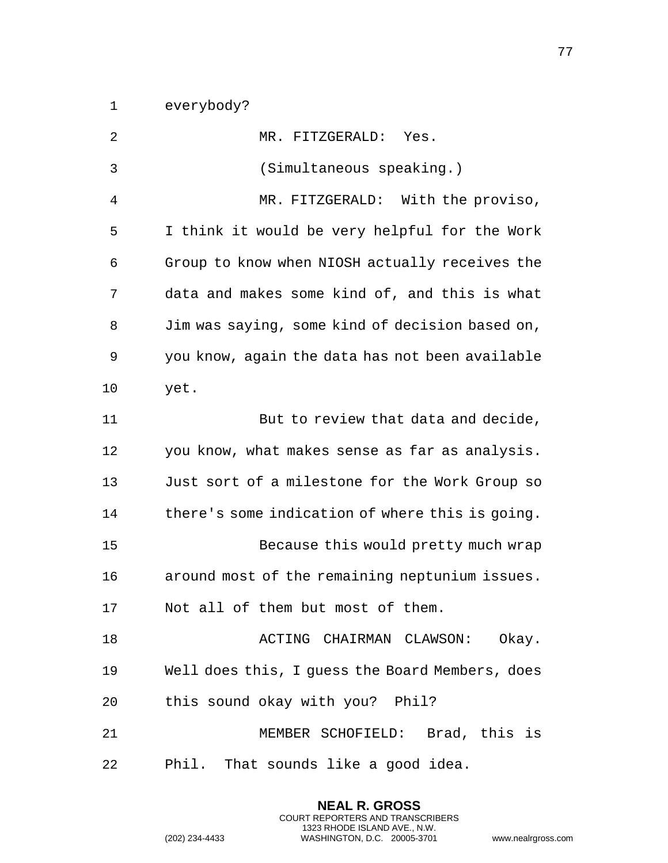everybody?

| 2  | MR. FITZGERALD: Yes.                            |
|----|-------------------------------------------------|
| 3  | (Simultaneous speaking.)                        |
| 4  | MR. FITZGERALD:<br>With the proviso,            |
| 5  | I think it would be very helpful for the Work   |
| 6  | Group to know when NIOSH actually receives the  |
| 7  | data and makes some kind of, and this is what   |
| 8  | Jim was saying, some kind of decision based on, |
| 9  | you know, again the data has not been available |
| 10 | yet.                                            |
| 11 | But to review that data and decide,             |
| 12 | you know, what makes sense as far as analysis.  |
| 13 | Just sort of a milestone for the Work Group so  |
| 14 | there's some indication of where this is going. |
| 15 | Because this would pretty much wrap             |
| 16 | around most of the remaining neptunium issues.  |
| 17 | Not all of them but most of them.               |
| 18 | ACTING CHAIRMAN CLAWSON: Okay.                  |
| 19 | Well does this, I guess the Board Members, does |
| 20 | this sound okay with you? Phil?                 |
| 21 | MEMBER SCHOFIELD: Brad, this is                 |
| 22 | Phil. That sounds like a good idea.             |

**NEAL R. GROSS** COURT REPORTERS AND TRANSCRIBERS 1323 RHODE ISLAND AVE., N.W.

(202) 234-4433 WASHINGTON, D.C. 20005-3701 www.nealrgross.com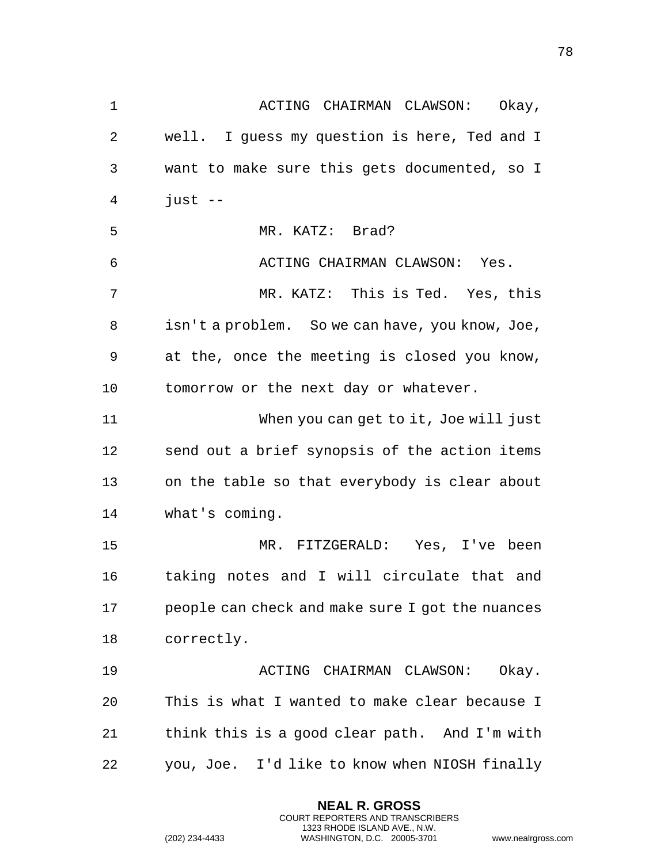1 ACTING CHAIRMAN CLAWSON: Okay, well. I guess my question is here, Ted and I want to make sure this gets documented, so I just  $-$  MR. KATZ: Brad? ACTING CHAIRMAN CLAWSON: Yes. MR. KATZ: This is Ted. Yes, this isn't a problem. So we can have, you know, Joe, at the, once the meeting is closed you know, tomorrow or the next day or whatever. When you can get to it, Joe will just send out a brief synopsis of the action items on the table so that everybody is clear about what's coming. MR. FITZGERALD: Yes, I've been taking notes and I will circulate that and people can check and make sure I got the nuances correctly. ACTING CHAIRMAN CLAWSON: Okay. This is what I wanted to make clear because I think this is a good clear path. And I'm with you, Joe. I'd like to know when NIOSH finally

> **NEAL R. GROSS** COURT REPORTERS AND TRANSCRIBERS 1323 RHODE ISLAND AVE., N.W.

```
(202) 234-4433 WASHINGTON, D.C. 20005-3701 www.nealrgross.com
```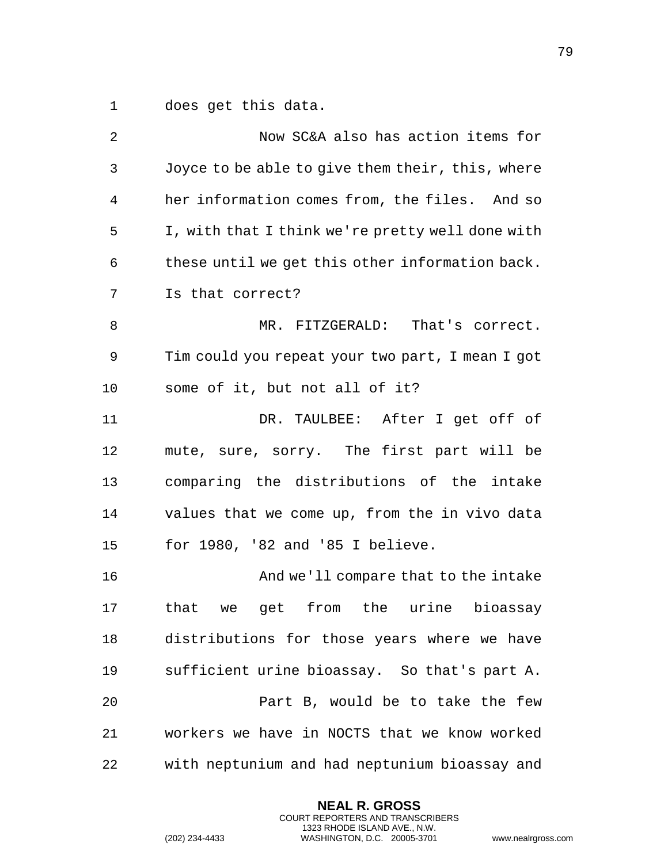does get this data.

| 2            | Now SC&A also has action items for               |
|--------------|--------------------------------------------------|
| $\mathsf{3}$ | Joyce to be able to give them their, this, where |
| 4            | her information comes from, the files. And so    |
| 5            | I, with that I think we're pretty well done with |
| 6            | these until we get this other information back.  |
| 7            | Is that correct?                                 |
| 8            | MR. FITZGERALD: That's correct.                  |
| 9            | Tim could you repeat your two part, I mean I got |
| 10           | some of it, but not all of it?                   |
| 11           | DR. TAULBEE: After I get off of                  |
| 12           | mute, sure, sorry. The first part will be        |
| 13           | comparing the distributions of the intake        |
| 14           | values that we come up, from the in vivo data    |
| 15           | for 1980, '82 and '85 I believe.                 |
| 16           | And we'll compare that to the intake             |
| 17           | that we get from the urine<br>bioassay           |
| 18           | distributions for those years where we have      |
| 19           | sufficient urine bioassay. So that's part A.     |
| 20           | Part B, would be to take the few                 |
| 21           | workers we have in NOCTS that we know worked     |
| 22           | with neptunium and had neptunium bioassay and    |

**NEAL R. GROSS** COURT REPORTERS AND TRANSCRIBERS 1323 RHODE ISLAND AVE., N.W.

(202) 234-4433 WASHINGTON, D.C. 20005-3701 www.nealrgross.com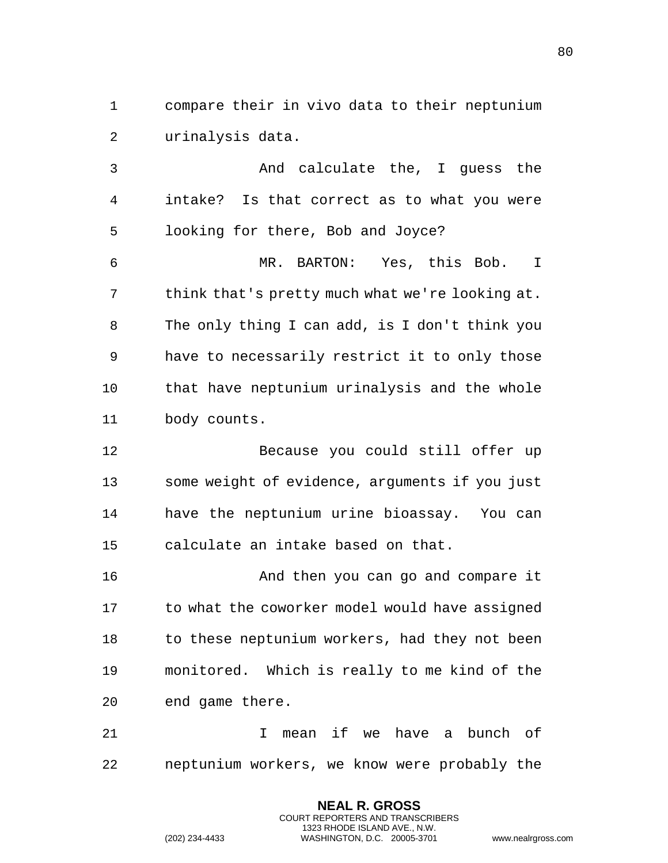compare their in vivo data to their neptunium urinalysis data.

 And calculate the, I guess the intake? Is that correct as to what you were looking for there, Bob and Joyce?

 MR. BARTON: Yes, this Bob. I think that's pretty much what we're looking at. The only thing I can add, is I don't think you have to necessarily restrict it to only those that have neptunium urinalysis and the whole body counts.

 Because you could still offer up some weight of evidence, arguments if you just have the neptunium urine bioassay. You can calculate an intake based on that.

 And then you can go and compare it 17 to what the coworker model would have assigned 18 to these neptunium workers, had they not been monitored. Which is really to me kind of the end game there.

 I mean if we have a bunch of neptunium workers, we know were probably the

> **NEAL R. GROSS** COURT REPORTERS AND TRANSCRIBERS 1323 RHODE ISLAND AVE., N.W.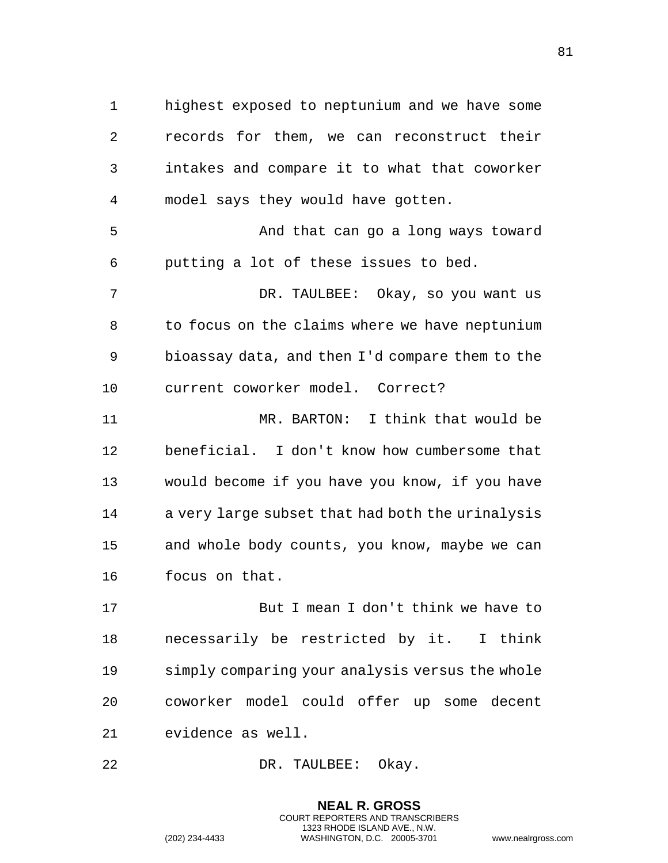highest exposed to neptunium and we have some records for them, we can reconstruct their intakes and compare it to what that coworker model says they would have gotten. And that can go a long ways toward putting a lot of these issues to bed. DR. TAULBEE: Okay, so you want us to focus on the claims where we have neptunium bioassay data, and then I'd compare them to the current coworker model. Correct? MR. BARTON: I think that would be

 beneficial. I don't know how cumbersome that would become if you have you know, if you have a very large subset that had both the urinalysis and whole body counts, you know, maybe we can focus on that.

 But I mean I don't think we have to necessarily be restricted by it. I think simply comparing your analysis versus the whole coworker model could offer up some decent evidence as well.

> **NEAL R. GROSS** COURT REPORTERS AND TRANSCRIBERS 1323 RHODE ISLAND AVE., N.W.

DR. TAULBEE: Okay.

```
(202) 234-4433 WASHINGTON, D.C. 20005-3701 www.nealrgross.com
```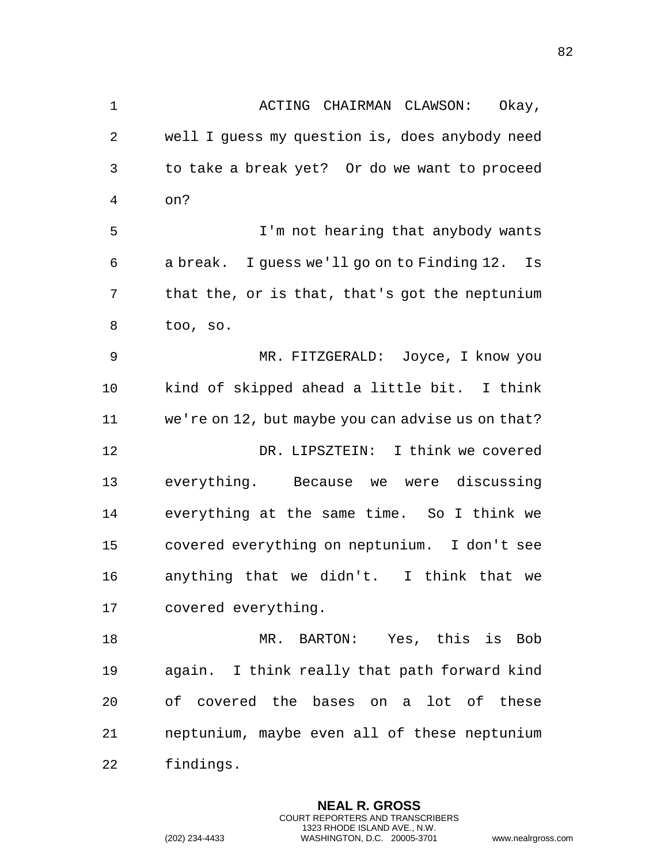1 ACTING CHAIRMAN CLAWSON: Okay, well I guess my question is, does anybody need to take a break yet? Or do we want to proceed on? I'm not hearing that anybody wants a break. I guess we'll go on to Finding 12. Is that the, or is that, that's got the neptunium too, so. MR. FITZGERALD: Joyce, I know you kind of skipped ahead a little bit. I think we're on 12, but maybe you can advise us on that? DR. LIPSZTEIN: I think we covered everything. Because we were discussing everything at the same time. So I think we covered everything on neptunium. I don't see anything that we didn't. I think that we covered everything. MR. BARTON: Yes, this is Bob again. I think really that path forward kind

 neptunium, maybe even all of these neptunium findings.

of covered the bases on a lot of these

**NEAL R. GROSS** COURT REPORTERS AND TRANSCRIBERS 1323 RHODE ISLAND AVE., N.W.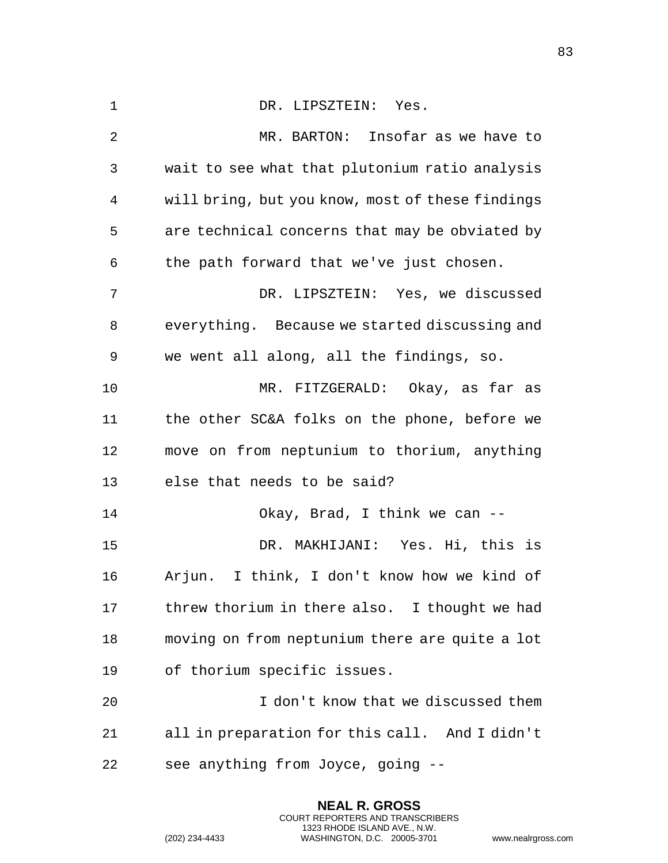1 DR. LIPSZTEIN: Yes. MR. BARTON: Insofar as we have to wait to see what that plutonium ratio analysis will bring, but you know, most of these findings are technical concerns that may be obviated by the path forward that we've just chosen. DR. LIPSZTEIN: Yes, we discussed everything. Because we started discussing and we went all along, all the findings, so. MR. FITZGERALD: Okay, as far as the other SC&A folks on the phone, before we move on from neptunium to thorium, anything else that needs to be said? Okay, Brad, I think we can -- DR. MAKHIJANI: Yes. Hi, this is Arjun. I think, I don't know how we kind of threw thorium in there also. I thought we had moving on from neptunium there are quite a lot of thorium specific issues. I don't know that we discussed them all in preparation for this call. And I didn't see anything from Joyce, going --

> **NEAL R. GROSS** COURT REPORTERS AND TRANSCRIBERS 1323 RHODE ISLAND AVE., N.W.

(202) 234-4433 WASHINGTON, D.C. 20005-3701 www.nealrgross.com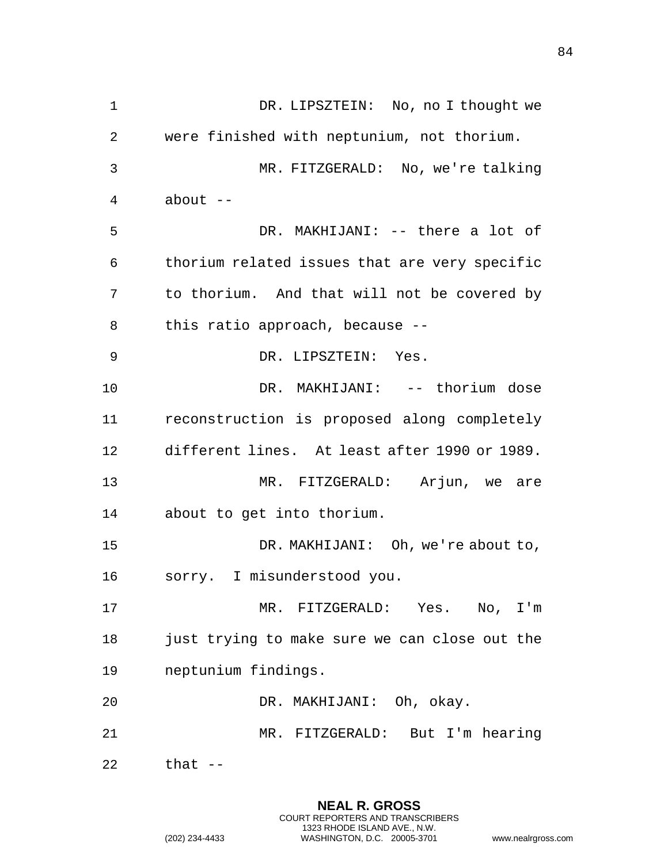DR. LIPSZTEIN: No, no I thought we were finished with neptunium, not thorium. MR. FITZGERALD: No, we're talking about  $-$  DR. MAKHIJANI: -- there a lot of thorium related issues that are very specific to thorium. And that will not be covered by this ratio approach, because -- DR. LIPSZTEIN: Yes. DR. MAKHIJANI: -- thorium dose reconstruction is proposed along completely different lines. At least after 1990 or 1989. MR. FITZGERALD: Arjun, we are about to get into thorium. 15 DR. MAKHIJANI: Oh, we're about to, sorry. I misunderstood you. MR. FITZGERALD: Yes. No, I'm just trying to make sure we can close out the neptunium findings. DR. MAKHIJANI: Oh, okay. MR. FITZGERALD: But I'm hearing that --

> **NEAL R. GROSS** COURT REPORTERS AND TRANSCRIBERS 1323 RHODE ISLAND AVE., N.W.

(202) 234-4433 WASHINGTON, D.C. 20005-3701 www.nealrgross.com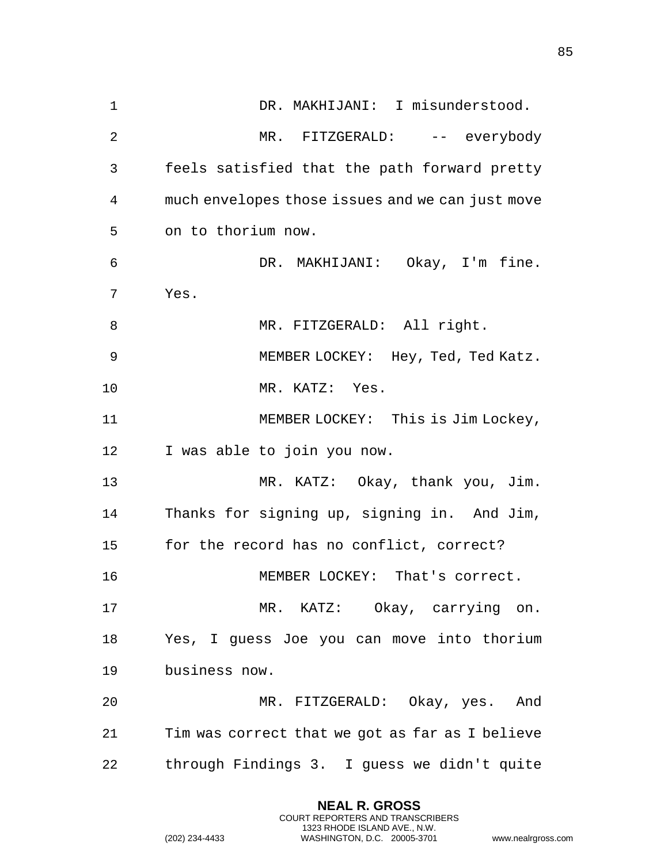DR. MAKHIJANI: I misunderstood. MR. FITZGERALD: -- everybody feels satisfied that the path forward pretty much envelopes those issues and we can just move on to thorium now. DR. MAKHIJANI: Okay, I'm fine. Yes. 8 MR. FITZGERALD: All right. MEMBER LOCKEY: Hey, Ted, Ted Katz. MR. KATZ: Yes. MEMBER LOCKEY: This is Jim Lockey, I was able to join you now. MR. KATZ: Okay, thank you, Jim. Thanks for signing up, signing in. And Jim, for the record has no conflict, correct? MEMBER LOCKEY: That's correct. MR. KATZ: Okay, carrying on. Yes, I guess Joe you can move into thorium business now. MR. FITZGERALD: Okay, yes. And Tim was correct that we got as far as I believe through Findings 3. I guess we didn't quite

> **NEAL R. GROSS** COURT REPORTERS AND TRANSCRIBERS 1323 RHODE ISLAND AVE., N.W.

(202) 234-4433 WASHINGTON, D.C. 20005-3701 www.nealrgross.com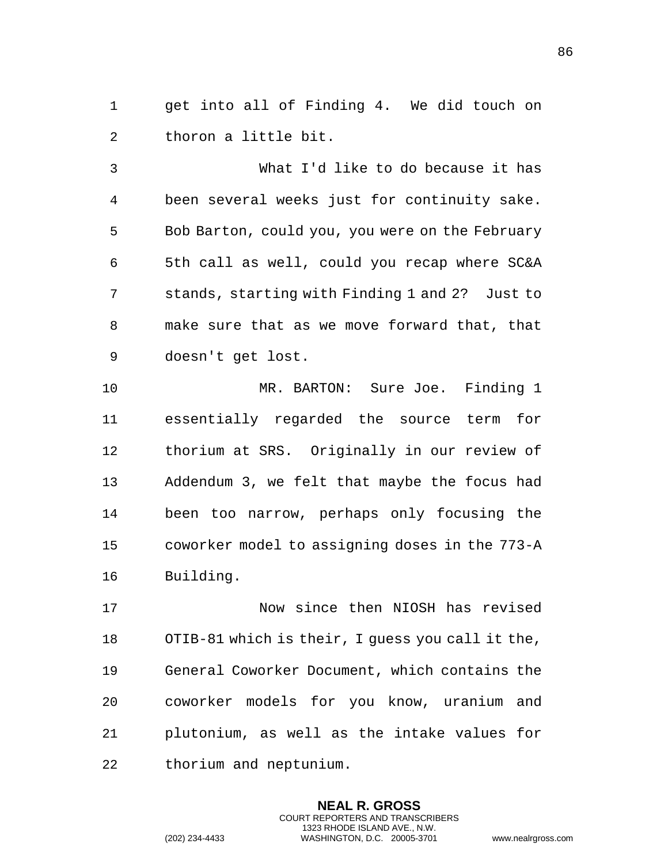get into all of Finding 4. We did touch on thoron a little bit.

 What I'd like to do because it has been several weeks just for continuity sake. Bob Barton, could you, you were on the February 5th call as well, could you recap where SC&A stands, starting with Finding 1 and 2? Just to make sure that as we move forward that, that doesn't get lost.

 MR. BARTON: Sure Joe. Finding 1 essentially regarded the source term for thorium at SRS. Originally in our review of Addendum 3, we felt that maybe the focus had been too narrow, perhaps only focusing the coworker model to assigning doses in the 773-A Building.

 Now since then NIOSH has revised OTIB-81 which is their, I guess you call it the, General Coworker Document, which contains the coworker models for you know, uranium and plutonium, as well as the intake values for thorium and neptunium.

> **NEAL R. GROSS** COURT REPORTERS AND TRANSCRIBERS 1323 RHODE ISLAND AVE., N.W.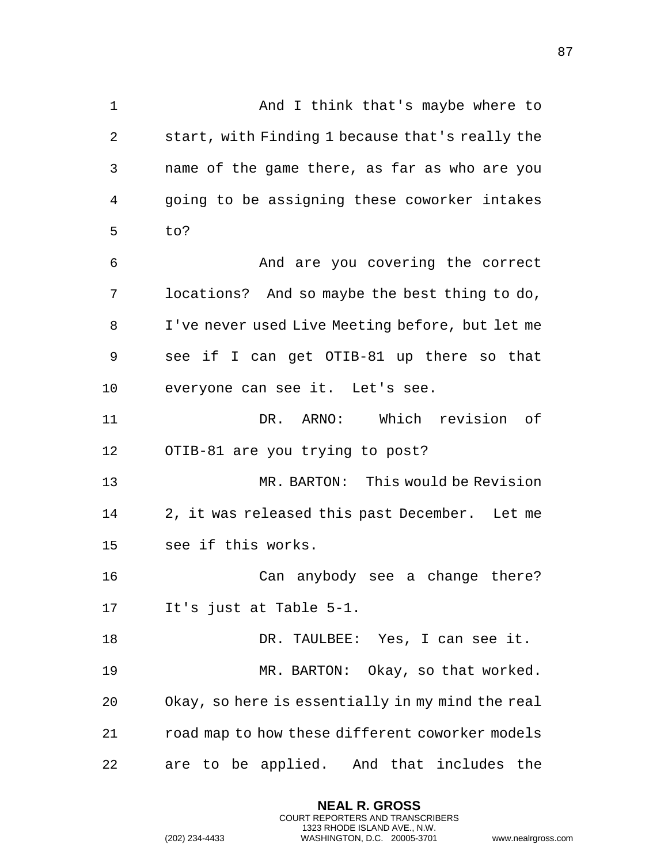And I think that's maybe where to start, with Finding 1 because that's really the name of the game there, as far as who are you going to be assigning these coworker intakes to? And are you covering the correct locations? And so maybe the best thing to do, I've never used Live Meeting before, but let me see if I can get OTIB-81 up there so that everyone can see it. Let's see. DR. ARNO: Which revision of OTIB-81 are you trying to post? MR. BARTON: This would be Revision 2, it was released this past December. Let me see if this works. Can anybody see a change there? It's just at Table 5-1. DR. TAULBEE: Yes, I can see it. 19 MR. BARTON: Okay, so that worked. Okay, so here is essentially in my mind the real road map to how these different coworker models are to be applied. And that includes the

> **NEAL R. GROSS** COURT REPORTERS AND TRANSCRIBERS 1323 RHODE ISLAND AVE., N.W.

(202) 234-4433 WASHINGTON, D.C. 20005-3701 www.nealrgross.com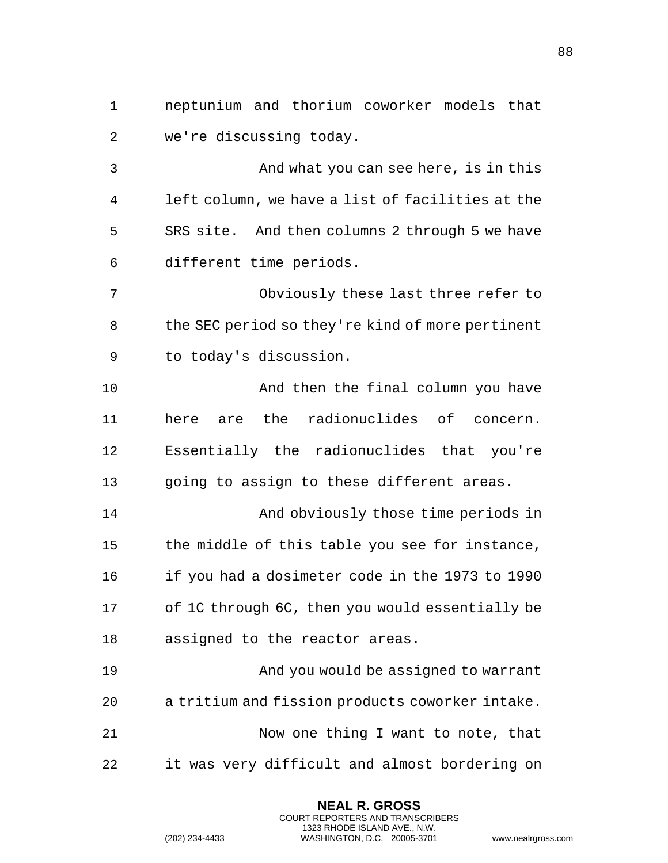neptunium and thorium coworker models that we're discussing today.

 And what you can see here, is in this left column, we have a list of facilities at the SRS site. And then columns 2 through 5 we have different time periods.

 Obviously these last three refer to the SEC period so they're kind of more pertinent to today's discussion.

 And then the final column you have here are the radionuclides of concern. Essentially the radionuclides that you're going to assign to these different areas.

14 And obviously those time periods in the middle of this table you see for instance, if you had a dosimeter code in the 1973 to 1990 of 1C through 6C, then you would essentially be assigned to the reactor areas.

 And you would be assigned to warrant a tritium and fission products coworker intake. 21 Now one thing I want to note, that it was very difficult and almost bordering on

> **NEAL R. GROSS** COURT REPORTERS AND TRANSCRIBERS 1323 RHODE ISLAND AVE., N.W.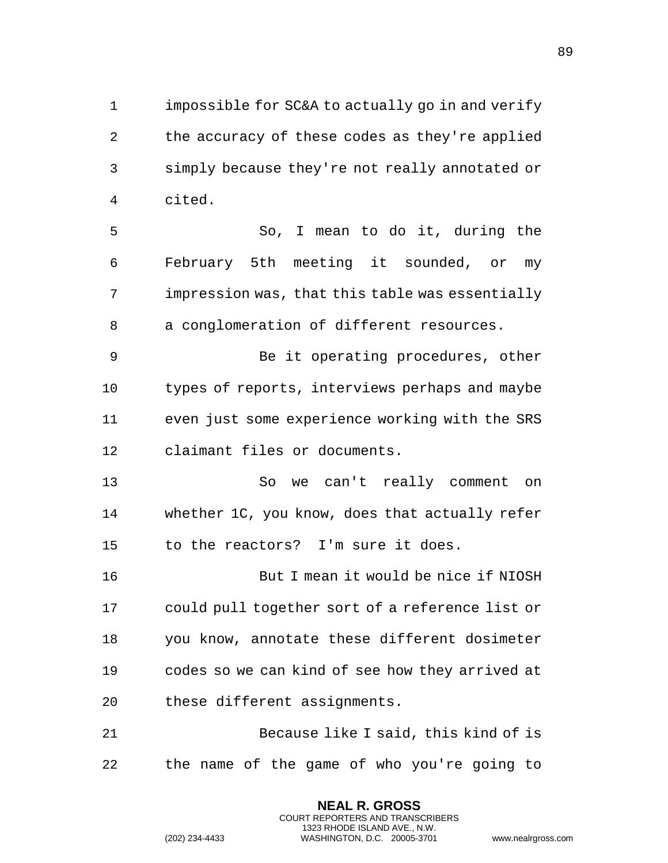impossible for SC&A to actually go in and verify the accuracy of these codes as they're applied simply because they're not really annotated or cited.

 So, I mean to do it, during the February 5th meeting it sounded, or my impression was, that this table was essentially a conglomeration of different resources.

 Be it operating procedures, other types of reports, interviews perhaps and maybe even just some experience working with the SRS claimant files or documents.

 So we can't really comment on whether 1C, you know, does that actually refer to the reactors? I'm sure it does.

 But I mean it would be nice if NIOSH could pull together sort of a reference list or you know, annotate these different dosimeter codes so we can kind of see how they arrived at these different assignments.

 Because like I said, this kind of is the name of the game of who you're going to

> **NEAL R. GROSS** COURT REPORTERS AND TRANSCRIBERS 1323 RHODE ISLAND AVE., N.W.

```
(202) 234-4433 WASHINGTON, D.C. 20005-3701 www.nealrgross.com
```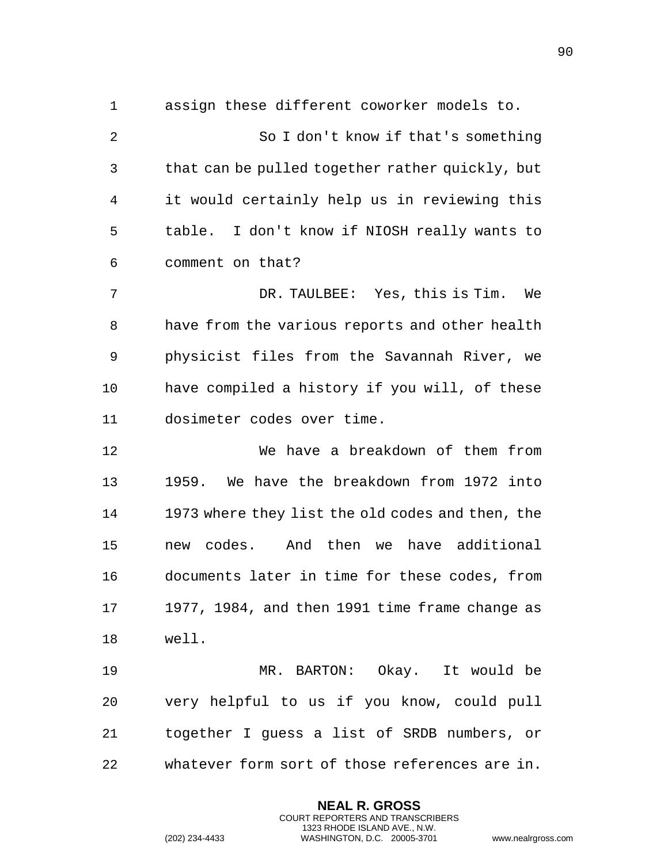assign these different coworker models to. So I don't know if that's something that can be pulled together rather quickly, but it would certainly help us in reviewing this table. I don't know if NIOSH really wants to comment on that? DR. TAULBEE: Yes, this is Tim. We have from the various reports and other health

 physicist files from the Savannah River, we have compiled a history if you will, of these dosimeter codes over time.

 We have a breakdown of them from 1959. We have the breakdown from 1972 into 1973 where they list the old codes and then, the new codes. And then we have additional documents later in time for these codes, from 1977, 1984, and then 1991 time frame change as well.

 MR. BARTON: Okay. It would be very helpful to us if you know, could pull together I guess a list of SRDB numbers, or whatever form sort of those references are in.

> **NEAL R. GROSS** COURT REPORTERS AND TRANSCRIBERS 1323 RHODE ISLAND AVE., N.W.

(202) 234-4433 WASHINGTON, D.C. 20005-3701 www.nealrgross.com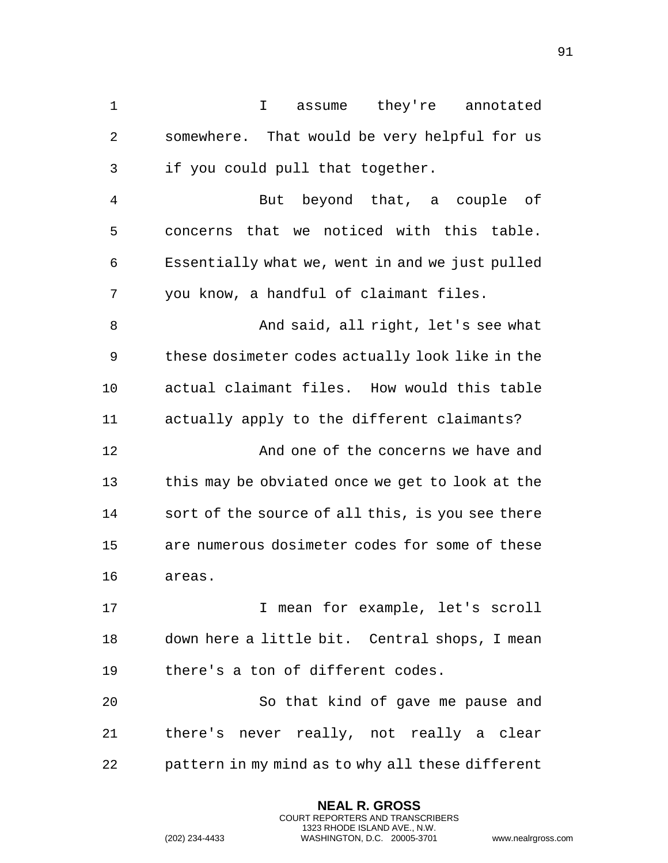I assume they're annotated somewhere. That would be very helpful for us if you could pull that together. But beyond that, a couple of concerns that we noticed with this table. Essentially what we, went in and we just pulled you know, a handful of claimant files. 8 And said, all right, let's see what these dosimeter codes actually look like in the actual claimant files. How would this table actually apply to the different claimants? And one of the concerns we have and 13 this may be obviated once we get to look at the sort of the source of all this, is you see there are numerous dosimeter codes for some of these areas. 17 17 I mean for example, let's scroll down here a little bit. Central shops, I mean there's a ton of different codes. So that kind of gave me pause and there's never really, not really a clear pattern in my mind as to why all these different

> **NEAL R. GROSS** COURT REPORTERS AND TRANSCRIBERS 1323 RHODE ISLAND AVE., N.W.

(202) 234-4433 WASHINGTON, D.C. 20005-3701 www.nealrgross.com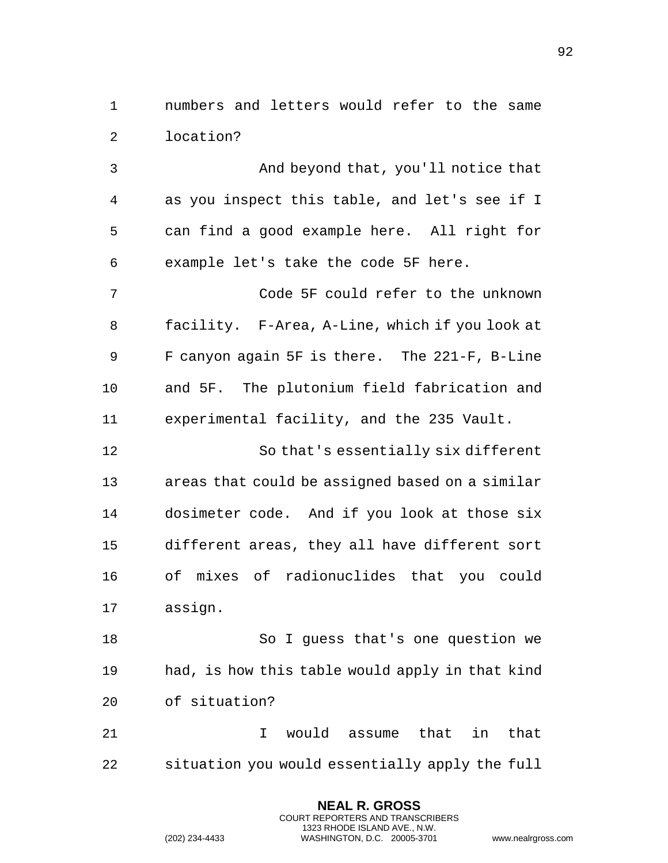numbers and letters would refer to the same location?

 And beyond that, you'll notice that as you inspect this table, and let's see if I can find a good example here. All right for example let's take the code 5F here. Code 5F could refer to the unknown facility. F-Area, A-Line, which if you look at F canyon again 5F is there. The 221-F, B-Line and 5F. The plutonium field fabrication and experimental facility, and the 235 Vault. So that's essentially six different areas that could be assigned based on a similar dosimeter code. And if you look at those six different areas, they all have different sort of mixes of radionuclides that you could assign. So I guess that's one question we

 had, is how this table would apply in that kind of situation?

 I would assume that in that situation you would essentially apply the full

> **NEAL R. GROSS** COURT REPORTERS AND TRANSCRIBERS 1323 RHODE ISLAND AVE., N.W.

(202) 234-4433 WASHINGTON, D.C. 20005-3701 www.nealrgross.com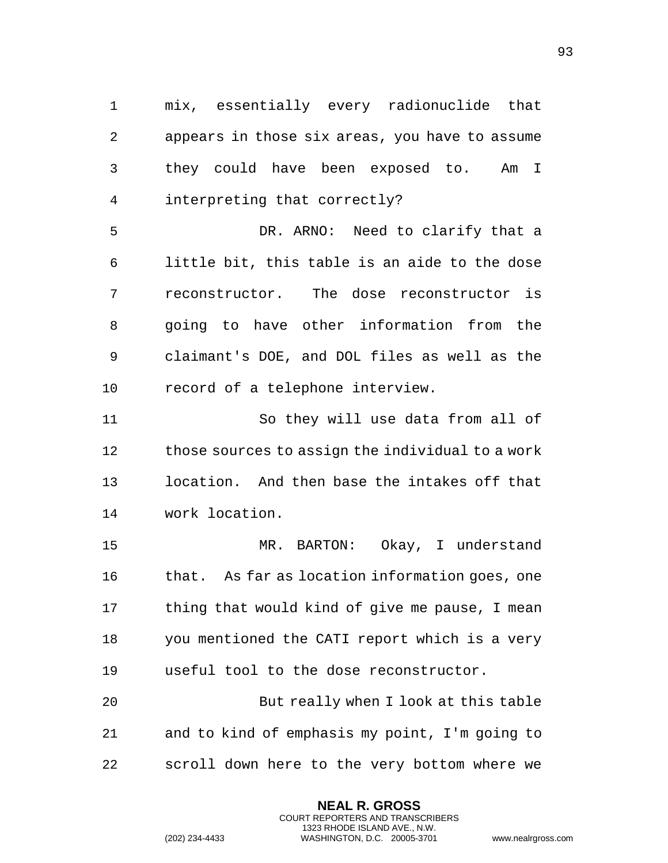mix, essentially every radionuclide that appears in those six areas, you have to assume they could have been exposed to. Am I interpreting that correctly?

 DR. ARNO: Need to clarify that a little bit, this table is an aide to the dose reconstructor. The dose reconstructor is going to have other information from the claimant's DOE, and DOL files as well as the record of a telephone interview.

 So they will use data from all of those sources to assign the individual to a work location. And then base the intakes off that work location.

 MR. BARTON: Okay, I understand that. As far as location information goes, one thing that would kind of give me pause, I mean you mentioned the CATI report which is a very useful tool to the dose reconstructor.

 But really when I look at this table and to kind of emphasis my point, I'm going to scroll down here to the very bottom where we

> **NEAL R. GROSS** COURT REPORTERS AND TRANSCRIBERS 1323 RHODE ISLAND AVE., N.W.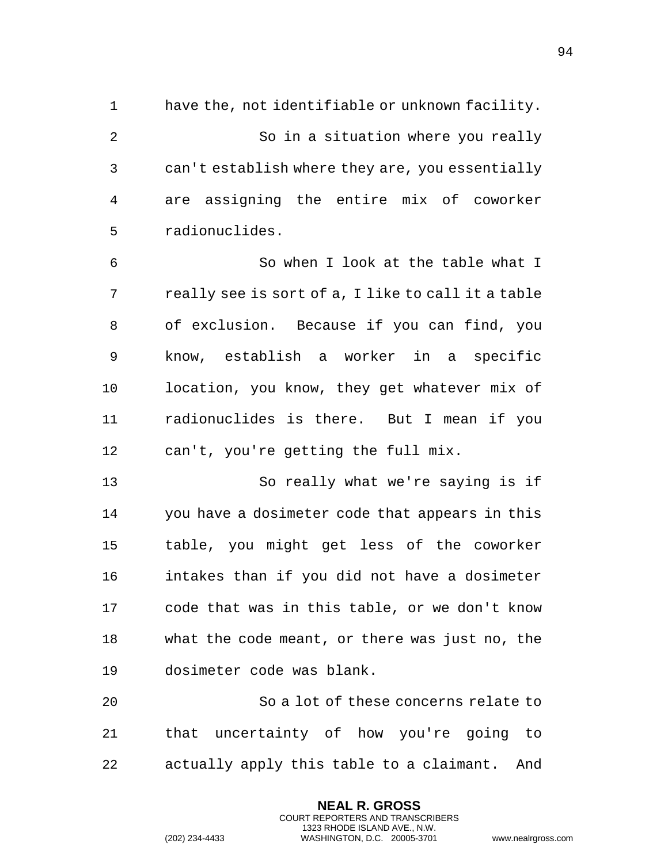have the, not identifiable or unknown facility. So in a situation where you really can't establish where they are, you essentially are assigning the entire mix of coworker radionuclides.

 So when I look at the table what I really see is sort of a, I like to call it a table of exclusion. Because if you can find, you know, establish a worker in a specific location, you know, they get whatever mix of radionuclides is there. But I mean if you can't, you're getting the full mix.

 So really what we're saying is if you have a dosimeter code that appears in this table, you might get less of the coworker intakes than if you did not have a dosimeter code that was in this table, or we don't know what the code meant, or there was just no, the dosimeter code was blank.

 So a lot of these concerns relate to that uncertainty of how you're going to actually apply this table to a claimant. And

> **NEAL R. GROSS** COURT REPORTERS AND TRANSCRIBERS 1323 RHODE ISLAND AVE., N.W.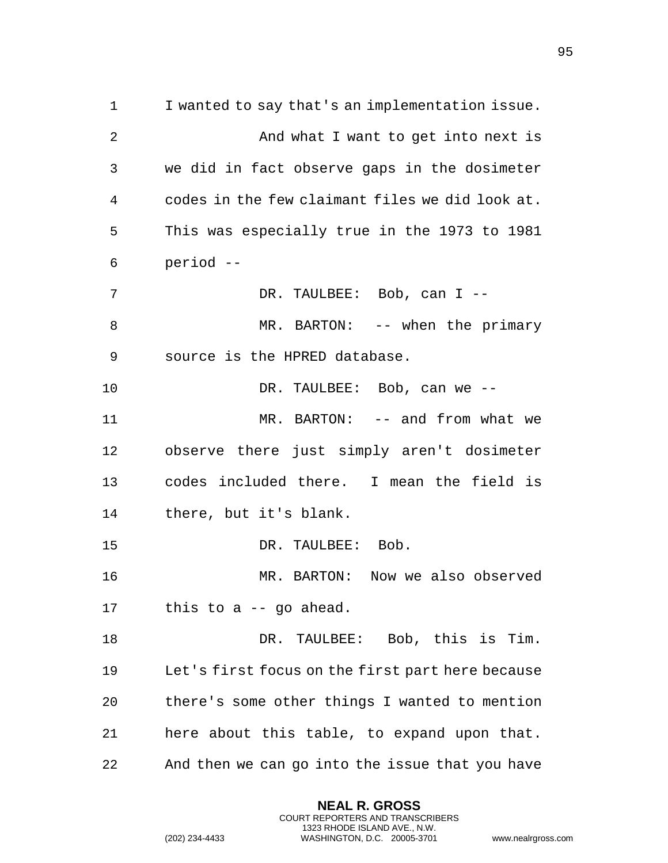I wanted to say that's an implementation issue. 2 And what I want to get into next is we did in fact observe gaps in the dosimeter codes in the few claimant files we did look at. This was especially true in the 1973 to 1981 period -- 7 DR. TAULBEE: Bob, can I -- MR. BARTON: -- when the primary source is the HPRED database. DR. TAULBEE: Bob, can we -- MR. BARTON: -- and from what we observe there just simply aren't dosimeter codes included there. I mean the field is there, but it's blank. 15 DR. TAULBEE: Bob. MR. BARTON: Now we also observed this to a -- go ahead. DR. TAULBEE: Bob, this is Tim. Let's first focus on the first part here because there's some other things I wanted to mention here about this table, to expand upon that. And then we can go into the issue that you have

> **NEAL R. GROSS** COURT REPORTERS AND TRANSCRIBERS 1323 RHODE ISLAND AVE., N.W.

(202) 234-4433 WASHINGTON, D.C. 20005-3701 www.nealrgross.com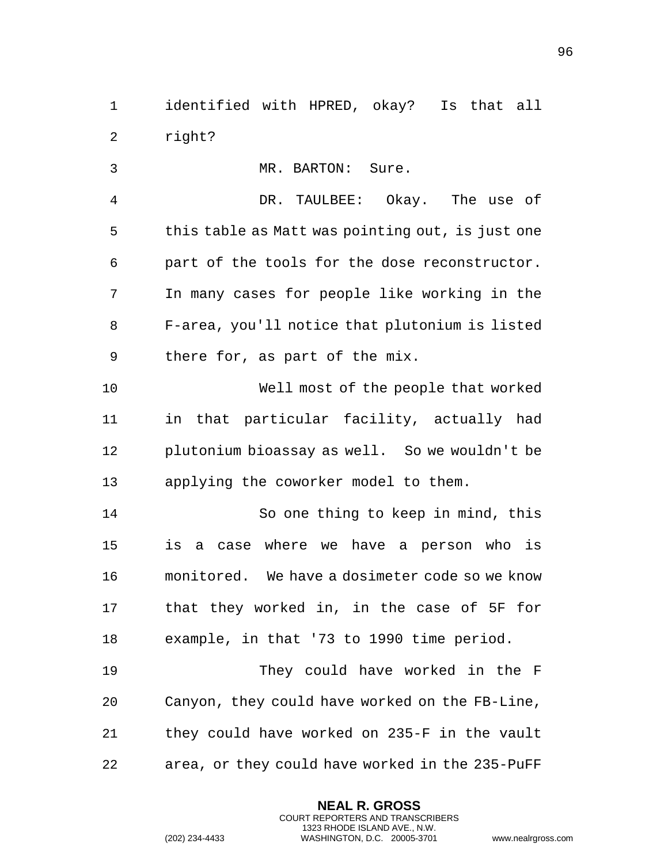identified with HPRED, okay? Is that all right?

 MR. BARTON: Sure. DR. TAULBEE: Okay. The use of this table as Matt was pointing out, is just one part of the tools for the dose reconstructor. In many cases for people like working in the F-area, you'll notice that plutonium is listed there for, as part of the mix. Well most of the people that worked in that particular facility, actually had plutonium bioassay as well. So we wouldn't be applying the coworker model to them. So one thing to keep in mind, this is a case where we have a person who is monitored. We have a dosimeter code so we know that they worked in, in the case of 5F for example, in that '73 to 1990 time period. They could have worked in the F Canyon, they could have worked on the FB-Line, they could have worked on 235-F in the vault area, or they could have worked in the 235-PuFF

> **NEAL R. GROSS** COURT REPORTERS AND TRANSCRIBERS 1323 RHODE ISLAND AVE., N.W.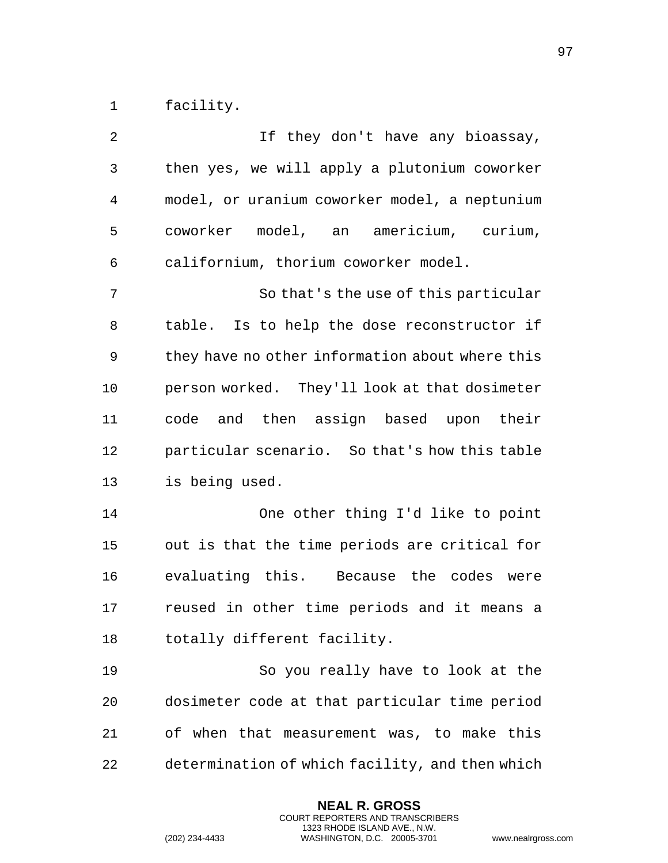facility.

| 2  | If they don't have any bioassay,                |
|----|-------------------------------------------------|
| 3  | then yes, we will apply a plutonium coworker    |
| 4  | model, or uranium coworker model, a neptunium   |
| 5  | coworker model, an americium, curium,           |
| 6  | californium, thorium coworker model.            |
| 7  | So that's the use of this particular            |
| 8  | table. Is to help the dose reconstructor if     |
| 9  | they have no other information about where this |
| 10 | person worked. They'll look at that dosimeter   |
| 11 | code and then assign based upon their           |
| 12 | particular scenario. So that's how this table   |
| 13 | is being used.                                  |
| 14 | One other thing I'd like to point               |
| 15 | out is that the time periods are critical for   |
| 16 | evaluating this. Because the codes were         |
| 17 | reused in other time periods and it means a     |
| 18 | totally different facility.                     |
| 19 | So you really have to look at the               |
| 20 | dosimeter code at that particular time period   |
| 21 | of when that measurement was, to make this      |
| 22 | determination of which facility, and then which |

**NEAL R. GROSS** COURT REPORTERS AND TRANSCRIBERS 1323 RHODE ISLAND AVE., N.W.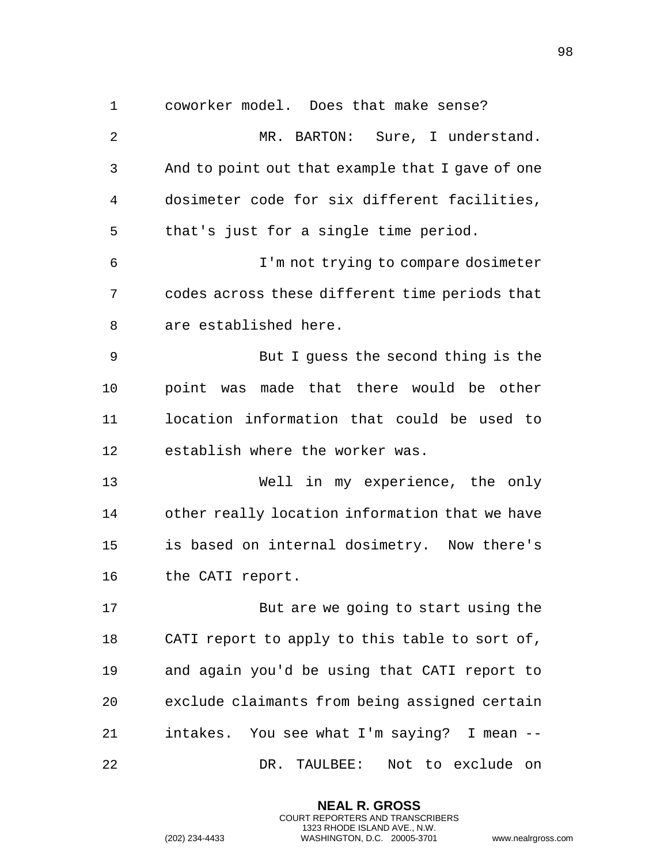coworker model. Does that make sense? MR. BARTON: Sure, I understand. And to point out that example that I gave of one dosimeter code for six different facilities, that's just for a single time period. I'm not trying to compare dosimeter codes across these different time periods that are established here. But I guess the second thing is the point was made that there would be other location information that could be used to establish where the worker was. Well in my experience, the only other really location information that we have is based on internal dosimetry. Now there's the CATI report. But are we going to start using the CATI report to apply to this table to sort of, and again you'd be using that CATI report to exclude claimants from being assigned certain intakes. You see what I'm saying? I mean -- DR. TAULBEE: Not to exclude on

> **NEAL R. GROSS** COURT REPORTERS AND TRANSCRIBERS 1323 RHODE ISLAND AVE., N.W.

(202) 234-4433 WASHINGTON, D.C. 20005-3701 www.nealrgross.com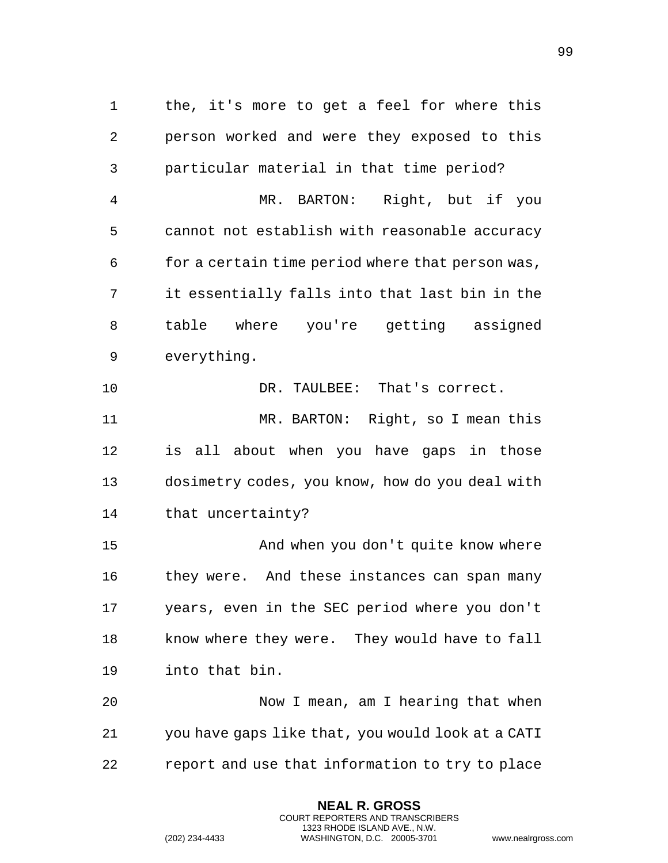the, it's more to get a feel for where this person worked and were they exposed to this particular material in that time period? MR. BARTON: Right, but if you cannot not establish with reasonable accuracy for a certain time period where that person was, it essentially falls into that last bin in the table where you're getting assigned everything. DR. TAULBEE: That's correct. MR. BARTON: Right, so I mean this is all about when you have gaps in those dosimetry codes, you know, how do you deal with that uncertainty? 15 And when you don't quite know where 16 they were. And these instances can span many years, even in the SEC period where you don't know where they were. They would have to fall into that bin. Now I mean, am I hearing that when you have gaps like that, you would look at a CATI report and use that information to try to place

> **NEAL R. GROSS** COURT REPORTERS AND TRANSCRIBERS 1323 RHODE ISLAND AVE., N.W.

(202) 234-4433 WASHINGTON, D.C. 20005-3701 www.nealrgross.com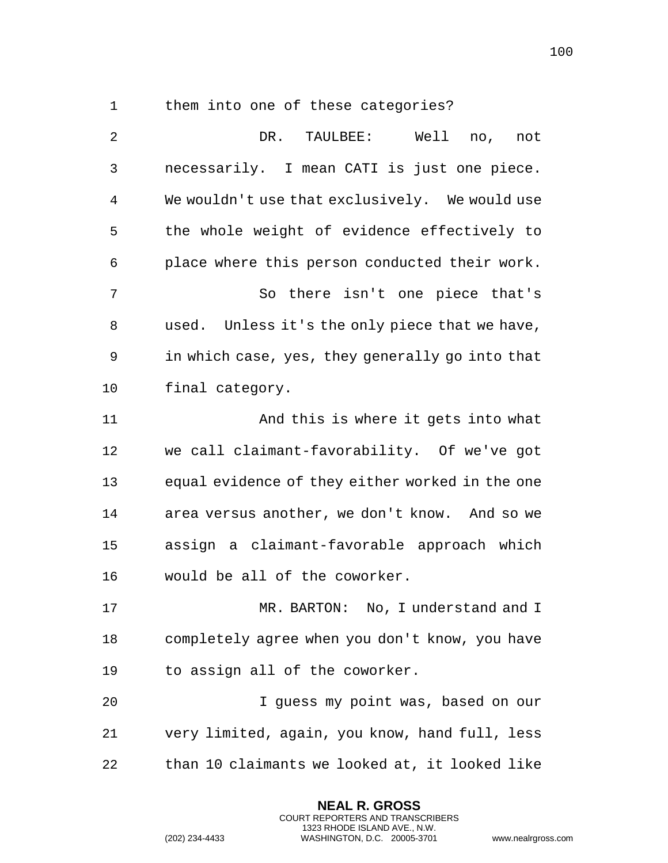1 them into one of these categories?

 DR. TAULBEE: Well no, not necessarily. I mean CATI is just one piece. We wouldn't use that exclusively. We would use the whole weight of evidence effectively to place where this person conducted their work. So there isn't one piece that's used. Unless it's the only piece that we have, in which case, yes, they generally go into that final category. And this is where it gets into what we call claimant-favorability. Of we've got equal evidence of they either worked in the one area versus another, we don't know. And so we assign a claimant-favorable approach which would be all of the coworker. MR. BARTON: No, I understand and I completely agree when you don't know, you have to assign all of the coworker. I guess my point was, based on our very limited, again, you know, hand full, less than 10 claimants we looked at, it looked like

> **NEAL R. GROSS** COURT REPORTERS AND TRANSCRIBERS 1323 RHODE ISLAND AVE., N.W.

(202) 234-4433 WASHINGTON, D.C. 20005-3701 www.nealrgross.com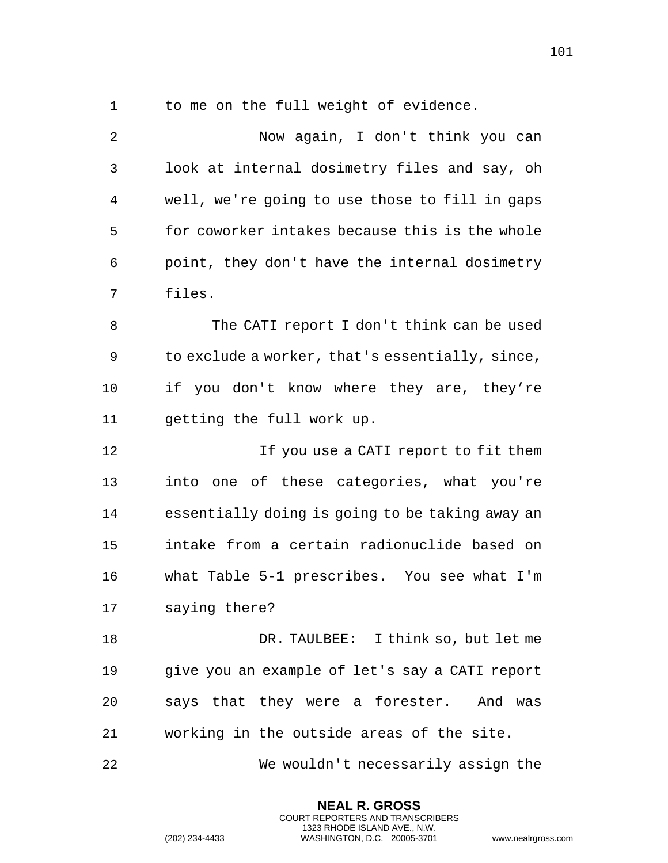to me on the full weight of evidence.

 Now again, I don't think you can look at internal dosimetry files and say, oh well, we're going to use those to fill in gaps for coworker intakes because this is the whole point, they don't have the internal dosimetry files. The CATI report I don't think can be used to exclude a worker, that's essentially, since, if you don't know where they are, they're getting the full work up. If you use a CATI report to fit them into one of these categories, what you're essentially doing is going to be taking away an intake from a certain radionuclide based on what Table 5-1 prescribes. You see what I'm saying there? DR. TAULBEE: I think so, but let me give you an example of let's say a CATI report says that they were a forester. And was working in the outside areas of the site. We wouldn't necessarily assign the

> **NEAL R. GROSS** COURT REPORTERS AND TRANSCRIBERS 1323 RHODE ISLAND AVE., N.W.

(202) 234-4433 WASHINGTON, D.C. 20005-3701 www.nealrgross.com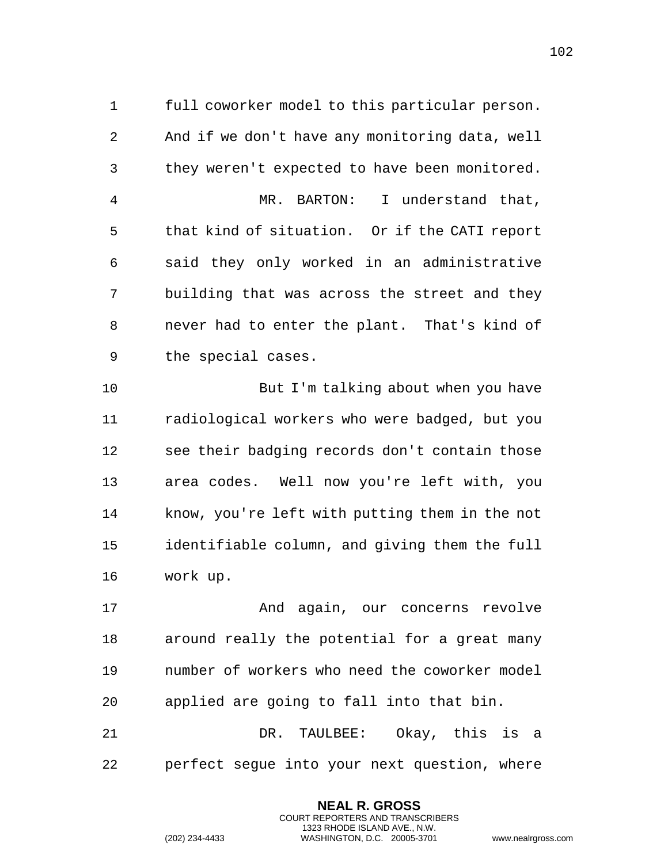full coworker model to this particular person. And if we don't have any monitoring data, well they weren't expected to have been monitored. MR. BARTON: I understand that, that kind of situation. Or if the CATI report said they only worked in an administrative building that was across the street and they never had to enter the plant. That's kind of the special cases.

 But I'm talking about when you have radiological workers who were badged, but you see their badging records don't contain those area codes. Well now you're left with, you know, you're left with putting them in the not identifiable column, and giving them the full work up.

 And again, our concerns revolve around really the potential for a great many number of workers who need the coworker model applied are going to fall into that bin.

 DR. TAULBEE: Okay, this is a perfect segue into your next question, where

> **NEAL R. GROSS** COURT REPORTERS AND TRANSCRIBERS 1323 RHODE ISLAND AVE., N.W.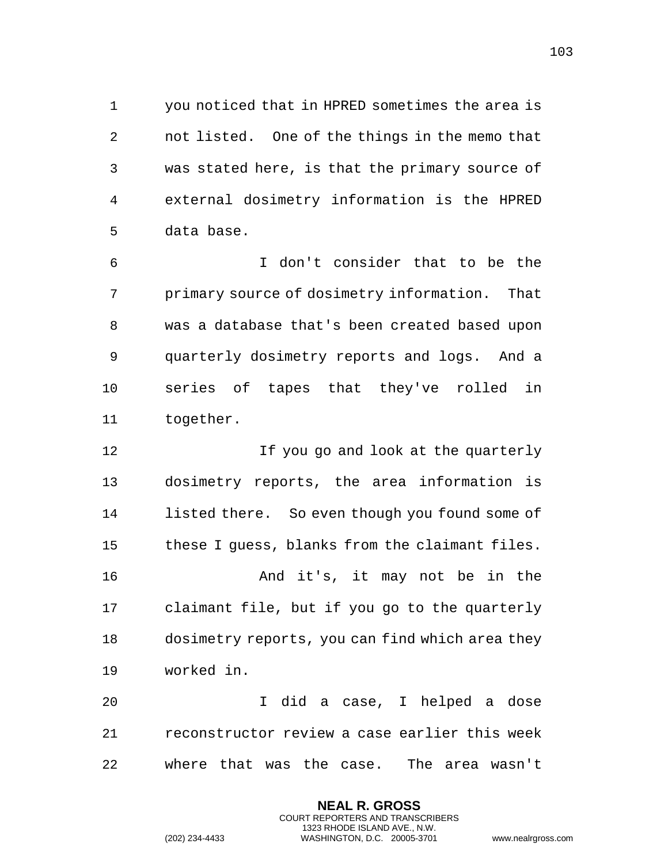you noticed that in HPRED sometimes the area is not listed. One of the things in the memo that was stated here, is that the primary source of external dosimetry information is the HPRED data base.

 I don't consider that to be the primary source of dosimetry information. That was a database that's been created based upon quarterly dosimetry reports and logs. And a series of tapes that they've rolled in together.

 If you go and look at the quarterly dosimetry reports, the area information is listed there. So even though you found some of these I guess, blanks from the claimant files. And it's, it may not be in the claimant file, but if you go to the quarterly dosimetry reports, you can find which area they worked in.

 I did a case, I helped a dose reconstructor review a case earlier this week where that was the case. The area wasn't

> **NEAL R. GROSS** COURT REPORTERS AND TRANSCRIBERS 1323 RHODE ISLAND AVE., N.W.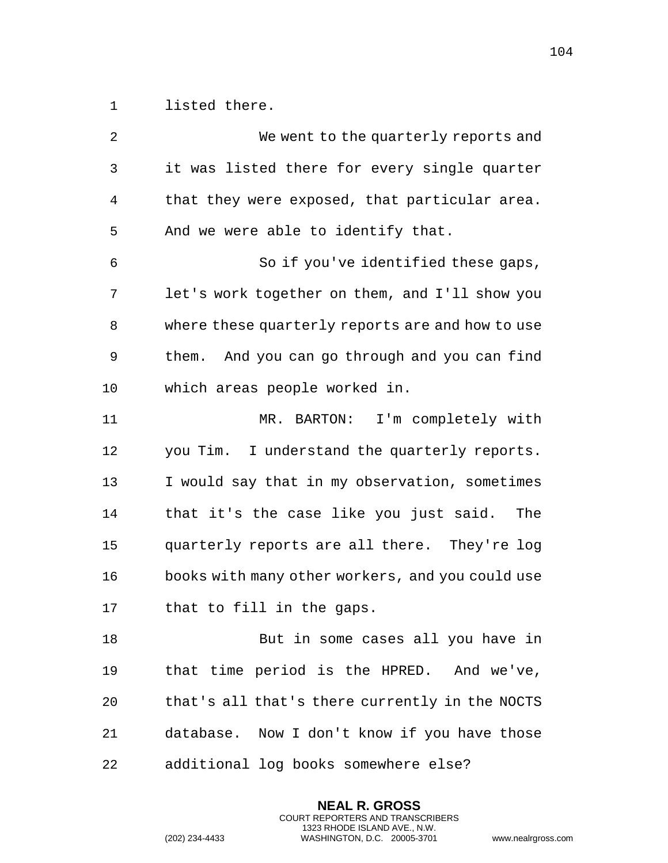listed there.

 We went to the quarterly reports and it was listed there for every single quarter that they were exposed, that particular area. And we were able to identify that. So if you've identified these gaps, let's work together on them, and I'll show you where these quarterly reports are and how to use them. And you can go through and you can find which areas people worked in. MR. BARTON: I'm completely with you Tim. I understand the quarterly reports. I would say that in my observation, sometimes that it's the case like you just said. The quarterly reports are all there. They're log books with many other workers, and you could use that to fill in the gaps. But in some cases all you have in that time period is the HPRED. And we've, that's all that's there currently in the NOCTS database. Now I don't know if you have those additional log books somewhere else?

> **NEAL R. GROSS** COURT REPORTERS AND TRANSCRIBERS 1323 RHODE ISLAND AVE., N.W.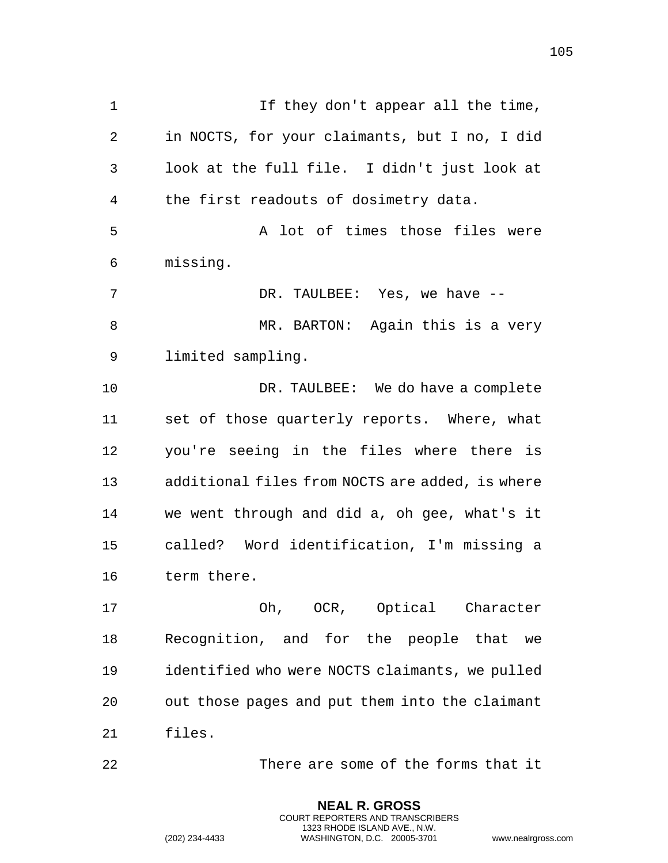If they don't appear all the time, in NOCTS, for your claimants, but I no, I did look at the full file. I didn't just look at the first readouts of dosimetry data. A lot of times those files were missing. 7 DR. TAULBEE: Yes, we have  $-$ 8 MR. BARTON: Again this is a very limited sampling. 10 DR. TAULBEE: We do have a complete set of those quarterly reports. Where, what you're seeing in the files where there is additional files from NOCTS are added, is where we went through and did a, oh gee, what's it called? Word identification, I'm missing a term there. Oh, OCR, Optical Character

 Recognition, and for the people that we identified who were NOCTS claimants, we pulled out those pages and put them into the claimant files.

There are some of the forms that it

**NEAL R. GROSS** COURT REPORTERS AND TRANSCRIBERS 1323 RHODE ISLAND AVE., N.W.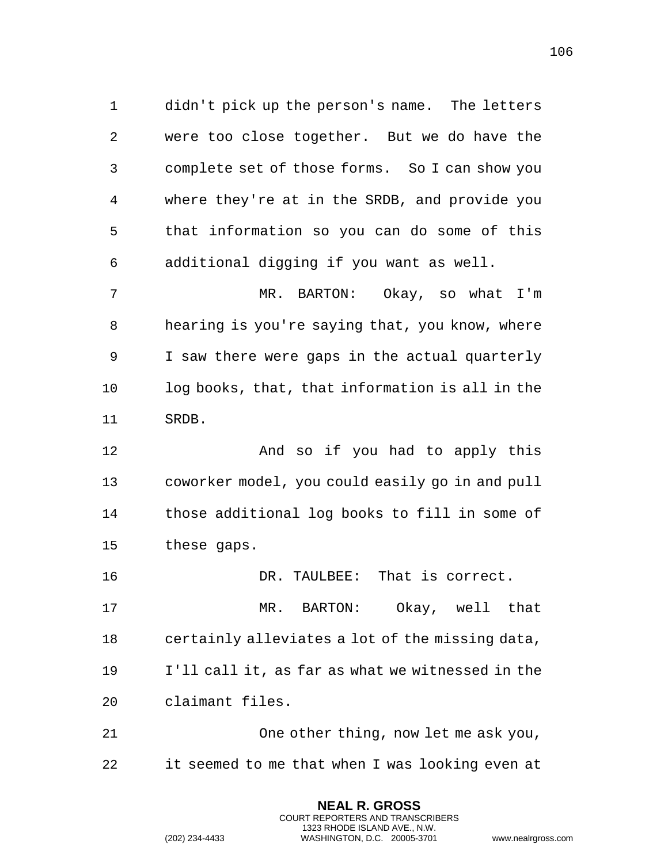didn't pick up the person's name. The letters were too close together. But we do have the complete set of those forms. So I can show you where they're at in the SRDB, and provide you that information so you can do some of this additional digging if you want as well. MR. BARTON: Okay, so what I'm hearing is you're saying that, you know, where I saw there were gaps in the actual quarterly log books, that, that information is all in the

SRDB.

 And so if you had to apply this coworker model, you could easily go in and pull those additional log books to fill in some of these gaps.

 DR. TAULBEE: That is correct. MR. BARTON: Okay, well that certainly alleviates a lot of the missing data, I'll call it, as far as what we witnessed in the claimant files.

 One other thing, now let me ask you, it seemed to me that when I was looking even at

> **NEAL R. GROSS** COURT REPORTERS AND TRANSCRIBERS 1323 RHODE ISLAND AVE., N.W.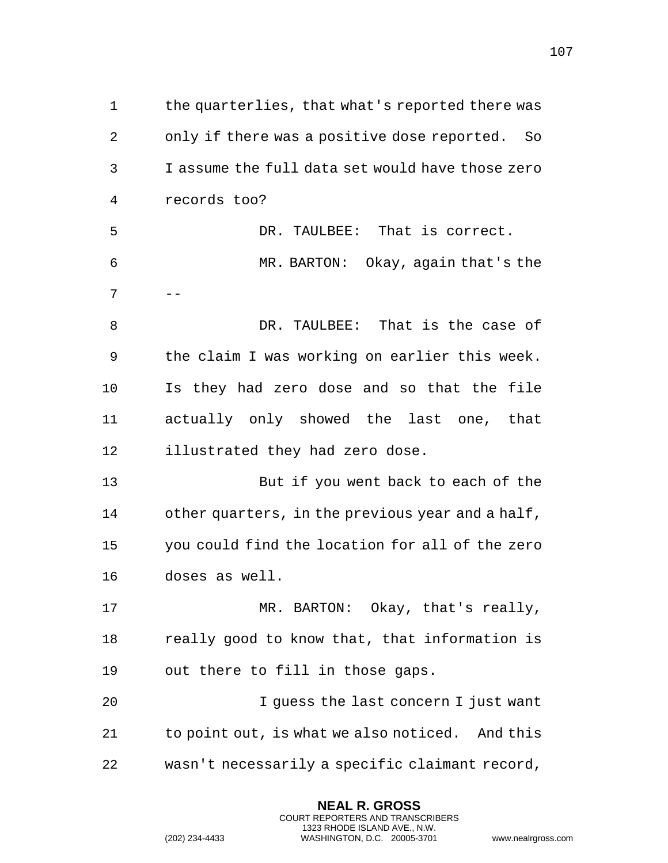the quarterlies, that what's reported there was only if there was a positive dose reported. So I assume the full data set would have those zero records too? DR. TAULBEE: That is correct. MR. BARTON: Okay, again that's the  $7 \quad - -$  DR. TAULBEE: That is the case of the claim I was working on earlier this week. Is they had zero dose and so that the file actually only showed the last one, that illustrated they had zero dose. But if you went back to each of the other quarters, in the previous year and a half, you could find the location for all of the zero doses as well. 17 MR. BARTON: Okay, that's really, really good to know that, that information is out there to fill in those gaps. I guess the last concern I just want to point out, is what we also noticed. And this wasn't necessarily a specific claimant record,

> **NEAL R. GROSS** COURT REPORTERS AND TRANSCRIBERS 1323 RHODE ISLAND AVE., N.W.

(202) 234-4433 WASHINGTON, D.C. 20005-3701 www.nealrgross.com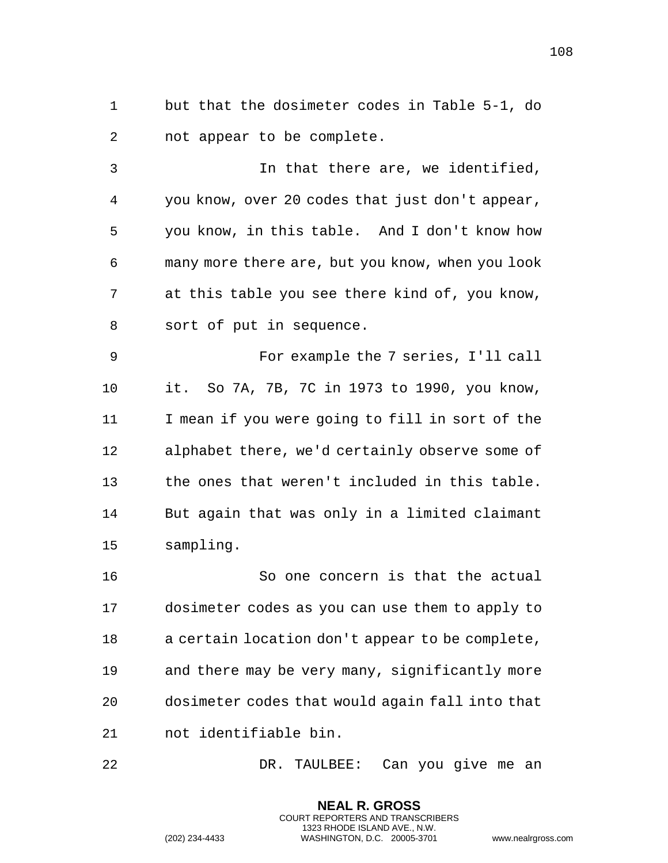but that the dosimeter codes in Table 5-1, do not appear to be complete.

 In that there are, we identified, you know, over 20 codes that just don't appear, you know, in this table. And I don't know how many more there are, but you know, when you look at this table you see there kind of, you know, sort of put in sequence.

 For example the 7 series, I'll call it. So 7A, 7B, 7C in 1973 to 1990, you know, I mean if you were going to fill in sort of the alphabet there, we'd certainly observe some of the ones that weren't included in this table. But again that was only in a limited claimant sampling.

 So one concern is that the actual dosimeter codes as you can use them to apply to a certain location don't appear to be complete, and there may be very many, significantly more dosimeter codes that would again fall into that not identifiable bin.

DR. TAULBEE: Can you give me an

**NEAL R. GROSS** COURT REPORTERS AND TRANSCRIBERS 1323 RHODE ISLAND AVE., N.W.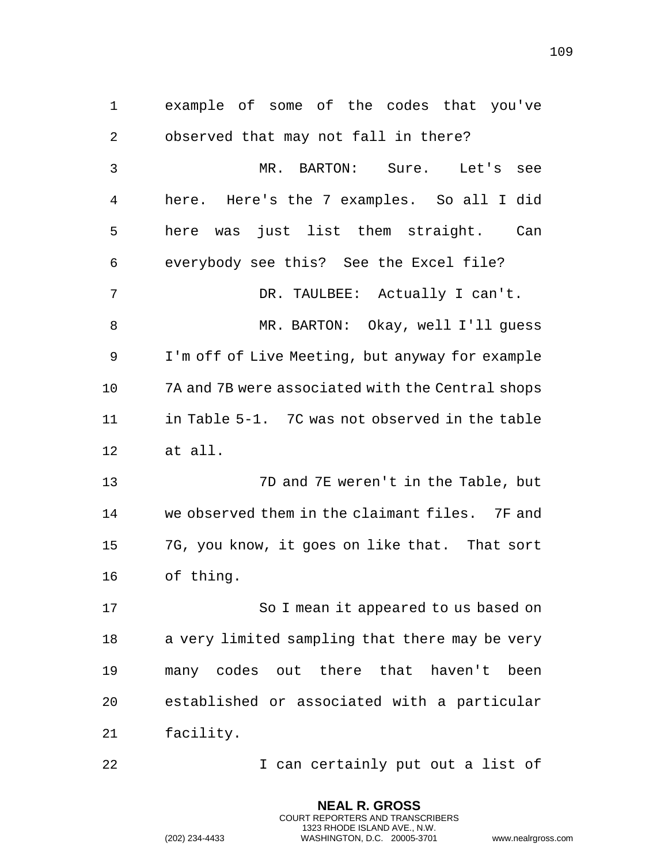example of some of the codes that you've observed that may not fall in there? MR. BARTON: Sure. Let's see here. Here's the 7 examples. So all I did here was just list them straight. Can everybody see this? See the Excel file? DR. TAULBEE: Actually I can't. MR. BARTON: Okay, well I'll guess I'm off of Live Meeting, but anyway for example 7A and 7B were associated with the Central shops in Table 5-1. 7C was not observed in the table at all. 7D and 7E weren't in the Table, but we observed them in the claimant files. 7F and 7G, you know, it goes on like that. That sort of thing. 17 So I mean it appeared to us based on a very limited sampling that there may be very many codes out there that haven't been established or associated with a particular facility. **I** can certainly put out a list of

> **NEAL R. GROSS** COURT REPORTERS AND TRANSCRIBERS 1323 RHODE ISLAND AVE., N.W.

(202) 234-4433 WASHINGTON, D.C. 20005-3701 www.nealrgross.com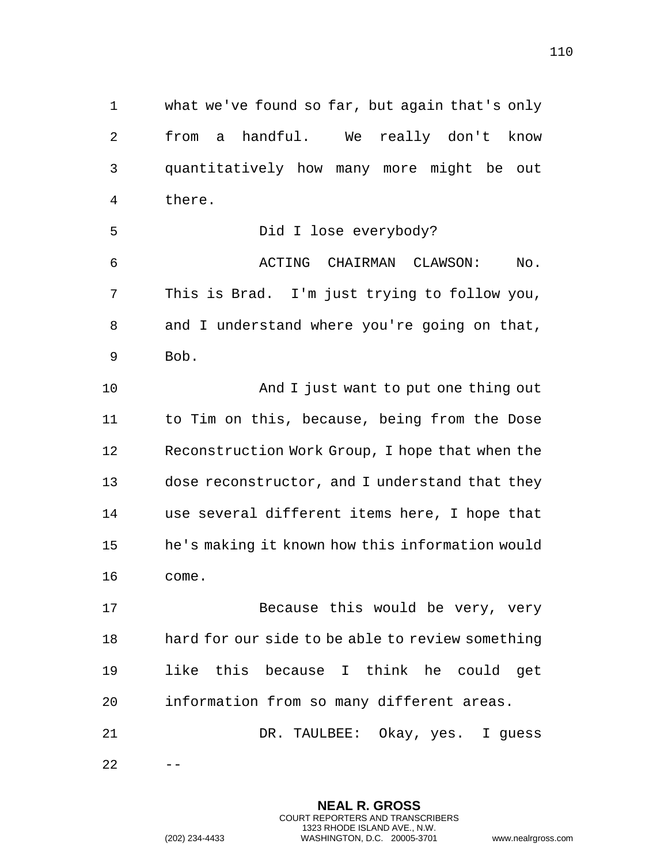what we've found so far, but again that's only from a handful. We really don't know quantitatively how many more might be out there. Did I lose everybody? ACTING CHAIRMAN CLAWSON: No. This is Brad. I'm just trying to follow you, and I understand where you're going on that, Bob. And I just want to put one thing out to Tim on this, because, being from the Dose Reconstruction Work Group, I hope that when the dose reconstructor, and I understand that they use several different items here, I hope that he's making it known how this information would come. 17 Because this would be very, very hard for our side to be able to review something like this because I think he could get information from so many different areas. DR. TAULBEE: Okay, yes. I guess  $22 - -$ 

> **NEAL R. GROSS** COURT REPORTERS AND TRANSCRIBERS 1323 RHODE ISLAND AVE., N.W.

(202) 234-4433 WASHINGTON, D.C. 20005-3701 www.nealrgross.com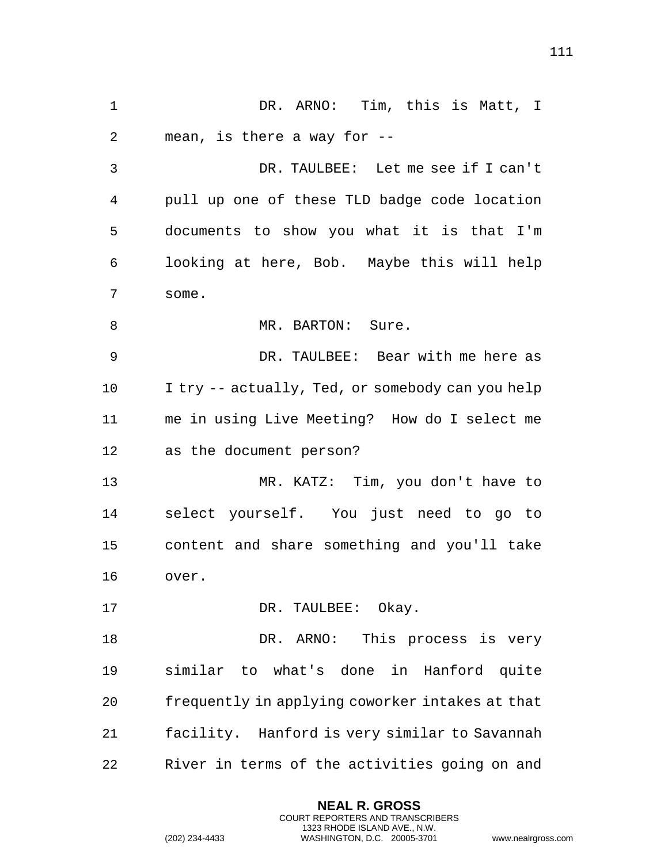DR. ARNO: Tim, this is Matt, I mean, is there a way for -- DR. TAULBEE: Let me see if I can't pull up one of these TLD badge code location documents to show you what it is that I'm looking at here, Bob. Maybe this will help some. 8 MR. BARTON: Sure. DR. TAULBEE: Bear with me here as I try -- actually, Ted, or somebody can you help me in using Live Meeting? How do I select me as the document person? MR. KATZ: Tim, you don't have to select yourself. You just need to go to content and share something and you'll take over. 17 DR. TAULBEE: Okay. 18 DR. ARNO: This process is very similar to what's done in Hanford quite frequently in applying coworker intakes at that facility. Hanford is very similar to Savannah River in terms of the activities going on and

> **NEAL R. GROSS** COURT REPORTERS AND TRANSCRIBERS 1323 RHODE ISLAND AVE., N.W.

```
(202) 234-4433 WASHINGTON, D.C. 20005-3701 www.nealrgross.com
```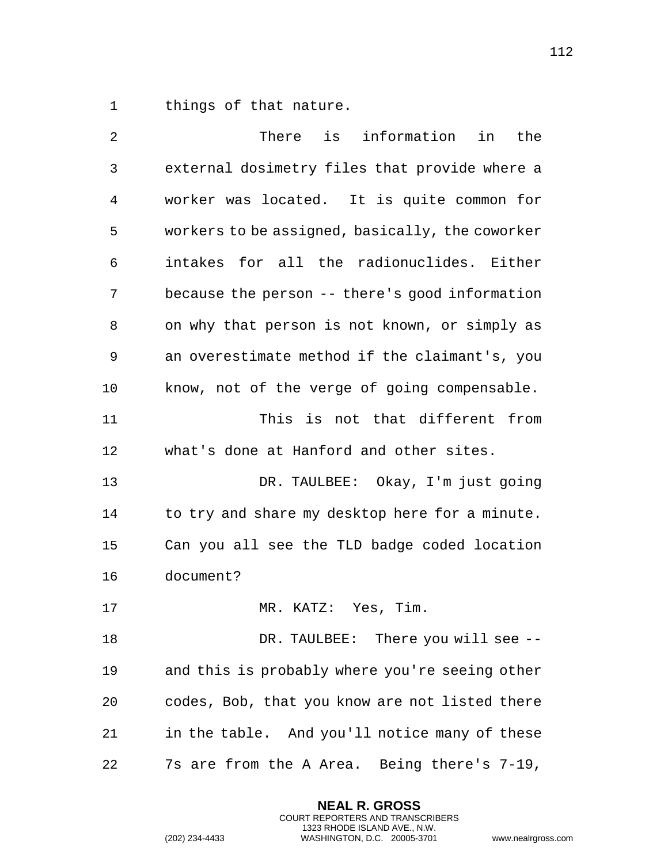things of that nature.

| 2            | is<br>information in<br>There<br>the            |
|--------------|-------------------------------------------------|
| $\mathsf{3}$ | external dosimetry files that provide where a   |
| 4            | worker was located. It is quite common for      |
| 5            | workers to be assigned, basically, the coworker |
| 6            | intakes for all the radionuclides. Either       |
| 7            | because the person -- there's good information  |
| 8            | on why that person is not known, or simply as   |
| 9            | an overestimate method if the claimant's, you   |
| 10           | know, not of the verge of going compensable.    |
| 11           | This is not that different from                 |
| 12           | what's done at Hanford and other sites.         |
| 13           | DR. TAULBEE: Okay, I'm just going               |
| 14           | to try and share my desktop here for a minute.  |
| 15           | Can you all see the TLD badge coded location    |
| 16           | document?                                       |
| 17           | MR. KATZ: Yes, Tim.                             |
| 18           | DR. TAULBEE: There you will see --              |
| 19           | and this is probably where you're seeing other  |
| 20           | codes, Bob, that you know are not listed there  |
| 21           | in the table. And you'll notice many of these   |
| 22           | 7s are from the A Area. Being there's 7-19,     |

**NEAL R. GROSS** COURT REPORTERS AND TRANSCRIBERS 1323 RHODE ISLAND AVE., N.W.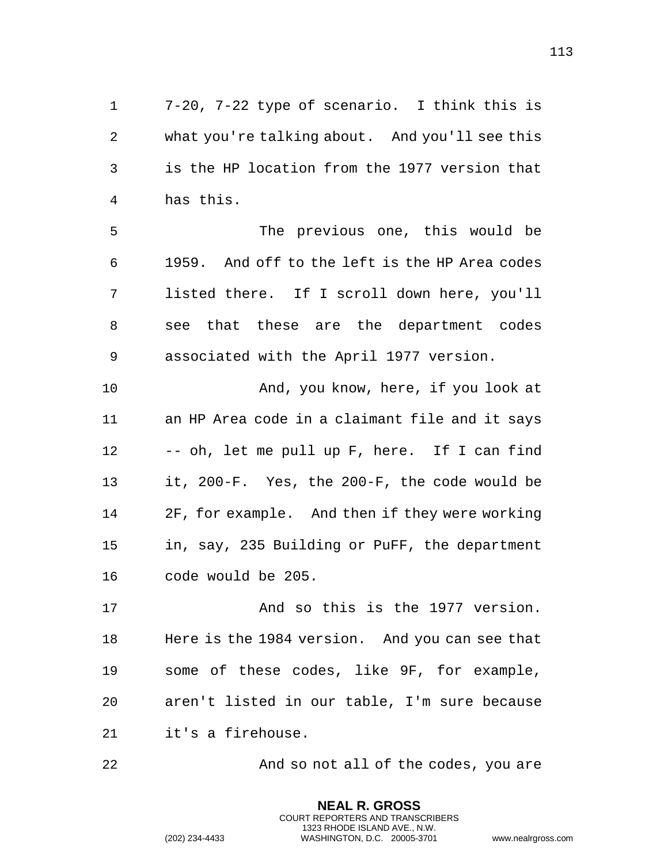7-20, 7-22 type of scenario. I think this is what you're talking about. And you'll see this is the HP location from the 1977 version that has this.

 The previous one, this would be 1959. And off to the left is the HP Area codes listed there. If I scroll down here, you'll see that these are the department codes associated with the April 1977 version.

 And, you know, here, if you look at an HP Area code in a claimant file and it says -- oh, let me pull up F, here. If I can find it, 200-F. Yes, the 200-F, the code would be 2F, for example. And then if they were working in, say, 235 Building or PuFF, the department code would be 205.

 And so this is the 1977 version. Here is the 1984 version. And you can see that some of these codes, like 9F, for example, aren't listed in our table, I'm sure because it's a firehouse.

And so not all of the codes, you are

**NEAL R. GROSS** COURT REPORTERS AND TRANSCRIBERS 1323 RHODE ISLAND AVE., N.W.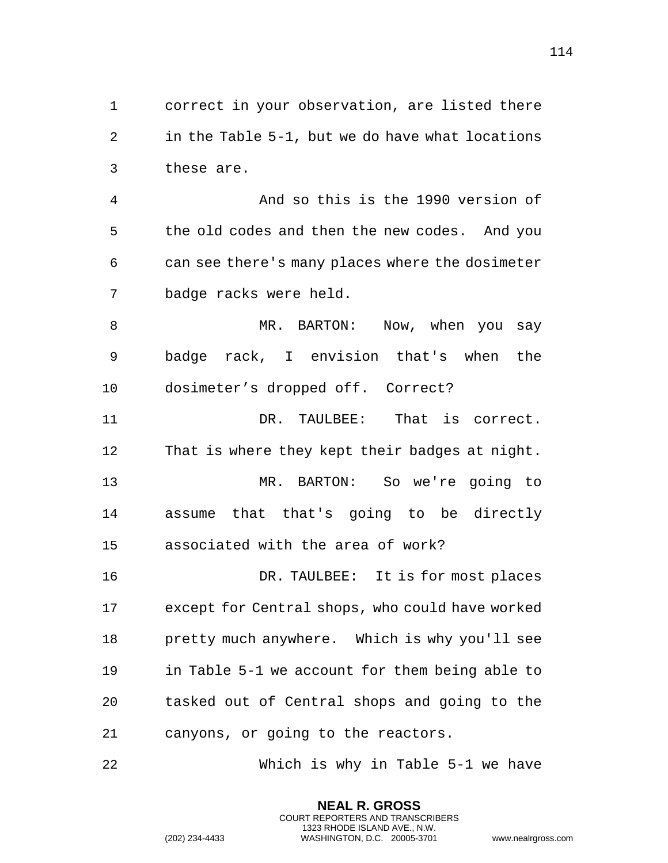correct in your observation, are listed there in the Table 5-1, but we do have what locations these are.

 And so this is the 1990 version of the old codes and then the new codes. And you can see there's many places where the dosimeter badge racks were held.

8 MR. BARTON: Now, when you say badge rack, I envision that's when the dosimeter's dropped off. Correct?

 DR. TAULBEE: That is correct. That is where they kept their badges at night.

 MR. BARTON: So we're going to assume that that's going to be directly associated with the area of work?

 DR. TAULBEE: It is for most places except for Central shops, who could have worked pretty much anywhere. Which is why you'll see in Table 5-1 we account for them being able to tasked out of Central shops and going to the canyons, or going to the reactors.

Which is why in Table 5-1 we have

**NEAL R. GROSS** COURT REPORTERS AND TRANSCRIBERS 1323 RHODE ISLAND AVE., N.W.

(202) 234-4433 WASHINGTON, D.C. 20005-3701 www.nealrgross.com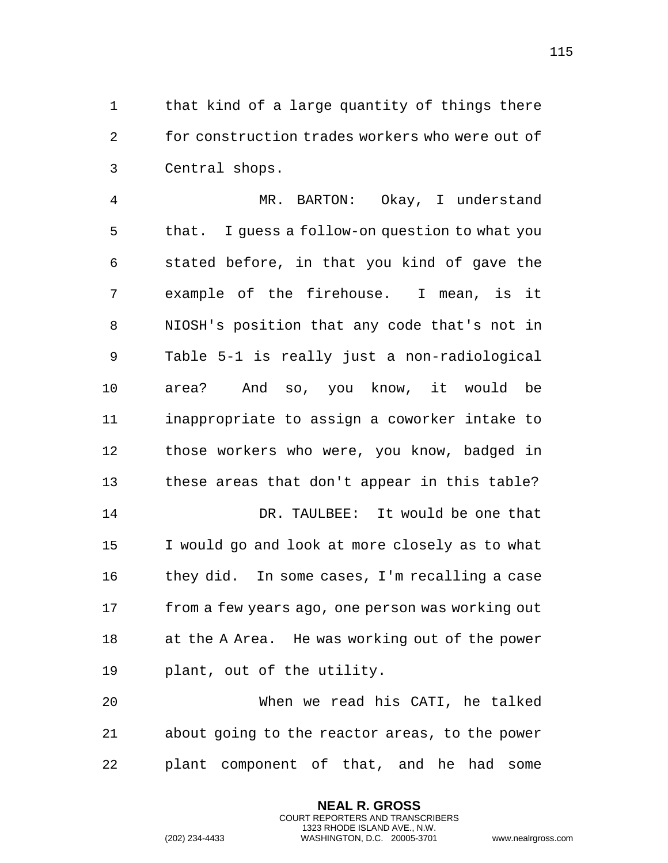that kind of a large quantity of things there for construction trades workers who were out of Central shops.

 MR. BARTON: Okay, I understand that. I guess a follow-on question to what you stated before, in that you kind of gave the example of the firehouse. I mean, is it NIOSH's position that any code that's not in Table 5-1 is really just a non-radiological area? And so, you know, it would be inappropriate to assign a coworker intake to those workers who were, you know, badged in these areas that don't appear in this table? DR. TAULBEE: It would be one that I would go and look at more closely as to what they did. In some cases, I'm recalling a case from a few years ago, one person was working out at the A Area. He was working out of the power plant, out of the utility.

 When we read his CATI, he talked about going to the reactor areas, to the power plant component of that, and he had some

> **NEAL R. GROSS** COURT REPORTERS AND TRANSCRIBERS 1323 RHODE ISLAND AVE., N.W.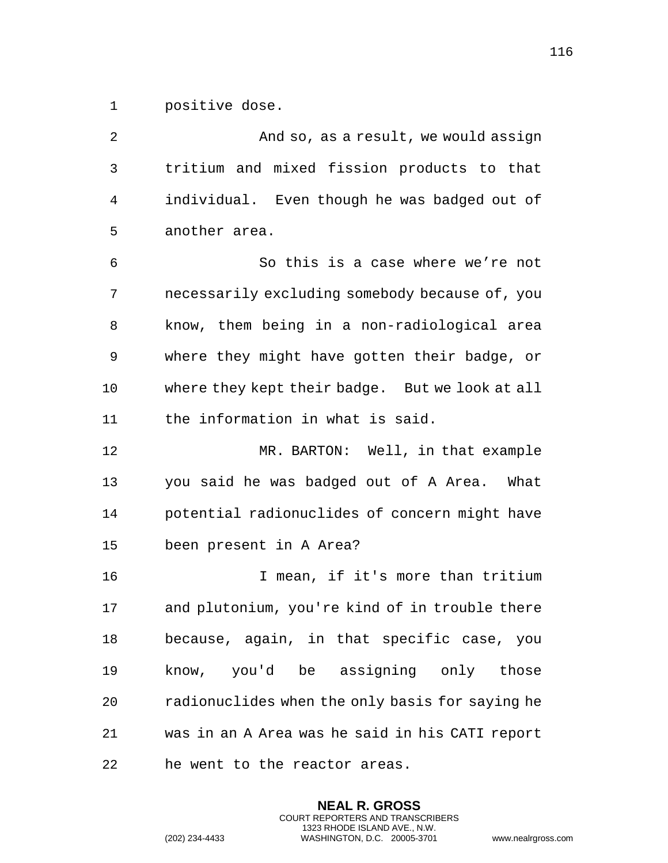positive dose.

 And so, as a result, we would assign tritium and mixed fission products to that individual. Even though he was badged out of another area. So this is a case where we're not necessarily excluding somebody because of, you know, them being in a non-radiological area where they might have gotten their badge, or where they kept their badge. But we look at all the information in what is said. MR. BARTON: Well, in that example you said he was badged out of A Area. What potential radionuclides of concern might have been present in A Area? I mean, if it's more than tritium and plutonium, you're kind of in trouble there because, again, in that specific case, you know, you'd be assigning only those radionuclides when the only basis for saying he was in an A Area was he said in his CATI report he went to the reactor areas.

> **NEAL R. GROSS** COURT REPORTERS AND TRANSCRIBERS 1323 RHODE ISLAND AVE., N.W.

(202) 234-4433 WASHINGTON, D.C. 20005-3701 www.nealrgross.com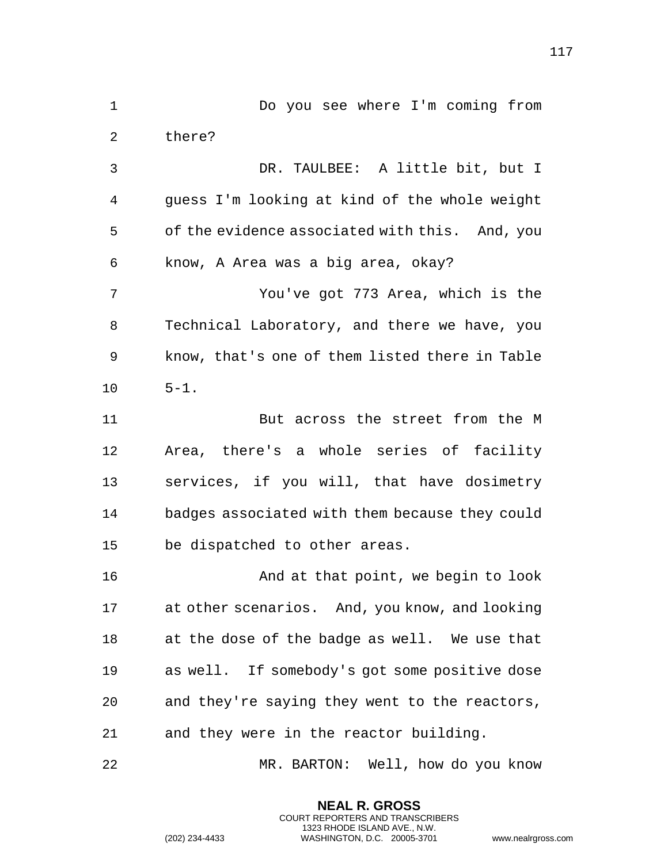DR. TAULBEE: A little bit, but I guess I'm looking at kind of the whole weight of the evidence associated with this. And, you know, A Area was a big area, okay? You've got 773 Area, which is the Technical Laboratory, and there we have, you know, that's one of them listed there in Table  $10 \t 5-1.$  But across the street from the M Area, there's a whole series of facility services, if you will, that have dosimetry badges associated with them because they could be dispatched to other areas. And at that point, we begin to look at other scenarios. And, you know, and looking at the dose of the badge as well. We use that as well. If somebody's got some positive dose and they're saying they went to the reactors, and they were in the reactor building.

Do you see where I'm coming from

there?

MR. BARTON: Well, how do you know

**NEAL R. GROSS** COURT REPORTERS AND TRANSCRIBERS 1323 RHODE ISLAND AVE., N.W.

(202) 234-4433 WASHINGTON, D.C. 20005-3701 www.nealrgross.com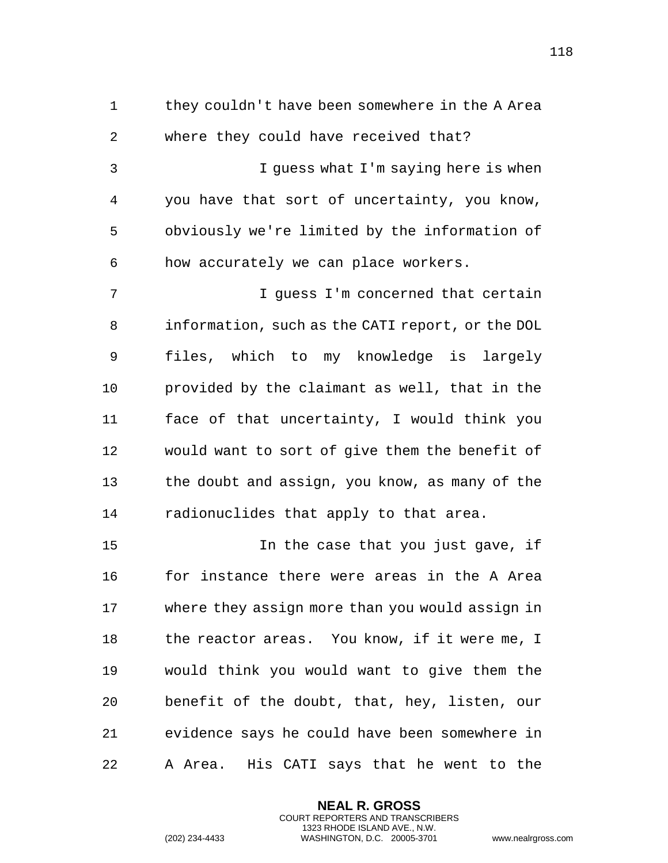they couldn't have been somewhere in the A Area where they could have received that? I guess what I'm saying here is when you have that sort of uncertainty, you know, obviously we're limited by the information of how accurately we can place workers. I guess I'm concerned that certain information, such as the CATI report, or the DOL files, which to my knowledge is largely provided by the claimant as well, that in the face of that uncertainty, I would think you would want to sort of give them the benefit of the doubt and assign, you know, as many of the radionuclides that apply to that area. In the case that you just gave, if

 for instance there were areas in the A Area where they assign more than you would assign in 18 the reactor areas. You know, if it were me, I would think you would want to give them the benefit of the doubt, that, hey, listen, our evidence says he could have been somewhere in A Area. His CATI says that he went to the

> **NEAL R. GROSS** COURT REPORTERS AND TRANSCRIBERS 1323 RHODE ISLAND AVE., N.W.

```
(202) 234-4433 WASHINGTON, D.C. 20005-3701 www.nealrgross.com
```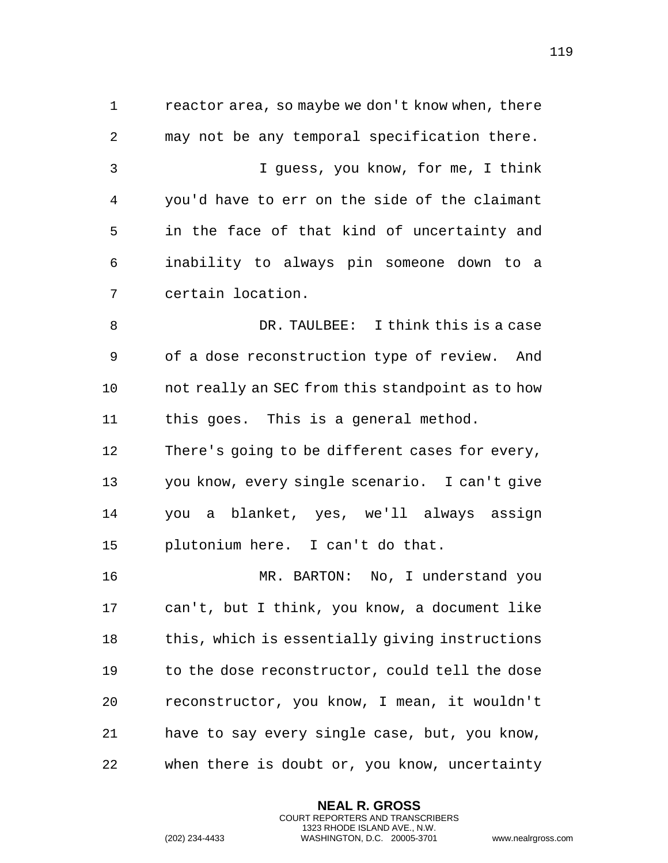reactor area, so maybe we don't know when, there may not be any temporal specification there. I guess, you know, for me, I think you'd have to err on the side of the claimant in the face of that kind of uncertainty and inability to always pin someone down to a certain location.

 DR. TAULBEE: I think this is a case of a dose reconstruction type of review. And not really an SEC from this standpoint as to how this goes. This is a general method. There's going to be different cases for every, you know, every single scenario. I can't give you a blanket, yes, we'll always assign

plutonium here. I can't do that.

 MR. BARTON: No, I understand you can't, but I think, you know, a document like this, which is essentially giving instructions to the dose reconstructor, could tell the dose reconstructor, you know, I mean, it wouldn't have to say every single case, but, you know, when there is doubt or, you know, uncertainty

> **NEAL R. GROSS** COURT REPORTERS AND TRANSCRIBERS 1323 RHODE ISLAND AVE., N.W.

```
(202) 234-4433 WASHINGTON, D.C. 20005-3701 www.nealrgross.com
```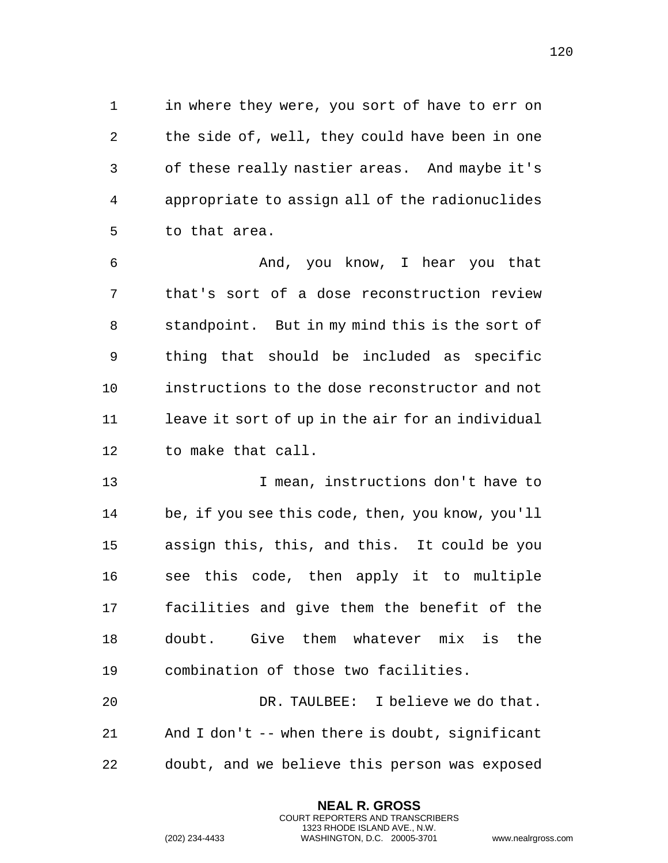in where they were, you sort of have to err on the side of, well, they could have been in one of these really nastier areas. And maybe it's appropriate to assign all of the radionuclides to that area.

 And, you know, I hear you that that's sort of a dose reconstruction review standpoint. But in my mind this is the sort of thing that should be included as specific instructions to the dose reconstructor and not 11 leave it sort of up in the air for an individual to make that call.

 I mean, instructions don't have to be, if you see this code, then, you know, you'll assign this, this, and this. It could be you see this code, then apply it to multiple facilities and give them the benefit of the doubt. Give them whatever mix is the combination of those two facilities.

 DR. TAULBEE: I believe we do that. And I don't -- when there is doubt, significant doubt, and we believe this person was exposed

> **NEAL R. GROSS** COURT REPORTERS AND TRANSCRIBERS 1323 RHODE ISLAND AVE., N.W.

```
(202) 234-4433 WASHINGTON, D.C. 20005-3701 www.nealrgross.com
```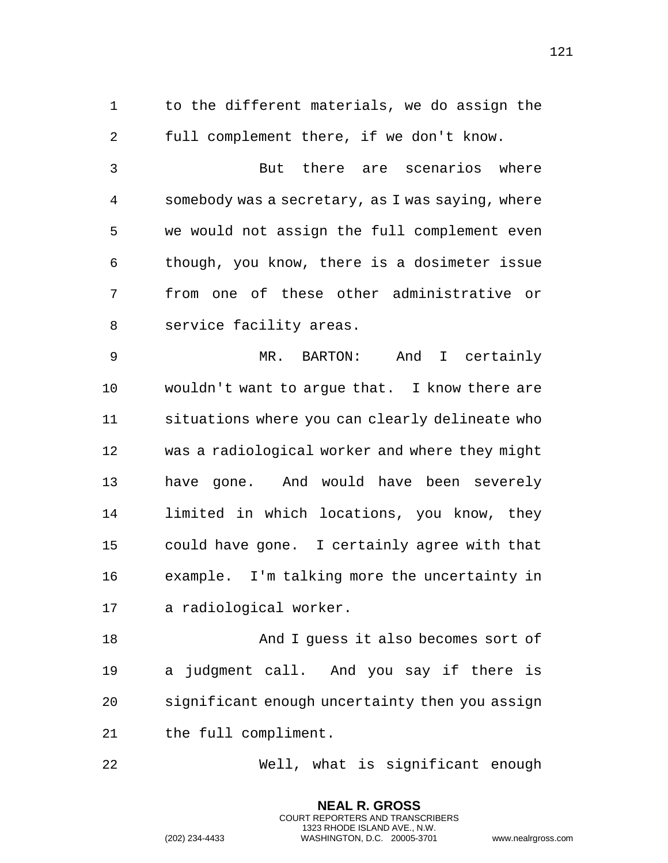to the different materials, we do assign the full complement there, if we don't know.

 But there are scenarios where somebody was a secretary, as I was saying, where we would not assign the full complement even though, you know, there is a dosimeter issue from one of these other administrative or service facility areas.

 MR. BARTON: And I certainly wouldn't want to argue that. I know there are situations where you can clearly delineate who was a radiological worker and where they might have gone. And would have been severely limited in which locations, you know, they could have gone. I certainly agree with that example. I'm talking more the uncertainty in a radiological worker.

 And I guess it also becomes sort of a judgment call. And you say if there is significant enough uncertainty then you assign the full compliment.

Well, what is significant enough

**NEAL R. GROSS** COURT REPORTERS AND TRANSCRIBERS 1323 RHODE ISLAND AVE., N.W.

(202) 234-4433 WASHINGTON, D.C. 20005-3701 www.nealrgross.com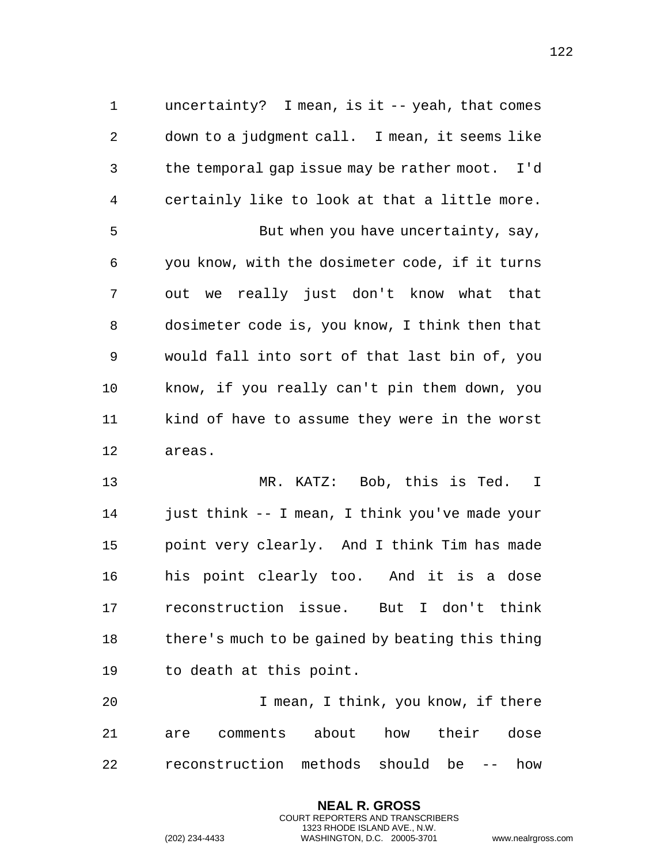uncertainty? I mean, is it -- yeah, that comes down to a judgment call. I mean, it seems like the temporal gap issue may be rather moot. I'd certainly like to look at that a little more. 5 But when you have uncertainty, say, you know, with the dosimeter code, if it turns out we really just don't know what that dosimeter code is, you know, I think then that would fall into sort of that last bin of, you know, if you really can't pin them down, you kind of have to assume they were in the worst areas.

 MR. KATZ: Bob, this is Ted. I just think -- I mean, I think you've made your point very clearly. And I think Tim has made his point clearly too. And it is a dose reconstruction issue. But I don't think there's much to be gained by beating this thing to death at this point.

 I mean, I think, you know, if there are comments about how their dose reconstruction methods should be -- how

> **NEAL R. GROSS** COURT REPORTERS AND TRANSCRIBERS 1323 RHODE ISLAND AVE., N.W.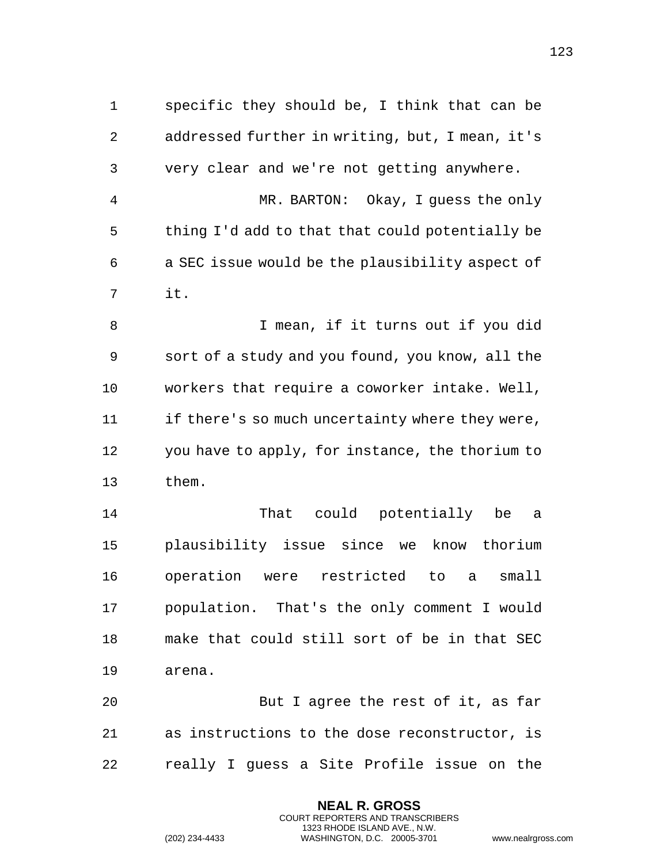specific they should be, I think that can be addressed further in writing, but, I mean, it's very clear and we're not getting anywhere. MR. BARTON: Okay, I guess the only thing I'd add to that that could potentially be a SEC issue would be the plausibility aspect of it. I mean, if it turns out if you did sort of a study and you found, you know, all the workers that require a coworker intake. Well, if there's so much uncertainty where they were, you have to apply, for instance, the thorium to them. That could potentially be a plausibility issue since we know thorium operation were restricted to a small population. That's the only comment I would make that could still sort of be in that SEC arena. But I agree the rest of it, as far as instructions to the dose reconstructor, is really I guess a Site Profile issue on the

> **NEAL R. GROSS** COURT REPORTERS AND TRANSCRIBERS 1323 RHODE ISLAND AVE., N.W.

(202) 234-4433 WASHINGTON, D.C. 20005-3701 www.nealrgross.com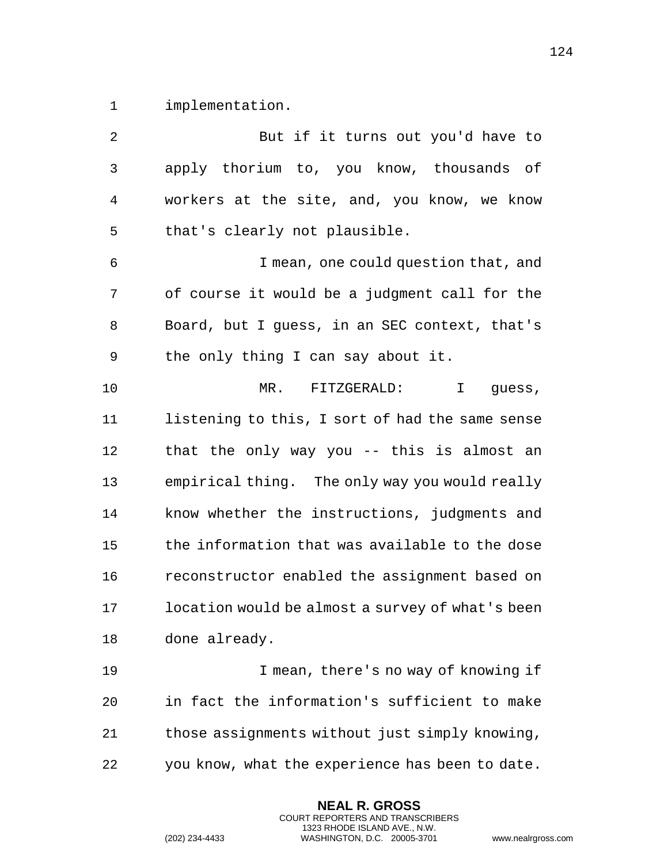implementation.

 But if it turns out you'd have to apply thorium to, you know, thousands of workers at the site, and, you know, we know that's clearly not plausible. I mean, one could question that, and of course it would be a judgment call for the Board, but I guess, in an SEC context, that's the only thing I can say about it. MR. FITZGERALD: I guess, listening to this, I sort of had the same sense that the only way you -- this is almost an empirical thing. The only way you would really know whether the instructions, judgments and the information that was available to the dose reconstructor enabled the assignment based on location would be almost a survey of what's been done already. I mean, there's no way of knowing if in fact the information's sufficient to make those assignments without just simply knowing, you know, what the experience has been to date.

> **NEAL R. GROSS** COURT REPORTERS AND TRANSCRIBERS 1323 RHODE ISLAND AVE., N.W.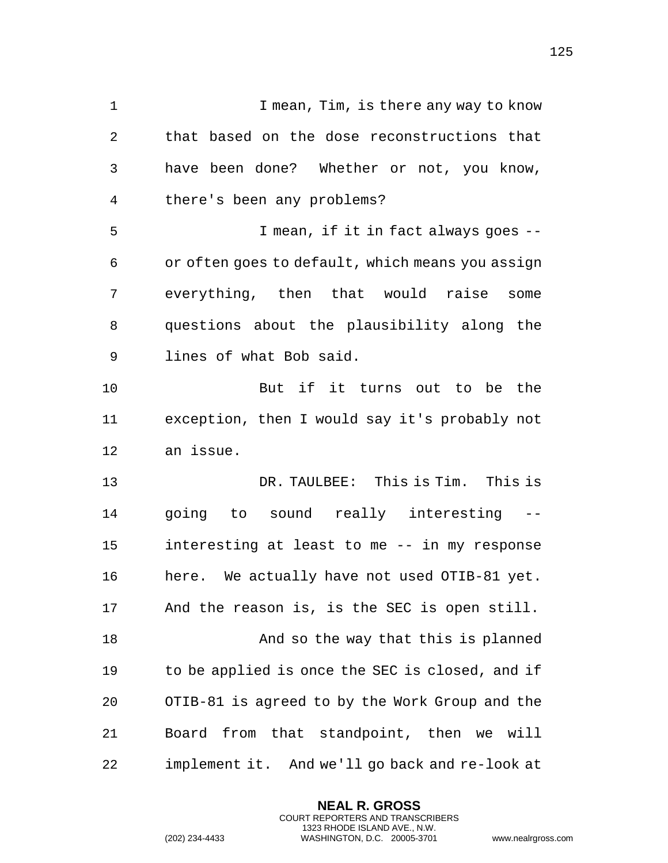1 1 I mean, Tim, is there any way to know that based on the dose reconstructions that have been done? Whether or not, you know, there's been any problems? I mean, if it in fact always goes -- or often goes to default, which means you assign everything, then that would raise some questions about the plausibility along the lines of what Bob said. But if it turns out to be the exception, then I would say it's probably not an issue. DR. TAULBEE: This is Tim. This is going to sound really interesting -- interesting at least to me -- in my response here. We actually have not used OTIB-81 yet. And the reason is, is the SEC is open still. 18 And so the way that this is planned to be applied is once the SEC is closed, and if OTIB-81 is agreed to by the Work Group and the Board from that standpoint, then we will implement it. And we'll go back and re-look at

> **NEAL R. GROSS** COURT REPORTERS AND TRANSCRIBERS 1323 RHODE ISLAND AVE., N.W.

(202) 234-4433 WASHINGTON, D.C. 20005-3701 www.nealrgross.com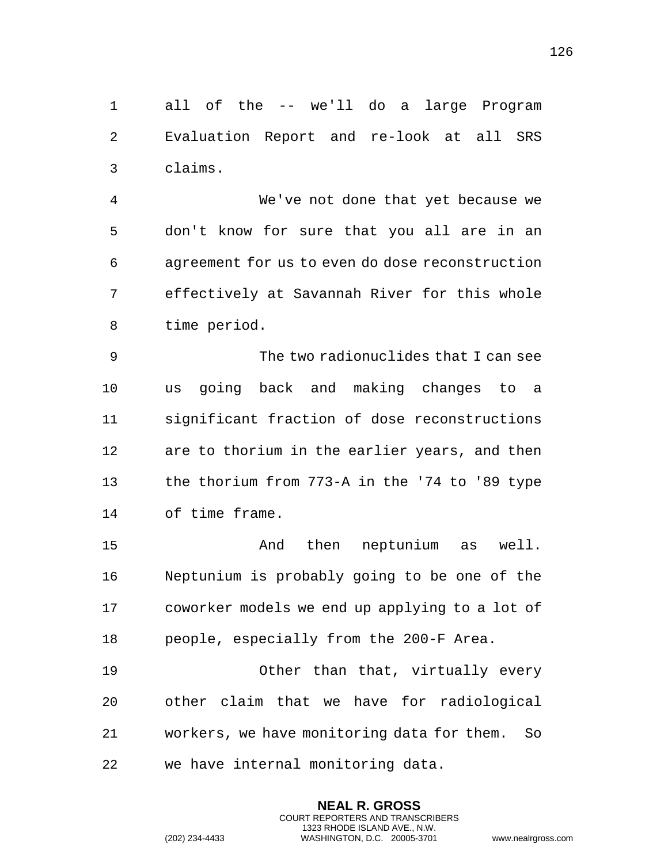all of the -- we'll do a large Program Evaluation Report and re-look at all SRS claims.

 We've not done that yet because we don't know for sure that you all are in an agreement for us to even do dose reconstruction effectively at Savannah River for this whole time period.

 The two radionuclides that I can see us going back and making changes to a significant fraction of dose reconstructions are to thorium in the earlier years, and then the thorium from 773-A in the '74 to '89 type of time frame.

15 And then neptunium as well. Neptunium is probably going to be one of the coworker models we end up applying to a lot of people, especially from the 200-F Area.

 Other than that, virtually every other claim that we have for radiological workers, we have monitoring data for them. So we have internal monitoring data.

> **NEAL R. GROSS** COURT REPORTERS AND TRANSCRIBERS 1323 RHODE ISLAND AVE., N.W.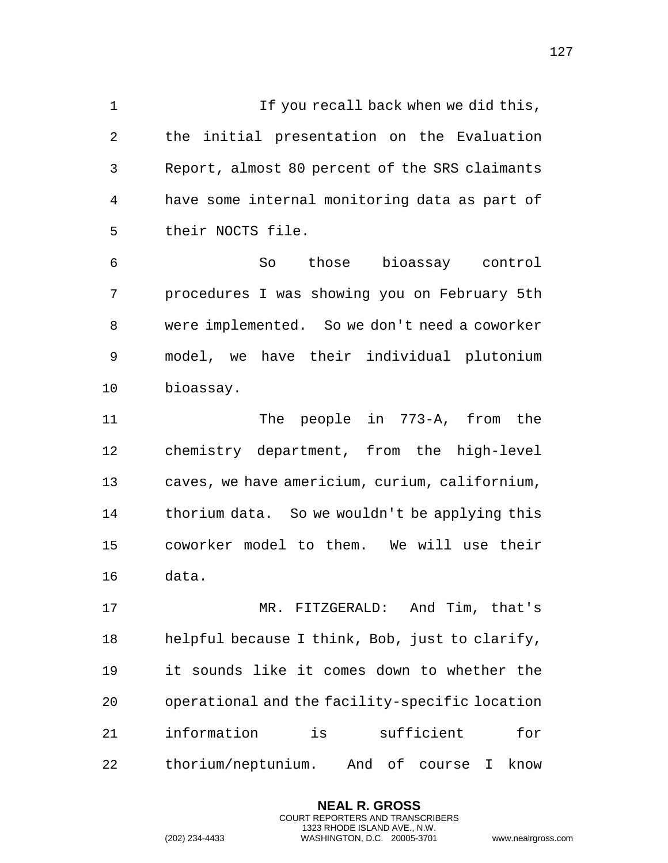1 If you recall back when we did this, the initial presentation on the Evaluation Report, almost 80 percent of the SRS claimants have some internal monitoring data as part of their NOCTS file.

 So those bioassay control procedures I was showing you on February 5th were implemented. So we don't need a coworker model, we have their individual plutonium bioassay.

 The people in 773-A, from the chemistry department, from the high-level caves, we have americium, curium, californium, thorium data. So we wouldn't be applying this coworker model to them. We will use their data.

 MR. FITZGERALD: And Tim, that's helpful because I think, Bob, just to clarify, it sounds like it comes down to whether the operational and the facility-specific location information is sufficient for thorium/neptunium. And of course I know

> **NEAL R. GROSS** COURT REPORTERS AND TRANSCRIBERS 1323 RHODE ISLAND AVE., N.W.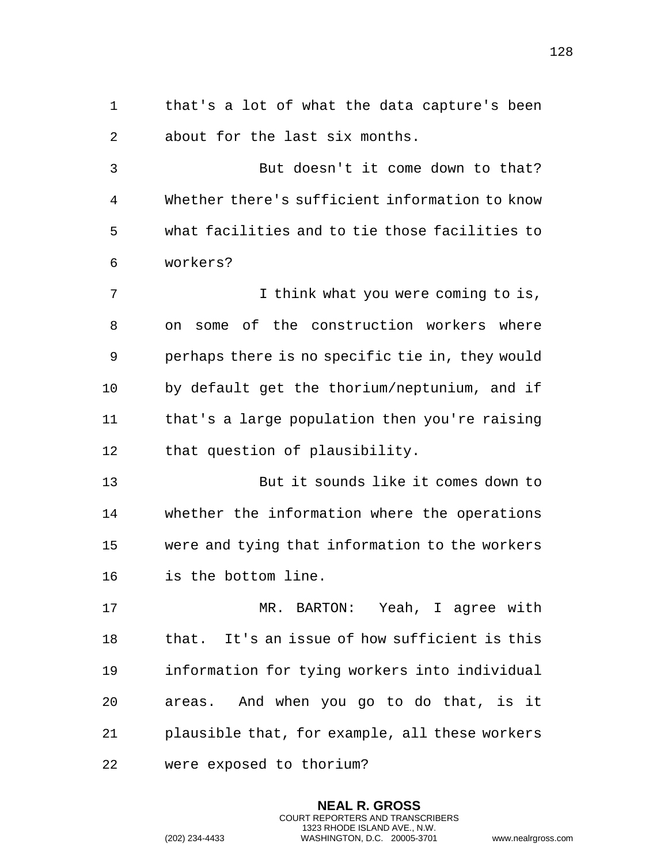that's a lot of what the data capture's been about for the last six months.

 But doesn't it come down to that? Whether there's sufficient information to know what facilities and to tie those facilities to workers?

 I think what you were coming to is, on some of the construction workers where perhaps there is no specific tie in, they would by default get the thorium/neptunium, and if that's a large population then you're raising that question of plausibility.

 But it sounds like it comes down to whether the information where the operations were and tying that information to the workers is the bottom line.

 MR. BARTON: Yeah, I agree with that. It's an issue of how sufficient is this information for tying workers into individual areas. And when you go to do that, is it plausible that, for example, all these workers were exposed to thorium?

> **NEAL R. GROSS** COURT REPORTERS AND TRANSCRIBERS 1323 RHODE ISLAND AVE., N.W.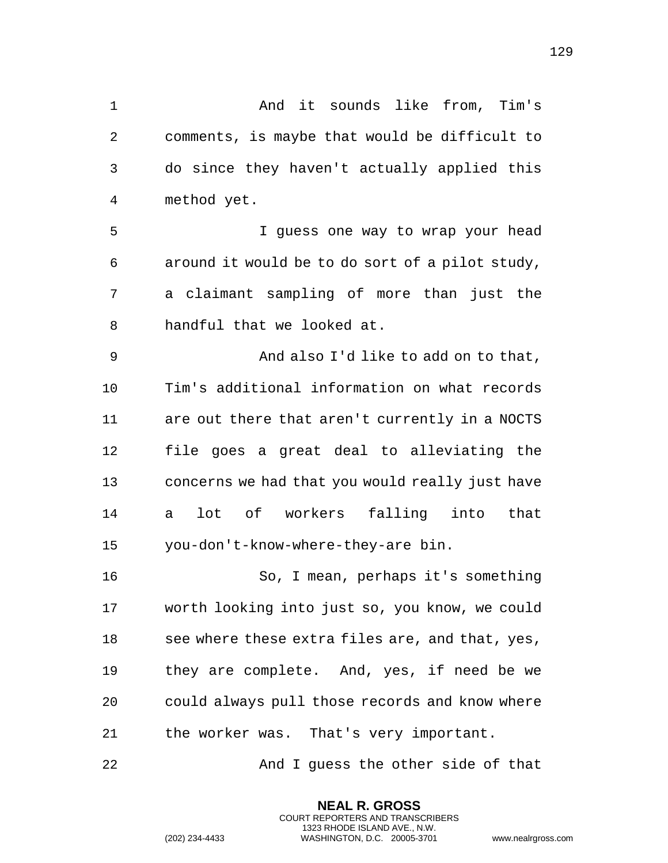And it sounds like from, Tim's comments, is maybe that would be difficult to do since they haven't actually applied this method yet. I guess one way to wrap your head around it would be to do sort of a pilot study, a claimant sampling of more than just the handful that we looked at. And also I'd like to add on to that, Tim's additional information on what records are out there that aren't currently in a NOCTS file goes a great deal to alleviating the concerns we had that you would really just have a lot of workers falling into that you-don't-know-where-they-are bin. So, I mean, perhaps it's something worth looking into just so, you know, we could 18 see where these extra files are, and that, yes, they are complete. And, yes, if need be we could always pull those records and know where the worker was. That's very important. And I guess the other side of that

> **NEAL R. GROSS** COURT REPORTERS AND TRANSCRIBERS 1323 RHODE ISLAND AVE., N.W.

(202) 234-4433 WASHINGTON, D.C. 20005-3701 www.nealrgross.com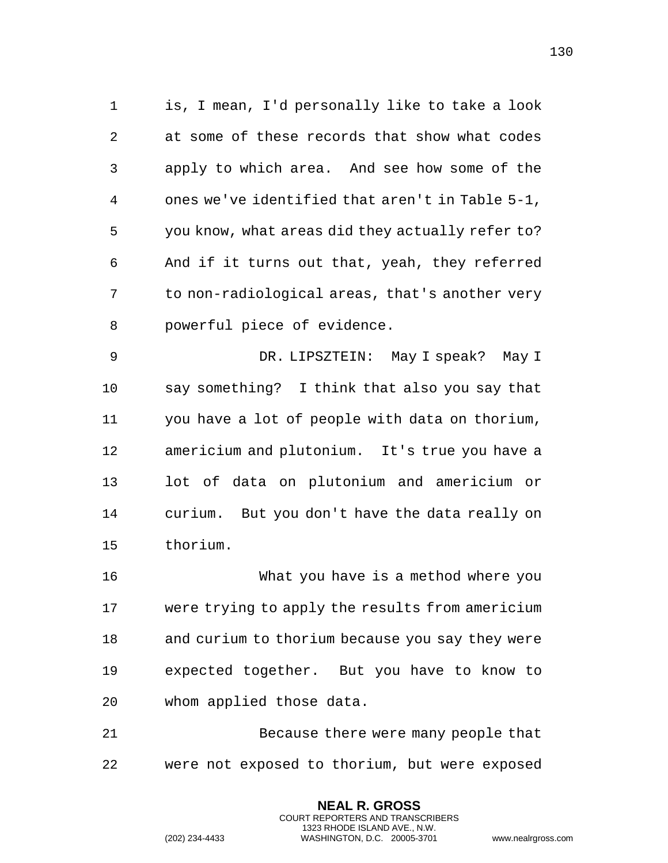is, I mean, I'd personally like to take a look at some of these records that show what codes apply to which area. And see how some of the ones we've identified that aren't in Table 5-1, you know, what areas did they actually refer to? And if it turns out that, yeah, they referred to non-radiological areas, that's another very powerful piece of evidence.

 DR. LIPSZTEIN: May I speak? May I say something? I think that also you say that you have a lot of people with data on thorium, americium and plutonium. It's true you have a lot of data on plutonium and americium or curium. But you don't have the data really on thorium.

 What you have is a method where you were trying to apply the results from americium and curium to thorium because you say they were expected together. But you have to know to whom applied those data.

 Because there were many people that were not exposed to thorium, but were exposed

> **NEAL R. GROSS** COURT REPORTERS AND TRANSCRIBERS 1323 RHODE ISLAND AVE., N.W.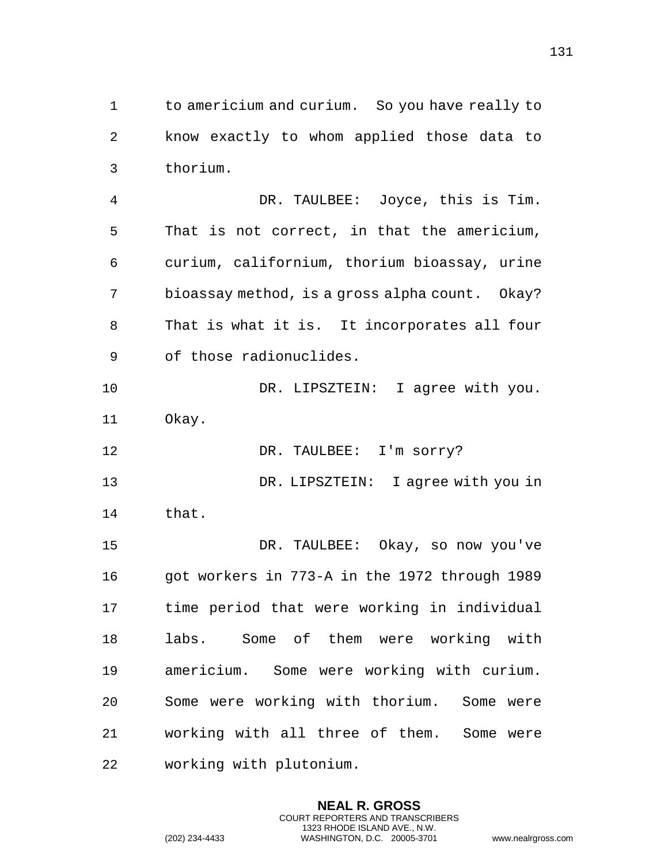to americium and curium. So you have really to know exactly to whom applied those data to thorium.

 DR. TAULBEE: Joyce, this is Tim. That is not correct, in that the americium, curium, californium, thorium bioassay, urine bioassay method, is a gross alpha count. Okay? That is what it is. It incorporates all four of those radionuclides.

10 DR. LIPSZTEIN: I agree with you. Okay.

12 DR. TAULBEE: I'm sorry? DR. LIPSZTEIN: I agree with you in that.

 DR. TAULBEE: Okay, so now you've got workers in 773-A in the 1972 through 1989 time period that were working in individual labs. Some of them were working with americium. Some were working with curium. Some were working with thorium. Some were working with all three of them. Some were working with plutonium.

> **NEAL R. GROSS** COURT REPORTERS AND TRANSCRIBERS 1323 RHODE ISLAND AVE., N.W.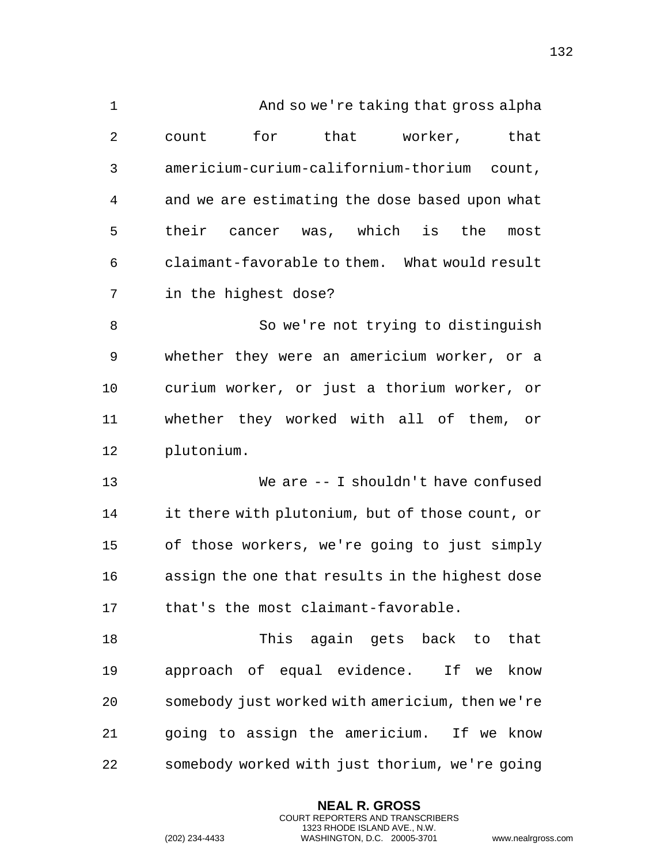| $\mathbf 1$    | And so we're taking that gross alpha            |
|----------------|-------------------------------------------------|
| $\overline{2}$ | that worker,<br>for<br>that<br>count            |
| 3              | americium-curium-californium-thorium count,     |
| 4              | and we are estimating the dose based upon what  |
| 5              | their cancer was, which is<br>the<br>most       |
| 6              | claimant-favorable to them. What would result   |
| 7              | in the highest dose?                            |
| 8              | So we're not trying to distinguish              |
| 9              | whether they were an americium worker, or a     |
| 10             | curium worker, or just a thorium worker, or     |
| 11             | whether they worked with all of them, or        |
| 12             | plutonium.                                      |
| 13             | We are -- I shouldn't have confused             |
| 14             | it there with plutonium, but of those count, or |
| 15             | of those workers, we're going to just simply    |
| 16             | assign the one that results in the highest dose |
| 17             | that's the most claimant-favorable.             |
| 18             | This again gets back to<br>that                 |
| 19             | approach of equal evidence. If we<br>know       |
| 20             | somebody just worked with americium, then we're |
| 21             | going to assign the americium. If we know       |
| 22             | somebody worked with just thorium, we're going  |

**NEAL R. GROSS** COURT REPORTERS AND TRANSCRIBERS 1323 RHODE ISLAND AVE., N.W.

(202) 234-4433 WASHINGTON, D.C. 20005-3701 www.nealrgross.com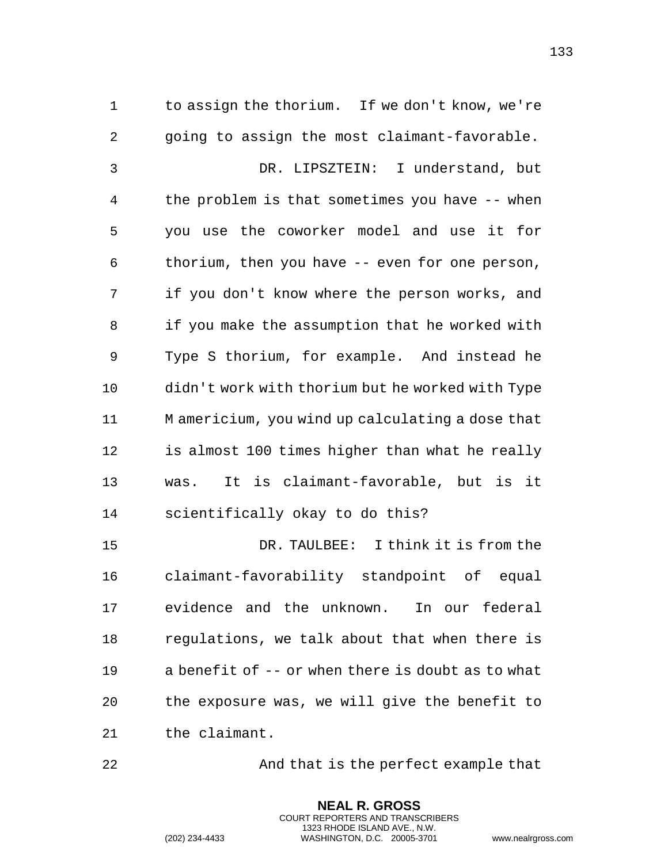to assign the thorium. If we don't know, we're going to assign the most claimant-favorable. DR. LIPSZTEIN: I understand, but the problem is that sometimes you have -- when you use the coworker model and use it for thorium, then you have -- even for one person, if you don't know where the person works, and if you make the assumption that he worked with Type S thorium, for example. And instead he didn't work with thorium but he worked with Type M americium, you wind up calculating a dose that is almost 100 times higher than what he really was. It is claimant-favorable, but is it scientifically okay to do this? DR. TAULBEE: I think it is from the claimant-favorability standpoint of equal

 evidence and the unknown. In our federal regulations, we talk about that when there is a benefit of -- or when there is doubt as to what the exposure was, we will give the benefit to the claimant.

And that is the perfect example that

**NEAL R. GROSS** COURT REPORTERS AND TRANSCRIBERS 1323 RHODE ISLAND AVE., N.W.

(202) 234-4433 WASHINGTON, D.C. 20005-3701 www.nealrgross.com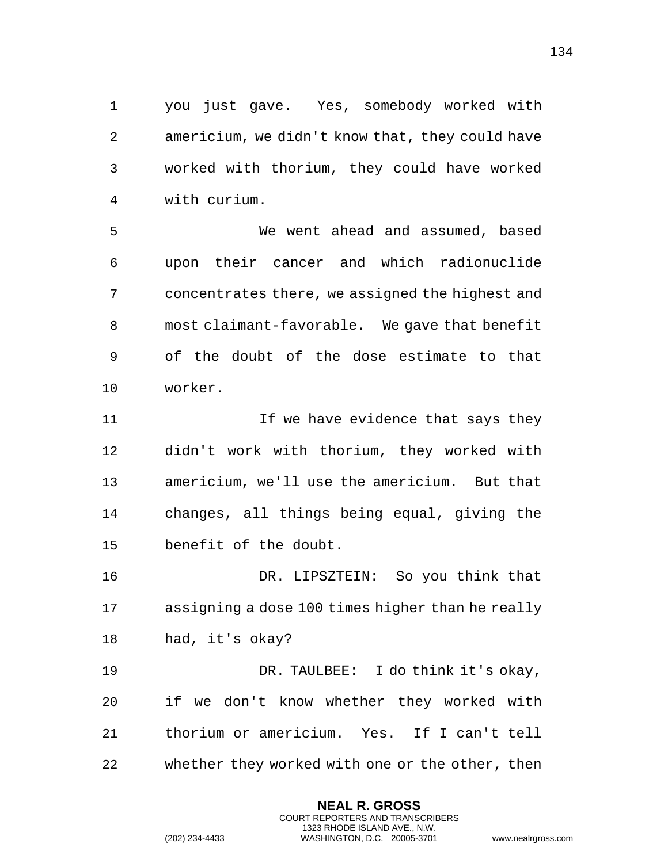you just gave. Yes, somebody worked with americium, we didn't know that, they could have worked with thorium, they could have worked with curium.

 We went ahead and assumed, based upon their cancer and which radionuclide concentrates there, we assigned the highest and most claimant-favorable. We gave that benefit of the doubt of the dose estimate to that worker.

11 11 If we have evidence that says they didn't work with thorium, they worked with americium, we'll use the americium. But that changes, all things being equal, giving the benefit of the doubt.

 DR. LIPSZTEIN: So you think that assigning a dose 100 times higher than he really had, it's okay?

 DR. TAULBEE: I do think it's okay, if we don't know whether they worked with thorium or americium. Yes. If I can't tell whether they worked with one or the other, then

> **NEAL R. GROSS** COURT REPORTERS AND TRANSCRIBERS 1323 RHODE ISLAND AVE., N.W.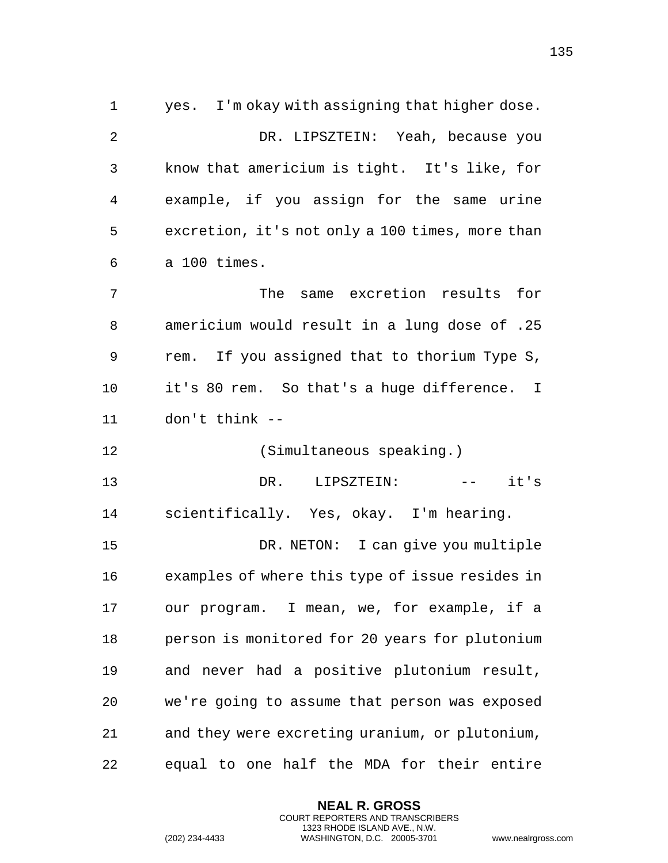yes. I'm okay with assigning that higher dose. DR. LIPSZTEIN: Yeah, because you know that americium is tight. It's like, for example, if you assign for the same urine excretion, it's not only a 100 times, more than a 100 times. The same excretion results for americium would result in a lung dose of .25 rem. If you assigned that to thorium Type S, it's 80 rem. So that's a huge difference. I don't think -- (Simultaneous speaking.) DR. LIPSZTEIN: -- it's scientifically. Yes, okay. I'm hearing. DR. NETON: I can give you multiple examples of where this type of issue resides in our program. I mean, we, for example, if a person is monitored for 20 years for plutonium and never had a positive plutonium result, we're going to assume that person was exposed and they were excreting uranium, or plutonium, equal to one half the MDA for their entire

> **NEAL R. GROSS** COURT REPORTERS AND TRANSCRIBERS 1323 RHODE ISLAND AVE., N.W.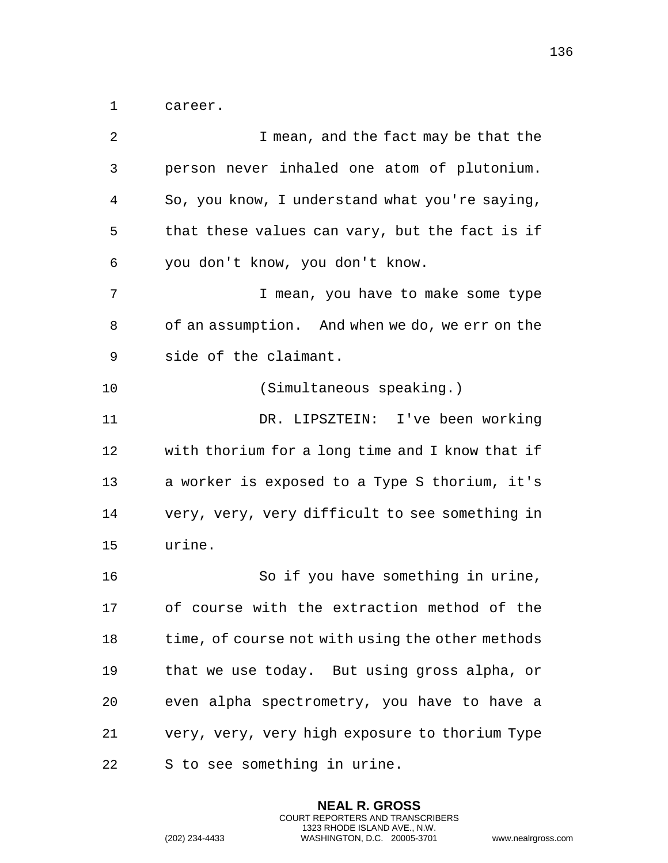career.

| 2  | I mean, and the fact may be that the             |
|----|--------------------------------------------------|
| 3  | person never inhaled one atom of plutonium.      |
| 4  | So, you know, I understand what you're saying,   |
| 5  | that these values can vary, but the fact is if   |
| 6  | you don't know, you don't know.                  |
| 7  | I mean, you have to make some type               |
| 8  | of an assumption. And when we do, we err on the  |
| 9  | side of the claimant.                            |
| 10 | (Simultaneous speaking.)                         |
| 11 | DR. LIPSZTEIN: I've been working                 |
| 12 | with thorium for a long time and I know that if  |
| 13 | a worker is exposed to a Type S thorium, it's    |
| 14 | very, very, very difficult to see something in   |
| 15 | urine.                                           |
| 16 | So if you have something in urine,               |
| 17 | of course with the extraction method of the      |
| 18 | time, of course not with using the other methods |
| 19 | that we use today. But using gross alpha, or     |
| 20 | even alpha spectrometry, you have to have a      |
| 21 | very, very, very high exposure to thorium Type   |
| 22 | S to see something in urine.                     |

**NEAL R. GROSS** COURT REPORTERS AND TRANSCRIBERS 1323 RHODE ISLAND AVE., N.W.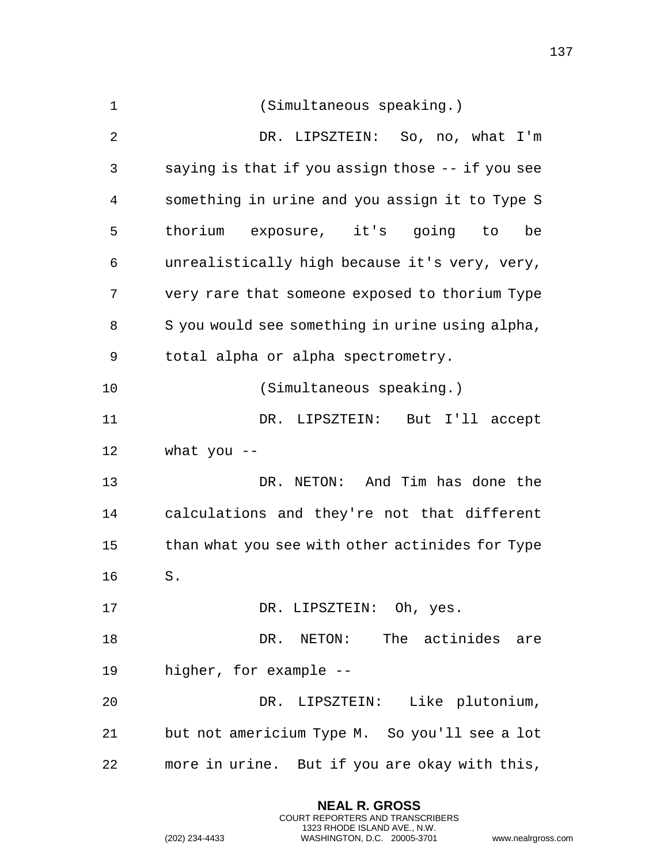| $\mathbf 1$ | (Simultaneous speaking.)                         |
|-------------|--------------------------------------------------|
| 2           | DR. LIPSZTEIN: So, no, what I'm                  |
| 3           | saying is that if you assign those -- if you see |
| 4           | something in urine and you assign it to Type S   |
| 5           | thorium exposure, it's going to<br>be            |
| 6           | unrealistically high because it's very, very,    |
| 7           | very rare that someone exposed to thorium Type   |
| 8           | S you would see something in urine using alpha,  |
| 9           | total alpha or alpha spectrometry.               |
| 10          | (Simultaneous speaking.)                         |
| 11          | DR. LIPSZTEIN: But I'll accept                   |
| 12          | what you $-$                                     |
| 13          | DR. NETON: And Tim has done the                  |
| 14          | calculations and they're not that different      |
| 15          | than what you see with other actinides for Type  |
| 16          | S.                                               |
| 17          | DR. LIPSZTEIN: Oh, yes.                          |
| 18          | DR. NETON: The actinides are                     |
| 19          | higher, for example --                           |
| 20          | DR. LIPSZTEIN: Like plutonium,                   |
| 21          | but not americium Type M. So you'll see a lot    |
| 22          | more in urine. But if you are okay with this,    |

**NEAL R. GROSS** COURT REPORTERS AND TRANSCRIBERS 1323 RHODE ISLAND AVE., N.W.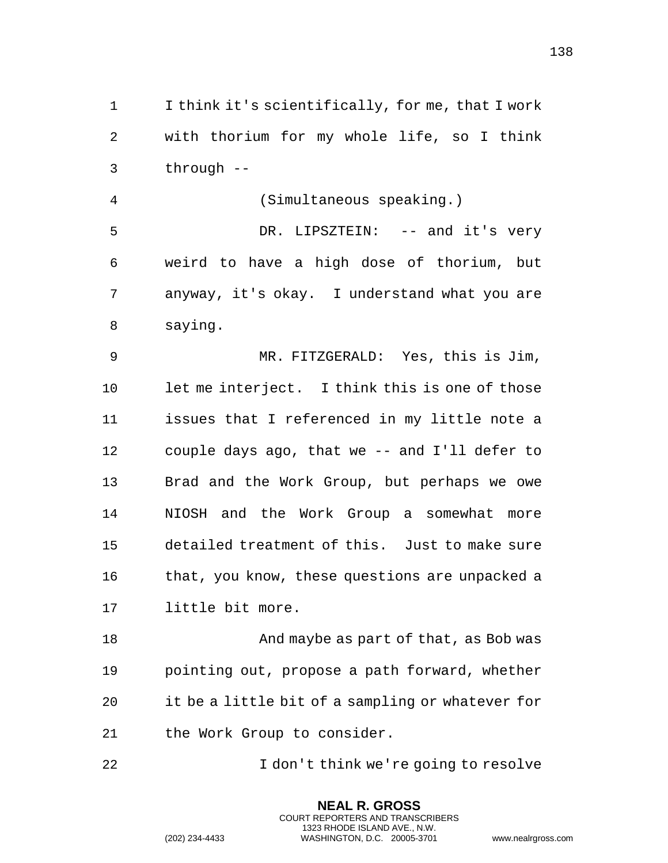I think it's scientifically, for me, that I work with thorium for my whole life, so I think through --

 (Simultaneous speaking.) DR. LIPSZTEIN: -- and it's very weird to have a high dose of thorium, but anyway, it's okay. I understand what you are saying.

 MR. FITZGERALD: Yes, this is Jim, let me interject. I think this is one of those issues that I referenced in my little note a couple days ago, that we -- and I'll defer to Brad and the Work Group, but perhaps we owe NIOSH and the Work Group a somewhat more detailed treatment of this. Just to make sure 16 that, you know, these questions are unpacked a little bit more.

18 And maybe as part of that, as Bob was pointing out, propose a path forward, whether it be a little bit of a sampling or whatever for the Work Group to consider.

I don't think we're going to resolve

**NEAL R. GROSS** COURT REPORTERS AND TRANSCRIBERS 1323 RHODE ISLAND AVE., N.W.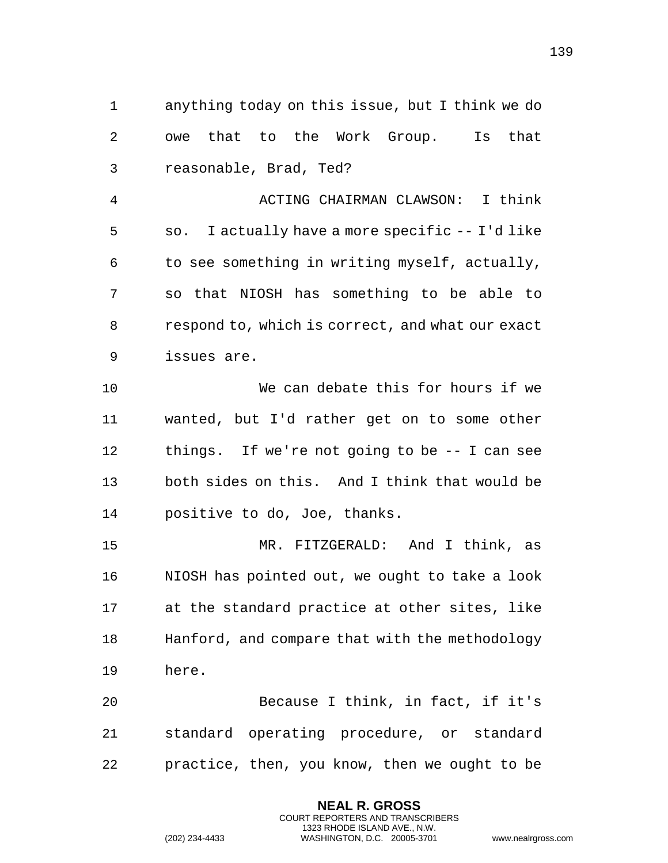anything today on this issue, but I think we do owe that to the Work Group. Is that reasonable, Brad, Ted? ACTING CHAIRMAN CLAWSON: I think so. I actually have a more specific -- I'd like to see something in writing myself, actually, so that NIOSH has something to be able to respond to, which is correct, and what our exact issues are. We can debate this for hours if we wanted, but I'd rather get on to some other things. If we're not going to be -- I can see both sides on this. And I think that would be positive to do, Joe, thanks. MR. FITZGERALD: And I think, as NIOSH has pointed out, we ought to take a look at the standard practice at other sites, like Hanford, and compare that with the methodology here. Because I think, in fact, if it's standard operating procedure, or standard practice, then, you know, then we ought to be

> **NEAL R. GROSS** COURT REPORTERS AND TRANSCRIBERS 1323 RHODE ISLAND AVE., N.W.

(202) 234-4433 WASHINGTON, D.C. 20005-3701 www.nealrgross.com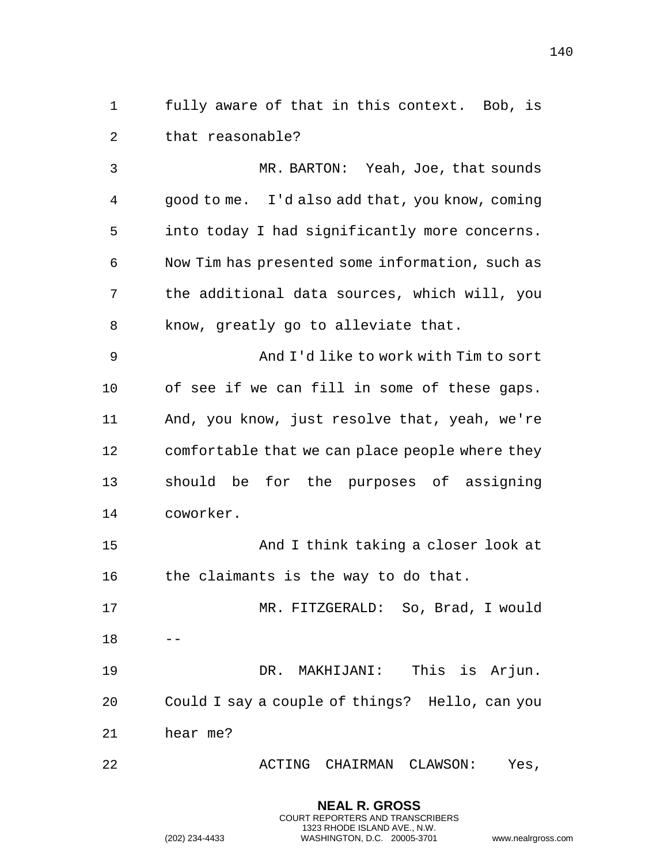fully aware of that in this context. Bob, is that reasonable?

 MR. BARTON: Yeah, Joe, that sounds good to me. I'd also add that, you know, coming into today I had significantly more concerns. Now Tim has presented some information, such as the additional data sources, which will, you know, greatly go to alleviate that. And I'd like to work with Tim to sort of see if we can fill in some of these gaps. And, you know, just resolve that, yeah, we're comfortable that we can place people where they should be for the purposes of assigning coworker. 15 And I think taking a closer look at

the claimants is the way to do that.

 MR. FITZGERALD: So, Brad, I would --

 DR. MAKHIJANI: This is Arjun. Could I say a couple of things? Hello, can you hear me?

ACTING CHAIRMAN CLAWSON: Yes,

**NEAL R. GROSS** COURT REPORTERS AND TRANSCRIBERS 1323 RHODE ISLAND AVE., N.W.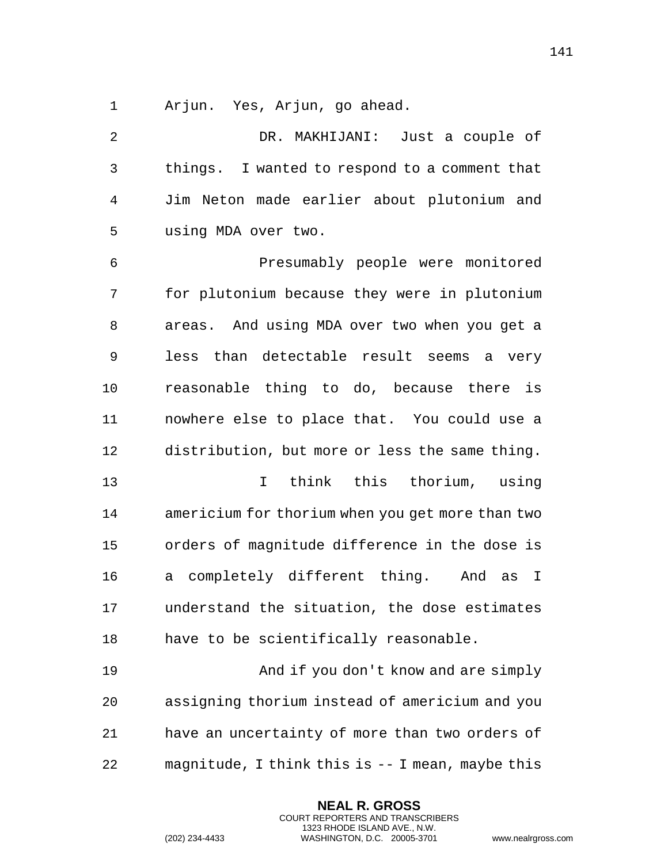Arjun. Yes, Arjun, go ahead.

 DR. MAKHIJANI: Just a couple of things. I wanted to respond to a comment that Jim Neton made earlier about plutonium and using MDA over two. Presumably people were monitored for plutonium because they were in plutonium areas. And using MDA over two when you get a less than detectable result seems a very reasonable thing to do, because there is nowhere else to place that. You could use a distribution, but more or less the same thing. I think this thorium, using americium for thorium when you get more than two orders of magnitude difference in the dose is a completely different thing. And as I understand the situation, the dose estimates have to be scientifically reasonable. And if you don't know and are simply assigning thorium instead of americium and you have an uncertainty of more than two orders of magnitude, I think this is -- I mean, maybe this

> **NEAL R. GROSS** COURT REPORTERS AND TRANSCRIBERS 1323 RHODE ISLAND AVE., N.W.

(202) 234-4433 WASHINGTON, D.C. 20005-3701 www.nealrgross.com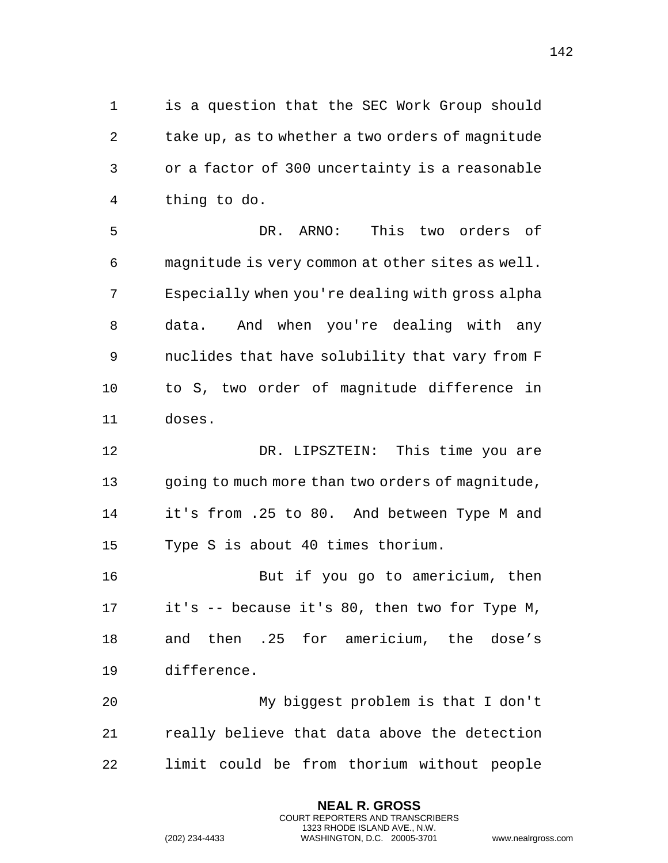is a question that the SEC Work Group should take up, as to whether a two orders of magnitude or a factor of 300 uncertainty is a reasonable thing to do.

 DR. ARNO: This two orders of magnitude is very common at other sites as well. Especially when you're dealing with gross alpha data. And when you're dealing with any nuclides that have solubility that vary from F to S, two order of magnitude difference in doses.

12 DR. LIPSZTEIN: This time you are going to much more than two orders of magnitude, it's from .25 to 80. And between Type M and Type S is about 40 times thorium.

 But if you go to americium, then it's -- because it's 80, then two for Type M, and then .25 for americium, the dose's difference.

 My biggest problem is that I don't really believe that data above the detection limit could be from thorium without people

> **NEAL R. GROSS** COURT REPORTERS AND TRANSCRIBERS 1323 RHODE ISLAND AVE., N.W.

```
(202) 234-4433 WASHINGTON, D.C. 20005-3701 www.nealrgross.com
```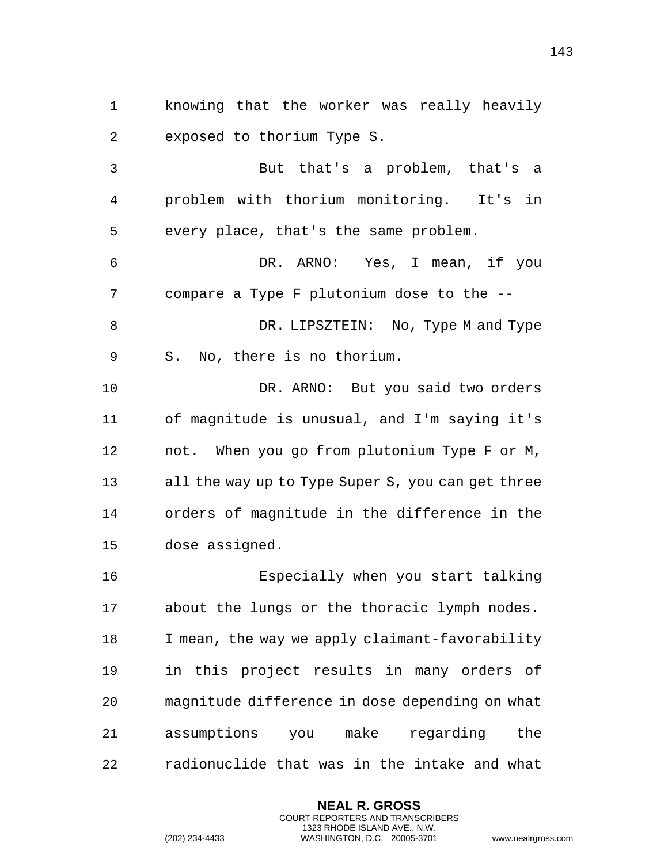knowing that the worker was really heavily exposed to thorium Type S.

 But that's a problem, that's a problem with thorium monitoring. It's in every place, that's the same problem.

 DR. ARNO: Yes, I mean, if you compare a Type F plutonium dose to the --

8 DR. LIPSZTEIN: No, Type M and Type S. No, there is no thorium.

 DR. ARNO: But you said two orders of magnitude is unusual, and I'm saying it's not. When you go from plutonium Type F or M, all the way up to Type Super S, you can get three orders of magnitude in the difference in the dose assigned.

 Especially when you start talking about the lungs or the thoracic lymph nodes. I mean, the way we apply claimant-favorability in this project results in many orders of magnitude difference in dose depending on what assumptions you make regarding the radionuclide that was in the intake and what

> **NEAL R. GROSS** COURT REPORTERS AND TRANSCRIBERS 1323 RHODE ISLAND AVE., N.W.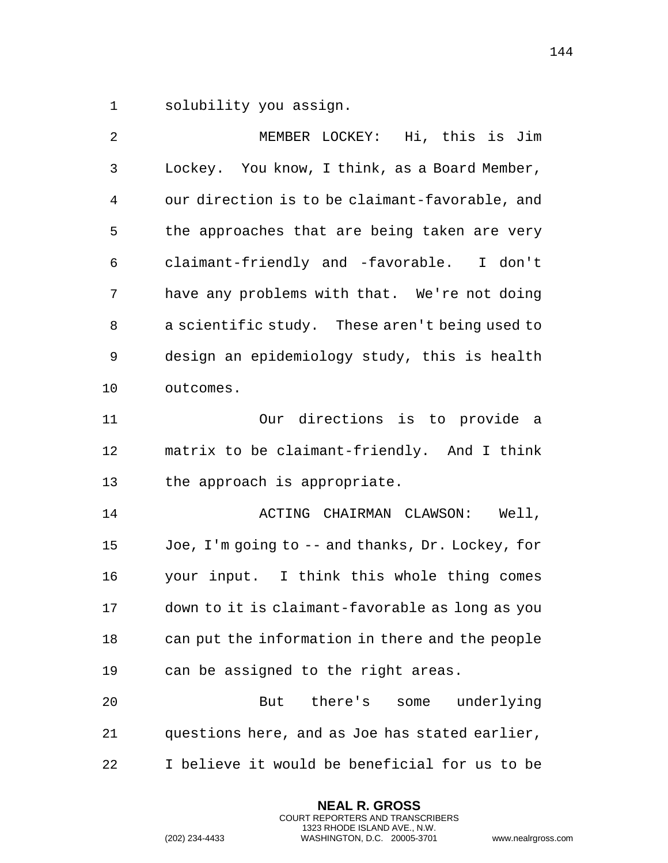solubility you assign.

| $\overline{2}$ | MEMBER LOCKEY: Hi, this is Jim                   |
|----------------|--------------------------------------------------|
| $\mathbf{3}$   | Lockey. You know, I think, as a Board Member,    |
| $\overline{4}$ | our direction is to be claimant-favorable, and   |
| 5              | the approaches that are being taken are very     |
| 6              | claimant-friendly and -favorable. I don't        |
| 7              | have any problems with that. We're not doing     |
| 8              | a scientific study. These aren't being used to   |
| 9              | design an epidemiology study, this is health     |
| 10             | outcomes.                                        |
| 11             | directions is to provide a<br>Our                |
| 12             | matrix to be claimant-friendly. And I think      |
| 13             | the approach is appropriate.                     |
| 14             | ACTING CHAIRMAN CLAWSON:<br>Well,                |
| 15             | Joe, I'm going to -- and thanks, Dr. Lockey, for |
| 16             | your input. I think this whole thing comes       |
| 17             | down to it is claimant-favorable as long as you  |
| 18             | can put the information in there and the people  |
| 19             | can be assigned to the right areas.              |
| 20             | there's<br>some underlying<br>But                |
| 21             | questions here, and as Joe has stated earlier,   |
| 22             | I believe it would be beneficial for us to be    |

**NEAL R. GROSS** COURT REPORTERS AND TRANSCRIBERS 1323 RHODE ISLAND AVE., N.W.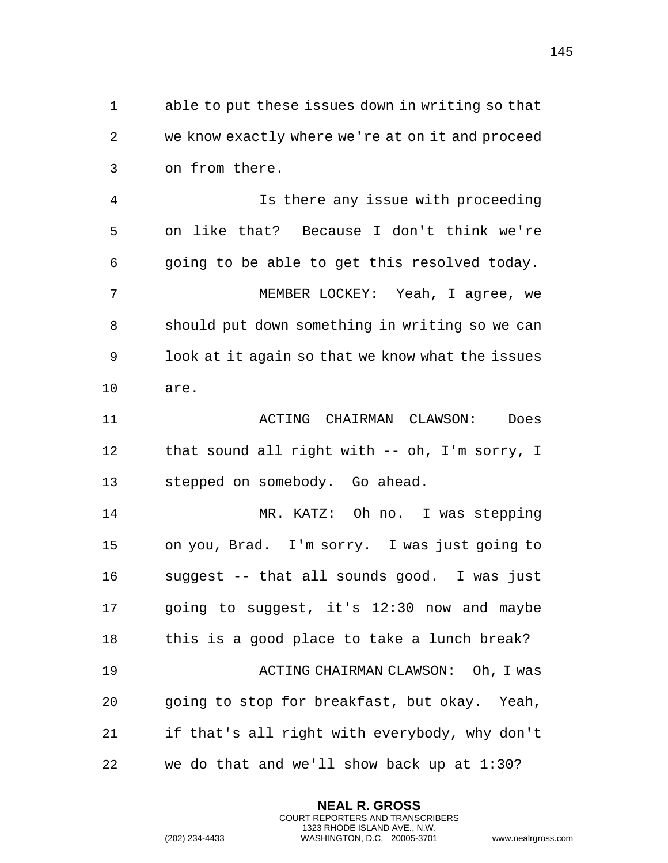able to put these issues down in writing so that we know exactly where we're at on it and proceed on from there.

 Is there any issue with proceeding on like that? Because I don't think we're going to be able to get this resolved today. MEMBER LOCKEY: Yeah, I agree, we should put down something in writing so we can look at it again so that we know what the issues are.

 ACTING CHAIRMAN CLAWSON: Does that sound all right with -- oh, I'm sorry, I stepped on somebody. Go ahead.

 MR. KATZ: Oh no. I was stepping on you, Brad. I'm sorry. I was just going to suggest -- that all sounds good. I was just going to suggest, it's 12:30 now and maybe this is a good place to take a lunch break? ACTING CHAIRMAN CLAWSON: Oh, I was going to stop for breakfast, but okay. Yeah, if that's all right with everybody, why don't we do that and we'll show back up at 1:30?

> **NEAL R. GROSS** COURT REPORTERS AND TRANSCRIBERS 1323 RHODE ISLAND AVE., N.W.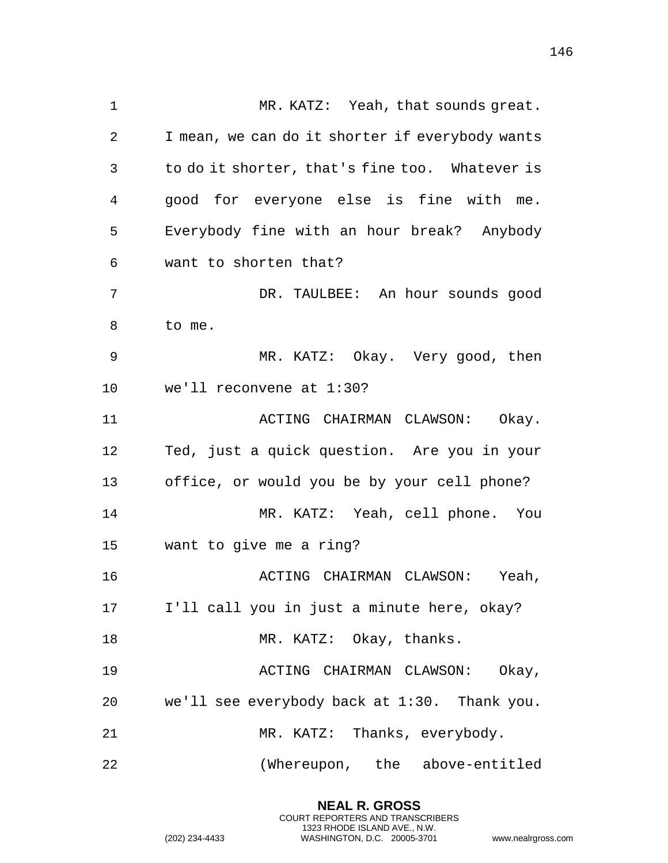MR. KATZ: Yeah, that sounds great. I mean, we can do it shorter if everybody wants to do it shorter, that's fine too. Whatever is good for everyone else is fine with me. Everybody fine with an hour break? Anybody want to shorten that? DR. TAULBEE: An hour sounds good to me. MR. KATZ: Okay. Very good, then we'll reconvene at 1:30? 11 ACTING CHAIRMAN CLAWSON: Okay. Ted, just a quick question. Are you in your office, or would you be by your cell phone? MR. KATZ: Yeah, cell phone. You want to give me a ring? ACTING CHAIRMAN CLAWSON: Yeah, I'll call you in just a minute here, okay? 18 MR. KATZ: Okay, thanks. ACTING CHAIRMAN CLAWSON: Okay, we'll see everybody back at 1:30. Thank you. MR. KATZ: Thanks, everybody. (Whereupon, the above-entitled

> **NEAL R. GROSS** COURT REPORTERS AND TRANSCRIBERS 1323 RHODE ISLAND AVE., N.W.

(202) 234-4433 WASHINGTON, D.C. 20005-3701 www.nealrgross.com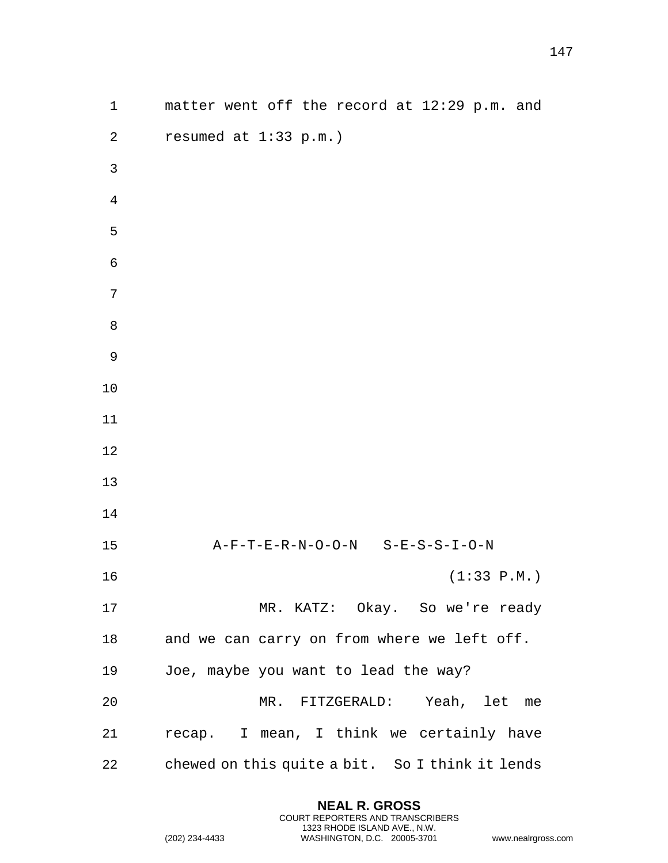| $\mathbf 1$      | matter went off the record at 12:29 p.m. and    |
|------------------|-------------------------------------------------|
| $\boldsymbol{2}$ | resumed at $1:33$ p.m.)                         |
| $\mathbf{3}$     |                                                 |
| 4                |                                                 |
| 5                |                                                 |
| 6                |                                                 |
| 7                |                                                 |
| $\, 8$           |                                                 |
| 9                |                                                 |
| 10               |                                                 |
| 11               |                                                 |
| 12               |                                                 |
| 13               |                                                 |
| 14               |                                                 |
| 15               | A-F-T-E-R-N-O-O-N S-E-S-S-I-O-N                 |
| 16               | (1:33 P.M.)                                     |
| 17               | MR. KATZ: Okay. So we're ready                  |
| 18               | and we can carry on from where we left off.     |
| 19               | Joe, maybe you want to lead the way?            |
| 20               | MR. FITZGERALD: Yeah, let me                    |
| 21               | recap. I mean, I think we certainly have        |
| 22               | chewed on this quite a bit. So I think it lends |

**NEAL R. GROSS** COURT REPORTERS AND TRANSCRIBERS 1323 RHODE ISLAND AVE., N.W.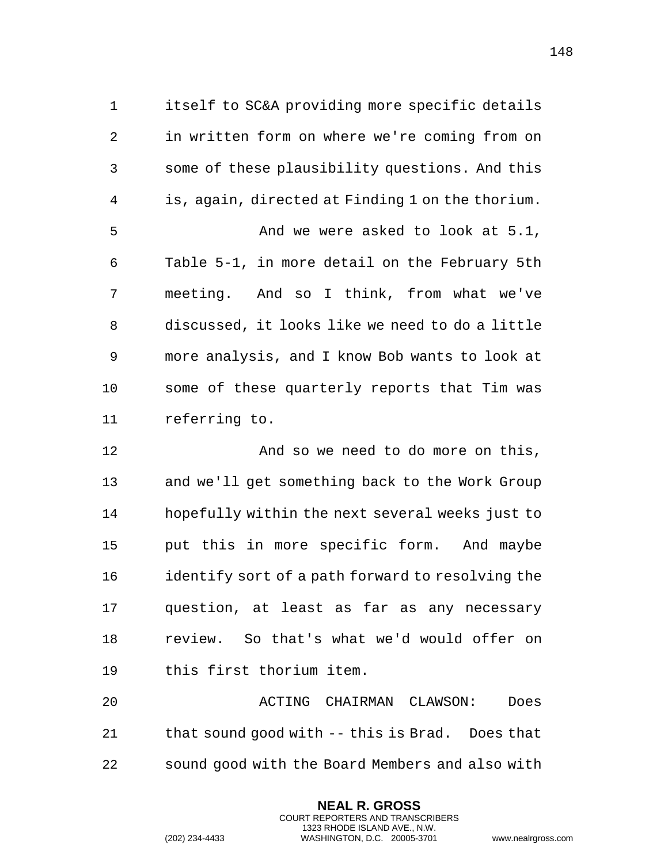itself to SC&A providing more specific details in written form on where we're coming from on some of these plausibility questions. And this is, again, directed at Finding 1 on the thorium. 5 And we were asked to look at 5.1, Table 5-1, in more detail on the February 5th meeting. And so I think, from what we've discussed, it looks like we need to do a little more analysis, and I know Bob wants to look at some of these quarterly reports that Tim was referring to.

**And so we need to do more on this**, and we'll get something back to the Work Group hopefully within the next several weeks just to put this in more specific form. And maybe 16 identify sort of a path forward to resolving the question, at least as far as any necessary review. So that's what we'd would offer on this first thorium item.

 ACTING CHAIRMAN CLAWSON: Does that sound good with -- this is Brad. Does that sound good with the Board Members and also with

> **NEAL R. GROSS** COURT REPORTERS AND TRANSCRIBERS 1323 RHODE ISLAND AVE., N.W.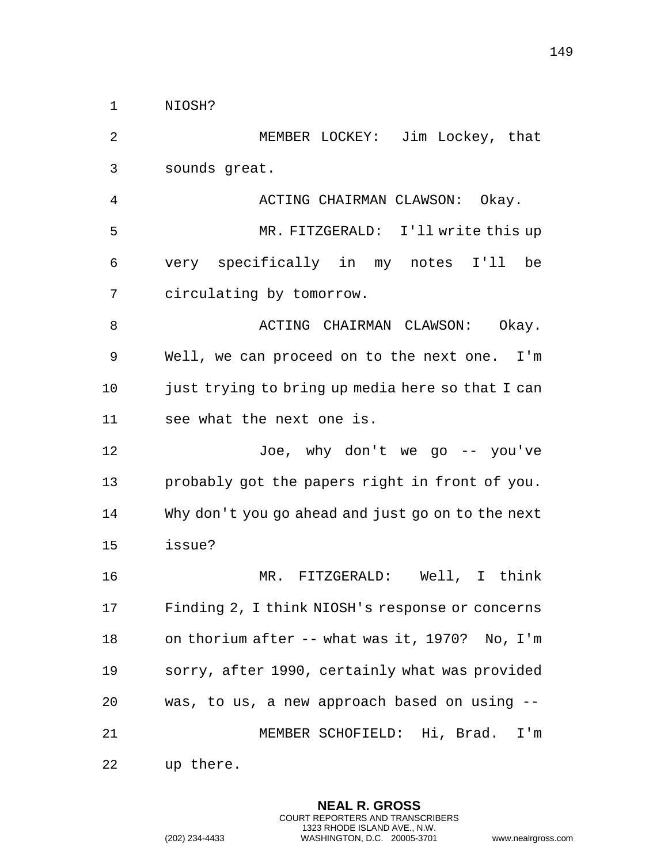NIOSH?

 MEMBER LOCKEY: Jim Lockey, that sounds great. ACTING CHAIRMAN CLAWSON: Okay. MR. FITZGERALD: I'll write this up very specifically in my notes I'll be circulating by tomorrow. 8 ACTING CHAIRMAN CLAWSON: Okay. Well, we can proceed on to the next one. I'm 10 just trying to bring up media here so that I can see what the next one is. Joe, why don't we go -- you've probably got the papers right in front of you. Why don't you go ahead and just go on to the next issue? MR. FITZGERALD: Well, I think Finding 2, I think NIOSH's response or concerns on thorium after -- what was it, 1970? No, I'm sorry, after 1990, certainly what was provided was, to us, a new approach based on using -- MEMBER SCHOFIELD: Hi, Brad. I'm up there.

> **NEAL R. GROSS** COURT REPORTERS AND TRANSCRIBERS 1323 RHODE ISLAND AVE., N.W.

(202) 234-4433 WASHINGTON, D.C. 20005-3701 www.nealrgross.com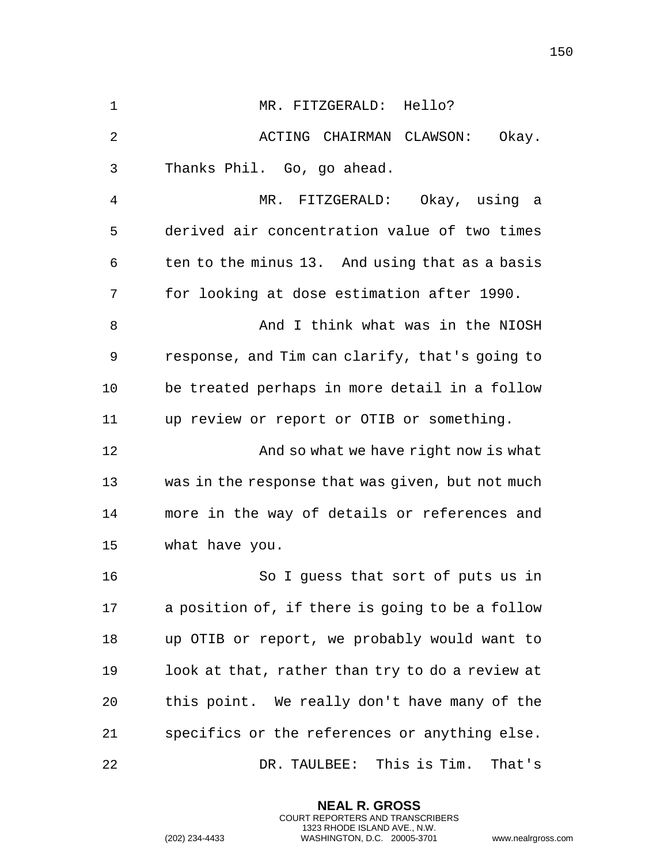| $\mathbf 1$ | MR. FITZGERALD: Hello?                           |
|-------------|--------------------------------------------------|
| 2           | ACTING CHAIRMAN CLAWSON:<br>Okay.                |
| 3           | Thanks Phil. Go, go ahead.                       |
| 4           | MR. FITZGERALD: Okay, using a                    |
| 5           | derived air concentration value of two times     |
| 6           | ten to the minus 13. And using that as a basis   |
| 7           | for looking at dose estimation after 1990.       |
| 8           | And I think what was in the NIOSH                |
| 9           | response, and Tim can clarify, that's going to   |
| 10          | be treated perhaps in more detail in a follow    |
| 11          | up review or report or OTIB or something.        |
| 12          | And so what we have right now is what            |
| 13          | was in the response that was given, but not much |
| 14          | more in the way of details or references and     |
| 15          | what have you.                                   |
| 16          | So I guess that sort of puts us in               |
| 17          | a position of, if there is going to be a follow  |
| 18          | up OTIB or report, we probably would want to     |
| 19          | look at that, rather than try to do a review at  |
| 20          | this point. We really don't have many of the     |
| 21          | specifics or the references or anything else.    |
| 22          | DR. TAULBEE: This is Tim.<br>That's              |

**NEAL R. GROSS** COURT REPORTERS AND TRANSCRIBERS 1323 RHODE ISLAND AVE., N.W.

(202) 234-4433 WASHINGTON, D.C. 20005-3701 www.nealrgross.com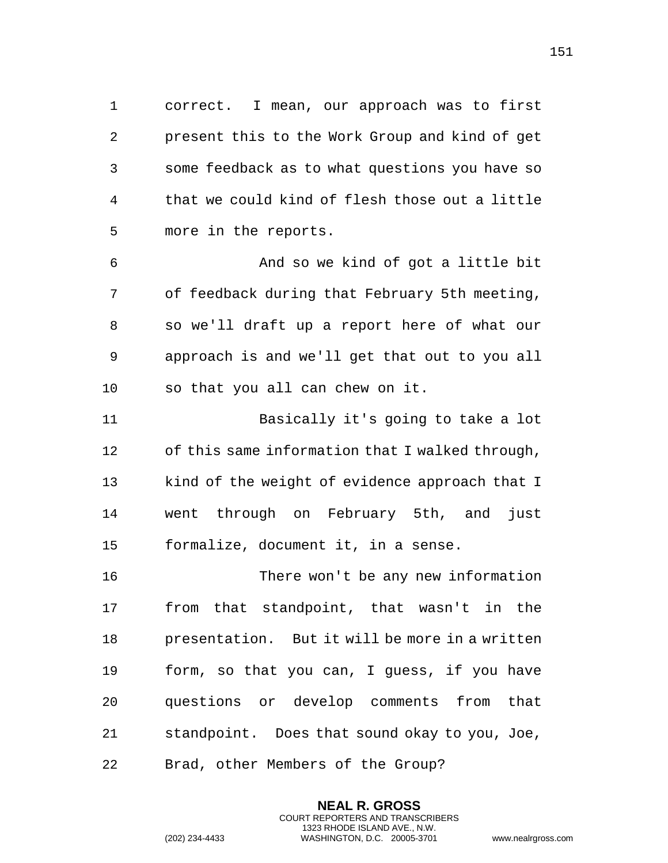correct. I mean, our approach was to first present this to the Work Group and kind of get some feedback as to what questions you have so that we could kind of flesh those out a little more in the reports.

 And so we kind of got a little bit of feedback during that February 5th meeting, so we'll draft up a report here of what our approach is and we'll get that out to you all so that you all can chew on it.

 Basically it's going to take a lot of this same information that I walked through, kind of the weight of evidence approach that I went through on February 5th, and just formalize, document it, in a sense.

 There won't be any new information from that standpoint, that wasn't in the presentation. But it will be more in a written form, so that you can, I guess, if you have questions or develop comments from that standpoint. Does that sound okay to you, Joe, Brad, other Members of the Group?

> **NEAL R. GROSS** COURT REPORTERS AND TRANSCRIBERS 1323 RHODE ISLAND AVE., N.W.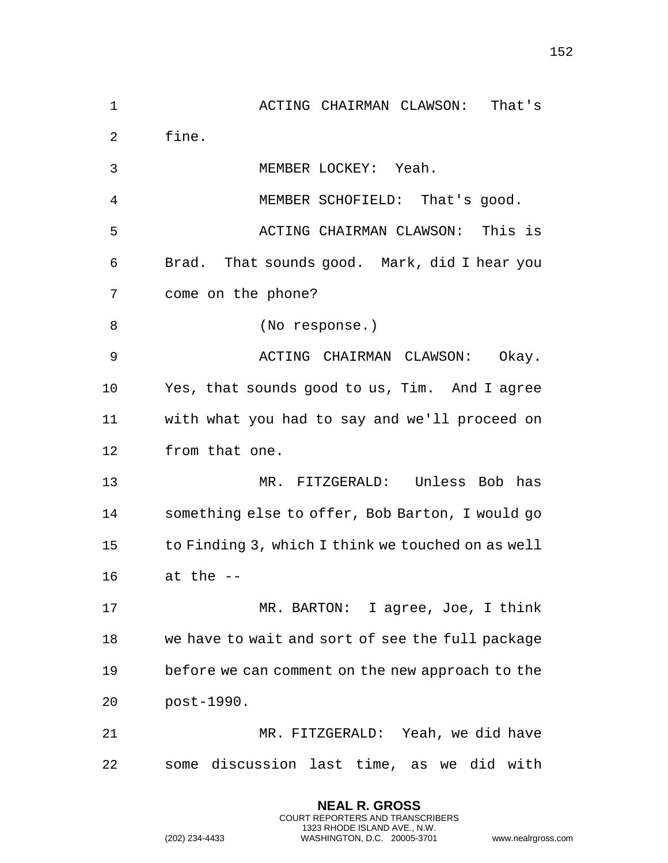ACTING CHAIRMAN CLAWSON: That's fine. MEMBER LOCKEY: Yeah. MEMBER SCHOFIELD: That's good. ACTING CHAIRMAN CLAWSON: This is Brad. That sounds good. Mark, did I hear you come on the phone? 8 (No response.) ACTING CHAIRMAN CLAWSON: Okay. Yes, that sounds good to us, Tim. And I agree with what you had to say and we'll proceed on from that one. MR. FITZGERALD: Unless Bob has something else to offer, Bob Barton, I would go to Finding 3, which I think we touched on as well at the -- 17 MR. BARTON: I agree, Joe, I think we have to wait and sort of see the full package before we can comment on the new approach to the post-1990. MR. FITZGERALD: Yeah, we did have some discussion last time, as we did with

> **NEAL R. GROSS** COURT REPORTERS AND TRANSCRIBERS 1323 RHODE ISLAND AVE., N.W.

(202) 234-4433 WASHINGTON, D.C. 20005-3701 www.nealrgross.com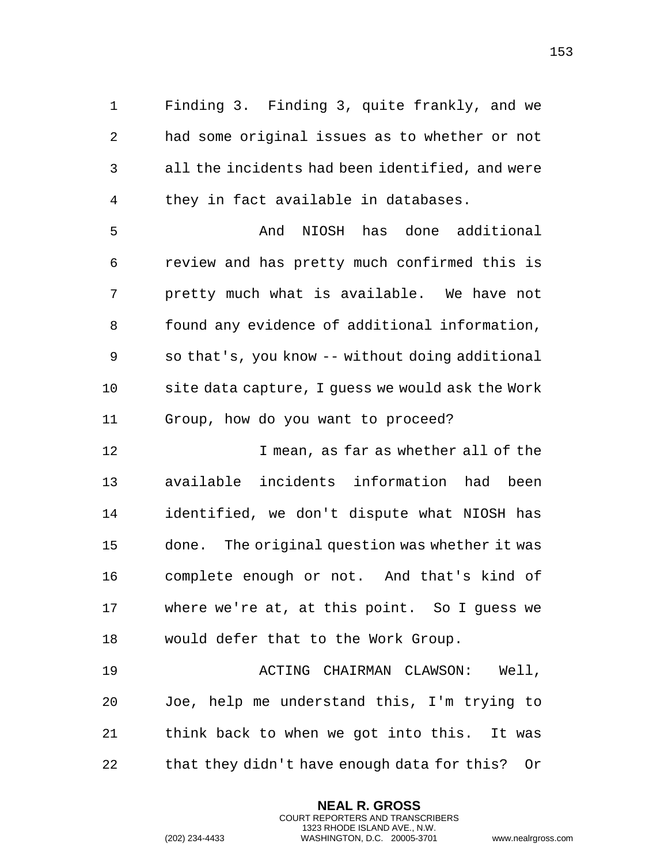Finding 3. Finding 3, quite frankly, and we had some original issues as to whether or not all the incidents had been identified, and were they in fact available in databases.

 And NIOSH has done additional review and has pretty much confirmed this is pretty much what is available. We have not found any evidence of additional information, so that's, you know -- without doing additional site data capture, I guess we would ask the Work Group, how do you want to proceed?

 I mean, as far as whether all of the available incidents information had been identified, we don't dispute what NIOSH has done. The original question was whether it was complete enough or not. And that's kind of where we're at, at this point. So I guess we would defer that to the Work Group.

 ACTING CHAIRMAN CLAWSON: Well, Joe, help me understand this, I'm trying to think back to when we got into this. It was that they didn't have enough data for this? Or

> **NEAL R. GROSS** COURT REPORTERS AND TRANSCRIBERS 1323 RHODE ISLAND AVE., N.W.

```
(202) 234-4433 WASHINGTON, D.C. 20005-3701 www.nealrgross.com
```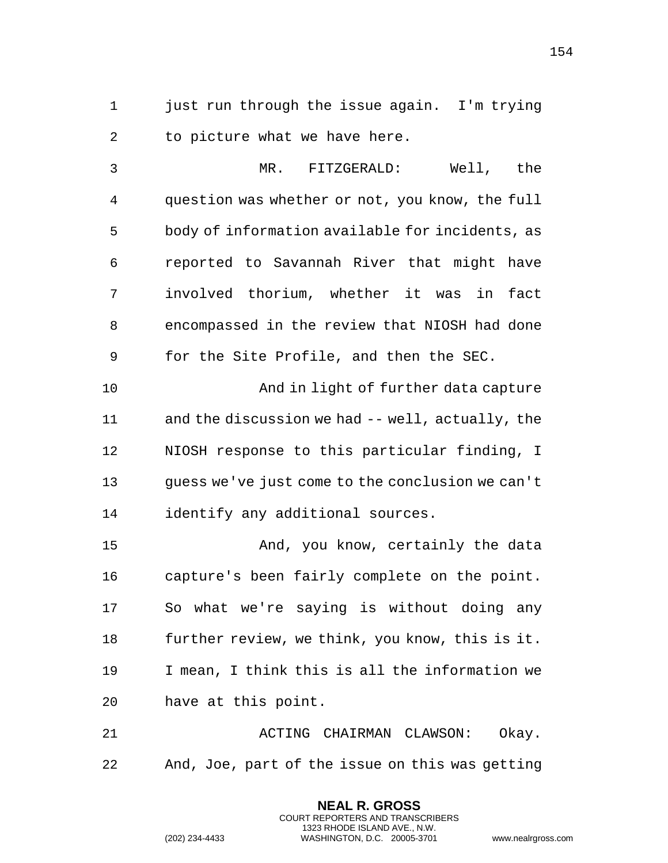just run through the issue again. I'm trying to picture what we have here.

 MR. FITZGERALD: Well, the question was whether or not, you know, the full body of information available for incidents, as reported to Savannah River that might have involved thorium, whether it was in fact encompassed in the review that NIOSH had done for the Site Profile, and then the SEC. And in light of further data capture and the discussion we had -- well, actually, the NIOSH response to this particular finding, I

 guess we've just come to the conclusion we can't identify any additional sources.

 And, you know, certainly the data capture's been fairly complete on the point. So what we're saying is without doing any further review, we think, you know, this is it. I mean, I think this is all the information we have at this point.

 ACTING CHAIRMAN CLAWSON: Okay. And, Joe, part of the issue on this was getting

> **NEAL R. GROSS** COURT REPORTERS AND TRANSCRIBERS 1323 RHODE ISLAND AVE., N.W.

(202) 234-4433 WASHINGTON, D.C. 20005-3701 www.nealrgross.com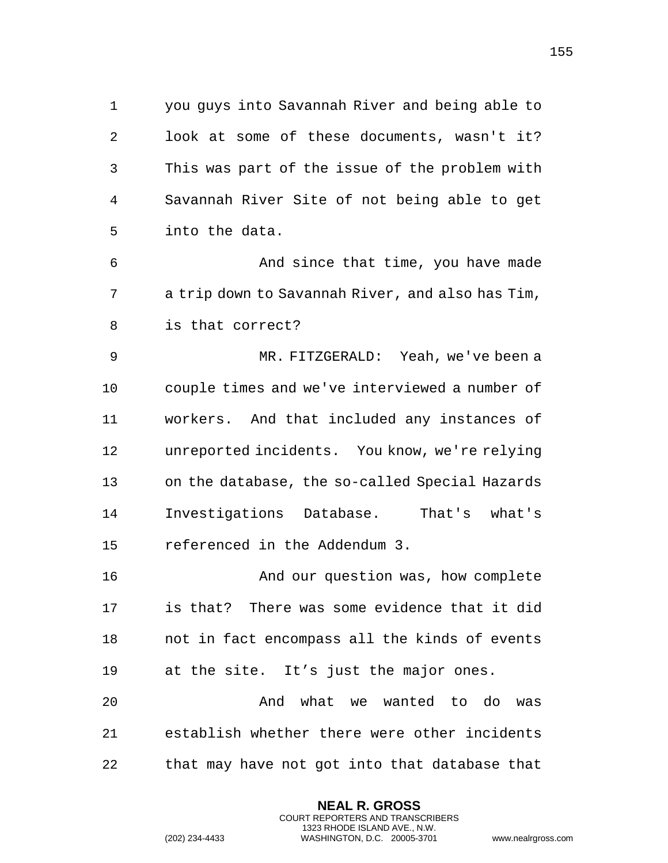you guys into Savannah River and being able to look at some of these documents, wasn't it? This was part of the issue of the problem with Savannah River Site of not being able to get into the data.

**And since that time, you have made**  a trip down to Savannah River, and also has Tim, is that correct?

 MR. FITZGERALD: Yeah, we've been a couple times and we've interviewed a number of workers. And that included any instances of unreported incidents. You know, we're relying on the database, the so-called Special Hazards Investigations Database. That's what's referenced in the Addendum 3.

 And our question was, how complete is that? There was some evidence that it did not in fact encompass all the kinds of events at the site. It's just the major ones.

 And what we wanted to do was establish whether there were other incidents that may have not got into that database that

> **NEAL R. GROSS** COURT REPORTERS AND TRANSCRIBERS 1323 RHODE ISLAND AVE., N.W.

```
(202) 234-4433 WASHINGTON, D.C. 20005-3701 www.nealrgross.com
```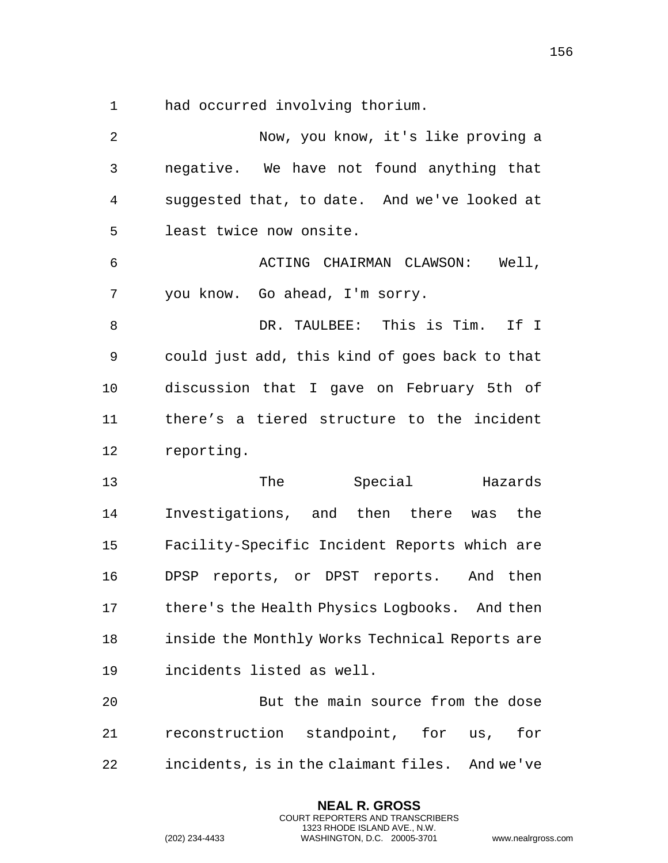had occurred involving thorium.

 Now, you know, it's like proving a negative. We have not found anything that suggested that, to date. And we've looked at least twice now onsite. ACTING CHAIRMAN CLAWSON: Well, you know. Go ahead, I'm sorry. DR. TAULBEE: This is Tim. If I could just add, this kind of goes back to that discussion that I gave on February 5th of there's a tiered structure to the incident reporting. The Special Hazards Investigations, and then there was the Facility-Specific Incident Reports which are DPSP reports, or DPST reports. And then there's the Health Physics Logbooks. And then inside the Monthly Works Technical Reports are incidents listed as well. But the main source from the dose reconstruction standpoint, for us, for incidents, is in the claimant files. And we've

> **NEAL R. GROSS** COURT REPORTERS AND TRANSCRIBERS 1323 RHODE ISLAND AVE., N.W.

(202) 234-4433 WASHINGTON, D.C. 20005-3701 www.nealrgross.com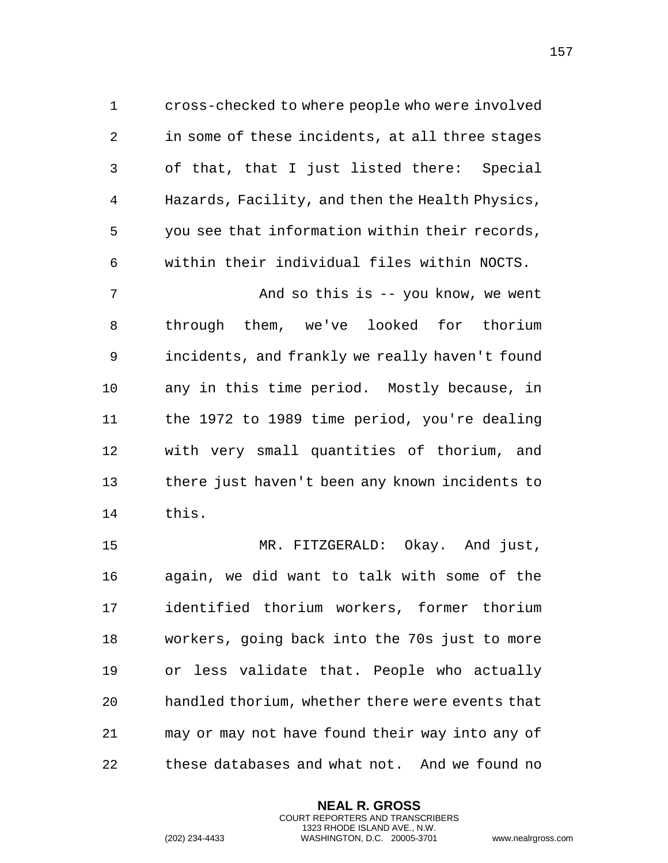cross-checked to where people who were involved in some of these incidents, at all three stages of that, that I just listed there: Special Hazards, Facility, and then the Health Physics, you see that information within their records, within their individual files within NOCTS. 7 And so this is -- you know, we went through them, we've looked for thorium incidents, and frankly we really haven't found any in this time period. Mostly because, in the 1972 to 1989 time period, you're dealing with very small quantities of thorium, and

 there just haven't been any known incidents to this.

 MR. FITZGERALD: Okay. And just, again, we did want to talk with some of the identified thorium workers, former thorium workers, going back into the 70s just to more or less validate that. People who actually handled thorium, whether there were events that may or may not have found their way into any of these databases and what not. And we found no

> **NEAL R. GROSS** COURT REPORTERS AND TRANSCRIBERS 1323 RHODE ISLAND AVE., N.W.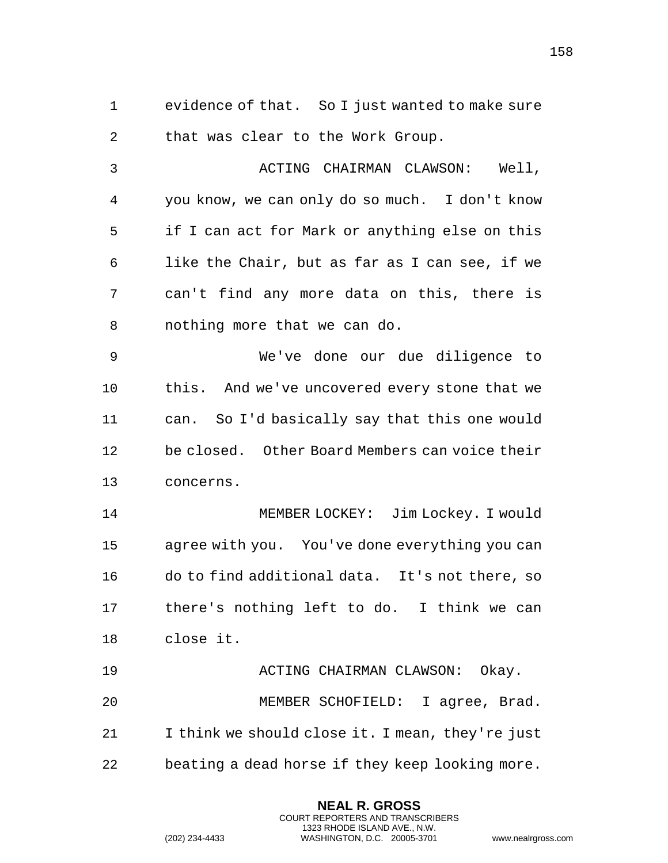evidence of that. So I just wanted to make sure that was clear to the Work Group.

3 ACTING CHAIRMAN CLAWSON: Well, you know, we can only do so much. I don't know if I can act for Mark or anything else on this like the Chair, but as far as I can see, if we can't find any more data on this, there is nothing more that we can do.

 We've done our due diligence to this. And we've uncovered every stone that we can. So I'd basically say that this one would be closed. Other Board Members can voice their concerns.

 MEMBER LOCKEY: Jim Lockey. I would agree with you. You've done everything you can do to find additional data. It's not there, so there's nothing left to do. I think we can close it.

 ACTING CHAIRMAN CLAWSON: Okay. MEMBER SCHOFIELD: I agree, Brad. I think we should close it. I mean, they're just beating a dead horse if they keep looking more.

> **NEAL R. GROSS** COURT REPORTERS AND TRANSCRIBERS 1323 RHODE ISLAND AVE., N.W.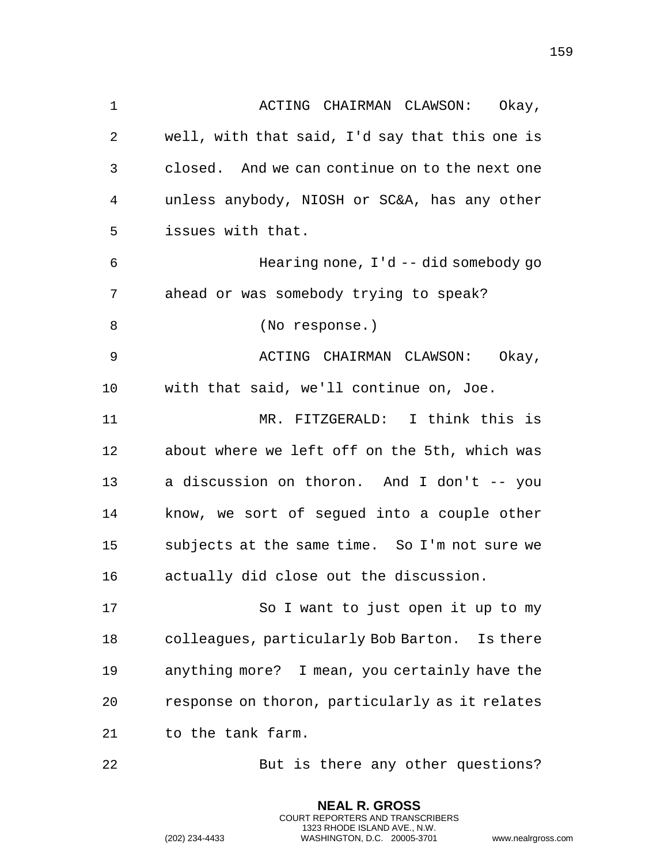| 1  | ACTING CHAIRMAN CLAWSON: Okay,                 |
|----|------------------------------------------------|
| 2  | well, with that said, I'd say that this one is |
| 3  | closed. And we can continue on to the next one |
| 4  | unless anybody, NIOSH or SC&A, has any other   |
| 5  | issues with that.                              |
| 6  | Hearing none, $I' d$ -- did somebody go        |
| 7  | ahead or was somebody trying to speak?         |
| 8  | (No response.)                                 |
| 9  | ACTING CHAIRMAN CLAWSON:<br>Okay,              |
| 10 | with that said, we'll continue on, Joe.        |
| 11 | MR. FITZGERALD: I think this is                |
| 12 | about where we left off on the 5th, which was  |
| 13 | a discussion on thoron. And I don't -- you     |
| 14 | know, we sort of segued into a couple other    |
| 15 | subjects at the same time. So I'm not sure we  |
| 16 | actually did close out the discussion.         |
| 17 | So I want to just open it up to my             |
| 18 | colleagues, particularly Bob Barton. Is there  |
| 19 | anything more? I mean, you certainly have the  |
| 20 | response on thoron, particularly as it relates |
| 21 | to the tank farm.                              |

But is there any other questions?

**NEAL R. GROSS** COURT REPORTERS AND TRANSCRIBERS 1323 RHODE ISLAND AVE., N.W.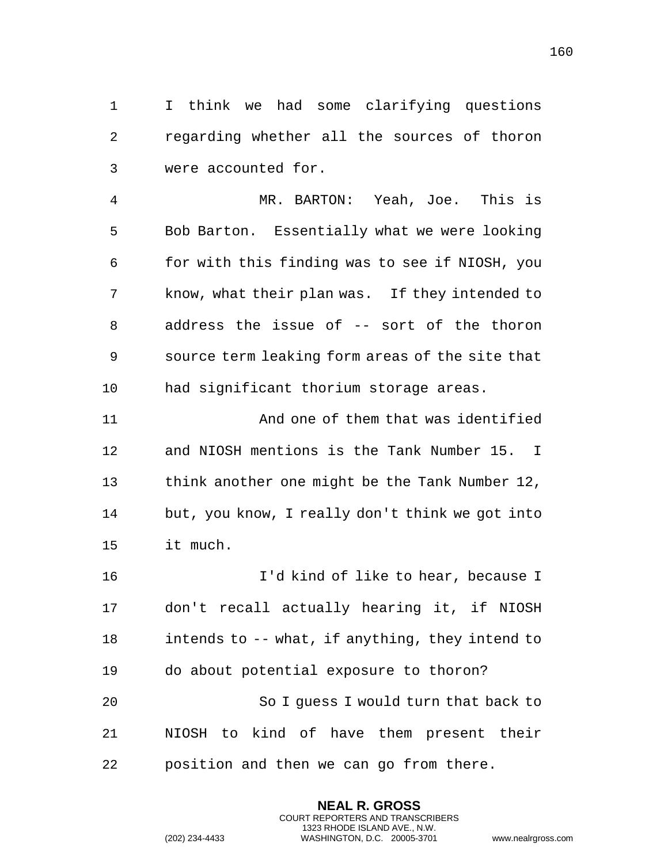I think we had some clarifying questions regarding whether all the sources of thoron were accounted for.

 MR. BARTON: Yeah, Joe. This is Bob Barton. Essentially what we were looking for with this finding was to see if NIOSH, you know, what their plan was. If they intended to address the issue of -- sort of the thoron source term leaking form areas of the site that had significant thorium storage areas.

 And one of them that was identified and NIOSH mentions is the Tank Number 15. I think another one might be the Tank Number 12, but, you know, I really don't think we got into it much.

 I'd kind of like to hear, because I don't recall actually hearing it, if NIOSH intends to -- what, if anything, they intend to do about potential exposure to thoron? So I guess I would turn that back to NIOSH to kind of have them present their position and then we can go from there.

> **NEAL R. GROSS** COURT REPORTERS AND TRANSCRIBERS 1323 RHODE ISLAND AVE., N.W.

```
(202) 234-4433 WASHINGTON, D.C. 20005-3701 www.nealrgross.com
```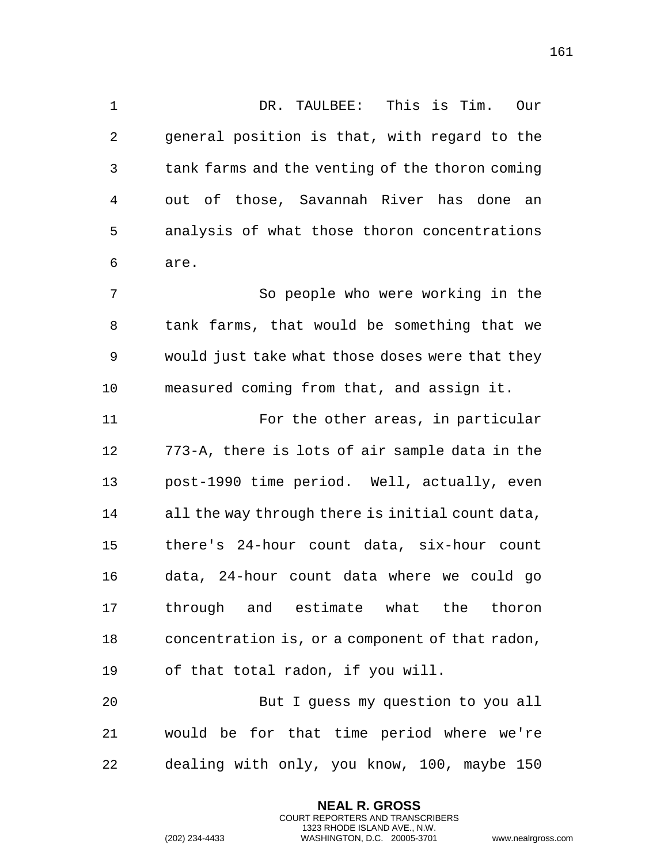DR. TAULBEE: This is Tim. Our general position is that, with regard to the tank farms and the venting of the thoron coming out of those, Savannah River has done an analysis of what those thoron concentrations are. So people who were working in the tank farms, that would be something that we would just take what those doses were that they measured coming from that, and assign it. For the other areas, in particular

 773-A, there is lots of air sample data in the post-1990 time period. Well, actually, even all the way through there is initial count data, there's 24-hour count data, six-hour count data, 24-hour count data where we could go through and estimate what the thoron concentration is, or a component of that radon, of that total radon, if you will.

 But I guess my question to you all would be for that time period where we're dealing with only, you know, 100, maybe 150

> **NEAL R. GROSS** COURT REPORTERS AND TRANSCRIBERS 1323 RHODE ISLAND AVE., N.W.

```
(202) 234-4433 WASHINGTON, D.C. 20005-3701 www.nealrgross.com
```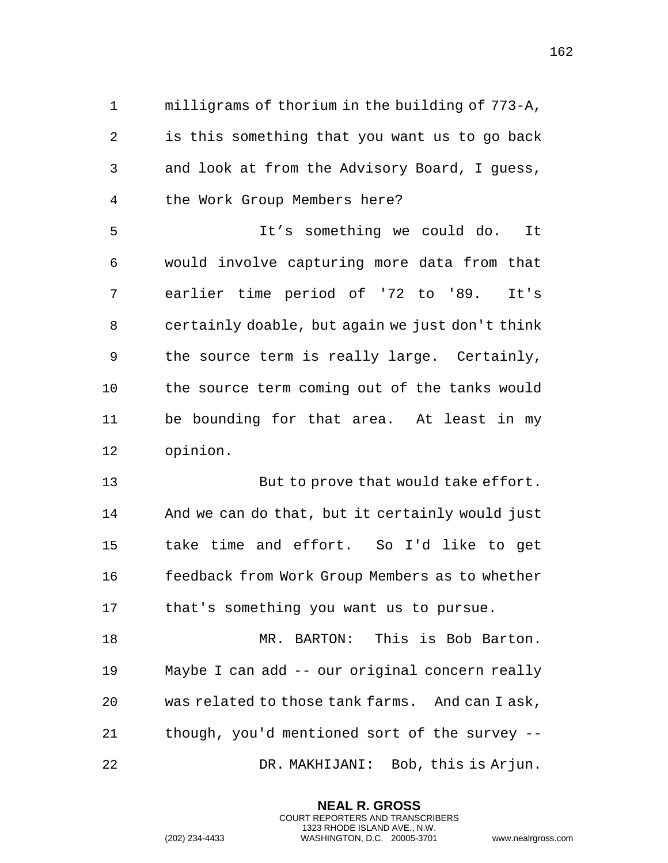milligrams of thorium in the building of 773-A, is this something that you want us to go back and look at from the Advisory Board, I guess, the Work Group Members here?

 It's something we could do. It would involve capturing more data from that earlier time period of '72 to '89. It's certainly doable, but again we just don't think the source term is really large. Certainly, the source term coming out of the tanks would be bounding for that area. At least in my opinion.

 But to prove that would take effort. And we can do that, but it certainly would just take time and effort. So I'd like to get feedback from Work Group Members as to whether that's something you want us to pursue.

 MR. BARTON: This is Bob Barton. Maybe I can add -- our original concern really was related to those tank farms. And can I ask, though, you'd mentioned sort of the survey -- DR. MAKHIJANI: Bob, this is Arjun.

> **NEAL R. GROSS** COURT REPORTERS AND TRANSCRIBERS 1323 RHODE ISLAND AVE., N.W.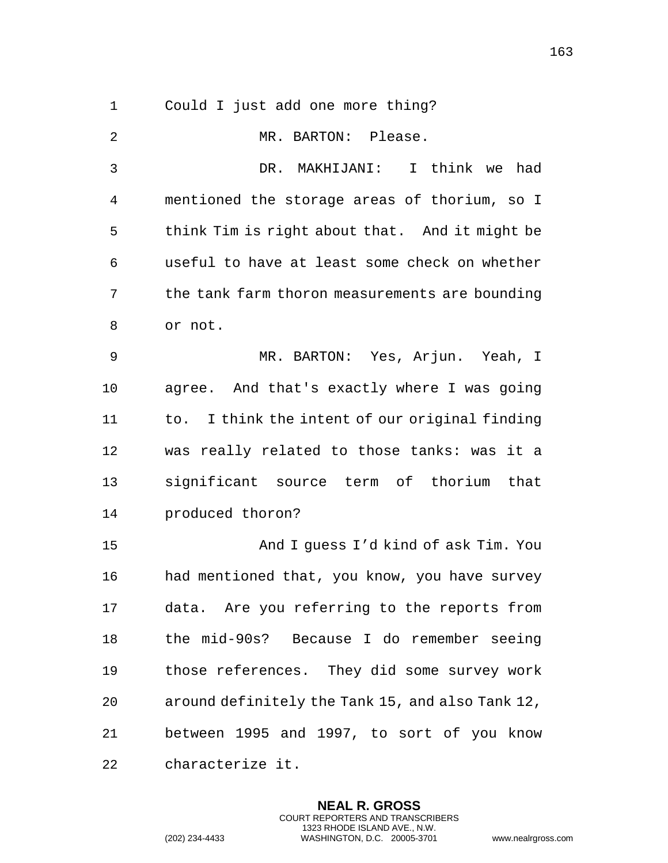Could I just add one more thing?

 MR. BARTON: Please. DR. MAKHIJANI: I think we had mentioned the storage areas of thorium, so I think Tim is right about that. And it might be useful to have at least some check on whether the tank farm thoron measurements are bounding or not. MR. BARTON: Yes, Arjun. Yeah, I agree. And that's exactly where I was going 11 to. I think the intent of our original finding was really related to those tanks: was it a significant source term of thorium that produced thoron? And I guess I'd kind of ask Tim. You had mentioned that, you know, you have survey data. Are you referring to the reports from the mid-90s? Because I do remember seeing those references. They did some survey work around definitely the Tank 15, and also Tank 12, between 1995 and 1997, to sort of you know characterize it.

> **NEAL R. GROSS** COURT REPORTERS AND TRANSCRIBERS 1323 RHODE ISLAND AVE., N.W.

(202) 234-4433 WASHINGTON, D.C. 20005-3701 www.nealrgross.com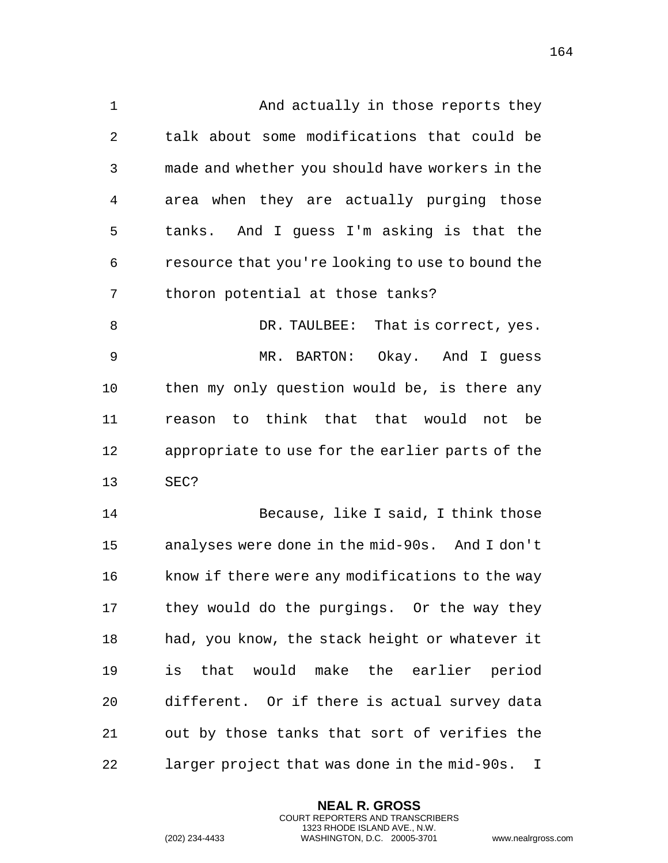1 And actually in those reports they talk about some modifications that could be made and whether you should have workers in the area when they are actually purging those tanks. And I guess I'm asking is that the resource that you're looking to use to bound the thoron potential at those tanks? 8 DR. TAULBEE: That is correct, yes. MR. BARTON: Okay. And I guess then my only question would be, is there any reason to think that that would not be appropriate to use for the earlier parts of the SEC? Because, like I said, I think those analyses were done in the mid-90s. And I don't know if there were any modifications to the way they would do the purgings. Or the way they had, you know, the stack height or whatever it

**NEAL R. GROSS** COURT REPORTERS AND TRANSCRIBERS 1323 RHODE ISLAND AVE., N.W. out by those tanks that sort of verifies the larger project that was done in the mid-90s. I

is that would make the earlier period

different. Or if there is actual survey data

(202) 234-4433 WASHINGTON, D.C. 20005-3701 www.nealrgross.com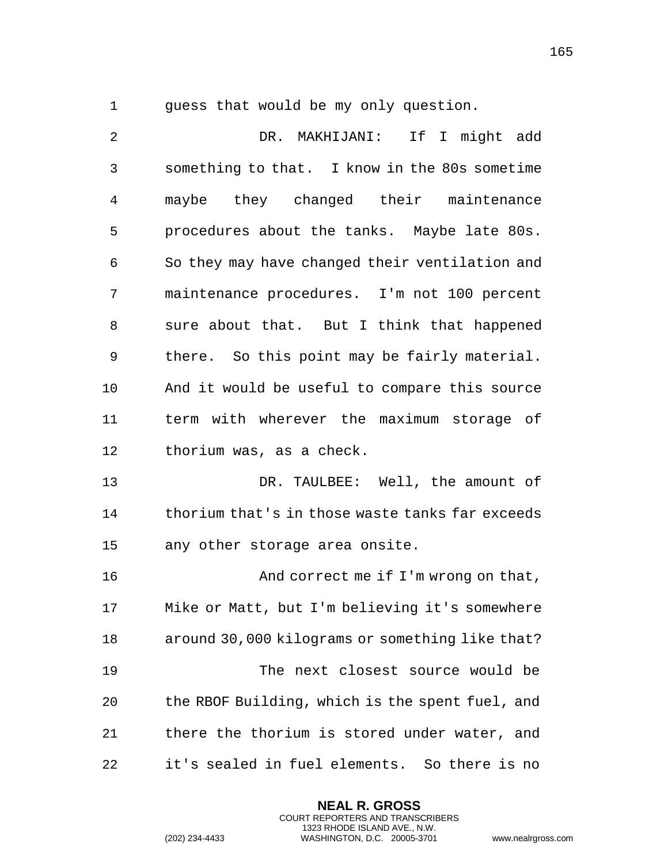guess that would be my only question.

 DR. MAKHIJANI: If I might add something to that. I know in the 80s sometime maybe they changed their maintenance procedures about the tanks. Maybe late 80s. So they may have changed their ventilation and maintenance procedures. I'm not 100 percent sure about that. But I think that happened there. So this point may be fairly material. And it would be useful to compare this source term with wherever the maximum storage of thorium was, as a check. DR. TAULBEE: Well, the amount of thorium that's in those waste tanks far exceeds any other storage area onsite. **And correct me if I'm wrong on that,**  Mike or Matt, but I'm believing it's somewhere around 30,000 kilograms or something like that? The next closest source would be the RBOF Building, which is the spent fuel, and there the thorium is stored under water, and it's sealed in fuel elements. So there is no

> **NEAL R. GROSS** COURT REPORTERS AND TRANSCRIBERS 1323 RHODE ISLAND AVE., N.W.

(202) 234-4433 WASHINGTON, D.C. 20005-3701 www.nealrgross.com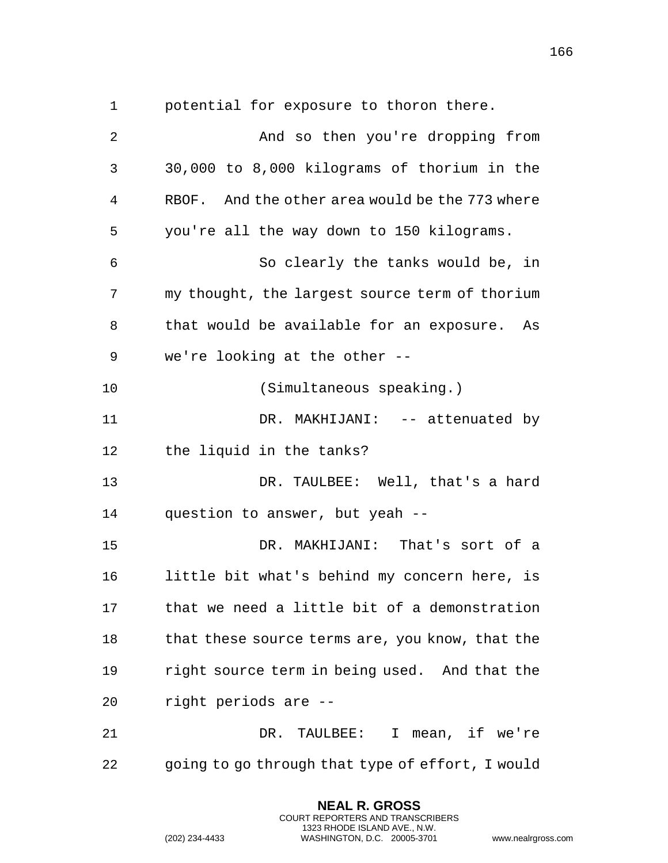potential for exposure to thoron there.

| $\overline{2}$ | And so then you're dropping from                 |
|----------------|--------------------------------------------------|
| 3              | 30,000 to 8,000 kilograms of thorium in the      |
| 4              | RBOF. And the other area would be the 773 where  |
| 5              | you're all the way down to 150 kilograms.        |
| 6              | So clearly the tanks would be, in                |
| 7              | my thought, the largest source term of thorium   |
| 8              | that would be available for an exposure. As      |
| 9              | we're looking at the other --                    |
| 10             | (Simultaneous speaking.)                         |
| 11             | DR. MAKHIJANI: -- attenuated by                  |
| 12             | the liquid in the tanks?                         |
| 13             | DR. TAULBEE: Well, that's a hard                 |
| 14             | question to answer, but yeah --                  |
| 15             | DR. MAKHIJANI: That's sort of a                  |
| 16             | little bit what's behind my concern here, is     |
| 17             | that we need a little bit of a demonstration     |
| 18             | that these source terms are, you know, that the  |
| 19             | right source term in being used. And that the    |
| 20             | right periods are --                             |
| 21             | TAULBEE: I mean, if we're<br>DR.                 |
| 22             | going to go through that type of effort, I would |

**NEAL R. GROSS** COURT REPORTERS AND TRANSCRIBERS 1323 RHODE ISLAND AVE., N.W.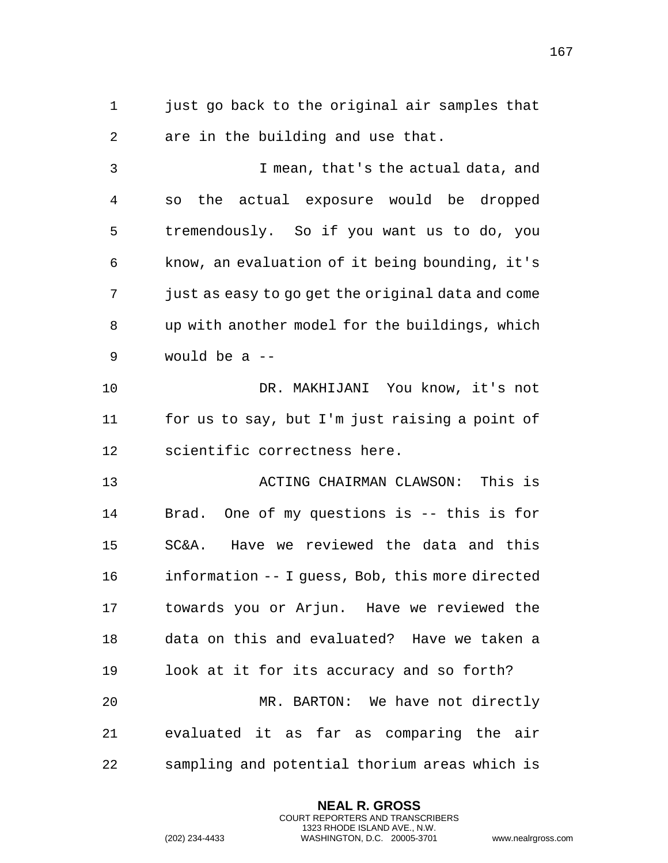just go back to the original air samples that are in the building and use that.

 I mean, that's the actual data, and so the actual exposure would be dropped tremendously. So if you want us to do, you know, an evaluation of it being bounding, it's just as easy to go get the original data and come up with another model for the buildings, which would be a --

 DR. MAKHIJANI You know, it's not for us to say, but I'm just raising a point of scientific correctness here.

 ACTING CHAIRMAN CLAWSON: This is Brad. One of my questions is -- this is for SC&A. Have we reviewed the data and this information -- I guess, Bob, this more directed towards you or Arjun. Have we reviewed the data on this and evaluated? Have we taken a look at it for its accuracy and so forth? MR. BARTON: We have not directly evaluated it as far as comparing the air

sampling and potential thorium areas which is

**NEAL R. GROSS** COURT REPORTERS AND TRANSCRIBERS 1323 RHODE ISLAND AVE., N.W.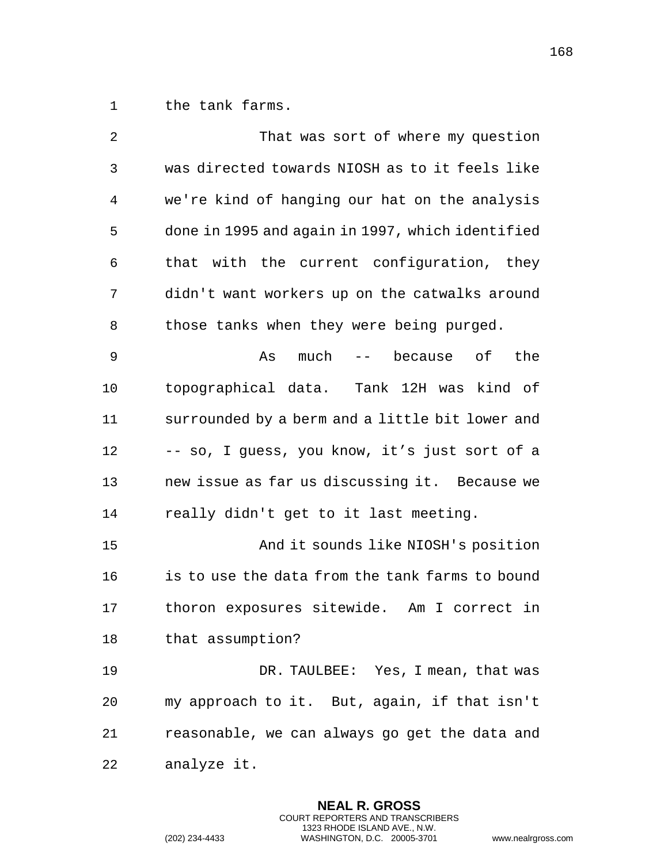1 the tank farms.

| 2  | That was sort of where my question               |
|----|--------------------------------------------------|
| 3  | was directed towards NIOSH as to it feels like   |
| 4  | we're kind of hanging our hat on the analysis    |
| 5  | done in 1995 and again in 1997, which identified |
| 6  | that with the current configuration, they        |
| 7  | didn't want workers up on the catwalks around    |
| 8  | those tanks when they were being purged.         |
| 9  | much -- because of<br>the<br>As                  |
| 10 | topographical data. Tank 12H was kind of         |
| 11 | surrounded by a berm and a little bit lower and  |
| 12 | -- so, I guess, you know, it's just sort of a    |
| 13 | new issue as far us discussing it. Because we    |
| 14 | really didn't get to it last meeting.            |
| 15 | And it sounds like NIOSH's position              |
| 16 | is to use the data from the tank farms to bound  |
| 17 | thoron exposures sitewide. Am I correct in       |
| 18 | that assumption?                                 |
| 19 | DR. TAULBEE: Yes, I mean, that was               |
| 20 | my approach to it. But, again, if that isn't     |
| 21 | reasonable, we can always go get the data and    |
| 22 | analyze it.                                      |

**NEAL R. GROSS** COURT REPORTERS AND TRANSCRIBERS 1323 RHODE ISLAND AVE., N.W.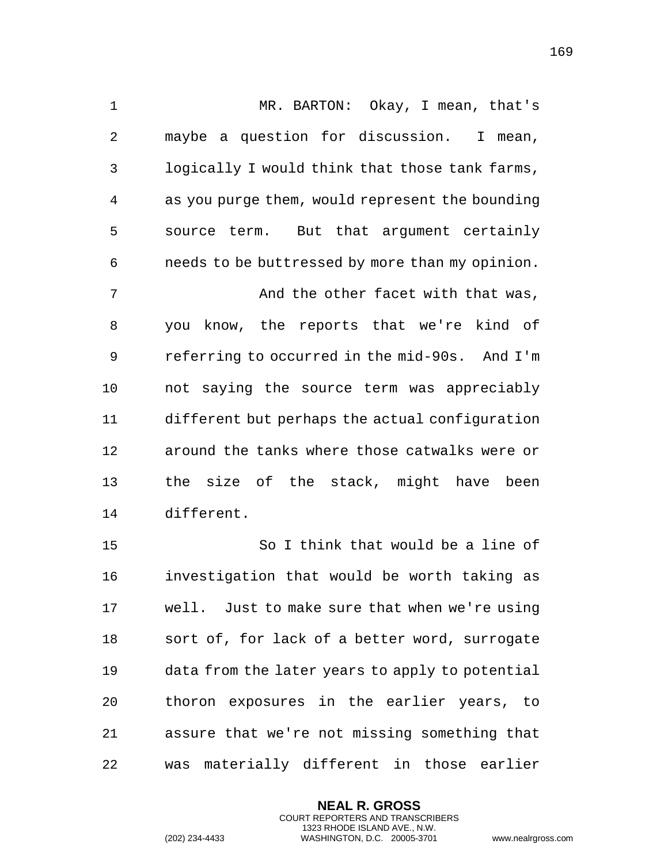MR. BARTON: Okay, I mean, that's maybe a question for discussion. I mean, logically I would think that those tank farms, as you purge them, would represent the bounding source term. But that argument certainly needs to be buttressed by more than my opinion. 7 And the other facet with that was, you know, the reports that we're kind of referring to occurred in the mid-90s. And I'm not saying the source term was appreciably different but perhaps the actual configuration around the tanks where those catwalks were or the size of the stack, might have been different.

 So I think that would be a line of investigation that would be worth taking as well. Just to make sure that when we're using sort of, for lack of a better word, surrogate data from the later years to apply to potential thoron exposures in the earlier years, to assure that we're not missing something that was materially different in those earlier

> **NEAL R. GROSS** COURT REPORTERS AND TRANSCRIBERS 1323 RHODE ISLAND AVE., N.W.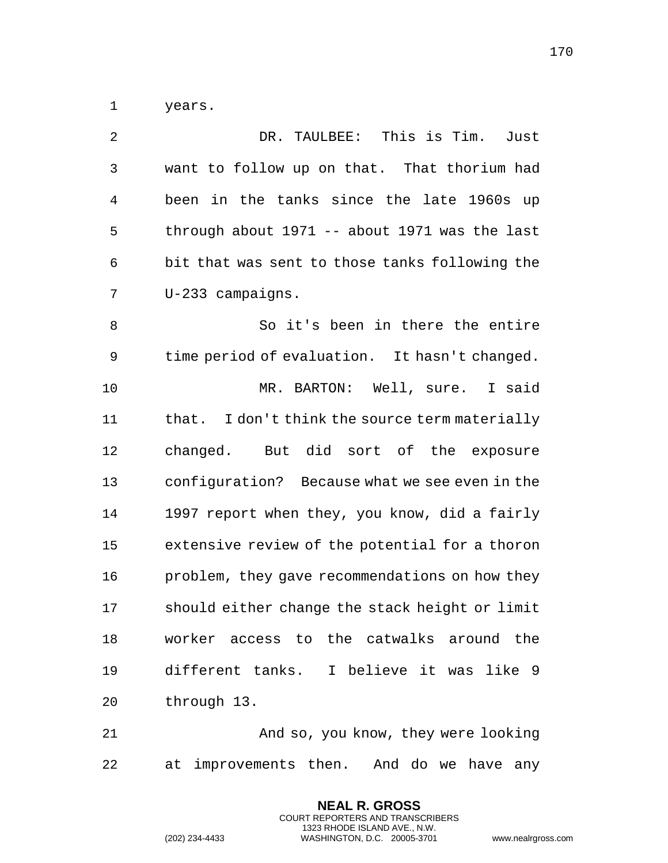years.

| 2              | DR. TAULBEE: This is Tim.<br>Just              |
|----------------|------------------------------------------------|
| 3              | want to follow up on that. That thorium had    |
| $\overline{4}$ | been in the tanks since the late 1960s up      |
| 5              | through about 1971 -- about 1971 was the last  |
| 6              | bit that was sent to those tanks following the |
| 7              | U-233 campaigns.                               |
| 8              | So it's been in there the entire               |
| 9              | time period of evaluation. It hasn't changed.  |
| 10             | MR. BARTON: Well, sure. I said                 |
| 11             | that. I don't think the source term materially |
| 12             | changed. But did sort of the exposure          |
| 13             | configuration? Because what we see even in the |
| 14             | 1997 report when they, you know, did a fairly  |
| 15             | extensive review of the potential for a thoron |
| 16             | problem, they gave recommendations on how they |
| 17             | should either change the stack height or limit |
| 18             | worker access to the catwalks around the       |
| 19             | different tanks. I believe it was like 9       |
| 20             | through 13.                                    |
|                |                                                |

 And so, you know, they were looking at improvements then. And do we have any

> **NEAL R. GROSS** COURT REPORTERS AND TRANSCRIBERS 1323 RHODE ISLAND AVE., N.W.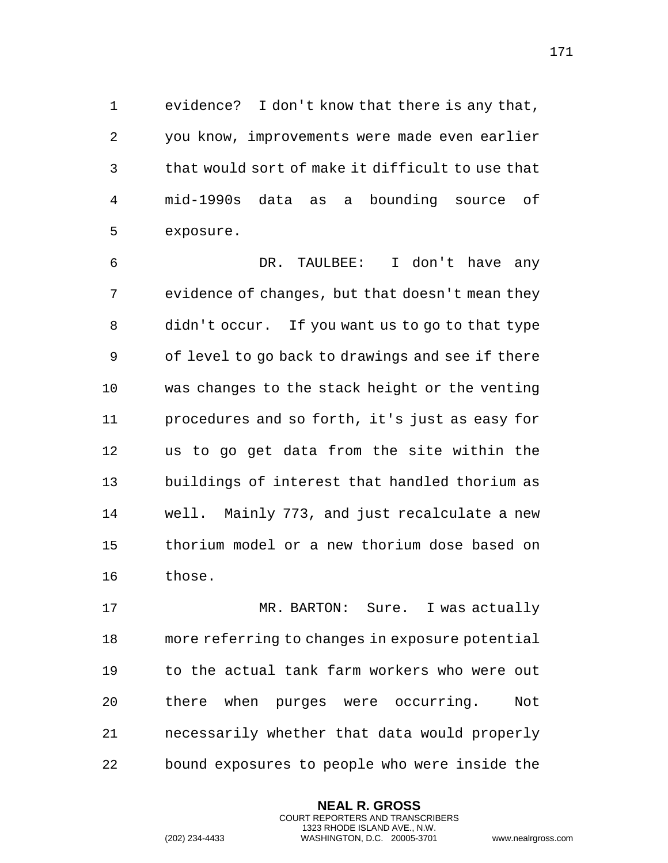evidence? I don't know that there is any that, you know, improvements were made even earlier that would sort of make it difficult to use that mid-1990s data as a bounding source of exposure.

 DR. TAULBEE: I don't have any evidence of changes, but that doesn't mean they didn't occur. If you want us to go to that type of level to go back to drawings and see if there was changes to the stack height or the venting procedures and so forth, it's just as easy for us to go get data from the site within the buildings of interest that handled thorium as well. Mainly 773, and just recalculate a new thorium model or a new thorium dose based on those.

 MR. BARTON: Sure. I was actually more referring to changes in exposure potential to the actual tank farm workers who were out there when purges were occurring. Not necessarily whether that data would properly bound exposures to people who were inside the

> **NEAL R. GROSS** COURT REPORTERS AND TRANSCRIBERS 1323 RHODE ISLAND AVE., N.W.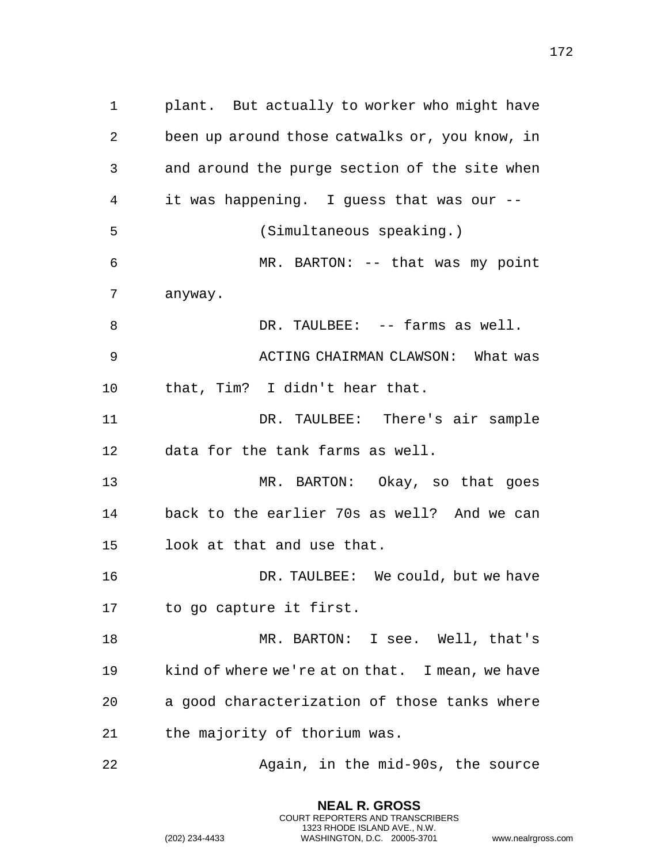plant. But actually to worker who might have been up around those catwalks or, you know, in and around the purge section of the site when it was happening. I guess that was our -- (Simultaneous speaking.) MR. BARTON: -- that was my point anyway. 8 DR. TAULBEE: -- farms as well. ACTING CHAIRMAN CLAWSON: What was that, Tim? I didn't hear that. DR. TAULBEE: There's air sample data for the tank farms as well. MR. BARTON: Okay, so that goes back to the earlier 70s as well? And we can look at that and use that. DR. TAULBEE: We could, but we have to go capture it first. MR. BARTON: I see. Well, that's kind of where we're at on that. I mean, we have a good characterization of those tanks where the majority of thorium was. Again, in the mid-90s, the source

> **NEAL R. GROSS** COURT REPORTERS AND TRANSCRIBERS 1323 RHODE ISLAND AVE., N.W.

(202) 234-4433 WASHINGTON, D.C. 20005-3701 www.nealrgross.com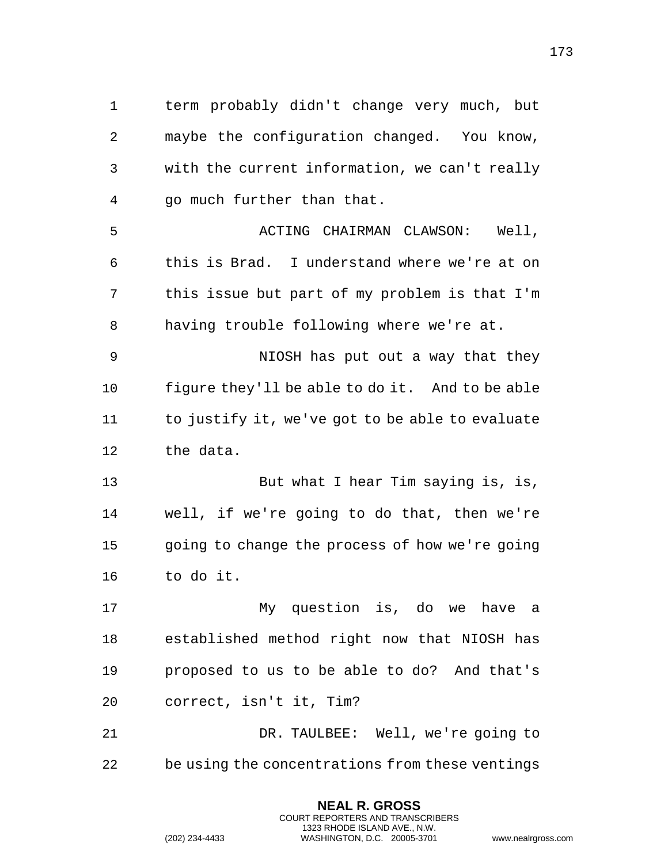term probably didn't change very much, but maybe the configuration changed. You know, with the current information, we can't really go much further than that. ACTING CHAIRMAN CLAWSON: Well, this is Brad. I understand where we're at on this issue but part of my problem is that I'm having trouble following where we're at. NIOSH has put out a way that they figure they'll be able to do it. And to be able to justify it, we've got to be able to evaluate the data. But what I hear Tim saying is, is, well, if we're going to do that, then we're going to change the process of how we're going to do it. My question is, do we have a established method right now that NIOSH has proposed to us to be able to do? And that's correct, isn't it, Tim? DR. TAULBEE: Well, we're going to

> **NEAL R. GROSS** COURT REPORTERS AND TRANSCRIBERS 1323 RHODE ISLAND AVE., N.W.

be using the concentrations from these ventings

(202) 234-4433 WASHINGTON, D.C. 20005-3701 www.nealrgross.com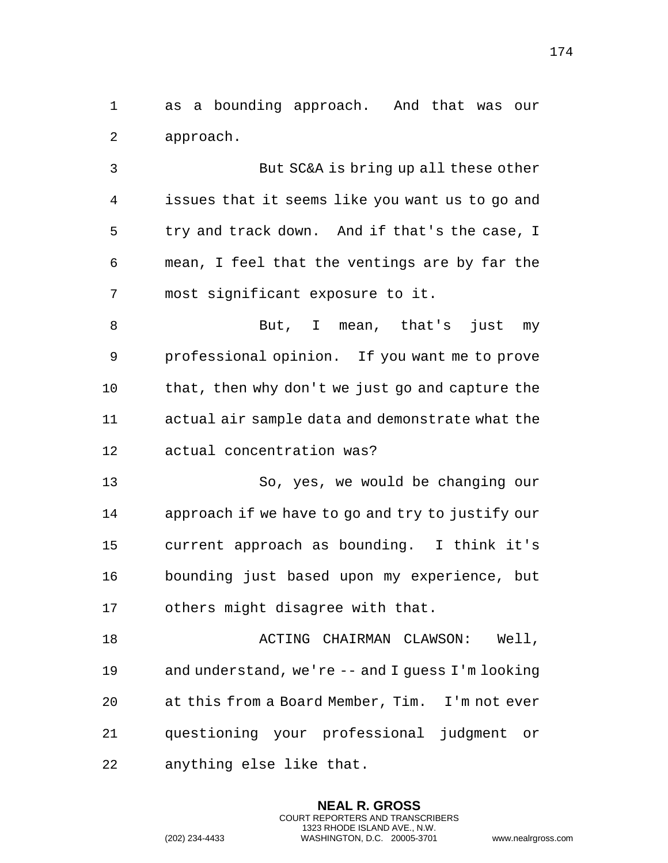as a bounding approach. And that was our approach.

 But SC&A is bring up all these other issues that it seems like you want us to go and try and track down. And if that's the case, I mean, I feel that the ventings are by far the most significant exposure to it.

8 But, I mean, that's just my professional opinion. If you want me to prove that, then why don't we just go and capture the actual air sample data and demonstrate what the actual concentration was?

 So, yes, we would be changing our approach if we have to go and try to justify our current approach as bounding. I think it's bounding just based upon my experience, but others might disagree with that.

 ACTING CHAIRMAN CLAWSON: Well, and understand, we're -- and I guess I'm looking at this from a Board Member, Tim. I'm not ever questioning your professional judgment or anything else like that.

> **NEAL R. GROSS** COURT REPORTERS AND TRANSCRIBERS 1323 RHODE ISLAND AVE., N.W.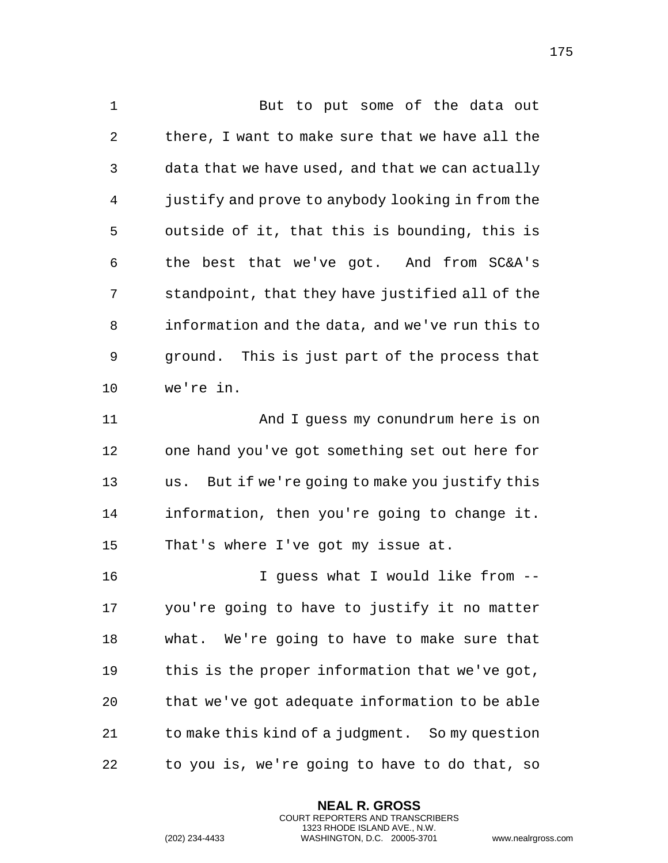1 But to put some of the data out there, I want to make sure that we have all the data that we have used, and that we can actually justify and prove to anybody looking in from the outside of it, that this is bounding, this is the best that we've got. And from SC&A's standpoint, that they have justified all of the information and the data, and we've run this to ground. This is just part of the process that we're in. And I guess my conundrum here is on

 one hand you've got something set out here for us. But if we're going to make you justify this information, then you're going to change it. That's where I've got my issue at.

 I guess what I would like from -- you're going to have to justify it no matter what. We're going to have to make sure that this is the proper information that we've got, that we've got adequate information to be able to make this kind of a judgment. So my question to you is, we're going to have to do that, so

> **NEAL R. GROSS** COURT REPORTERS AND TRANSCRIBERS 1323 RHODE ISLAND AVE., N.W.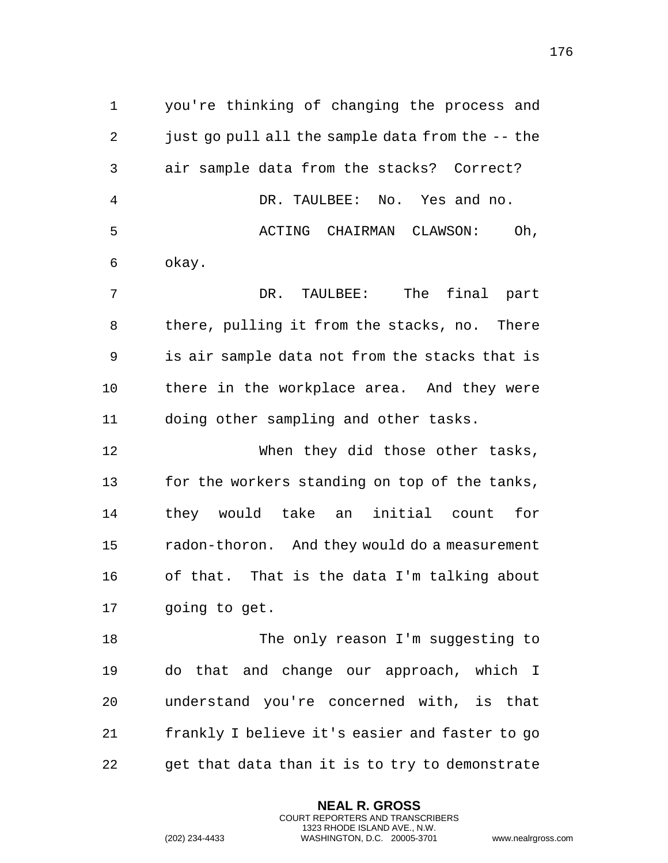you're thinking of changing the process and just go pull all the sample data from the -- the air sample data from the stacks? Correct? DR. TAULBEE: No. Yes and no. 5 ACTING CHAIRMAN CLAWSON: Oh, okay. DR. TAULBEE: The final part there, pulling it from the stacks, no. There is air sample data not from the stacks that is 10 there in the workplace area. And they were doing other sampling and other tasks. When they did those other tasks, 13 for the workers standing on top of the tanks, they would take an initial count for radon-thoron. And they would do a measurement of that. That is the data I'm talking about going to get. The only reason I'm suggesting to do that and change our approach, which I understand you're concerned with, is that frankly I believe it's easier and faster to go get that data than it is to try to demonstrate

> **NEAL R. GROSS** COURT REPORTERS AND TRANSCRIBERS 1323 RHODE ISLAND AVE., N.W.

(202) 234-4433 WASHINGTON, D.C. 20005-3701 www.nealrgross.com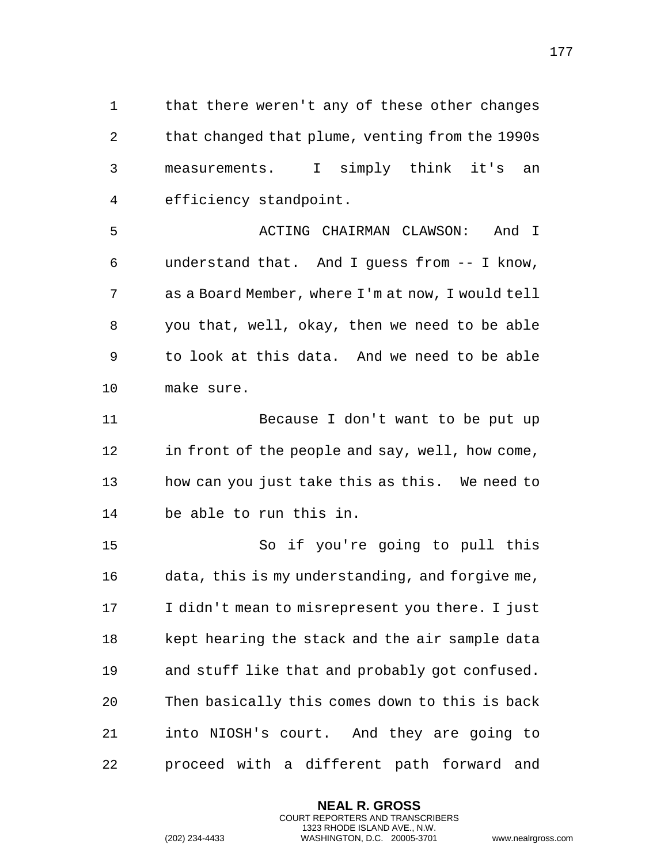that there weren't any of these other changes that changed that plume, venting from the 1990s measurements. I simply think it's an efficiency standpoint.

 ACTING CHAIRMAN CLAWSON: And I understand that. And I guess from -- I know, as a Board Member, where I'm at now, I would tell you that, well, okay, then we need to be able to look at this data. And we need to be able make sure.

 Because I don't want to be put up in front of the people and say, well, how come, how can you just take this as this. We need to be able to run this in.

 So if you're going to pull this data, this is my understanding, and forgive me, I didn't mean to misrepresent you there. I just kept hearing the stack and the air sample data and stuff like that and probably got confused. Then basically this comes down to this is back into NIOSH's court. And they are going to proceed with a different path forward and

> **NEAL R. GROSS** COURT REPORTERS AND TRANSCRIBERS 1323 RHODE ISLAND AVE., N.W.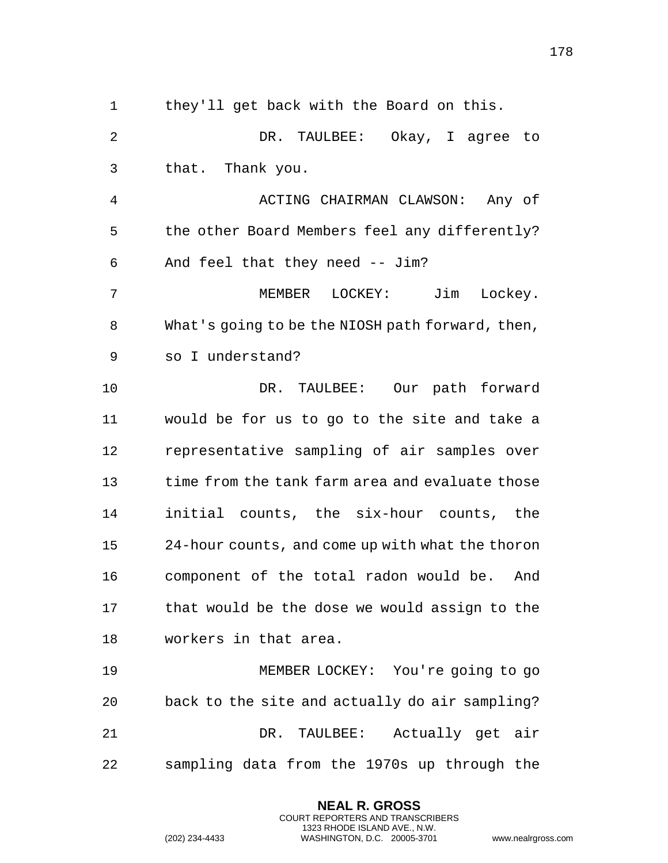they'll get back with the Board on this. DR. TAULBEE: Okay, I agree to that. Thank you. ACTING CHAIRMAN CLAWSON: Any of the other Board Members feel any differently? And feel that they need -- Jim? MEMBER LOCKEY: Jim Lockey. What's going to be the NIOSH path forward, then, so I understand? DR. TAULBEE: Our path forward would be for us to go to the site and take a representative sampling of air samples over time from the tank farm area and evaluate those initial counts, the six-hour counts, the 24-hour counts, and come up with what the thoron component of the total radon would be. And that would be the dose we would assign to the workers in that area. MEMBER LOCKEY: You're going to go back to the site and actually do air sampling? DR. TAULBEE: Actually get air sampling data from the 1970s up through the

> **NEAL R. GROSS** COURT REPORTERS AND TRANSCRIBERS 1323 RHODE ISLAND AVE., N.W.

(202) 234-4433 WASHINGTON, D.C. 20005-3701 www.nealrgross.com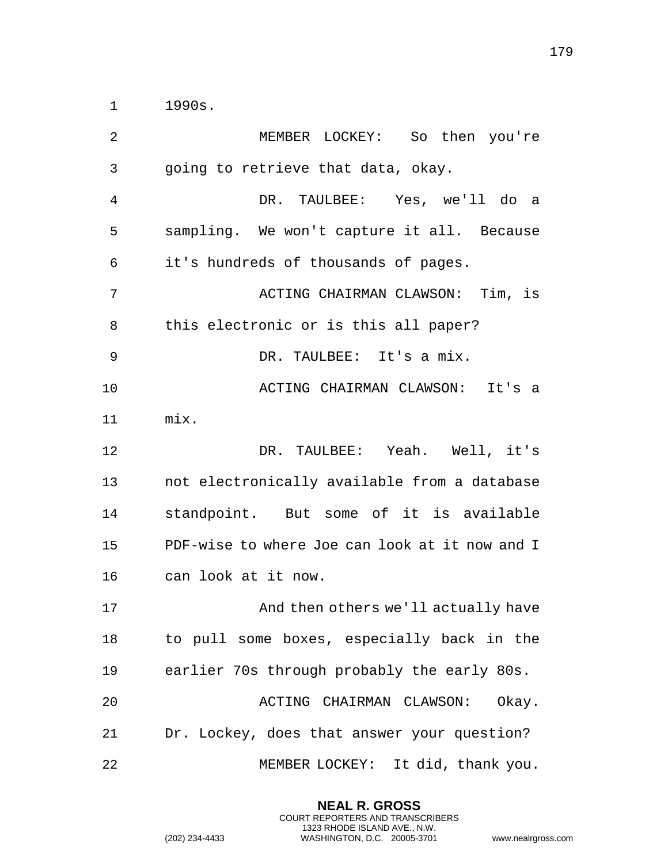1990s.

| 2  | MEMBER LOCKEY: So then you're                  |
|----|------------------------------------------------|
| 3  | going to retrieve that data, okay.             |
| 4  | DR. TAULBEE: Yes, we'll do<br>a a              |
| 5  | sampling. We won't capture it all. Because     |
| 6  | it's hundreds of thousands of pages.           |
| 7  | ACTING CHAIRMAN CLAWSON: Tim, is               |
| 8  | this electronic or is this all paper?          |
| 9  | DR. TAULBEE: It's a mix.                       |
| 10 | ACTING CHAIRMAN CLAWSON: It's a                |
| 11 | mix.                                           |
| 12 | DR. TAULBEE: Yeah. Well, it's                  |
| 13 | not electronically available from a database   |
| 14 | standpoint. But some of it is available        |
| 15 | PDF-wise to where Joe can look at it now and I |
| 16 | can look at it now.                            |
| 17 | And then others we'll actually have            |
| 18 | to pull some boxes, especially back in the     |
| 19 | earlier 70s through probably the early 80s.    |
| 20 | ACTING CHAIRMAN CLAWSON:<br>Okay.              |
| 21 | Dr. Lockey, does that answer your question?    |
| 22 | MEMBER LOCKEY: It did, thank you.              |

**NEAL R. GROSS** COURT REPORTERS AND TRANSCRIBERS 1323 RHODE ISLAND AVE., N.W.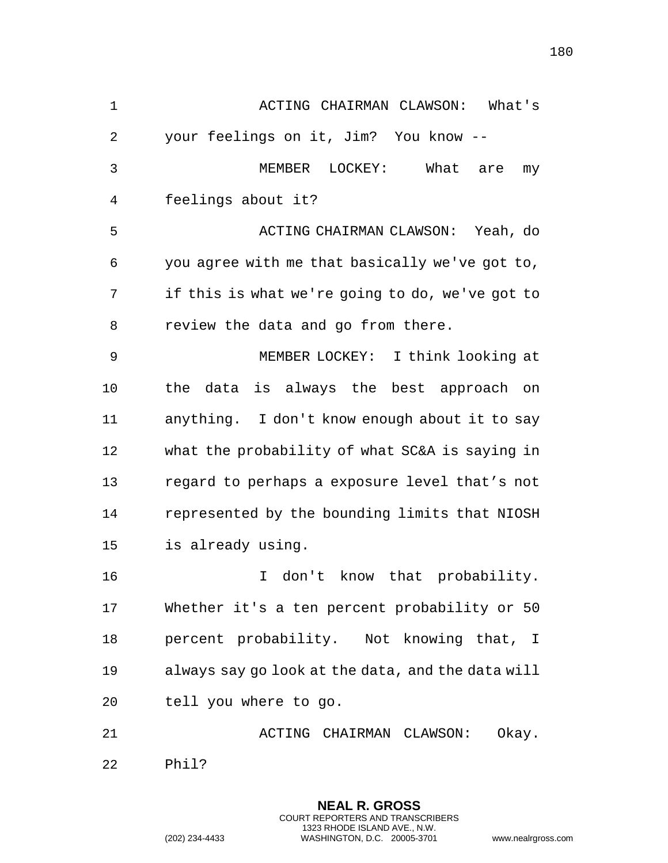ACTING CHAIRMAN CLAWSON: What's your feelings on it, Jim? You know -- MEMBER LOCKEY: What are my feelings about it? ACTING CHAIRMAN CLAWSON: Yeah, do you agree with me that basically we've got to, if this is what we're going to do, we've got to review the data and go from there. MEMBER LOCKEY: I think looking at the data is always the best approach on anything. I don't know enough about it to say what the probability of what SC&A is saying in regard to perhaps a exposure level that's not represented by the bounding limits that NIOSH is already using. 16 16 I don't know that probability. Whether it's a ten percent probability or 50 percent probability. Not knowing that, I always say go look at the data, and the data will tell you where to go. 21 ACTING CHAIRMAN CLAWSON: Okay. Phil?

> **NEAL R. GROSS** COURT REPORTERS AND TRANSCRIBERS 1323 RHODE ISLAND AVE., N.W.

(202) 234-4433 WASHINGTON, D.C. 20005-3701 www.nealrgross.com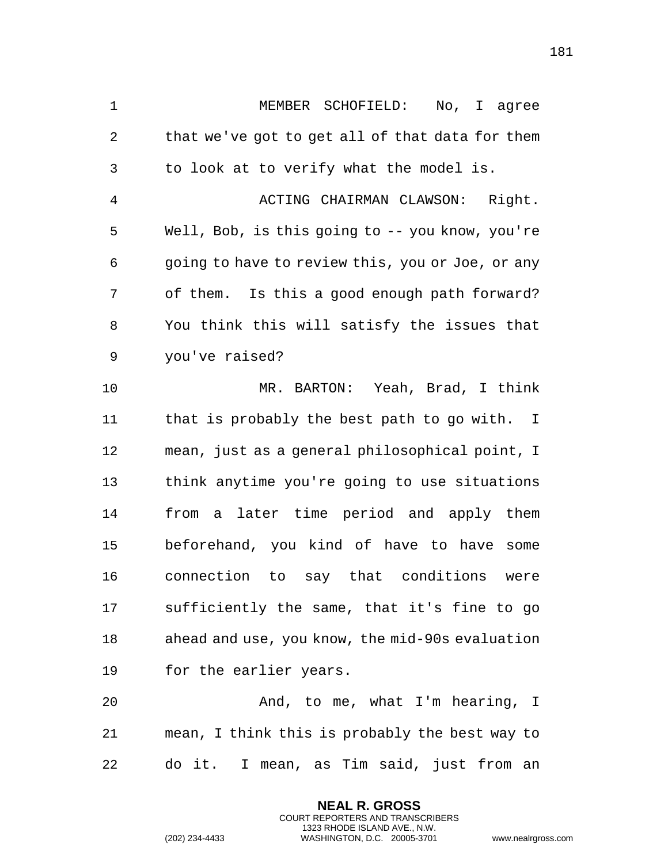MEMBER SCHOFIELD: No, I agree that we've got to get all of that data for them to look at to verify what the model is. ACTING CHAIRMAN CLAWSON: Right. Well, Bob, is this going to -- you know, you're going to have to review this, you or Joe, or any of them. Is this a good enough path forward? You think this will satisfy the issues that you've raised? MR. BARTON: Yeah, Brad, I think that is probably the best path to go with. I mean, just as a general philosophical point, I think anytime you're going to use situations from a later time period and apply them beforehand, you kind of have to have some connection to say that conditions were sufficiently the same, that it's fine to go ahead and use, you know, the mid-90s evaluation for the earlier years. And, to me, what I'm hearing, I

 mean, I think this is probably the best way to do it. I mean, as Tim said, just from an

> **NEAL R. GROSS** COURT REPORTERS AND TRANSCRIBERS 1323 RHODE ISLAND AVE., N.W.

(202) 234-4433 WASHINGTON, D.C. 20005-3701 www.nealrgross.com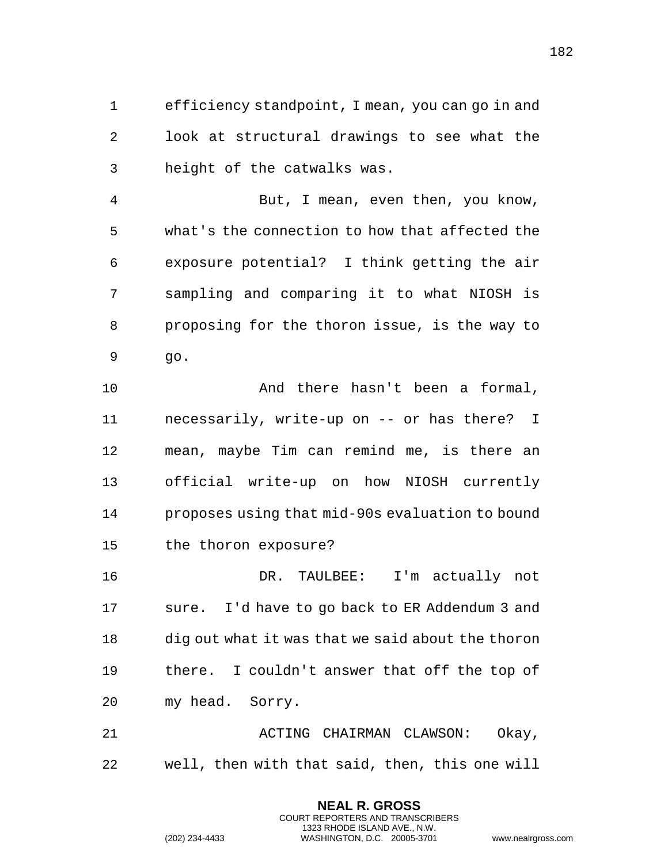efficiency standpoint, I mean, you can go in and look at structural drawings to see what the height of the catwalks was.

 But, I mean, even then, you know, what's the connection to how that affected the exposure potential? I think getting the air sampling and comparing it to what NIOSH is proposing for the thoron issue, is the way to go.

 And there hasn't been a formal, necessarily, write-up on -- or has there? I mean, maybe Tim can remind me, is there an official write-up on how NIOSH currently proposes using that mid-90s evaluation to bound the thoron exposure?

 DR. TAULBEE: I'm actually not sure. I'd have to go back to ER Addendum 3 and dig out what it was that we said about the thoron there. I couldn't answer that off the top of my head. Sorry.

 ACTING CHAIRMAN CLAWSON: Okay, well, then with that said, then, this one will

> **NEAL R. GROSS** COURT REPORTERS AND TRANSCRIBERS 1323 RHODE ISLAND AVE., N.W.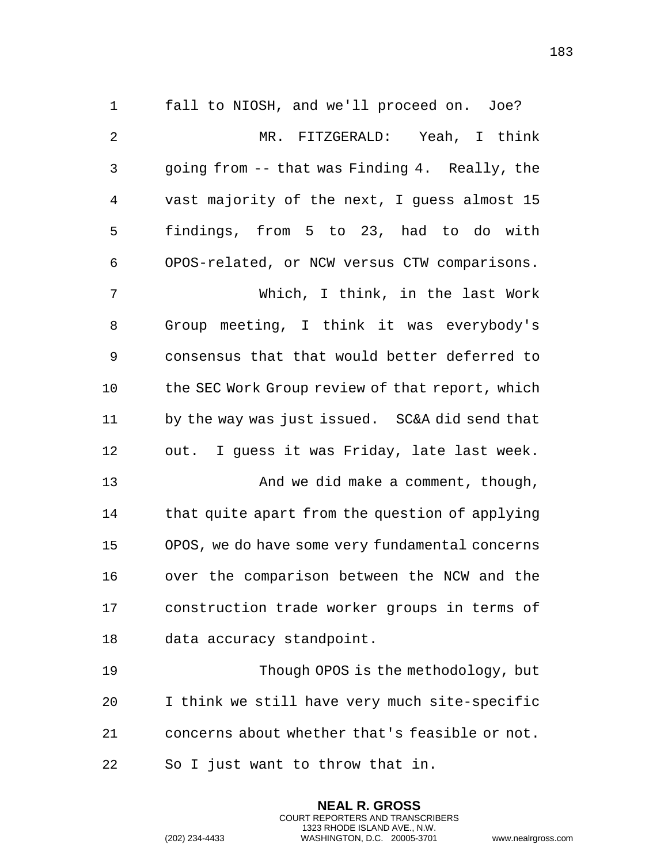fall to NIOSH, and we'll proceed on. Joe? MR. FITZGERALD: Yeah, I think going from -- that was Finding 4. Really, the vast majority of the next, I guess almost 15 findings, from 5 to 23, had to do with OPOS-related, or NCW versus CTW comparisons. Which, I think, in the last Work Group meeting, I think it was everybody's consensus that that would better deferred to 10 the SEC Work Group review of that report, which by the way was just issued. SC&A did send that out. I guess it was Friday, late last week. 13 And we did make a comment, though, 14 that quite apart from the question of applying OPOS, we do have some very fundamental concerns over the comparison between the NCW and the construction trade worker groups in terms of data accuracy standpoint. Though OPOS is the methodology, but I think we still have very much site-specific

concerns about whether that's feasible or not.

**NEAL R. GROSS** COURT REPORTERS AND TRANSCRIBERS 1323 RHODE ISLAND AVE., N.W.

So I just want to throw that in.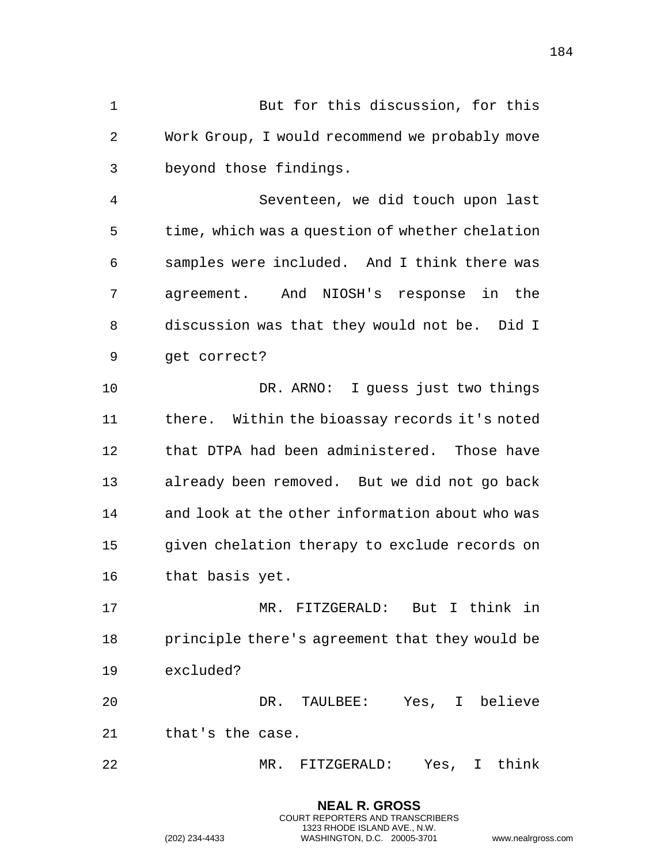But for this discussion, for this Work Group, I would recommend we probably move beyond those findings.

 Seventeen, we did touch upon last time, which was a question of whether chelation samples were included. And I think there was agreement. And NIOSH's response in the discussion was that they would not be. Did I get correct?

 DR. ARNO: I guess just two things there. Within the bioassay records it's noted that DTPA had been administered. Those have already been removed. But we did not go back and look at the other information about who was given chelation therapy to exclude records on that basis yet.

 MR. FITZGERALD: But I think in principle there's agreement that they would be excluded?

 DR. TAULBEE: Yes, I believe that's the case.

MR. FITZGERALD: Yes, I think

**NEAL R. GROSS** COURT REPORTERS AND TRANSCRIBERS 1323 RHODE ISLAND AVE., N.W.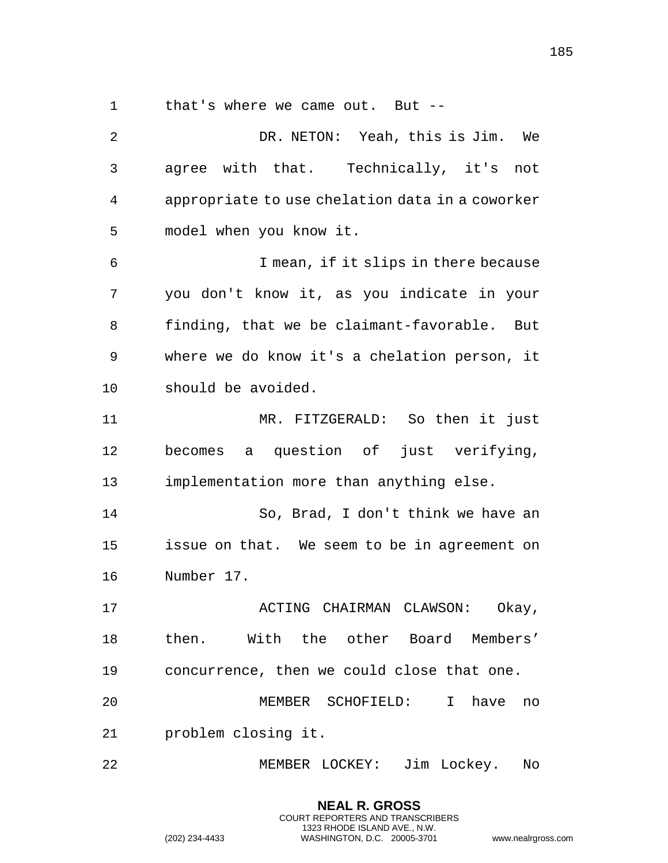that's where we came out. But --

 DR. NETON: Yeah, this is Jim. We agree with that. Technically, it's not appropriate to use chelation data in a coworker model when you know it. I mean, if it slips in there because you don't know it, as you indicate in your finding, that we be claimant-favorable. But where we do know it's a chelation person, it should be avoided. MR. FITZGERALD: So then it just becomes a question of just verifying, implementation more than anything else. So, Brad, I don't think we have an issue on that. We seem to be in agreement on Number 17. **ACTING CHAIRMAN CLAWSON:** Okay, then. With the other Board Members' concurrence, then we could close that one. MEMBER SCHOFIELD: I have no problem closing it. MEMBER LOCKEY: Jim Lockey. No

> **NEAL R. GROSS** COURT REPORTERS AND TRANSCRIBERS 1323 RHODE ISLAND AVE., N.W.

(202) 234-4433 WASHINGTON, D.C. 20005-3701 www.nealrgross.com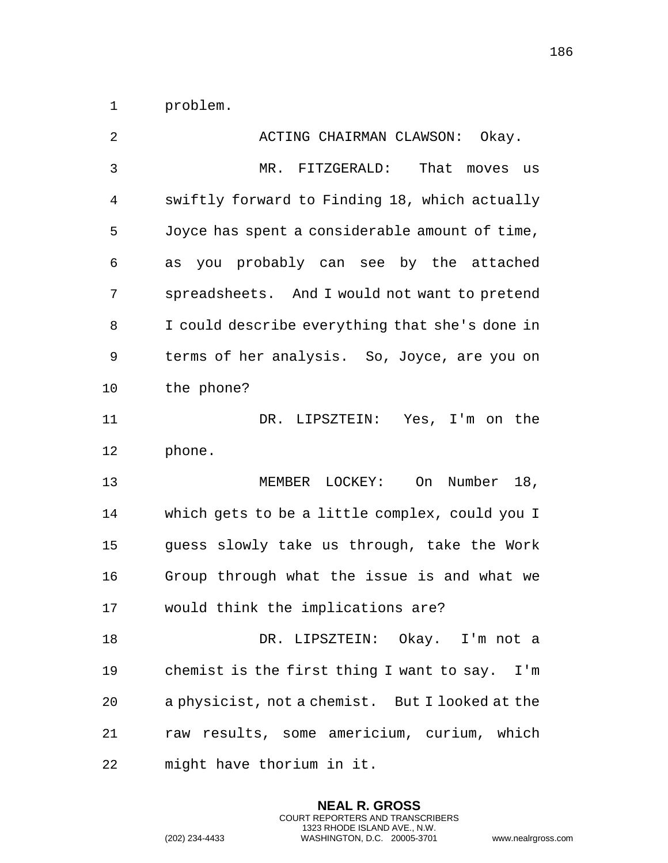problem.

| 2  | ACTING CHAIRMAN CLAWSON: Okay.                  |
|----|-------------------------------------------------|
| 3  | MR. FITZGERALD:<br>That moves us                |
| 4  | swiftly forward to Finding 18, which actually   |
| 5  | Joyce has spent a considerable amount of time,  |
| 6  | you probably can see by the attached<br>as      |
| 7  | spreadsheets. And I would not want to pretend   |
| 8  | I could describe everything that she's done in  |
| 9  | terms of her analysis. So, Joyce, are you on    |
| 10 | the phone?                                      |
| 11 | DR. LIPSZTEIN: Yes, I'm on the                  |
| 12 | phone.                                          |
| 13 | MEMBER LOCKEY:<br>Number 18,<br>On              |
| 14 | which gets to be a little complex, could you I  |
| 15 | guess slowly take us through, take the Work     |
| 16 | Group through what the issue is and what we     |
| 17 | would think the implications are?               |
| 18 | DR. LIPSZTEIN: Okay. I'm not a                  |
| 19 | chemist is the first thing I want to say. I'm   |
| 20 | a physicist, not a chemist. But I looked at the |
| 21 | raw results, some americium, curium, which      |
| 22 | might have thorium in it.                       |

**NEAL R. GROSS** COURT REPORTERS AND TRANSCRIBERS 1323 RHODE ISLAND AVE., N.W.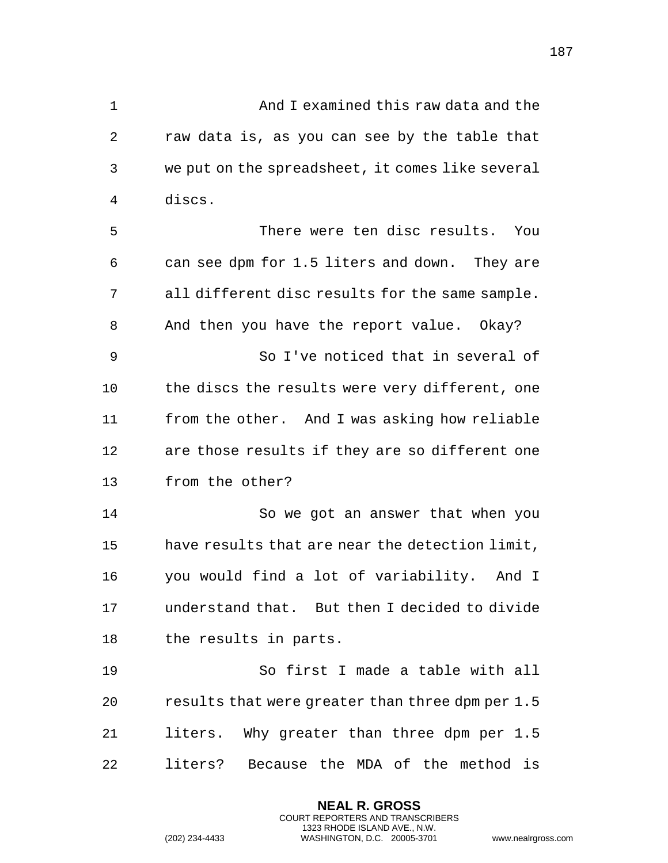And I examined this raw data and the raw data is, as you can see by the table that we put on the spreadsheet, it comes like several discs. There were ten disc results. You can see dpm for 1.5 liters and down. They are all different disc results for the same sample. And then you have the report value. Okay? So I've noticed that in several of the discs the results were very different, one from the other. And I was asking how reliable are those results if they are so different one from the other? So we got an answer that when you have results that are near the detection limit, you would find a lot of variability. And I understand that. But then I decided to divide the results in parts. So first I made a table with all results that were greater than three dpm per 1.5 liters. Why greater than three dpm per 1.5 liters? Because the MDA of the method is

> **NEAL R. GROSS** COURT REPORTERS AND TRANSCRIBERS 1323 RHODE ISLAND AVE., N.W.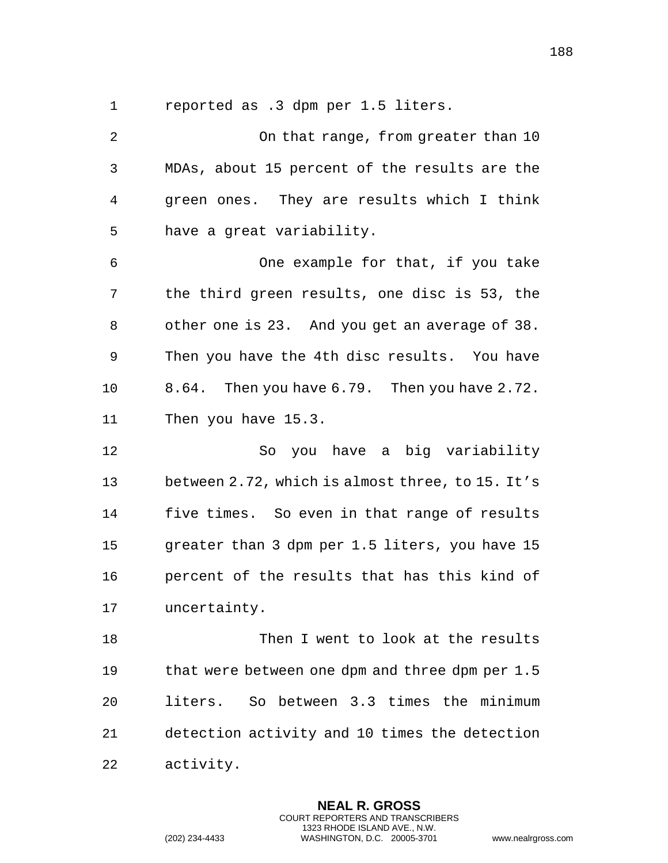reported as .3 dpm per 1.5 liters.

 On that range, from greater than 10 MDAs, about 15 percent of the results are the green ones. They are results which I think have a great variability. One example for that, if you take the third green results, one disc is 53, the other one is 23. And you get an average of 38. Then you have the 4th disc results. You have 8.64. Then you have 6.79. Then you have 2.72. Then you have 15.3. So you have a big variability between 2.72, which is almost three, to 15. It's five times. So even in that range of results greater than 3 dpm per 1.5 liters, you have 15 percent of the results that has this kind of uncertainty. 18 Then I went to look at the results that were between one dpm and three dpm per 1.5 liters. So between 3.3 times the minimum detection activity and 10 times the detection activity.

> **NEAL R. GROSS** COURT REPORTERS AND TRANSCRIBERS 1323 RHODE ISLAND AVE., N.W.

(202) 234-4433 WASHINGTON, D.C. 20005-3701 www.nealrgross.com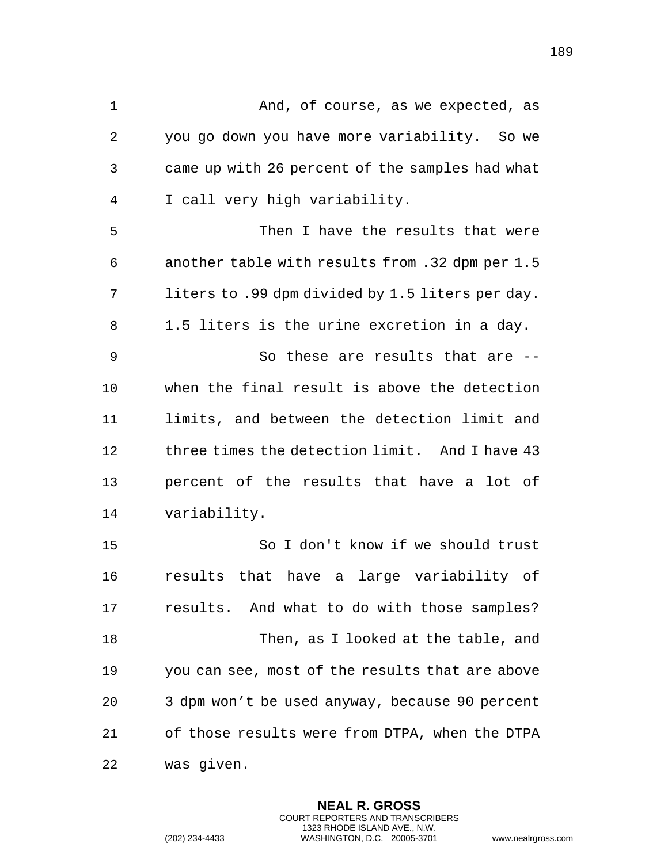1 And, of course, as we expected, as you go down you have more variability. So we came up with 26 percent of the samples had what I call very high variability. Then I have the results that were another table with results from .32 dpm per 1.5 liters to .99 dpm divided by 1.5 liters per day. 1.5 liters is the urine excretion in a day. So these are results that are -- when the final result is above the detection limits, and between the detection limit and three times the detection limit. And I have 43 percent of the results that have a lot of variability. So I don't know if we should trust results that have a large variability of results. And what to do with those samples? Then, as I looked at the table, and you can see, most of the results that are above 3 dpm won't be used anyway, because 90 percent of those results were from DTPA, when the DTPA

> **NEAL R. GROSS** COURT REPORTERS AND TRANSCRIBERS 1323 RHODE ISLAND AVE., N.W.

was given.

(202) 234-4433 WASHINGTON, D.C. 20005-3701 www.nealrgross.com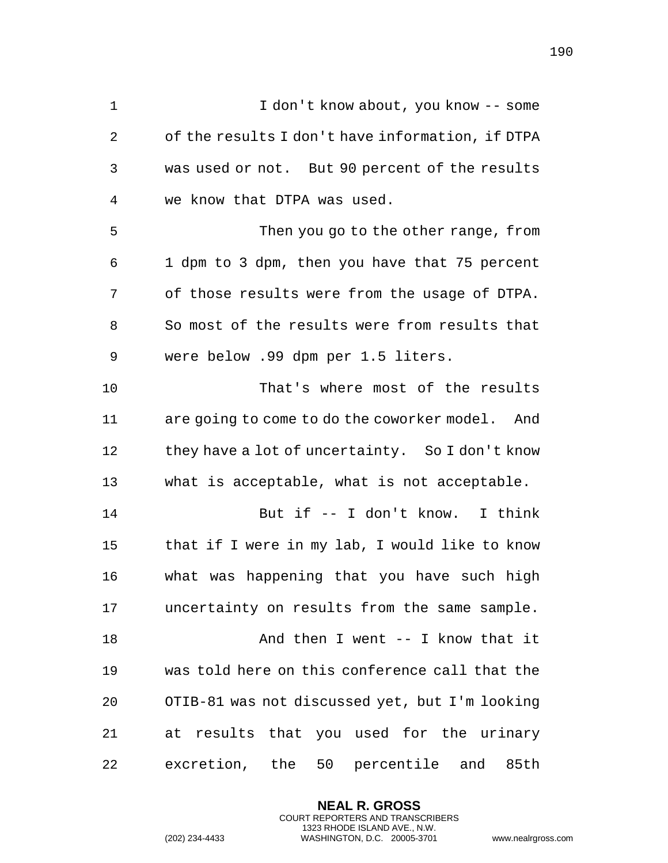| $\mathbf 1$  | I don't know about, you know -- some             |
|--------------|--------------------------------------------------|
| $\mathbf{2}$ | of the results I don't have information, if DTPA |
| 3            | was used or not. But 90 percent of the results   |
| 4            | we know that DTPA was used.                      |
| 5            | Then you go to the other range, from             |
| 6            | 1 dpm to 3 dpm, then you have that 75 percent    |
| 7            | of those results were from the usage of DTPA.    |
| 8            | So most of the results were from results that    |
| 9            | were below .99 dpm per 1.5 liters.               |
| 10           | That's where most of the results                 |
| 11           | are going to come to do the coworker model. And  |
| 12           | they have a lot of uncertainty. So I don't know  |
| 13           | what is acceptable, what is not acceptable.      |
| 14           | But if -- I don't know. I think                  |
| 15           | that if I were in my lab, I would like to know   |
| 16           | what was happening that you have such high       |
| 17           | uncertainty on results from the same sample.     |
| 18           | And then I went $--$ I know that it              |
| 19           | was told here on this conference call that the   |
| 20           | OTIB-81 was not discussed yet, but I'm looking   |
| 21           | at results that you used for the urinary         |
| 22           | excretion, the 50 percentile and<br>85th         |

**NEAL R. GROSS** COURT REPORTERS AND TRANSCRIBERS 1323 RHODE ISLAND AVE., N.W.

(202) 234-4433 WASHINGTON, D.C. 20005-3701 www.nealrgross.com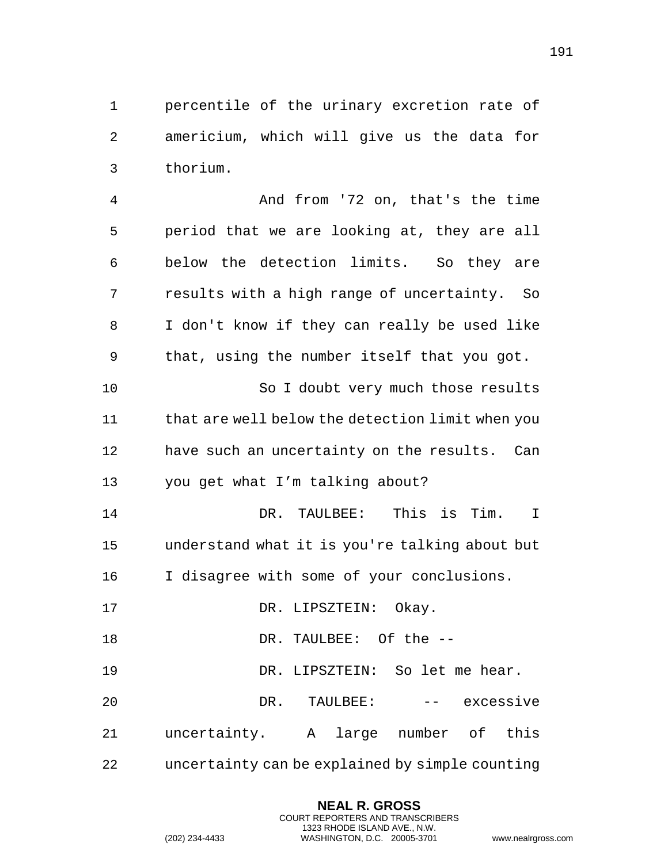percentile of the urinary excretion rate of americium, which will give us the data for thorium.

 And from '72 on, that's the time period that we are looking at, they are all below the detection limits. So they are results with a high range of uncertainty. So I don't know if they can really be used like that, using the number itself that you got. 10 So I doubt very much those results 11 that are well below the detection limit when you have such an uncertainty on the results. Can you get what I'm talking about? DR. TAULBEE: This is Tim. I understand what it is you're talking about but I disagree with some of your conclusions. 17 DR. LIPSZTEIN: Okay. 18 DR. TAULBEE: Of the -- DR. LIPSZTEIN: So let me hear. DR. TAULBEE: -- excessive uncertainty. A large number of this uncertainty can be explained by simple counting

> **NEAL R. GROSS** COURT REPORTERS AND TRANSCRIBERS 1323 RHODE ISLAND AVE., N.W.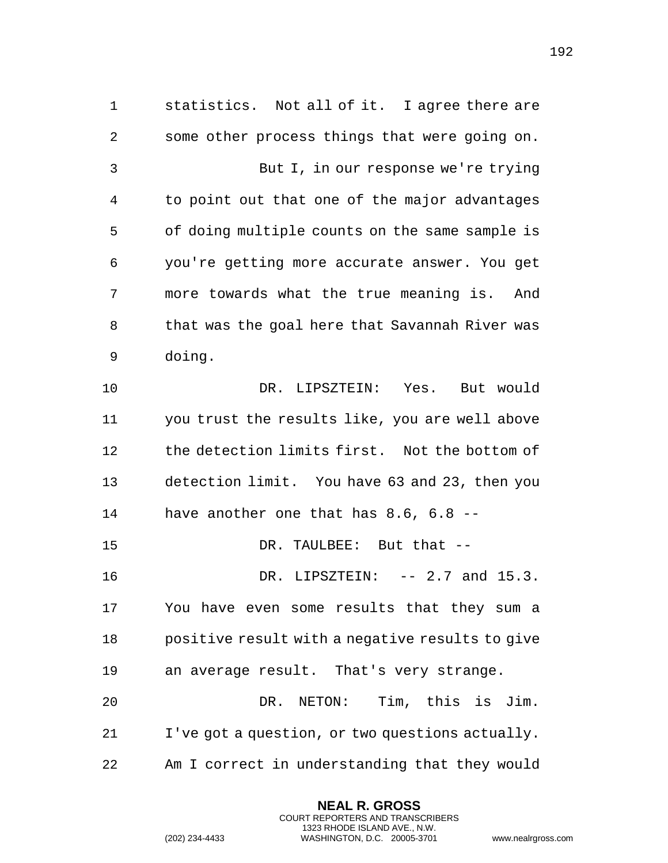statistics. Not all of it. I agree there are some other process things that were going on. But I, in our response we're trying to point out that one of the major advantages of doing multiple counts on the same sample is you're getting more accurate answer. You get more towards what the true meaning is. And that was the goal here that Savannah River was doing. DR. LIPSZTEIN: Yes. But would you trust the results like, you are well above the detection limits first. Not the bottom of detection limit. You have 63 and 23, then you have another one that has 8.6, 6.8 -- 15 DR. TAULBEE: But that --**DR. LIPSZTEIN:** -- 2.7 and 15.3. You have even some results that they sum a positive result with a negative results to give an average result. That's very strange. DR. NETON: Tim, this is Jim. I've got a question, or two questions actually. Am I correct in understanding that they would

> **NEAL R. GROSS** COURT REPORTERS AND TRANSCRIBERS 1323 RHODE ISLAND AVE., N.W.

(202) 234-4433 WASHINGTON, D.C. 20005-3701 www.nealrgross.com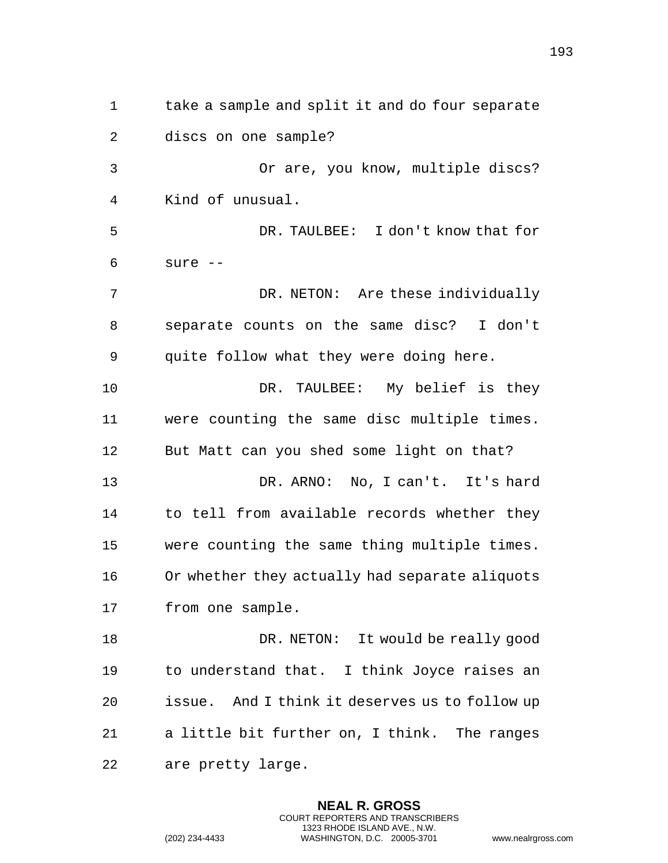take a sample and split it and do four separate discs on one sample? Or are, you know, multiple discs? Kind of unusual. DR. TAULBEE: I don't know that for sure -- DR. NETON: Are these individually separate counts on the same disc? I don't quite follow what they were doing here. DR. TAULBEE: My belief is they were counting the same disc multiple times. But Matt can you shed some light on that? DR. ARNO: No, I can't. It's hard 14 to tell from available records whether they were counting the same thing multiple times. Or whether they actually had separate aliquots from one sample. 18 DR. NETON: It would be really good to understand that. I think Joyce raises an issue. And I think it deserves us to follow up a little bit further on, I think. The ranges are pretty large.

> **NEAL R. GROSS** COURT REPORTERS AND TRANSCRIBERS 1323 RHODE ISLAND AVE., N.W.

(202) 234-4433 WASHINGTON, D.C. 20005-3701 www.nealrgross.com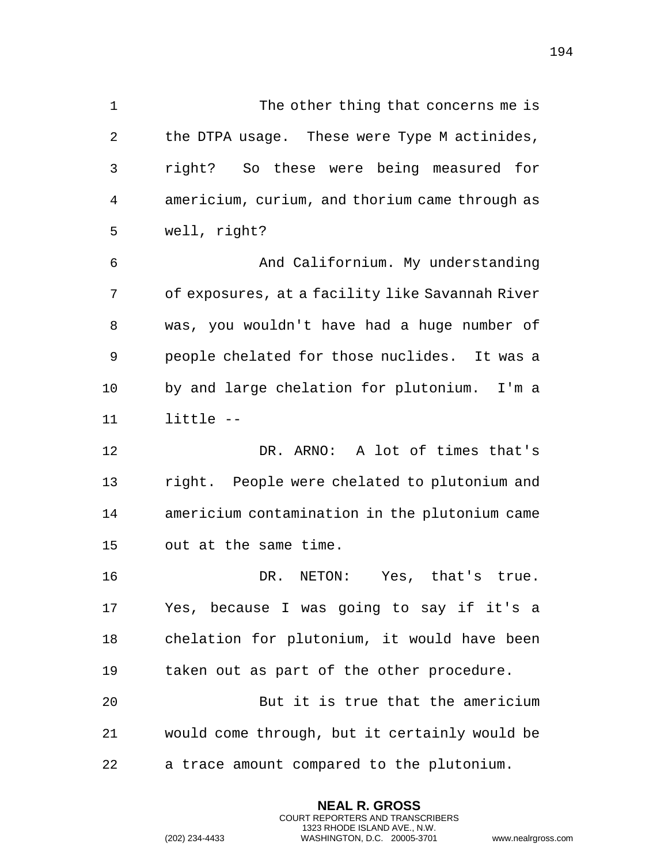1 The other thing that concerns me is the DTPA usage. These were Type M actinides, right? So these were being measured for americium, curium, and thorium came through as well, right? And Californium. My understanding of exposures, at a facility like Savannah River was, you wouldn't have had a huge number of people chelated for those nuclides. It was a by and large chelation for plutonium. I'm a little -- DR. ARNO: A lot of times that's right. People were chelated to plutonium and americium contamination in the plutonium came out at the same time. DR. NETON: Yes, that's true. Yes, because I was going to say if it's a chelation for plutonium, it would have been

 But it is true that the americium would come through, but it certainly would be a trace amount compared to the plutonium.

taken out as part of the other procedure.

**NEAL R. GROSS** COURT REPORTERS AND TRANSCRIBERS 1323 RHODE ISLAND AVE., N.W.

(202) 234-4433 WASHINGTON, D.C. 20005-3701 www.nealrgross.com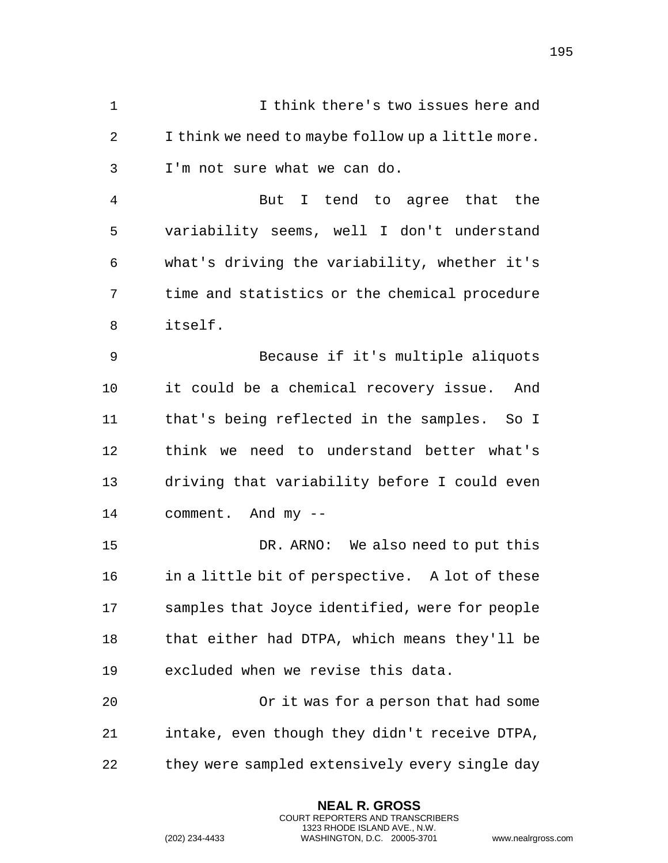I think there's two issues here and I think we need to maybe follow up a little more. I'm not sure what we can do.

 But I tend to agree that the variability seems, well I don't understand what's driving the variability, whether it's time and statistics or the chemical procedure itself.

 Because if it's multiple aliquots it could be a chemical recovery issue. And that's being reflected in the samples. So I think we need to understand better what's driving that variability before I could even comment. And my --

 DR. ARNO: We also need to put this in a little bit of perspective. A lot of these samples that Joyce identified, were for people that either had DTPA, which means they'll be excluded when we revise this data.

 Or it was for a person that had some intake, even though they didn't receive DTPA, 22 they were sampled extensively every single day

> **NEAL R. GROSS** COURT REPORTERS AND TRANSCRIBERS 1323 RHODE ISLAND AVE., N.W.

(202) 234-4433 WASHINGTON, D.C. 20005-3701 www.nealrgross.com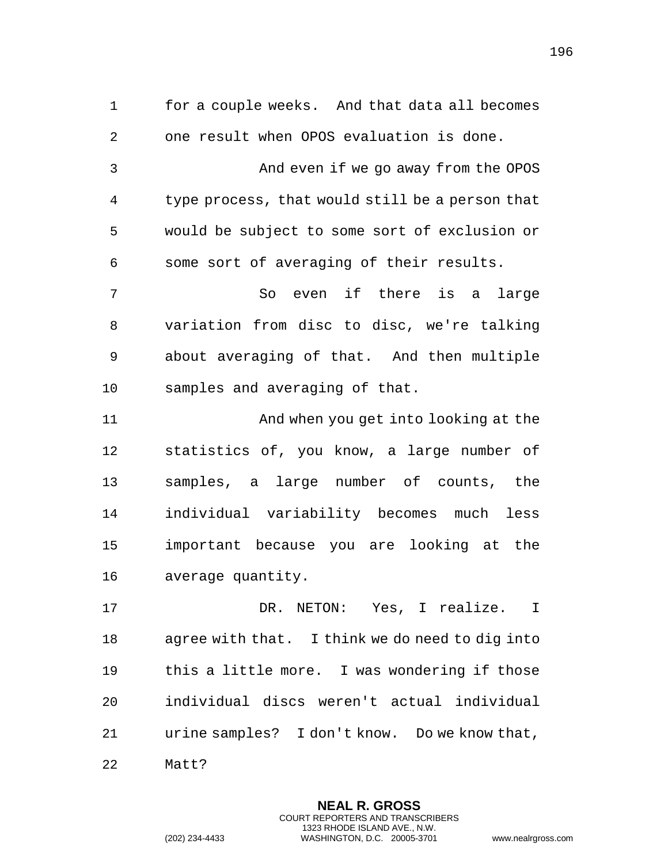for a couple weeks. And that data all becomes one result when OPOS evaluation is done. And even if we go away from the OPOS type process, that would still be a person that would be subject to some sort of exclusion or some sort of averaging of their results. So even if there is a large variation from disc to disc, we're talking about averaging of that. And then multiple samples and averaging of that. And when you get into looking at the statistics of, you know, a large number of samples, a large number of counts, the individual variability becomes much less

average quantity.

 DR. NETON: Yes, I realize. I agree with that. I think we do need to dig into this a little more. I was wondering if those individual discs weren't actual individual urine samples? I don't know. Do we know that, Matt?

important because you are looking at the

**NEAL R. GROSS** COURT REPORTERS AND TRANSCRIBERS 1323 RHODE ISLAND AVE., N.W.

(202) 234-4433 WASHINGTON, D.C. 20005-3701 www.nealrgross.com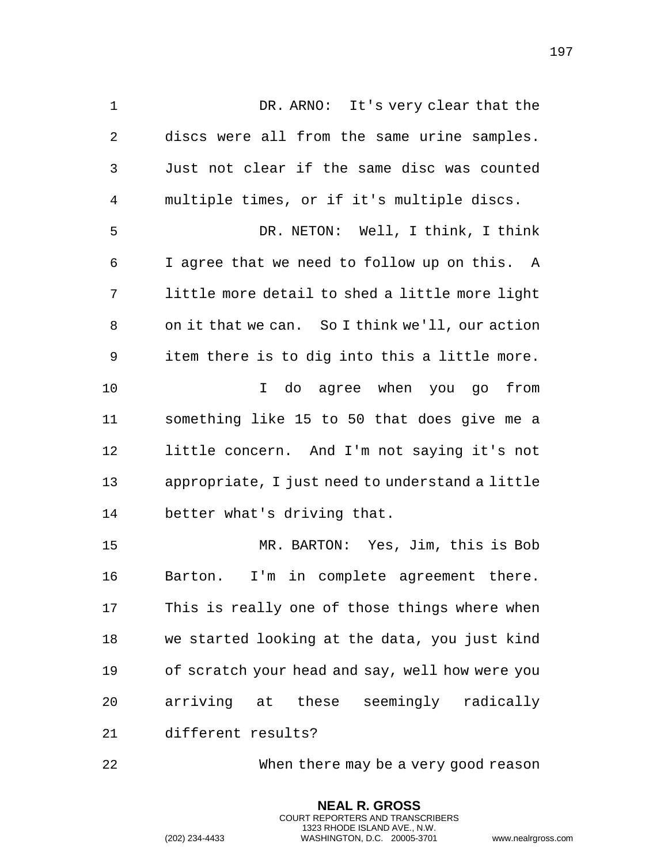DR. ARNO: It's very clear that the discs were all from the same urine samples. Just not clear if the same disc was counted multiple times, or if it's multiple discs. DR. NETON: Well, I think, I think I agree that we need to follow up on this. A little more detail to shed a little more light on it that we can. So I think we'll, our action item there is to dig into this a little more. I do agree when you go from something like 15 to 50 that does give me a little concern. And I'm not saying it's not appropriate, I just need to understand a little better what's driving that. MR. BARTON: Yes, Jim, this is Bob Barton. I'm in complete agreement there. This is really one of those things where when

 we started looking at the data, you just kind of scratch your head and say, well how were you arriving at these seemingly radically different results?

When there may be a very good reason

**NEAL R. GROSS** COURT REPORTERS AND TRANSCRIBERS 1323 RHODE ISLAND AVE., N.W.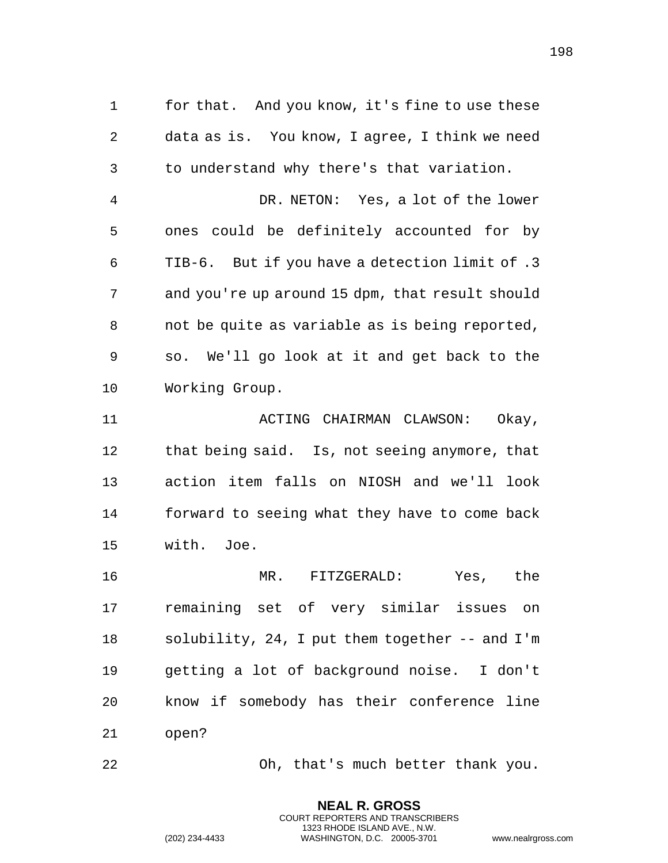for that. And you know, it's fine to use these data as is. You know, I agree, I think we need to understand why there's that variation.

 DR. NETON: Yes, a lot of the lower ones could be definitely accounted for by TIB-6. But if you have a detection limit of .3 and you're up around 15 dpm, that result should not be quite as variable as is being reported, so. We'll go look at it and get back to the Working Group.

 ACTING CHAIRMAN CLAWSON: Okay, that being said. Is, not seeing anymore, that action item falls on NIOSH and we'll look forward to seeing what they have to come back with. Joe.

 MR. FITZGERALD: Yes, the remaining set of very similar issues on solubility, 24, I put them together -- and I'm getting a lot of background noise. I don't know if somebody has their conference line open?

Oh, that's much better thank you.

**NEAL R. GROSS** COURT REPORTERS AND TRANSCRIBERS 1323 RHODE ISLAND AVE., N.W.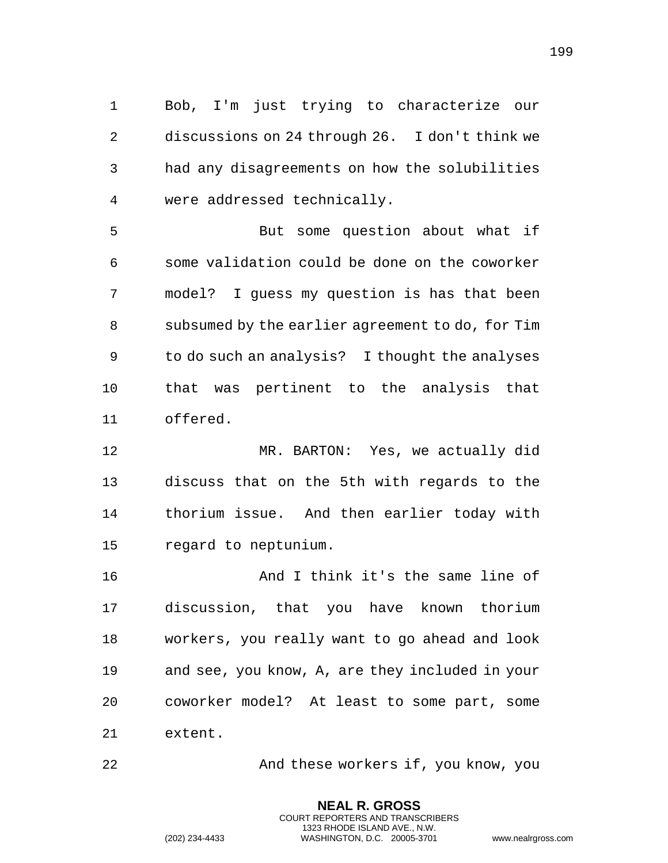Bob, I'm just trying to characterize our discussions on 24 through 26. I don't think we had any disagreements on how the solubilities were addressed technically.

 But some question about what if some validation could be done on the coworker model? I guess my question is has that been subsumed by the earlier agreement to do, for Tim to do such an analysis? I thought the analyses that was pertinent to the analysis that offered.

 MR. BARTON: Yes, we actually did discuss that on the 5th with regards to the thorium issue. And then earlier today with regard to neptunium.

 And I think it's the same line of discussion, that you have known thorium workers, you really want to go ahead and look and see, you know, A, are they included in your coworker model? At least to some part, some extent.

And these workers if, you know, you

**NEAL R. GROSS** COURT REPORTERS AND TRANSCRIBERS 1323 RHODE ISLAND AVE., N.W.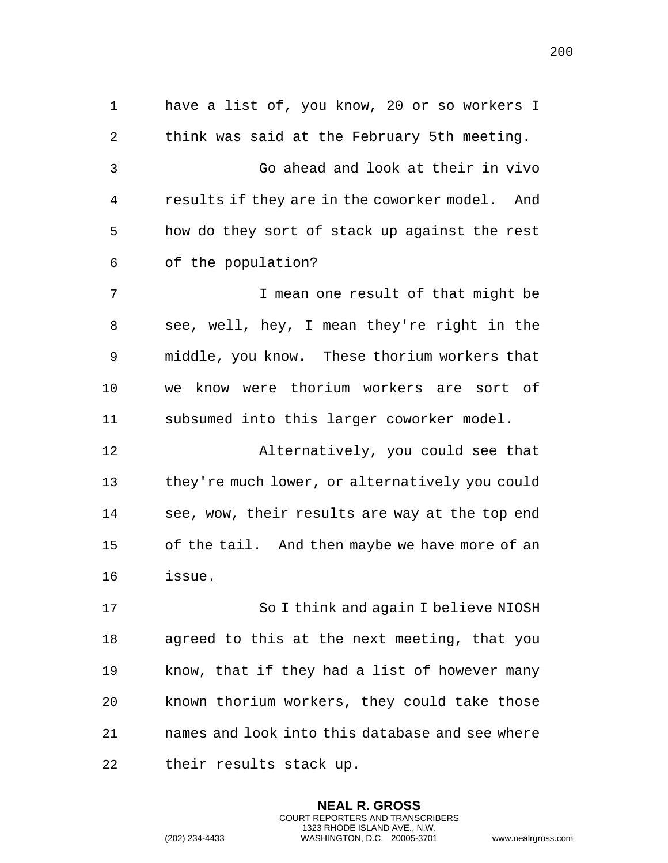have a list of, you know, 20 or so workers I think was said at the February 5th meeting. Go ahead and look at their in vivo results if they are in the coworker model. And how do they sort of stack up against the rest of the population? I mean one result of that might be see, well, hey, I mean they're right in the middle, you know. These thorium workers that we know were thorium workers are sort of subsumed into this larger coworker model. Alternatively, you could see that they're much lower, or alternatively you could see, wow, their results are way at the top end of the tail. And then maybe we have more of an issue. So I think and again I believe NIOSH agreed to this at the next meeting, that you know, that if they had a list of however many known thorium workers, they could take those names and look into this database and see where

> **NEAL R. GROSS** COURT REPORTERS AND TRANSCRIBERS 1323 RHODE ISLAND AVE., N.W.

their results stack up.

(202) 234-4433 WASHINGTON, D.C. 20005-3701 www.nealrgross.com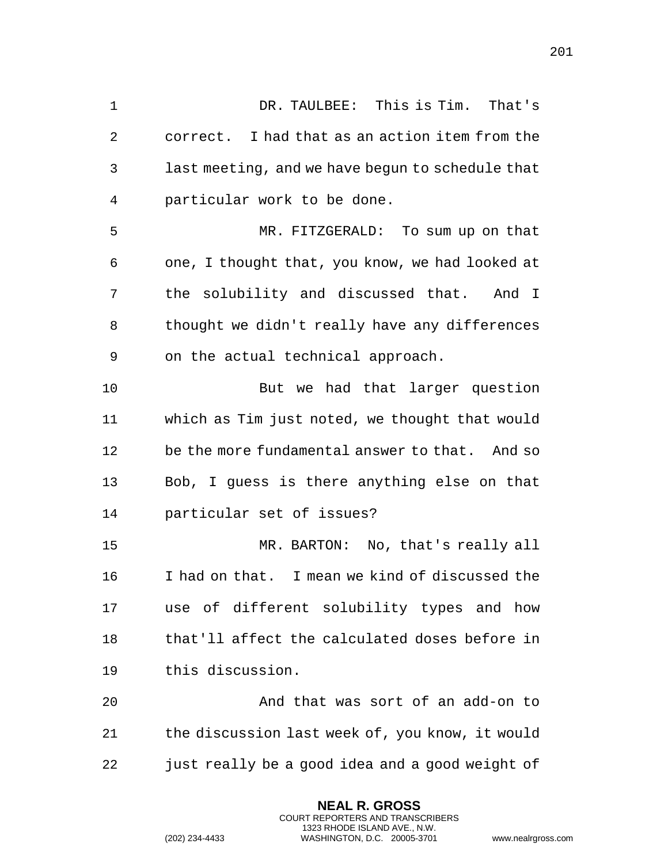DR. TAULBEE: This is Tim. That's correct. I had that as an action item from the last meeting, and we have begun to schedule that particular work to be done. MR. FITZGERALD: To sum up on that one, I thought that, you know, we had looked at the solubility and discussed that. And I thought we didn't really have any differences on the actual technical approach. But we had that larger question which as Tim just noted, we thought that would be the more fundamental answer to that. And so Bob, I guess is there anything else on that particular set of issues? MR. BARTON: No, that's really all I had on that. I mean we kind of discussed the use of different solubility types and how that'll affect the calculated doses before in this discussion. And that was sort of an add-on to the discussion last week of, you know, it would just really be a good idea and a good weight of

> **NEAL R. GROSS** COURT REPORTERS AND TRANSCRIBERS 1323 RHODE ISLAND AVE., N.W.

(202) 234-4433 WASHINGTON, D.C. 20005-3701 www.nealrgross.com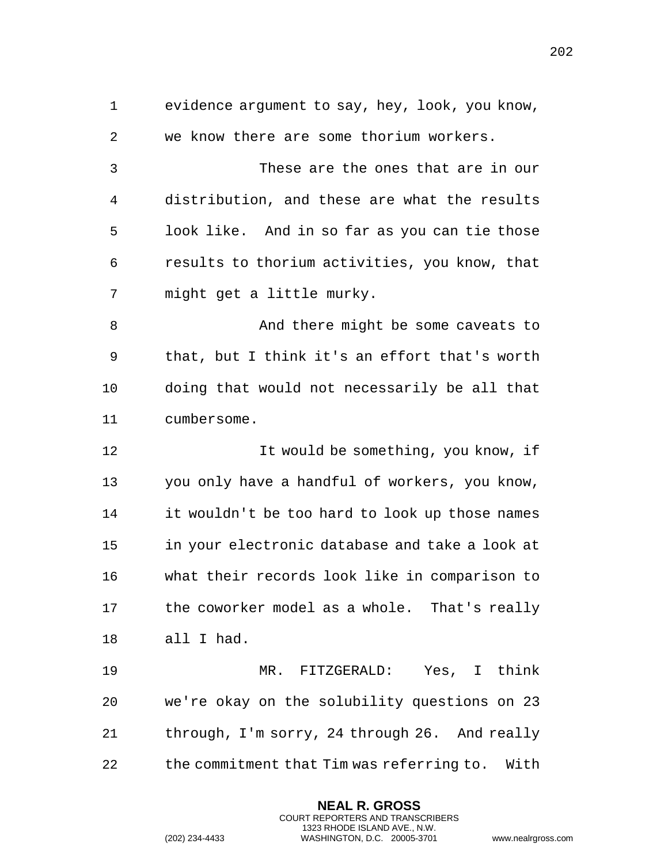| $\mathbf 1$ | evidence argument to say, hey, look, you know, |
|-------------|------------------------------------------------|
| 2           | we know there are some thorium workers.        |
| 3           | These are the ones that are in our             |
| 4           | distribution, and these are what the results   |
| 5           | look like. And in so far as you can tie those  |
| 6           | results to thorium activities, you know, that  |
| 7           | might get a little murky.                      |
| 8           | And there might be some caveats to             |
| 9           | that, but I think it's an effort that's worth  |
| 10          | doing that would not necessarily be all that   |
| 11          | cumbersome.                                    |
| 12          | It would be something, you know, if            |
|             |                                                |
| 13          | you only have a handful of workers, you know,  |
| 14          | it wouldn't be too hard to look up those names |
| 15          | in your electronic database and take a look at |
| 16          | what their records look like in comparison to  |
| 17          | the coworker model as a whole. That's really   |
| 18          | all I had.                                     |
| 19          | MR. FITZGERALD: Yes, I think                   |
| 20          | we're okay on the solubility questions on 23   |
| 21          | through, I'm sorry, 24 through 26. And really  |

**NEAL R. GROSS** COURT REPORTERS AND TRANSCRIBERS 1323 RHODE ISLAND AVE., N.W.

(202) 234-4433 WASHINGTON, D.C. 20005-3701 www.nealrgross.com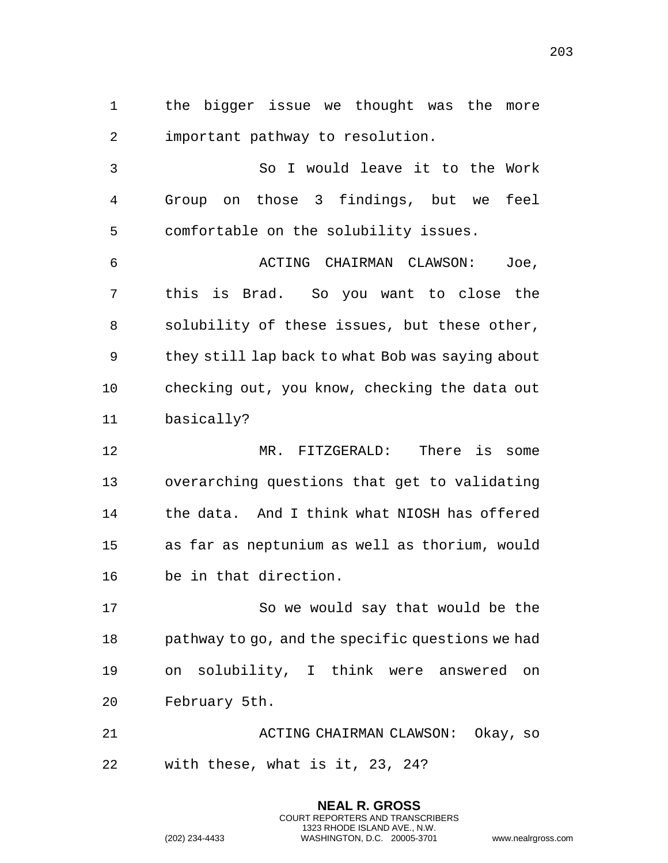the bigger issue we thought was the more important pathway to resolution.

 So I would leave it to the Work Group on those 3 findings, but we feel comfortable on the solubility issues.

 ACTING CHAIRMAN CLAWSON: Joe, this is Brad. So you want to close the solubility of these issues, but these other, they still lap back to what Bob was saying about checking out, you know, checking the data out basically?

 MR. FITZGERALD: There is some overarching questions that get to validating the data. And I think what NIOSH has offered as far as neptunium as well as thorium, would be in that direction.

 So we would say that would be the pathway to go, and the specific questions we had on solubility, I think were answered on February 5th.

 ACTING CHAIRMAN CLAWSON: Okay, so with these, what is it, 23, 24?

> **NEAL R. GROSS** COURT REPORTERS AND TRANSCRIBERS 1323 RHODE ISLAND AVE., N.W.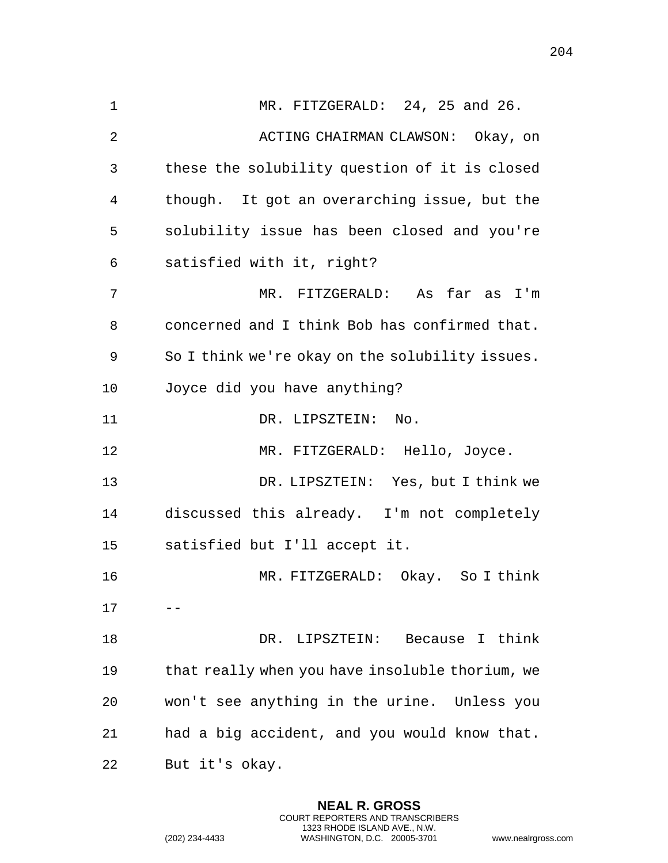1 MR. FITZGERALD: 24, 25 and 26. 2 ACTING CHAIRMAN CLAWSON: Okay, on these the solubility question of it is closed though. It got an overarching issue, but the solubility issue has been closed and you're satisfied with it, right? MR. FITZGERALD: As far as I'm concerned and I think Bob has confirmed that. So I think we're okay on the solubility issues. Joyce did you have anything? 11 DR. LIPSZTEIN: No. MR. FITZGERALD: Hello, Joyce. DR. LIPSZTEIN: Yes, but I think we discussed this already. I'm not completely satisfied but I'll accept it. MR. FITZGERALD: Okay. So I think  $17 - -$  DR. LIPSZTEIN: Because I think that really when you have insoluble thorium, we won't see anything in the urine. Unless you had a big accident, and you would know that. But it's okay.

> **NEAL R. GROSS** COURT REPORTERS AND TRANSCRIBERS 1323 RHODE ISLAND AVE., N.W.

(202) 234-4433 WASHINGTON, D.C. 20005-3701 www.nealrgross.com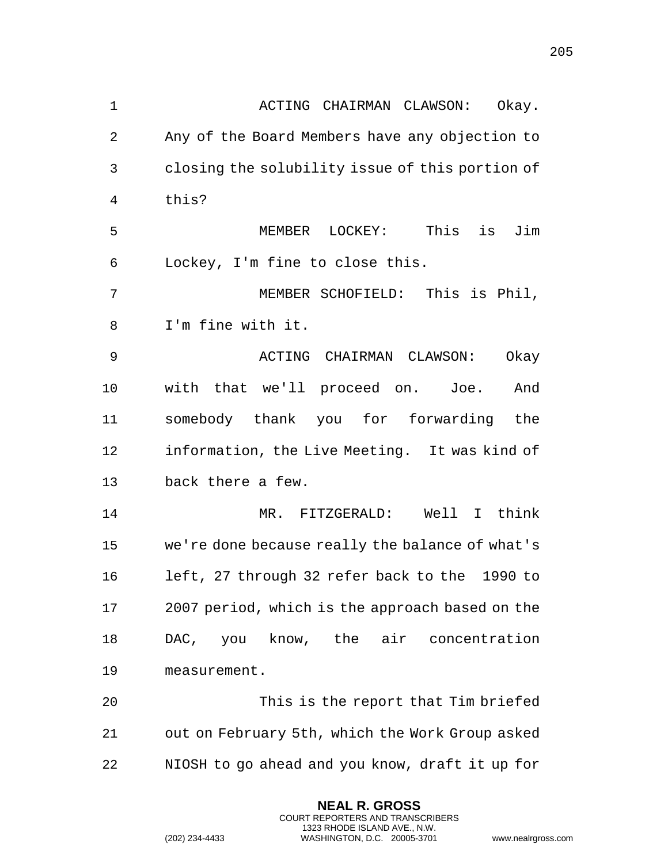| 1              | ACTING CHAIRMAN CLAWSON:<br>Okay.               |
|----------------|-------------------------------------------------|
| $\overline{2}$ | Any of the Board Members have any objection to  |
| 3              | closing the solubility issue of this portion of |
| 4              | this?                                           |
| 5              | Jim<br>MEMBER LOCKEY: This is                   |
| 6              | Lockey, I'm fine to close this.                 |
| 7              | MEMBER SCHOFIELD: This is Phil,                 |
| 8              | I'm fine with it.                               |
| 9              | ACTING CHAIRMAN CLAWSON:<br>Okay                |
| 10             | with that we'll proceed on. Joe.<br>And         |
| 11             | somebody thank you for forwarding the           |
| 12             | information, the Live Meeting. It was kind of   |
| 13             | back there a few.                               |
| 14             | MR. FITZGERALD: Well I think                    |
| 15             | we're done because really the balance of what's |
| 16             | left, 27 through 32 refer back to the 1990 to   |
| 17             | 2007 period, which is the approach based on the |
| 18             | know, the air concentration<br>DAC, you         |
| 19             | measurement.                                    |
| 20             | This is the report that Tim briefed             |
| 21             | out on February 5th, which the Work Group asked |
| 22             | NIOSH to go ahead and you know, draft it up for |

**NEAL R. GROSS** COURT REPORTERS AND TRANSCRIBERS 1323 RHODE ISLAND AVE., N.W.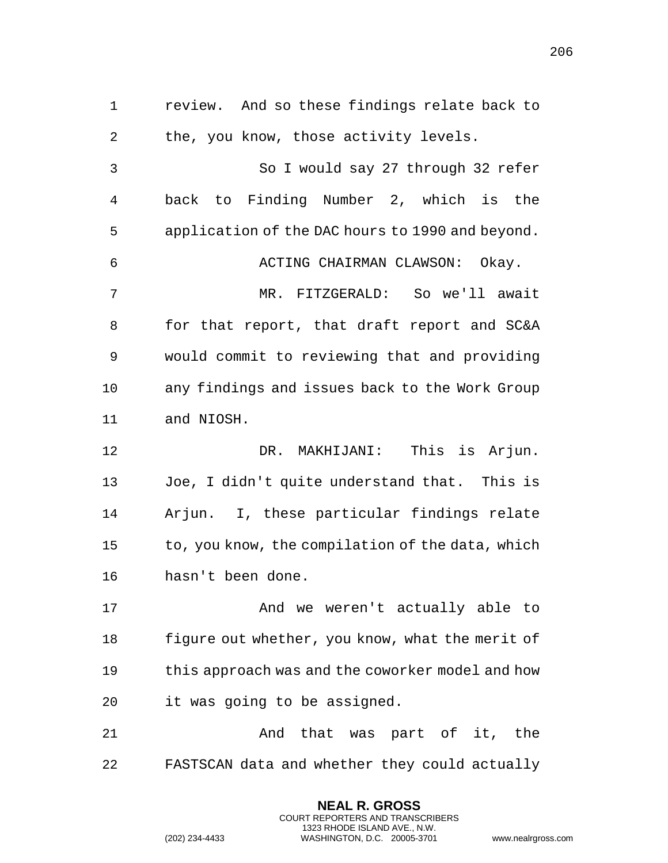review. And so these findings relate back to the, you know, those activity levels. So I would say 27 through 32 refer back to Finding Number 2, which is the application of the DAC hours to 1990 and beyond. ACTING CHAIRMAN CLAWSON: Okay. MR. FITZGERALD: So we'll await for that report, that draft report and SC&A would commit to reviewing that and providing any findings and issues back to the Work Group and NIOSH. DR. MAKHIJANI: This is Arjun. Joe, I didn't quite understand that. This is Arjun. I, these particular findings relate to, you know, the compilation of the data, which hasn't been done. 17 And we weren't actually able to figure out whether, you know, what the merit of this approach was and the coworker model and how it was going to be assigned. And that was part of it, the FASTSCAN data and whether they could actually

> **NEAL R. GROSS** COURT REPORTERS AND TRANSCRIBERS 1323 RHODE ISLAND AVE., N.W.

(202) 234-4433 WASHINGTON, D.C. 20005-3701 www.nealrgross.com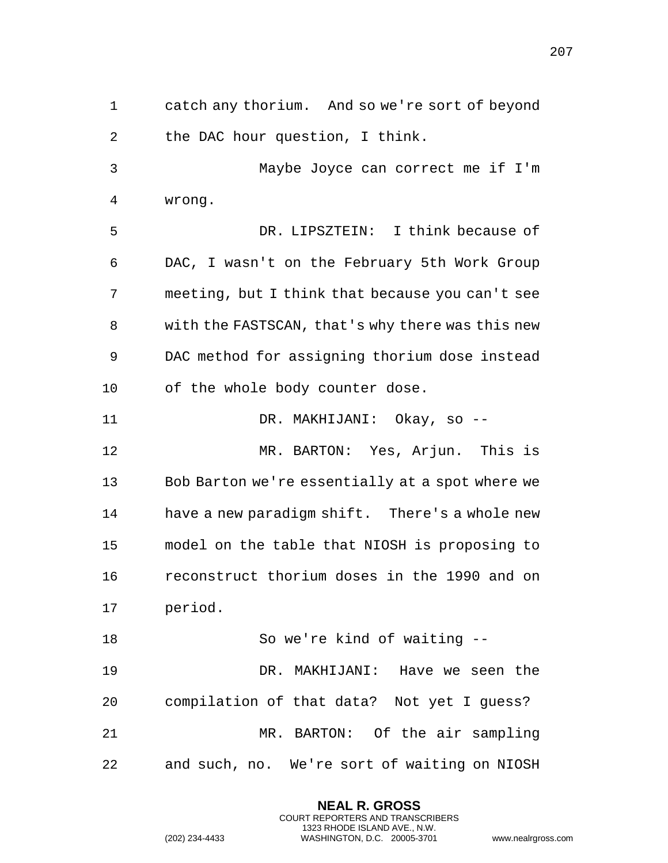catch any thorium. And so we're sort of beyond the DAC hour question, I think. Maybe Joyce can correct me if I'm wrong. DR. LIPSZTEIN: I think because of DAC, I wasn't on the February 5th Work Group meeting, but I think that because you can't see with the FASTSCAN, that's why there was this new DAC method for assigning thorium dose instead of the whole body counter dose. DR. MAKHIJANI: Okay, so -- MR. BARTON: Yes, Arjun. This is Bob Barton we're essentially at a spot where we have a new paradigm shift. There's a whole new model on the table that NIOSH is proposing to reconstruct thorium doses in the 1990 and on period. So we're kind of waiting -- DR. MAKHIJANI: Have we seen the compilation of that data? Not yet I guess? MR. BARTON: Of the air sampling and such, no. We're sort of waiting on NIOSH

> **NEAL R. GROSS** COURT REPORTERS AND TRANSCRIBERS 1323 RHODE ISLAND AVE., N.W.

(202) 234-4433 WASHINGTON, D.C. 20005-3701 www.nealrgross.com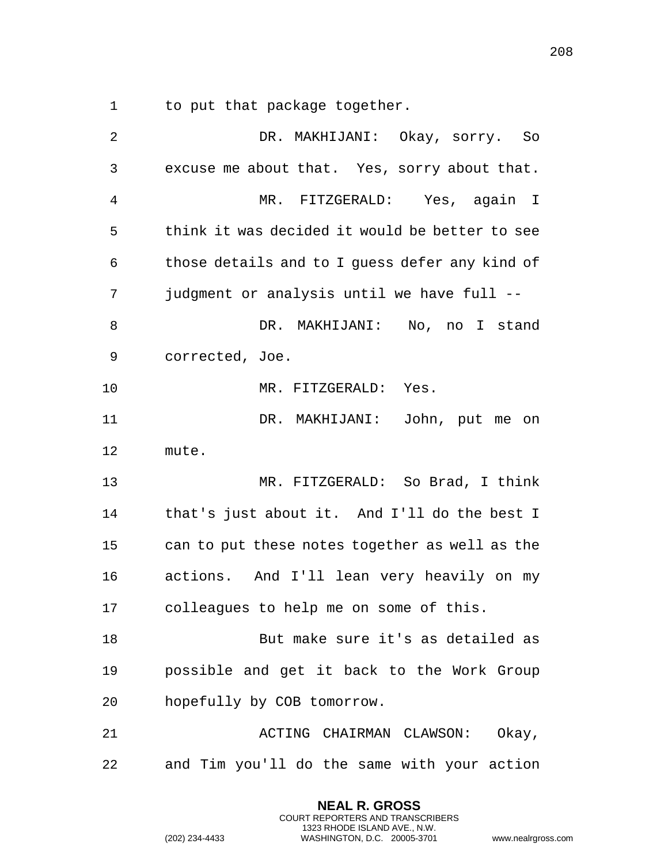1 to put that package together.

| 2  | DR. MAKHIJANI: Okay, sorry. So                 |
|----|------------------------------------------------|
| 3  | excuse me about that. Yes, sorry about that.   |
| 4  | MR. FITZGERALD: Yes, again I                   |
| 5  | think it was decided it would be better to see |
| 6  | those details and to I guess defer any kind of |
| 7  | judgment or analysis until we have full --     |
| 8  | DR. MAKHIJANI: No, no I stand                  |
| 9  | corrected, Joe.                                |
| 10 | MR. FITZGERALD: Yes.                           |
| 11 | DR. MAKHIJANI: John, put me on                 |
| 12 | mute.                                          |
| 13 | MR. FITZGERALD: So Brad, I think               |
| 14 | that's just about it. And I'll do the best I   |
| 15 | can to put these notes together as well as the |
| 16 | actions. And I'll lean very heavily on my      |
| 17 | colleagues to help me on some of this.         |
| 18 | But make sure it's as detailed as              |
| 19 | possible and get it back to the Work Group     |
| 20 | hopefully by COB tomorrow.                     |
| 21 | ACTING CHAIRMAN CLAWSON: Okay,                 |
| 22 | and Tim you'll do the same with your action    |

**NEAL R. GROSS** COURT REPORTERS AND TRANSCRIBERS 1323 RHODE ISLAND AVE., N.W.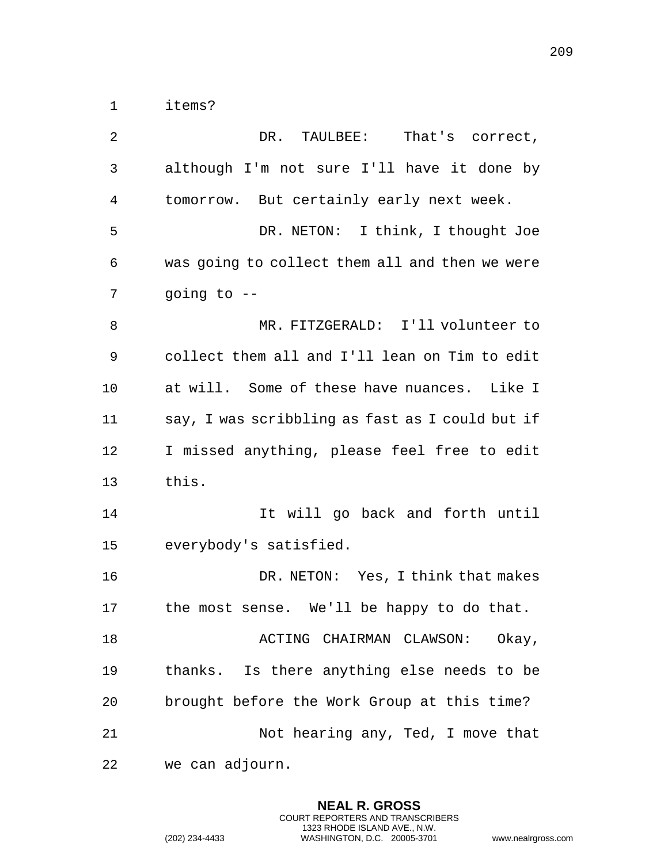items?

| $\overline{2}$ | DR. TAULBEE: That's correct,                    |
|----------------|-------------------------------------------------|
| $\mathbf{3}$   | although I'm not sure I'll have it done by      |
| $\overline{4}$ | tomorrow. But certainly early next week.        |
| 5              | DR. NETON: I think, I thought Joe               |
| 6              | was going to collect them all and then we were  |
| 7              | going to $-$                                    |
| 8              | MR. FITZGERALD: I'll volunteer to               |
| 9              | collect them all and I'll lean on Tim to edit   |
| 10             | at will. Some of these have nuances. Like I     |
| 11             | say, I was scribbling as fast as I could but if |
| 12             | I missed anything, please feel free to edit     |
| 13             | this.                                           |
| 14             | It will go back and forth until                 |
| 15             | everybody's satisfied.                          |
| 16             | DR. NETON: Yes, I think that makes              |
| 17             | the most sense. We'll be happy to do that.      |
| 18             | ACTING CHAIRMAN CLAWSON:<br>Okay,               |
| 19             | Is there anything else needs to be<br>thanks.   |
| 20             | brought before the Work Group at this time?     |
| 21             | Not hearing any, Ted, I move that               |
| 22             | we can adjourn.                                 |

**NEAL R. GROSS** COURT REPORTERS AND TRANSCRIBERS 1323 RHODE ISLAND AVE., N.W.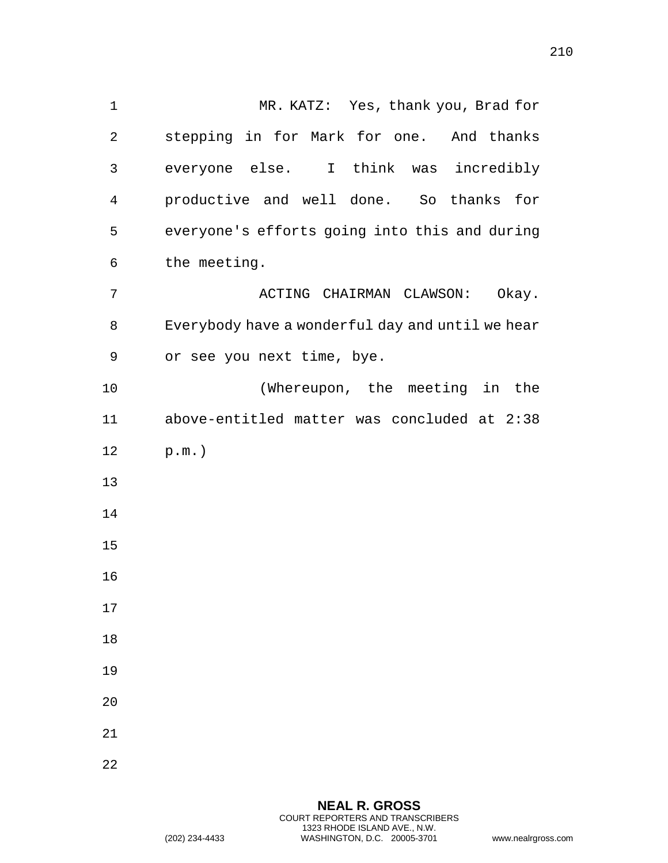MR. KATZ: Yes, thank you, Brad for stepping in for Mark for one. And thanks everyone else. I think was incredibly productive and well done. So thanks for everyone's efforts going into this and during the meeting. ACTING CHAIRMAN CLAWSON: Okay. Everybody have a wonderful day and until we hear or see you next time, bye. (Whereupon, the meeting in the above-entitled matter was concluded at 2:38 p.m.) 

> **NEAL R. GROSS** COURT REPORTERS AND TRANSCRIBERS 1323 RHODE ISLAND AVE., N.W. (202) 234-4433 WASHINGTON, D.C. 20005-3701 www.nealrgross.com